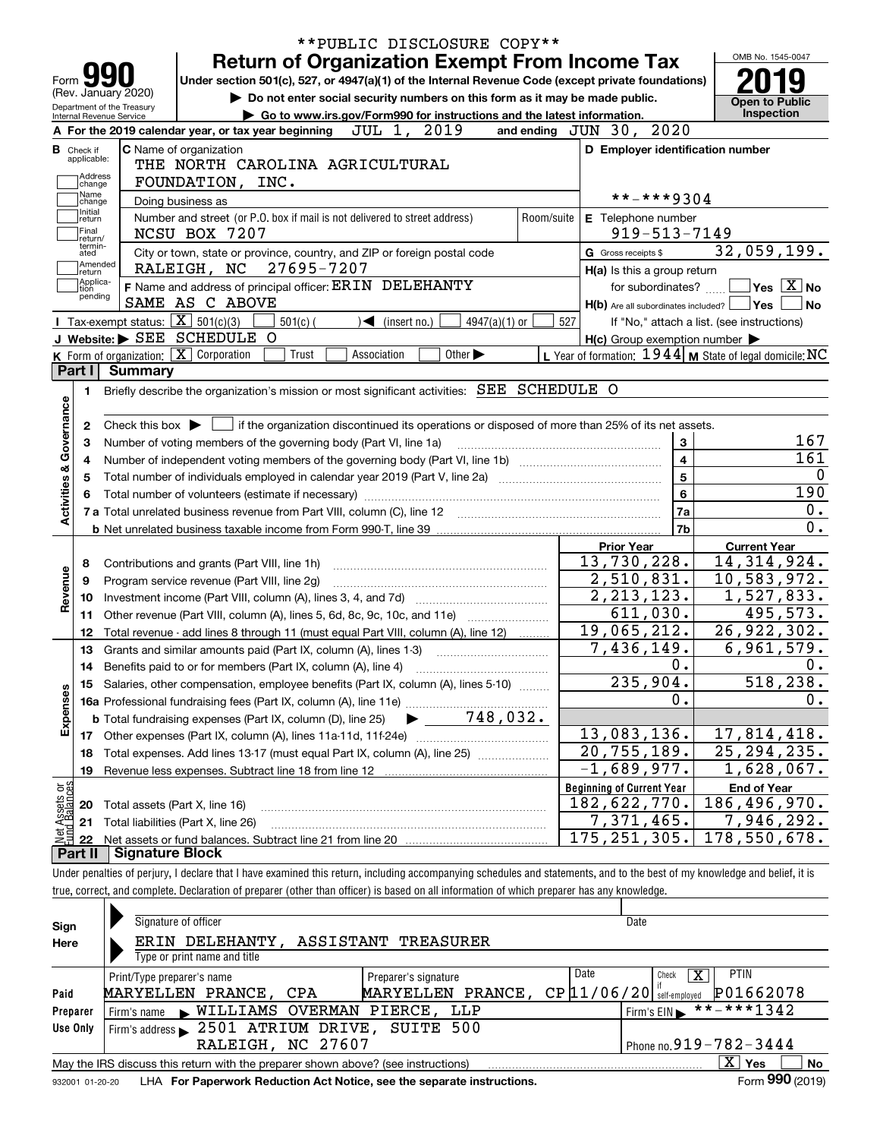|                                                                                                                                                                      |                                                        |                                                                                                                                                                |                                                                                                                                                     | <b>Return of Organization Exempt From Income Tax</b>                        | **PUBLIC DISCLOSURE COPY** |                               |                             |               |                         |                                  |                             |                | OMB No. 1545-0047                                                                                                                                                          |                             |
|----------------------------------------------------------------------------------------------------------------------------------------------------------------------|--------------------------------------------------------|----------------------------------------------------------------------------------------------------------------------------------------------------------------|-----------------------------------------------------------------------------------------------------------------------------------------------------|-----------------------------------------------------------------------------|----------------------------|-------------------------------|-----------------------------|---------------|-------------------------|----------------------------------|-----------------------------|----------------|----------------------------------------------------------------------------------------------------------------------------------------------------------------------------|-----------------------------|
|                                                                                                                                                                      | Form YY                                                |                                                                                                                                                                | Under section 501(c), 527, or 4947(a)(1) of the Internal Revenue Code (except private foundations)                                                  |                                                                             |                            |                               |                             |               |                         |                                  |                             |                |                                                                                                                                                                            |                             |
|                                                                                                                                                                      | (Rev. January 2020)                                    |                                                                                                                                                                |                                                                                                                                                     | Do not enter social security numbers on this form as it may be made public. |                            |                               |                             |               |                         |                                  |                             |                | <b>Open to Public</b>                                                                                                                                                      |                             |
|                                                                                                                                                                      | Department of the Treasury<br>Internal Revenue Service |                                                                                                                                                                |                                                                                                                                                     | Go to www.irs.gov/Form990 for instructions and the latest information.      |                            |                               |                             |               |                         |                                  |                             |                | Inspection                                                                                                                                                                 |                             |
|                                                                                                                                                                      |                                                        |                                                                                                                                                                | A For the 2019 calendar year, or tax year beginning                                                                                                 |                                                                             |                            |                               | JUL 1, 2019                 |               | and ending JUN 30, 2020 |                                  |                             |                |                                                                                                                                                                            |                             |
|                                                                                                                                                                      | <b>B</b> Check if<br>applicable:                       |                                                                                                                                                                | C Name of organization                                                                                                                              |                                                                             |                            |                               |                             |               |                         |                                  |                             |                | D Employer identification number                                                                                                                                           |                             |
|                                                                                                                                                                      | Address                                                |                                                                                                                                                                | THE NORTH CAROLINA AGRICULTURAL                                                                                                                     |                                                                             |                            |                               |                             |               |                         |                                  |                             |                |                                                                                                                                                                            |                             |
|                                                                                                                                                                      | change<br>Name                                         |                                                                                                                                                                | FOUNDATION, INC.                                                                                                                                    |                                                                             |                            |                               |                             |               |                         |                                  | **-***9304                  |                |                                                                                                                                                                            |                             |
|                                                                                                                                                                      | change<br>Initial                                      |                                                                                                                                                                | Doing business as                                                                                                                                   |                                                                             |                            |                               |                             |               |                         |                                  |                             |                |                                                                                                                                                                            |                             |
|                                                                                                                                                                      | return<br> Final                                       |                                                                                                                                                                | Number and street (or P.O. box if mail is not delivered to street address)                                                                          |                                                                             |                            |                               |                             |               | Room/suite              |                                  | E Telephone number          |                |                                                                                                                                                                            |                             |
| $919 - 513 - 7149$<br>NCSU BOX 7207<br>return/<br>termin-<br>G Gross receipts \$<br>City or town, state or province, country, and ZIP or foreign postal code<br>ated |                                                        |                                                                                                                                                                |                                                                                                                                                     |                                                                             |                            |                               |                             |               |                         |                                  |                             | 32,059,199.    |                                                                                                                                                                            |                             |
|                                                                                                                                                                      | Amended                                                |                                                                                                                                                                | RALEIGH, NC                                                                                                                                         | 27695-7207                                                                  |                            |                               |                             |               |                         |                                  | H(a) Is this a group return |                |                                                                                                                                                                            |                             |
|                                                                                                                                                                      | return<br> Applica-<br>tion                            |                                                                                                                                                                | F Name and address of principal officer: ERIN DELEHANTY                                                                                             |                                                                             |                            |                               |                             |               |                         |                                  | for subordinates?           |                |                                                                                                                                                                            | $\sqrt{}$ Yes $\sqrt{X}$ No |
|                                                                                                                                                                      | pending                                                |                                                                                                                                                                | SAME AS C ABOVE                                                                                                                                     |                                                                             |                            |                               |                             |               |                         |                                  |                             |                | $H(b)$ Are all subordinates included? $\Box$ Yes $\Box$                                                                                                                    | <b>No</b>                   |
|                                                                                                                                                                      |                                                        |                                                                                                                                                                | Tax-exempt status: $\boxed{\mathbf{X}}$ 501(c)(3)                                                                                                   | $501(c)$ (                                                                  |                            | $\sqrt{\bullet}$ (insert no.) |                             | 4947(a)(1) or |                         | 527                              |                             |                | If "No," attach a list. (see instructions)                                                                                                                                 |                             |
|                                                                                                                                                                      |                                                        |                                                                                                                                                                | J Website: > SEE SCHEDULE O                                                                                                                         |                                                                             |                            |                               |                             |               |                         |                                  |                             |                | $H(c)$ Group exemption number $\blacktriangleright$                                                                                                                        |                             |
|                                                                                                                                                                      |                                                        |                                                                                                                                                                | K Form of organization: X Corporation                                                                                                               | Trust                                                                       |                            | Association                   | Other $\blacktriangleright$ |               |                         |                                  |                             |                | L Year of formation: $1944$ M State of legal domicile: NC                                                                                                                  |                             |
|                                                                                                                                                                      | Part I                                                 | <b>Summary</b>                                                                                                                                                 |                                                                                                                                                     |                                                                             |                            |                               |                             |               |                         |                                  |                             |                |                                                                                                                                                                            |                             |
|                                                                                                                                                                      | 1.                                                     |                                                                                                                                                                | Briefly describe the organization's mission or most significant activities: SEE SCHEDULE O                                                          |                                                                             |                            |                               |                             |               |                         |                                  |                             |                |                                                                                                                                                                            |                             |
|                                                                                                                                                                      |                                                        |                                                                                                                                                                |                                                                                                                                                     |                                                                             |                            |                               |                             |               |                         |                                  |                             |                |                                                                                                                                                                            |                             |
| Governance                                                                                                                                                           | 2                                                      |                                                                                                                                                                | Check this box $\blacktriangleright$ $\blacksquare$ if the organization discontinued its operations or disposed of more than 25% of its net assets. |                                                                             |                            |                               |                             |               |                         |                                  |                             |                |                                                                                                                                                                            |                             |
|                                                                                                                                                                      | 3                                                      |                                                                                                                                                                | Number of voting members of the governing body (Part VI, line 1a)                                                                                   |                                                                             |                            |                               |                             |               |                         |                                  |                             | 3              |                                                                                                                                                                            | 167                         |
|                                                                                                                                                                      | 4                                                      |                                                                                                                                                                |                                                                                                                                                     |                                                                             |                            |                               |                             |               |                         |                                  |                             | 4              |                                                                                                                                                                            | 161                         |
| <b>Activities &amp;</b>                                                                                                                                              | 5                                                      |                                                                                                                                                                |                                                                                                                                                     |                                                                             |                            |                               |                             |               |                         |                                  |                             | 5              |                                                                                                                                                                            | $\mathbf{0}$                |
|                                                                                                                                                                      | 6                                                      |                                                                                                                                                                |                                                                                                                                                     |                                                                             |                            |                               |                             |               |                         |                                  |                             | 6              |                                                                                                                                                                            | 190                         |
|                                                                                                                                                                      |                                                        |                                                                                                                                                                |                                                                                                                                                     |                                                                             |                            |                               |                             |               |                         |                                  |                             | 7a             |                                                                                                                                                                            | 0.                          |
|                                                                                                                                                                      |                                                        |                                                                                                                                                                |                                                                                                                                                     |                                                                             |                            |                               |                             |               |                         |                                  |                             | 7 <sub>b</sub> |                                                                                                                                                                            | 0.                          |
|                                                                                                                                                                      |                                                        |                                                                                                                                                                |                                                                                                                                                     |                                                                             |                            |                               |                             |               |                         |                                  | <b>Prior Year</b>           |                | <b>Current Year</b>                                                                                                                                                        |                             |
|                                                                                                                                                                      | 8                                                      |                                                                                                                                                                | Contributions and grants (Part VIII, line 1h)                                                                                                       |                                                                             |                            |                               |                             |               |                         |                                  | 13,730,228.                 |                | 14,314,924.                                                                                                                                                                |                             |
|                                                                                                                                                                      | 9                                                      |                                                                                                                                                                | Program service revenue (Part VIII, line 2g)                                                                                                        |                                                                             |                            |                               |                             |               |                         |                                  | 2,510,831.                  |                | 10,583,972.                                                                                                                                                                |                             |
| Revenue                                                                                                                                                              | 10                                                     |                                                                                                                                                                |                                                                                                                                                     |                                                                             |                            |                               |                             |               |                         |                                  | 2, 213, 123.                |                | 1,527,833.                                                                                                                                                                 |                             |
|                                                                                                                                                                      | 11                                                     |                                                                                                                                                                | Other revenue (Part VIII, column (A), lines 5, 6d, 8c, 9c, 10c, and 11e)                                                                            |                                                                             |                            |                               |                             |               |                         |                                  | 611,030.                    |                | 495,573.                                                                                                                                                                   |                             |
|                                                                                                                                                                      | 12                                                     |                                                                                                                                                                | Total revenue - add lines 8 through 11 (must equal Part VIII, column (A), line 12)                                                                  |                                                                             |                            |                               |                             |               |                         |                                  | 19,065,212.                 |                | $\overline{26}$ , 922, 302.                                                                                                                                                |                             |
|                                                                                                                                                                      | 13                                                     |                                                                                                                                                                | Grants and similar amounts paid (Part IX, column (A), lines 1-3)                                                                                    |                                                                             |                            |                               |                             |               |                         |                                  | 7,436,149.                  |                | 6,961,579.                                                                                                                                                                 |                             |
|                                                                                                                                                                      | 14                                                     | Benefits paid to or for members (Part IX, column (A), line 4)<br>235,904.<br>Salaries, other compensation, employee benefits (Part IX, column (A), lines 5-10) |                                                                                                                                                     |                                                                             |                            |                               |                             |               | 0.                      |                                  | 0.                          |                |                                                                                                                                                                            |                             |
|                                                                                                                                                                      | 15                                                     |                                                                                                                                                                |                                                                                                                                                     |                                                                             |                            |                               |                             |               |                         |                                  |                             | 0.             |                                                                                                                                                                            | 518,238.<br>0.              |
|                                                                                                                                                                      |                                                        |                                                                                                                                                                |                                                                                                                                                     |                                                                             |                            |                               | $748,032$ .                 |               |                         |                                  |                             |                |                                                                                                                                                                            |                             |
| Expenses                                                                                                                                                             |                                                        |                                                                                                                                                                | <b>b</b> Total fundraising expenses (Part IX, column (D), line 25)                                                                                  |                                                                             |                            |                               |                             |               |                         |                                  | 13,083,136.                 |                | 17,814,418.                                                                                                                                                                |                             |
|                                                                                                                                                                      | 17                                                     |                                                                                                                                                                |                                                                                                                                                     |                                                                             |                            |                               |                             |               |                         |                                  | $\overline{20, 755, 189}$ . |                | 25, 294, 235.                                                                                                                                                              |                             |
|                                                                                                                                                                      | 18                                                     |                                                                                                                                                                | Total expenses. Add lines 13-17 (must equal Part IX, column (A), line 25)                                                                           |                                                                             |                            |                               |                             |               |                         |                                  | $-1,689,977.$               |                | 1,628,067.                                                                                                                                                                 |                             |
|                                                                                                                                                                      | 19                                                     |                                                                                                                                                                | Revenue less expenses. Subtract line 18 from line 12                                                                                                |                                                                             |                            |                               |                             |               |                         | <b>Beginning of Current Year</b> |                             |                | <b>End of Year</b>                                                                                                                                                         |                             |
|                                                                                                                                                                      | 20                                                     |                                                                                                                                                                |                                                                                                                                                     |                                                                             |                            |                               |                             |               |                         |                                  |                             |                | 186, 496, 970.                                                                                                                                                             |                             |
| t Assets or<br>d Balances<br>182,622,770.<br>Total assets (Part X, line 16)<br>$\overline{7,371,465}$ .<br>Total liabilities (Part X, line 26)                       |                                                        |                                                                                                                                                                |                                                                                                                                                     |                                                                             |                            |                               |                             |               | 7,946,292.              |                                  |                             |                |                                                                                                                                                                            |                             |
| 혏                                                                                                                                                                    | 21<br>22                                               |                                                                                                                                                                |                                                                                                                                                     |                                                                             |                            |                               |                             |               |                         | 175, 251, 305.                   |                             |                | 178,550,678.                                                                                                                                                               |                             |
|                                                                                                                                                                      | Part II                                                | <b>Signature Block</b>                                                                                                                                         |                                                                                                                                                     |                                                                             |                            |                               |                             |               |                         |                                  |                             |                |                                                                                                                                                                            |                             |
|                                                                                                                                                                      |                                                        |                                                                                                                                                                |                                                                                                                                                     |                                                                             |                            |                               |                             |               |                         |                                  |                             |                | Under penalties of perjury, I declare that I have examined this return, including accompanying schedules and statements, and to the best of my knowledge and belief, it is |                             |
|                                                                                                                                                                      |                                                        |                                                                                                                                                                | true, correct, and complete. Declaration of preparer (other than officer) is based on all information of which preparer has any knowledge.          |                                                                             |                            |                               |                             |               |                         |                                  |                             |                |                                                                                                                                                                            |                             |
|                                                                                                                                                                      |                                                        |                                                                                                                                                                |                                                                                                                                                     |                                                                             |                            |                               |                             |               |                         |                                  |                             |                |                                                                                                                                                                            |                             |
|                                                                                                                                                                      |                                                        |                                                                                                                                                                |                                                                                                                                                     |                                                                             |                            |                               |                             |               |                         |                                  |                             |                |                                                                                                                                                                            |                             |

| Sign     | Signature of officer                                                                        |                      | Date                        |                                  |  |  |  |  |  |  |  |
|----------|---------------------------------------------------------------------------------------------|----------------------|-----------------------------|----------------------------------|--|--|--|--|--|--|--|
| Here     | ERIN DELEHANTY,                                                                             | ASSISTANT TREASURER  |                             |                                  |  |  |  |  |  |  |  |
|          | Type or print name and title                                                                |                      |                             |                                  |  |  |  |  |  |  |  |
|          | Print/Type preparer's name                                                                  | Preparer's signature | Date<br>x<br>Check          | <b>PTIN</b>                      |  |  |  |  |  |  |  |
| Paid     | P01662078<br>$CP$ $11/06/20$ self-employed<br>PRANCE,<br>MARYELLEN PRANCE, CPA<br>MARYELLEN |                      |                             |                                  |  |  |  |  |  |  |  |
| Preparer | WILLIAMS OVERMAN PIERCE, LLP<br>Firm's name<br>$\mathbf{K}$ .                               |                      | Firm's EIN $* * * * * 1342$ |                                  |  |  |  |  |  |  |  |
| Use Only | Firm's address > 2501 ATRIUM DRIVE, SUITE 500                                               |                      |                             |                                  |  |  |  |  |  |  |  |
|          | RALEIGH, NC 27607                                                                           |                      | Phone no. 919 - 782 - 3444  |                                  |  |  |  |  |  |  |  |
|          | May the IRS discuss this return with the preparer shown above? (see instructions)           |                      |                             | X.<br>Yes<br>No                  |  |  |  |  |  |  |  |
|          |                                                                                             |                      |                             | $\mathbf{a}\mathbf{a}\mathbf{a}$ |  |  |  |  |  |  |  |

932001 01-20-20 LHA **For Paperwork Reduction Act Notice, see the separate instructions. Form 990 (2019)** 

**990**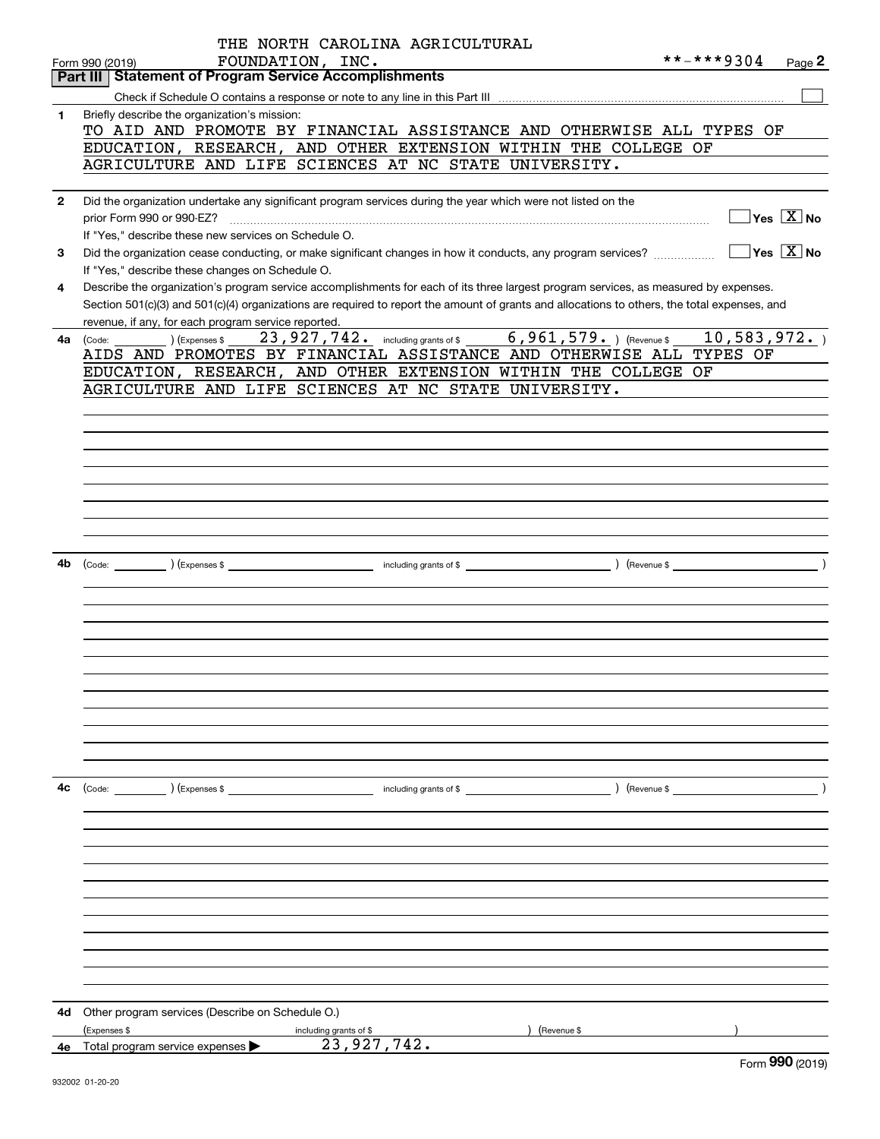|              | THE NORTH CAROLINA AGRICULTURAL                                                                                                                                                                                                                                                                                                             |             |                                                                                        |
|--------------|---------------------------------------------------------------------------------------------------------------------------------------------------------------------------------------------------------------------------------------------------------------------------------------------------------------------------------------------|-------------|----------------------------------------------------------------------------------------|
|              | FOUNDATION, INC.<br>Form 990 (2019)                                                                                                                                                                                                                                                                                                         | **-***9304  | Page 2                                                                                 |
|              | <b>Statement of Program Service Accomplishments</b><br>Part III                                                                                                                                                                                                                                                                             |             |                                                                                        |
|              |                                                                                                                                                                                                                                                                                                                                             |             |                                                                                        |
| 1            | Briefly describe the organization's mission:<br>TO AID AND PROMOTE BY FINANCIAL ASSISTANCE AND OTHERWISE ALL TYPES OF<br>EDUCATION, RESEARCH, AND OTHER EXTENSION WITHIN THE COLLEGE OF<br>AGRICULTURE AND LIFE SCIENCES AT NC STATE UNIVERSITY.                                                                                            |             |                                                                                        |
|              |                                                                                                                                                                                                                                                                                                                                             |             |                                                                                        |
| $\mathbf{2}$ | Did the organization undertake any significant program services during the year which were not listed on the<br>If "Yes," describe these new services on Schedule O.                                                                                                                                                                        |             | $\overline{\ }$ Yes $\overline{\rm X}$ No<br>$\overline{\ }$ Yes $\overline{\ \ X}$ No |
| 3            | Did the organization cease conducting, or make significant changes in how it conducts, any program services?<br>If "Yes," describe these changes on Schedule O.                                                                                                                                                                             |             |                                                                                        |
| 4            | Describe the organization's program service accomplishments for each of its three largest program services, as measured by expenses.<br>Section 501(c)(3) and 501(c)(4) organizations are required to report the amount of grants and allocations to others, the total expenses, and<br>revenue, if any, for each program service reported. |             |                                                                                        |
| 4a           | $6,961,579.$ (Revenue \$<br>23, 927, 742. including grants of \$<br>(Expenses \$<br>(Code:                                                                                                                                                                                                                                                  | 10,583,972. |                                                                                        |
|              | AIDS AND PROMOTES BY FINANCIAL ASSISTANCE AND OTHERWISE ALL TYPES OF                                                                                                                                                                                                                                                                        |             |                                                                                        |
|              | EDUCATION, RESEARCH, AND OTHER EXTENSION WITHIN THE COLLEGE OF                                                                                                                                                                                                                                                                              |             |                                                                                        |
|              | AGRICULTURE AND LIFE SCIENCES AT NC STATE UNIVERSITY.                                                                                                                                                                                                                                                                                       |             |                                                                                        |
|              |                                                                                                                                                                                                                                                                                                                                             |             |                                                                                        |
|              |                                                                                                                                                                                                                                                                                                                                             |             |                                                                                        |
|              |                                                                                                                                                                                                                                                                                                                                             |             |                                                                                        |
|              |                                                                                                                                                                                                                                                                                                                                             |             |                                                                                        |
|              |                                                                                                                                                                                                                                                                                                                                             |             |                                                                                        |
|              |                                                                                                                                                                                                                                                                                                                                             |             |                                                                                        |
|              |                                                                                                                                                                                                                                                                                                                                             |             |                                                                                        |
|              |                                                                                                                                                                                                                                                                                                                                             |             |                                                                                        |
| 4b           |                                                                                                                                                                                                                                                                                                                                             |             |                                                                                        |
|              |                                                                                                                                                                                                                                                                                                                                             |             |                                                                                        |
|              |                                                                                                                                                                                                                                                                                                                                             |             |                                                                                        |
|              |                                                                                                                                                                                                                                                                                                                                             |             |                                                                                        |
|              |                                                                                                                                                                                                                                                                                                                                             |             |                                                                                        |
|              |                                                                                                                                                                                                                                                                                                                                             |             |                                                                                        |
|              |                                                                                                                                                                                                                                                                                                                                             |             |                                                                                        |
|              |                                                                                                                                                                                                                                                                                                                                             |             |                                                                                        |
|              |                                                                                                                                                                                                                                                                                                                                             |             |                                                                                        |
|              |                                                                                                                                                                                                                                                                                                                                             |             |                                                                                        |
|              |                                                                                                                                                                                                                                                                                                                                             |             |                                                                                        |
| 4с           |                                                                                                                                                                                                                                                                                                                                             |             |                                                                                        |
|              |                                                                                                                                                                                                                                                                                                                                             |             |                                                                                        |
|              |                                                                                                                                                                                                                                                                                                                                             |             |                                                                                        |
|              |                                                                                                                                                                                                                                                                                                                                             |             |                                                                                        |
|              |                                                                                                                                                                                                                                                                                                                                             |             |                                                                                        |
|              |                                                                                                                                                                                                                                                                                                                                             |             |                                                                                        |
|              |                                                                                                                                                                                                                                                                                                                                             |             |                                                                                        |
|              |                                                                                                                                                                                                                                                                                                                                             |             |                                                                                        |
|              |                                                                                                                                                                                                                                                                                                                                             |             |                                                                                        |
|              |                                                                                                                                                                                                                                                                                                                                             |             |                                                                                        |
|              |                                                                                                                                                                                                                                                                                                                                             |             |                                                                                        |
|              |                                                                                                                                                                                                                                                                                                                                             |             |                                                                                        |
| 4d -         | Other program services (Describe on Schedule O.)                                                                                                                                                                                                                                                                                            |             |                                                                                        |
|              | (Expenses \$<br>) (Revenue \$<br>including grants of \$                                                                                                                                                                                                                                                                                     |             |                                                                                        |
| 4e -         | 23,927,742.<br>Total program service expenses                                                                                                                                                                                                                                                                                               |             |                                                                                        |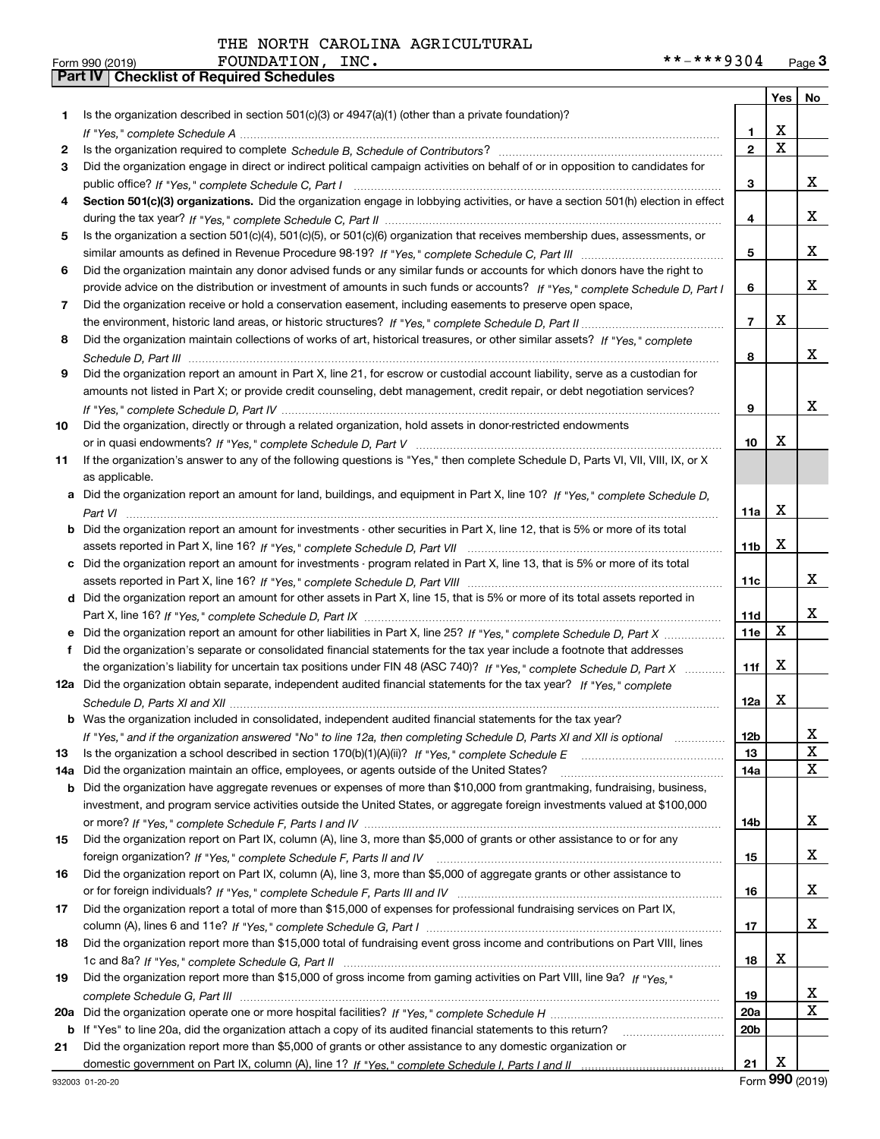|     |                                                                                                                                  |                 | Yes $ $     | No |
|-----|----------------------------------------------------------------------------------------------------------------------------------|-----------------|-------------|----|
| 1   | Is the organization described in section $501(c)(3)$ or $4947(a)(1)$ (other than a private foundation)?                          |                 |             |    |
|     | If "Yes," complete Schedule A measured and the complete schedule A measured and the Schedule A measured and the                  | 1.              | х           |    |
| 2   |                                                                                                                                  | $\mathbf{2}$    | $\mathbf X$ |    |
| 3   | Did the organization engage in direct or indirect political campaign activities on behalf of or in opposition to candidates for  |                 |             |    |
|     |                                                                                                                                  | 3               |             | x  |
| 4   | Section 501(c)(3) organizations. Did the organization engage in lobbying activities, or have a section 501(h) election in effect |                 |             |    |
|     |                                                                                                                                  | 4               |             | x  |
| 5   | Is the organization a section 501(c)(4), 501(c)(5), or 501(c)(6) organization that receives membership dues, assessments, or     |                 |             |    |
|     |                                                                                                                                  | 5               |             | x  |
| 6   | Did the organization maintain any donor advised funds or any similar funds or accounts for which donors have the right to        |                 |             |    |
|     | provide advice on the distribution or investment of amounts in such funds or accounts? If "Yes," complete Schedule D, Part I     | 6               |             | x  |
| 7   | Did the organization receive or hold a conservation easement, including easements to preserve open space,                        |                 |             |    |
|     |                                                                                                                                  | $\overline{7}$  | х           |    |
| 8   | Did the organization maintain collections of works of art, historical treasures, or other similar assets? If "Yes," complete     |                 |             |    |
|     |                                                                                                                                  | 8               |             | x  |
| 9   | Did the organization report an amount in Part X, line 21, for escrow or custodial account liability, serve as a custodian for    |                 |             |    |
|     | amounts not listed in Part X; or provide credit counseling, debt management, credit repair, or debt negotiation services?        |                 |             |    |
|     |                                                                                                                                  | 9               |             | x  |
| 10  | Did the organization, directly or through a related organization, hold assets in donor-restricted endowments                     |                 |             |    |
|     |                                                                                                                                  | 10              | х           |    |
| 11  | If the organization's answer to any of the following questions is "Yes," then complete Schedule D, Parts VI, VII, VIII, IX, or X |                 |             |    |
|     | as applicable.                                                                                                                   |                 |             |    |
|     | a Did the organization report an amount for land, buildings, and equipment in Part X, line 10? If "Yes," complete Schedule D.    |                 |             |    |
|     |                                                                                                                                  | 11a             | х           |    |
|     | Did the organization report an amount for investments - other securities in Part X, line 12, that is 5% or more of its total     |                 |             |    |
|     |                                                                                                                                  | 11 <sub>b</sub> | х           |    |
|     | c Did the organization report an amount for investments - program related in Part X, line 13, that is 5% or more of its total    |                 |             |    |
|     |                                                                                                                                  | 11c             |             | x  |
|     | d Did the organization report an amount for other assets in Part X, line 15, that is 5% or more of its total assets reported in  |                 |             |    |
|     |                                                                                                                                  | 11d             |             | x  |
|     |                                                                                                                                  | <b>11e</b>      | X           |    |
| f   | Did the organization's separate or consolidated financial statements for the tax year include a footnote that addresses          |                 |             |    |
|     | the organization's liability for uncertain tax positions under FIN 48 (ASC 740)? If "Yes," complete Schedule D, Part X           | 11f             | X           |    |
|     | 12a Did the organization obtain separate, independent audited financial statements for the tax year? If "Yes," complete          |                 |             |    |
|     |                                                                                                                                  | 12a             | х           |    |
|     | <b>b</b> Was the organization included in consolidated, independent audited financial statements for the tax year?               |                 |             |    |
|     | If "Yes," and if the organization answered "No" to line 12a, then completing Schedule D, Parts XI and XII is optional            | 12 <sub>b</sub> |             | 47 |
| 13  |                                                                                                                                  | 13              |             | X  |
| 14a | Did the organization maintain an office, employees, or agents outside of the United States?                                      | 14a             |             | X  |
| b   | Did the organization have aggregate revenues or expenses of more than \$10,000 from grantmaking, fundraising, business,          |                 |             |    |
|     | investment, and program service activities outside the United States, or aggregate foreign investments valued at \$100,000       |                 |             |    |
|     |                                                                                                                                  | 14b             |             | x  |
| 15  | Did the organization report on Part IX, column (A), line 3, more than \$5,000 of grants or other assistance to or for any        |                 |             |    |
|     |                                                                                                                                  | 15              |             | x  |
| 16  | Did the organization report on Part IX, column (A), line 3, more than \$5,000 of aggregate grants or other assistance to         |                 |             |    |
|     |                                                                                                                                  | 16              |             | x  |
| 17  | Did the organization report a total of more than \$15,000 of expenses for professional fundraising services on Part IX,          |                 |             |    |
|     |                                                                                                                                  | 17              |             | x  |
| 18  | Did the organization report more than \$15,000 total of fundraising event gross income and contributions on Part VIII, lines     |                 |             |    |
|     |                                                                                                                                  | 18              | х           |    |
| 19  | Did the organization report more than \$15,000 of gross income from gaming activities on Part VIII, line 9a? If "Yes."           |                 |             |    |
|     |                                                                                                                                  | 19              |             | X  |
| 20a |                                                                                                                                  | 20a             |             | X  |
| b   | If "Yes" to line 20a, did the organization attach a copy of its audited financial statements to this return?                     | 20b             |             |    |
| 21  | Did the organization report more than \$5,000 of grants or other assistance to any domestic organization or                      |                 |             |    |
|     |                                                                                                                                  | 21              | Х           |    |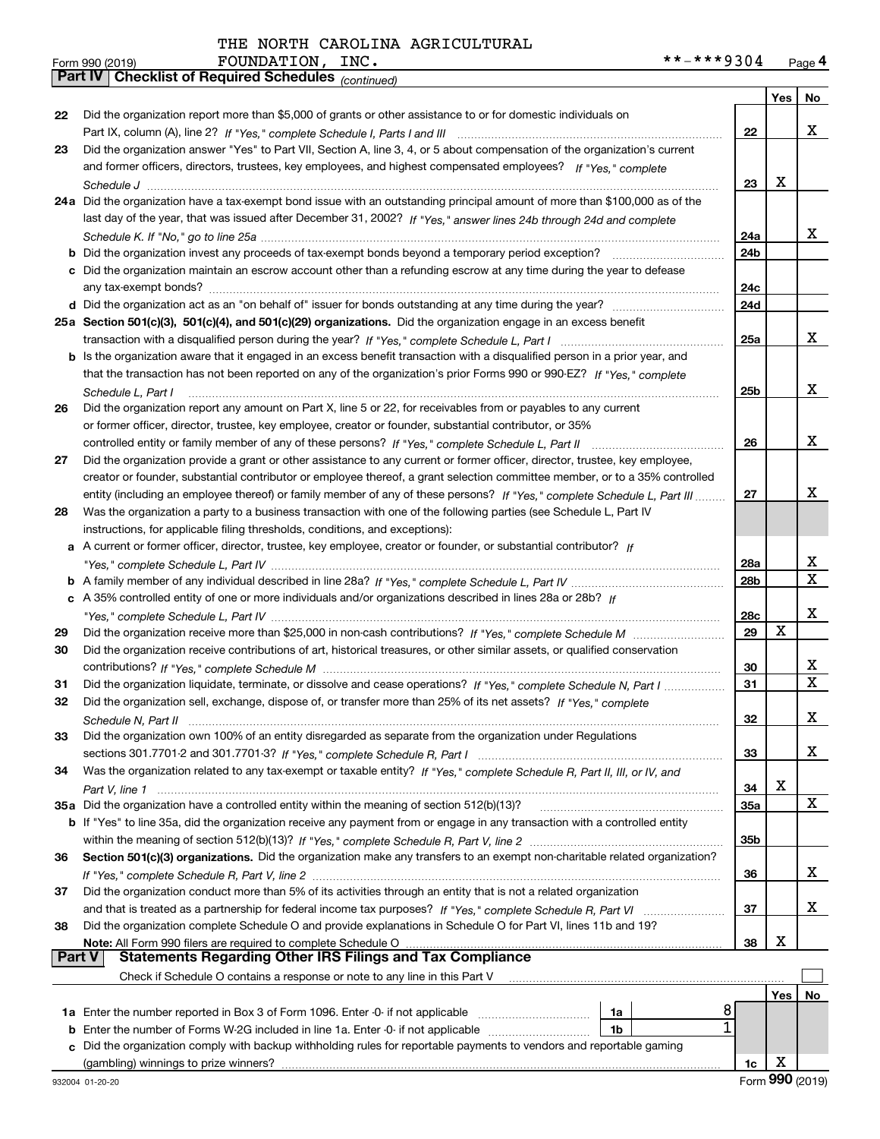|    | Parl IV  <br>Criecklist of Required Scriedules (continued)                                                                                                                                         |     |            |     |
|----|----------------------------------------------------------------------------------------------------------------------------------------------------------------------------------------------------|-----|------------|-----|
|    |                                                                                                                                                                                                    |     | Yes        | No. |
| 22 | Did the organization report more than \$5,000 of grants or other assistance to or for domestic individuals on                                                                                      |     |            |     |
|    |                                                                                                                                                                                                    | 22  |            | x   |
| 23 | Did the organization answer "Yes" to Part VII, Section A, line 3, 4, or 5 about compensation of the organization's current                                                                         |     |            |     |
|    | and former officers, directors, trustees, key employees, and highest compensated employees? If "Yes," complete                                                                                     |     |            |     |
|    |                                                                                                                                                                                                    | 23  | X          |     |
|    | 24a Did the organization have a tax-exempt bond issue with an outstanding principal amount of more than \$100,000 as of the                                                                        |     |            |     |
|    | last day of the year, that was issued after December 31, 2002? If "Yes," answer lines 24b through 24d and complete                                                                                 |     |            |     |
|    |                                                                                                                                                                                                    | 24a |            | х   |
|    | <b>b</b> Did the organization invest any proceeds of tax-exempt bonds beyond a temporary period exception?                                                                                         | 24b |            |     |
|    | c Did the organization maintain an escrow account other than a refunding escrow at any time during the year to defease                                                                             |     |            |     |
|    |                                                                                                                                                                                                    | 24c |            |     |
|    |                                                                                                                                                                                                    | 24d |            |     |
|    | 25a Section 501(c)(3), 501(c)(4), and 501(c)(29) organizations. Did the organization engage in an excess benefit                                                                                   |     |            | х   |
|    |                                                                                                                                                                                                    | 25a |            |     |
|    | b Is the organization aware that it engaged in an excess benefit transaction with a disqualified person in a prior year, and                                                                       |     |            |     |
|    | that the transaction has not been reported on any of the organization's prior Forms 990 or 990-EZ? If "Yes," complete                                                                              |     |            | x   |
|    | Schedule L, Part I                                                                                                                                                                                 | 25b |            |     |
| 26 | Did the organization report any amount on Part X, line 5 or 22, for receivables from or payables to any current                                                                                    |     |            |     |
|    | or former officer, director, trustee, key employee, creator or founder, substantial contributor, or 35%                                                                                            |     |            | х   |
|    |                                                                                                                                                                                                    | 26  |            |     |
| 27 | Did the organization provide a grant or other assistance to any current or former officer, director, trustee, key employee,                                                                        |     |            |     |
|    | creator or founder, substantial contributor or employee thereof, a grant selection committee member, or to a 35% controlled                                                                        |     |            | x   |
|    | entity (including an employee thereof) or family member of any of these persons? If "Yes," complete Schedule L, Part III                                                                           | 27  |            |     |
| 28 | Was the organization a party to a business transaction with one of the following parties (see Schedule L, Part IV                                                                                  |     |            |     |
|    | instructions, for applicable filing thresholds, conditions, and exceptions):<br>a A current or former officer, director, trustee, key employee, creator or founder, or substantial contributor? If |     |            |     |
|    |                                                                                                                                                                                                    | 28a |            | х   |
|    |                                                                                                                                                                                                    | 28b |            | X   |
|    | c A 35% controlled entity of one or more individuals and/or organizations described in lines 28a or 28b? If                                                                                        |     |            |     |
|    |                                                                                                                                                                                                    | 28c |            | х   |
| 29 |                                                                                                                                                                                                    | 29  | Х          |     |
| 30 | Did the organization receive contributions of art, historical treasures, or other similar assets, or qualified conservation                                                                        |     |            |     |
|    |                                                                                                                                                                                                    | 30  |            | х   |
| 31 | Did the organization liquidate, terminate, or dissolve and cease operations? If "Yes," complete Schedule N, Part I                                                                                 | 31  |            | X   |
| 32 | Did the organization sell, exchange, dispose of, or transfer more than 25% of its net assets? If "Yes," complete                                                                                   |     |            |     |
|    | Schedule N. Part II                                                                                                                                                                                | 32  |            | х   |
| 33 | Did the organization own 100% of an entity disregarded as separate from the organization under Regulations                                                                                         |     |            |     |
|    |                                                                                                                                                                                                    | 33  |            | х   |
| 34 | Was the organization related to any tax-exempt or taxable entity? If "Yes," complete Schedule R, Part II, III, or IV, and                                                                          |     |            |     |
|    |                                                                                                                                                                                                    | 34  | X          |     |
|    | 35a Did the organization have a controlled entity within the meaning of section 512(b)(13)?                                                                                                        | 35a |            | X   |
|    | <b>b</b> If "Yes" to line 35a, did the organization receive any payment from or engage in any transaction with a controlled entity                                                                 |     |            |     |
|    |                                                                                                                                                                                                    | 35b |            |     |
| 36 | Section 501(c)(3) organizations. Did the organization make any transfers to an exempt non-charitable related organization?                                                                         |     |            |     |
|    |                                                                                                                                                                                                    | 36  |            | х   |
| 37 | Did the organization conduct more than 5% of its activities through an entity that is not a related organization                                                                                   |     |            |     |
|    |                                                                                                                                                                                                    | 37  |            | х   |
| 38 | Did the organization complete Schedule O and provide explanations in Schedule O for Part VI, lines 11b and 19?                                                                                     |     |            |     |
|    | Note: All Form 990 filers are required to complete Schedule O                                                                                                                                      | 38  | X          |     |
|    | <b>Part V</b><br><b>Statements Regarding Other IRS Filings and Tax Compliance</b>                                                                                                                  |     |            |     |
|    | Check if Schedule O contains a response or note to any line in this Part V                                                                                                                         |     |            |     |
|    |                                                                                                                                                                                                    |     | <b>Yes</b> | No  |
|    | 8<br>1a                                                                                                                                                                                            |     |            |     |
|    | <b>b</b> Enter the number of Forms W-2G included in line 1a. Enter -0- if not applicable<br>1b                                                                                                     |     |            |     |
|    | c Did the organization comply with backup withholding rules for reportable payments to vendors and reportable gaming                                                                               |     |            |     |

(gambling) winnings to prize winners?

**1c**X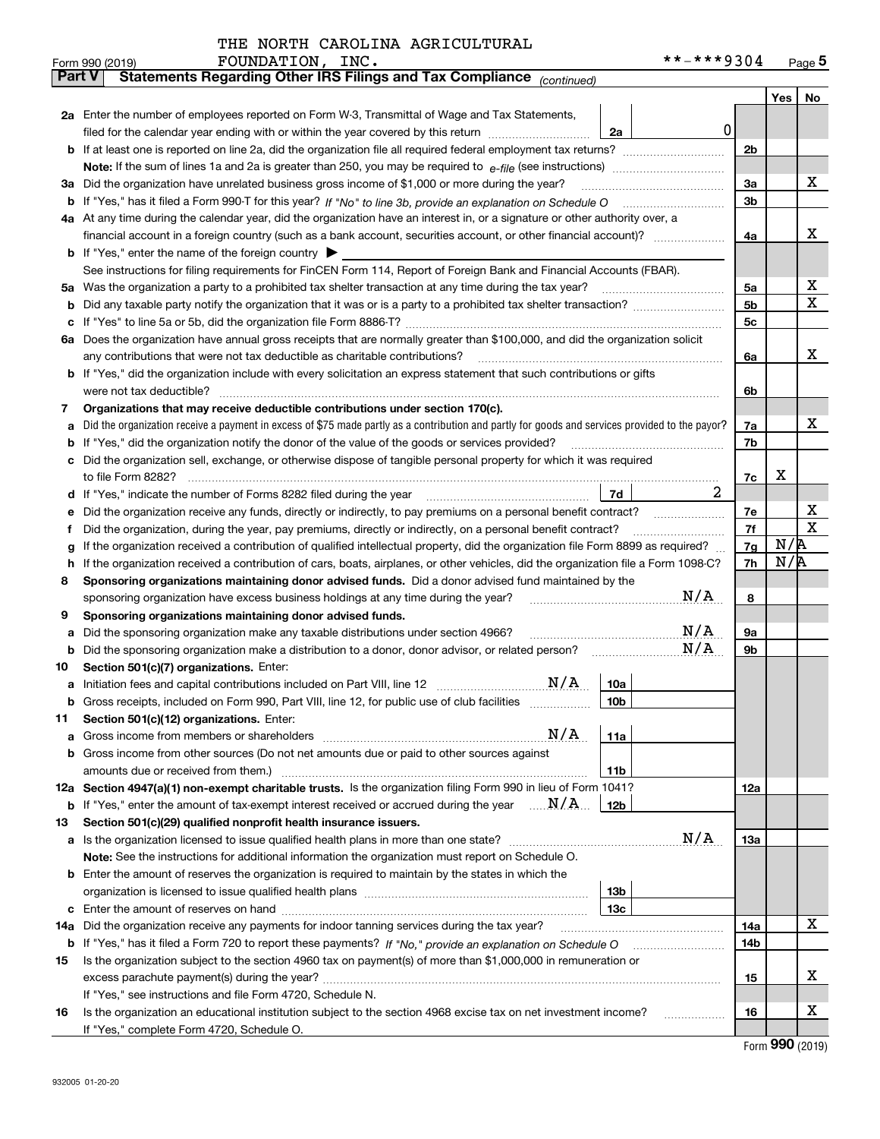| THE NORTH CAROLINA AGRICULTURAL |
|---------------------------------|
|                                 |

|        | FOUNDATION, INC.<br>Form 990 (2019)                                                                                                                                                                                                              |                 | **-***9304 |          |     | Page $5$    |
|--------|--------------------------------------------------------------------------------------------------------------------------------------------------------------------------------------------------------------------------------------------------|-----------------|------------|----------|-----|-------------|
| Part V | Statements Regarding Other IRS Filings and Tax Compliance (continued)                                                                                                                                                                            |                 |            |          |     |             |
|        |                                                                                                                                                                                                                                                  |                 |            |          | Yes | No          |
|        | 2a Enter the number of employees reported on Form W-3, Transmittal of Wage and Tax Statements,                                                                                                                                                   |                 |            |          |     |             |
|        | filed for the calendar year ending with or within the year covered by this return <i>manumumumum</i>                                                                                                                                             | 2a              | 0          |          |     |             |
| b      |                                                                                                                                                                                                                                                  |                 |            | 2b       |     |             |
|        |                                                                                                                                                                                                                                                  |                 |            |          |     |             |
| За     | Did the organization have unrelated business gross income of \$1,000 or more during the year?                                                                                                                                                    |                 |            | 3a       |     | х           |
| b      |                                                                                                                                                                                                                                                  |                 |            | 3b       |     |             |
|        | 4a At any time during the calendar year, did the organization have an interest in, or a signature or other authority over, a                                                                                                                     |                 |            |          |     |             |
|        |                                                                                                                                                                                                                                                  |                 |            | 4a       |     | х           |
|        | <b>b</b> If "Yes," enter the name of the foreign country $\blacktriangleright$                                                                                                                                                                   |                 |            |          |     |             |
|        | See instructions for filing requirements for FinCEN Form 114, Report of Foreign Bank and Financial Accounts (FBAR).                                                                                                                              |                 |            |          |     |             |
| 5а     | Was the organization a party to a prohibited tax shelter transaction at any time during the tax year?                                                                                                                                            |                 |            | 5a       |     | х           |
| b      |                                                                                                                                                                                                                                                  |                 |            | 5b       |     | Χ           |
| c      |                                                                                                                                                                                                                                                  |                 |            | 5c       |     |             |
|        | 6a Does the organization have annual gross receipts that are normally greater than \$100,000, and did the organization solicit                                                                                                                   |                 |            |          |     |             |
|        | any contributions that were not tax deductible as charitable contributions?                                                                                                                                                                      |                 |            | 6a       |     | х           |
|        | b If "Yes," did the organization include with every solicitation an express statement that such contributions or gifts                                                                                                                           |                 |            |          |     |             |
|        | were not tax deductible?                                                                                                                                                                                                                         |                 |            | 6b       |     |             |
| 7      | Organizations that may receive deductible contributions under section 170(c).                                                                                                                                                                    |                 |            |          |     |             |
| a      | Did the organization receive a payment in excess of \$75 made partly as a contribution and partly for goods and services provided to the payor?                                                                                                  |                 |            | 7a       |     | х           |
| b      | If "Yes," did the organization notify the donor of the value of the goods or services provided?                                                                                                                                                  |                 |            | 7b       |     |             |
|        | Did the organization sell, exchange, or otherwise dispose of tangible personal property for which it was required                                                                                                                                |                 |            |          |     |             |
|        |                                                                                                                                                                                                                                                  |                 | 2          | 7c       | х   |             |
| d      |                                                                                                                                                                                                                                                  | 7d              |            |          |     | х           |
| е      | Did the organization receive any funds, directly or indirectly, to pay premiums on a personal benefit contract?                                                                                                                                  |                 |            | 7е<br>7f |     | $\mathbf X$ |
| f      | Did the organization, during the year, pay premiums, directly or indirectly, on a personal benefit contract?<br>If the organization received a contribution of qualified intellectual property, did the organization file Form 8899 as required? |                 |            | 7g       | N/R |             |
| g<br>h | If the organization received a contribution of cars, boats, airplanes, or other vehicles, did the organization file a Form 1098-C?                                                                                                               |                 |            | 7h       | N/R |             |
| 8      | Sponsoring organizations maintaining donor advised funds. Did a donor advised fund maintained by the                                                                                                                                             |                 |            |          |     |             |
|        | sponsoring organization have excess business holdings at any time during the year?                                                                                                                                                               |                 | N/A        | 8        |     |             |
| 9      | Sponsoring organizations maintaining donor advised funds.                                                                                                                                                                                        |                 |            |          |     |             |
| a      | Did the sponsoring organization make any taxable distributions under section 4966?                                                                                                                                                               |                 | N/A        | 9а       |     |             |
| b      | Did the sponsoring organization make a distribution to a donor, donor advisor, or related person?                                                                                                                                                |                 | N/A        | 9b       |     |             |
| 10     | Section 501(c)(7) organizations. Enter:                                                                                                                                                                                                          |                 |            |          |     |             |
|        | N/A<br>a Initiation fees and capital contributions included on Part VIII, line 12 [111] [11] [11] Initiation fees and capital contributions included on Part VIII, line 12                                                                       | 10a             |            |          |     |             |
|        | Gross receipts, included on Form 990, Part VIII, line 12, for public use of club facilities                                                                                                                                                      | 10 <sub>b</sub> |            |          |     |             |
| 11     | Section 501(c)(12) organizations. Enter:                                                                                                                                                                                                         |                 |            |          |     |             |
| а      | N/A<br>Gross income from members or shareholders                                                                                                                                                                                                 | 11a             |            |          |     |             |
| b      | Gross income from other sources (Do not net amounts due or paid to other sources against                                                                                                                                                         |                 |            |          |     |             |
|        | amounts due or received from them.)                                                                                                                                                                                                              | 11 <sub>b</sub> |            |          |     |             |
|        | 12a Section 4947(a)(1) non-exempt charitable trusts. Is the organization filing Form 990 in lieu of Form 1041?                                                                                                                                   |                 |            | 12a      |     |             |
|        | <b>b</b> If "Yes," enter the amount of tax-exempt interest received or accrued during the year $\ldots \mathbf{N}/\mathbf{A}$                                                                                                                    | 12b             |            |          |     |             |
| 13     | Section 501(c)(29) qualified nonprofit health insurance issuers.                                                                                                                                                                                 |                 |            |          |     |             |
|        | <b>a</b> Is the organization licensed to issue qualified health plans in more than one state?                                                                                                                                                    |                 | N/A        | 13a      |     |             |
|        | Note: See the instructions for additional information the organization must report on Schedule O.                                                                                                                                                |                 |            |          |     |             |
|        | <b>b</b> Enter the amount of reserves the organization is required to maintain by the states in which the                                                                                                                                        |                 |            |          |     |             |
|        |                                                                                                                                                                                                                                                  | 13 <sub>b</sub> |            |          |     |             |
| c      |                                                                                                                                                                                                                                                  | 13с             |            |          |     |             |
| 14a    | Did the organization receive any payments for indoor tanning services during the tax year?                                                                                                                                                       |                 |            | 14a      |     | х           |
|        | <b>b</b> If "Yes," has it filed a Form 720 to report these payments? If "No," provide an explanation on Schedule O                                                                                                                               |                 |            | 14b      |     |             |
| 15     | Is the organization subject to the section 4960 tax on payment(s) of more than \$1,000,000 in remuneration or                                                                                                                                    |                 |            |          |     |             |
|        |                                                                                                                                                                                                                                                  |                 |            | 15       |     | x           |
|        | If "Yes," see instructions and file Form 4720, Schedule N.                                                                                                                                                                                       |                 |            |          |     |             |
| 16     | Is the organization an educational institution subject to the section 4968 excise tax on net investment income?                                                                                                                                  |                 |            | 16       |     | X           |
|        | If "Yes," complete Form 4720, Schedule O.                                                                                                                                                                                                        |                 |            |          |     |             |

Form (2019) **990**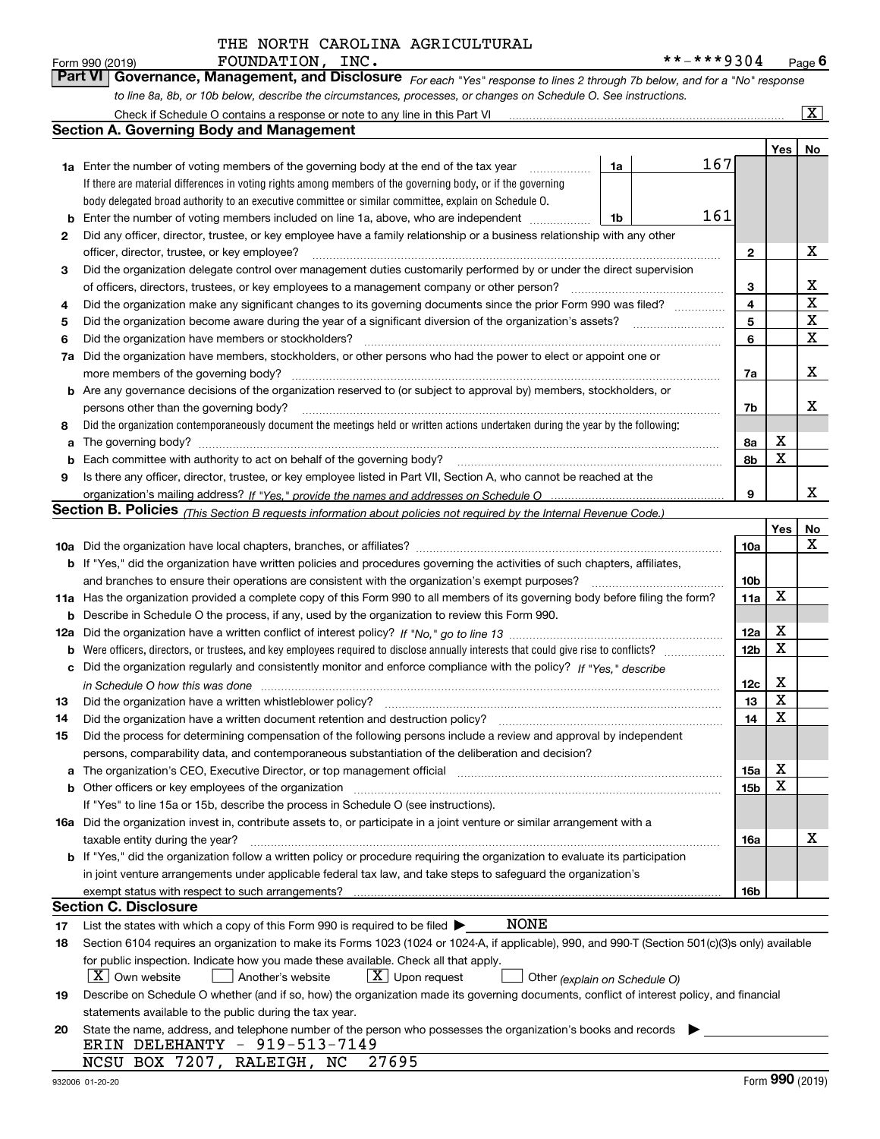| Form 990 (2019) | FOUNDATION, INC. | **-***9304                                                                                                                  | $P$ age $6$ |
|-----------------|------------------|-----------------------------------------------------------------------------------------------------------------------------|-------------|
|                 |                  | Part VI Governance, Management, and Disclosure For each "Yes" response to lines 2 through 7b below, and for a "No" response |             |
|                 |                  | to line 8a, 8b, or 10b below, describe the circumstances, processes, or changes on Schedule O. See instructions.            |             |

|     | Check if Schedule O contains a response or note to any line in this Part VI                                                                                           |    |  |     |                 |     | x           |  |
|-----|-----------------------------------------------------------------------------------------------------------------------------------------------------------------------|----|--|-----|-----------------|-----|-------------|--|
|     | <b>Section A. Governing Body and Management</b>                                                                                                                       |    |  |     |                 |     |             |  |
|     |                                                                                                                                                                       |    |  |     |                 | Yes | No          |  |
|     | 1a Enter the number of voting members of the governing body at the end of the tax year                                                                                | 1a |  | 167 |                 |     |             |  |
|     | If there are material differences in voting rights among members of the governing body, or if the governing                                                           |    |  |     |                 |     |             |  |
|     | body delegated broad authority to an executive committee or similar committee, explain on Schedule O.                                                                 |    |  |     |                 |     |             |  |
| b   | Enter the number of voting members included on line 1a, above, who are independent                                                                                    | 1b |  | 161 |                 |     |             |  |
| 2   | Did any officer, director, trustee, or key employee have a family relationship or a business relationship with any other                                              |    |  |     |                 |     |             |  |
|     | officer, director, trustee, or key employee?                                                                                                                          |    |  |     | $\mathbf{2}$    |     | X           |  |
| 3   | Did the organization delegate control over management duties customarily performed by or under the direct supervision                                                 |    |  |     |                 |     |             |  |
|     | of officers, directors, trustees, or key employees to a management company or other person?                                                                           |    |  |     | 3               |     | x           |  |
| 4   | Did the organization make any significant changes to its governing documents since the prior Form 990 was filed?                                                      |    |  |     | $\overline{4}$  |     | $\mathbf X$ |  |
| 5   |                                                                                                                                                                       |    |  |     | 5               |     | $\mathbf X$ |  |
| 6   | Did the organization have members or stockholders?                                                                                                                    |    |  |     | 6               |     | $\mathbf X$ |  |
| 7a  | Did the organization have members, stockholders, or other persons who had the power to elect or appoint one or                                                        |    |  |     |                 |     |             |  |
|     | more members of the governing body?                                                                                                                                   |    |  |     | 7a              |     | х           |  |
|     | <b>b</b> Are any governance decisions of the organization reserved to (or subject to approval by) members, stockholders, or                                           |    |  |     |                 |     |             |  |
|     | persons other than the governing body?                                                                                                                                |    |  |     | 7b              |     | x           |  |
| 8   | Did the organization contemporaneously document the meetings held or written actions undertaken during the year by the following:                                     |    |  |     |                 |     |             |  |
| a   | The governing body?                                                                                                                                                   |    |  |     | 8a              | х   |             |  |
| b   |                                                                                                                                                                       |    |  |     | 8b              | X   |             |  |
| 9   | Is there any officer, director, trustee, or key employee listed in Part VII, Section A, who cannot be reached at the                                                  |    |  |     |                 |     |             |  |
|     |                                                                                                                                                                       |    |  |     | 9               |     | x           |  |
|     | <b>Section B. Policies</b> (This Section B requests information about policies not required by the Internal Revenue Code.)                                            |    |  |     |                 |     |             |  |
|     |                                                                                                                                                                       |    |  |     |                 | Yes | No          |  |
|     |                                                                                                                                                                       |    |  |     | 10a             |     | х           |  |
|     | <b>b</b> If "Yes," did the organization have written policies and procedures governing the activities of such chapters, affiliates,                                   |    |  |     |                 |     |             |  |
|     | and branches to ensure their operations are consistent with the organization's exempt purposes?                                                                       |    |  |     | 10 <sub>b</sub> |     |             |  |
|     | 11a Has the organization provided a complete copy of this Form 990 to all members of its governing body before filing the form?                                       |    |  |     | 11a             | X   |             |  |
| b   | Describe in Schedule O the process, if any, used by the organization to review this Form 990.                                                                         |    |  |     |                 |     |             |  |
| 12a |                                                                                                                                                                       |    |  |     | 12a             | X   |             |  |
| b   |                                                                                                                                                                       |    |  |     | 12 <sub>b</sub> | X   |             |  |
| с   | Did the organization regularly and consistently monitor and enforce compliance with the policy? If "Yes." describe                                                    |    |  |     |                 |     |             |  |
|     | in Schedule O how this was done measured and contained a state of the state of the state of the state of the s                                                        |    |  |     | 12c             | х   |             |  |
| 13  | Did the organization have a written whistleblower policy?                                                                                                             |    |  |     | 13              | X   |             |  |
| 14  | Did the organization have a written document retention and destruction policy?                                                                                        |    |  |     | 14              | X   |             |  |
| 15  | Did the process for determining compensation of the following persons include a review and approval by independent                                                    |    |  |     |                 |     |             |  |
|     | persons, comparability data, and contemporaneous substantiation of the deliberation and decision?                                                                     |    |  |     |                 | х   |             |  |
| a   | The organization's CEO, Executive Director, or top management official manufactured content of the organization's CEO, Executive Director, or top management official |    |  |     | 15a             | X   |             |  |
|     | <b>b</b> Other officers or key employees of the organization<br>If "Yes" to line 15a or 15b, describe the process in Schedule O (see instructions).                   |    |  |     | 15b             |     |             |  |
|     | 16a Did the organization invest in, contribute assets to, or participate in a joint venture or similar arrangement with a                                             |    |  |     |                 |     |             |  |
|     | taxable entity during the year?                                                                                                                                       |    |  |     | 16a             |     | х           |  |
|     | b If "Yes," did the organization follow a written policy or procedure requiring the organization to evaluate its participation                                        |    |  |     |                 |     |             |  |
|     | in joint venture arrangements under applicable federal tax law, and take steps to safeguard the organization's                                                        |    |  |     |                 |     |             |  |
|     | exempt status with respect to such arrangements?                                                                                                                      |    |  |     | 16b             |     |             |  |
|     | <b>Section C. Disclosure</b>                                                                                                                                          |    |  |     |                 |     |             |  |
| 17  | NONE<br>List the states with which a copy of this Form 990 is required to be filed $\blacktriangleright$                                                              |    |  |     |                 |     |             |  |
| 18  | Section 6104 requires an organization to make its Forms 1023 (1024 or 1024-A, if applicable), 990, and 990-T (Section 501(c)(3)s only) available                      |    |  |     |                 |     |             |  |
|     | for public inspection. Indicate how you made these available. Check all that apply.                                                                                   |    |  |     |                 |     |             |  |
|     | $X$ Own website<br>$X$ Upon request<br>Another's website<br>Other (explain on Schedule O)                                                                             |    |  |     |                 |     |             |  |
| 19  | Describe on Schedule O whether (and if so, how) the organization made its governing documents, conflict of interest policy, and financial                             |    |  |     |                 |     |             |  |
|     | statements available to the public during the tax year.                                                                                                               |    |  |     |                 |     |             |  |
| 20  | State the name, address, and telephone number of the person who possesses the organization's books and records                                                        |    |  |     |                 |     |             |  |
|     | ERIN DELEHANTY - 919-513-7149                                                                                                                                         |    |  |     |                 |     |             |  |
|     | NCSU BOX 7207, RALEIGH, NC 27695                                                                                                                                      |    |  |     |                 |     |             |  |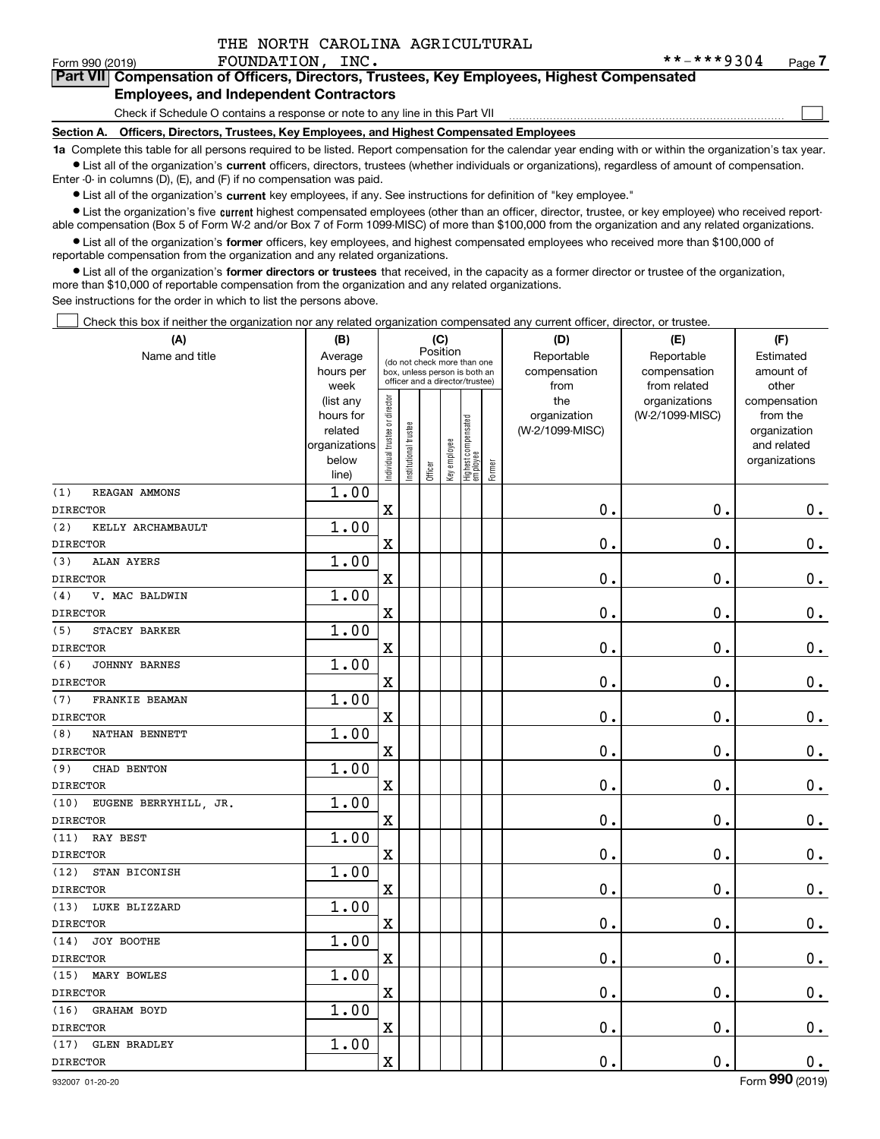$\mathcal{L}^{\text{max}}$ 

#### Form 990 (2019) **FOUNDATION, INC.** \* \* - \* \* \* 9 3 0 4 <sub>Page</sub> **7Part VII Compensation of Officers, Directors, Trustees, Key Employees, Highest Compensated Employees, and Independent Contractors**

## Check if Schedule O contains a response or note to any line in this Part VII

**Section A. Officers, Directors, Trustees, Key Employees, and Highest Compensated Employees**

**1a**  Complete this table for all persons required to be listed. Report compensation for the calendar year ending with or within the organization's tax year. **•** List all of the organization's current officers, directors, trustees (whether individuals or organizations), regardless of amount of compensation.

Enter -0- in columns (D), (E), and (F) if no compensation was paid.

 $\bullet$  List all of the organization's  $\,$ current key employees, if any. See instructions for definition of "key employee."

**•** List the organization's five current highest compensated employees (other than an officer, director, trustee, or key employee) who received reportable compensation (Box 5 of Form W-2 and/or Box 7 of Form 1099-MISC) of more than \$100,000 from the organization and any related organizations.

**•** List all of the organization's former officers, key employees, and highest compensated employees who received more than \$100,000 of reportable compensation from the organization and any related organizations.

**former directors or trustees**  ¥ List all of the organization's that received, in the capacity as a former director or trustee of the organization, more than \$10,000 of reportable compensation from the organization and any related organizations.

See instructions for the order in which to list the persons above.

Check this box if neither the organization nor any related organization compensated any current officer, director, or trustee.  $\mathcal{L}^{\text{max}}$ 

| (A)                           | (B)                  |                                |                                                                  | (C)      |              |                                  |        | (D)                             | (E)             | (F)                      |
|-------------------------------|----------------------|--------------------------------|------------------------------------------------------------------|----------|--------------|----------------------------------|--------|---------------------------------|-----------------|--------------------------|
| Name and title                | Average              |                                | (do not check more than one                                      | Position |              |                                  |        | Reportable                      | Reportable      | Estimated                |
|                               | hours per            |                                | box, unless person is both an<br>officer and a director/trustee) |          |              |                                  |        | compensation                    | compensation    | amount of                |
|                               | week                 |                                |                                                                  |          |              |                                  |        | from                            | from related    | other                    |
|                               | (list any            |                                |                                                                  |          |              |                                  |        | the                             | organizations   | compensation             |
|                               | hours for<br>related |                                |                                                                  |          |              |                                  |        | organization<br>(W-2/1099-MISC) | (W-2/1099-MISC) | from the<br>organization |
|                               | organizations        |                                |                                                                  |          |              |                                  |        |                                 |                 | and related              |
|                               | below                |                                |                                                                  |          |              |                                  |        |                                 |                 | organizations            |
|                               | line)                | Individual trustee or director | Institutional trustee                                            | Officer  | Key employee | Highest compensated<br> employee | Former |                                 |                 |                          |
| (1)<br>REAGAN AMMONS          | 1.00                 |                                |                                                                  |          |              |                                  |        |                                 |                 |                          |
| <b>DIRECTOR</b>               |                      | $\rm X$                        |                                                                  |          |              |                                  |        | 0.                              | $\mathbf 0$ .   | $0_{.}$                  |
| (2)<br>KELLY ARCHAMBAULT      | 1.00                 |                                |                                                                  |          |              |                                  |        |                                 |                 |                          |
| <b>DIRECTOR</b>               |                      | $\overline{\mathbf{X}}$        |                                                                  |          |              |                                  |        | 0.                              | $\mathbf 0$ .   | $\mathbf 0$ .            |
| (3)<br><b>ALAN AYERS</b>      | 1.00                 |                                |                                                                  |          |              |                                  |        |                                 |                 |                          |
| <b>DIRECTOR</b>               |                      | $\rm X$                        |                                                                  |          |              |                                  |        | 0.                              | $\mathbf 0$ .   | $\mathbf 0$ .            |
| V. MAC BALDWIN<br>(4)         | 1.00                 |                                |                                                                  |          |              |                                  |        |                                 |                 |                          |
| <b>DIRECTOR</b>               |                      | $\overline{\mathbf{X}}$        |                                                                  |          |              |                                  |        | 0.                              | 0.              | $\mathbf 0$ .            |
| (5)<br>STACEY BARKER          | 1.00                 |                                |                                                                  |          |              |                                  |        |                                 |                 |                          |
| <b>DIRECTOR</b>               |                      | $\rm X$                        |                                                                  |          |              |                                  |        | 0.                              | $\mathbf 0$ .   | $\mathbf 0$ .            |
| (6)<br><b>JOHNNY BARNES</b>   | 1.00                 |                                |                                                                  |          |              |                                  |        |                                 |                 |                          |
| <b>DIRECTOR</b>               |                      | X                              |                                                                  |          |              |                                  |        | 0.                              | 0.              | $0_{.}$                  |
| FRANKIE BEAMAN<br>(7)         | 1.00                 |                                |                                                                  |          |              |                                  |        |                                 |                 |                          |
| <b>DIRECTOR</b>               |                      | $\rm X$                        |                                                                  |          |              |                                  |        | 0.                              | $\mathbf 0$ .   | $0_{.}$                  |
| (8)<br>NATHAN BENNETT         | 1.00                 |                                |                                                                  |          |              |                                  |        |                                 |                 |                          |
| <b>DIRECTOR</b>               |                      | X                              |                                                                  |          |              |                                  |        | 0.                              | 0.              | $0_{.}$                  |
| (9)<br>CHAD BENTON            | 1.00                 |                                |                                                                  |          |              |                                  |        |                                 |                 |                          |
| <b>DIRECTOR</b>               |                      | $\mathbf X$                    |                                                                  |          |              |                                  |        | 0.                              | $\mathbf 0$ .   | $0_{.}$                  |
| (10)<br>EUGENE BERRYHILL, JR. | 1.00                 |                                |                                                                  |          |              |                                  |        |                                 |                 |                          |
| <b>DIRECTOR</b>               |                      | X                              |                                                                  |          |              |                                  |        | 0.                              | 0.              | $\mathbf 0$ .            |
| (11)<br>RAY BEST              | 1.00                 |                                |                                                                  |          |              |                                  |        |                                 |                 |                          |
| <b>DIRECTOR</b>               |                      | $\mathbf X$                    |                                                                  |          |              |                                  |        | 0.                              | $\mathbf 0$ .   | $0_{.}$                  |
| (12)<br>STAN BICONISH         | 1.00                 |                                |                                                                  |          |              |                                  |        |                                 |                 |                          |
| <b>DIRECTOR</b>               |                      | X                              |                                                                  |          |              |                                  |        | 0.                              | 0.              | $\mathbf 0$ .            |
| LUKE BLIZZARD<br>(13)         | 1.00                 |                                |                                                                  |          |              |                                  |        |                                 |                 |                          |
| <b>DIRECTOR</b>               |                      | $\mathbf X$                    |                                                                  |          |              |                                  |        | 0.                              | 0.              | $\mathbf 0$ .            |
| (14)<br>JOY BOOTHE            | 1.00                 |                                |                                                                  |          |              |                                  |        |                                 |                 |                          |
| <b>DIRECTOR</b>               |                      | X                              |                                                                  |          |              |                                  |        | 0.                              | 0.              | $0_{.}$                  |
| (15)<br>MARY BOWLES           | 1.00                 |                                |                                                                  |          |              |                                  |        |                                 |                 |                          |
| <b>DIRECTOR</b>               |                      | $\rm X$                        |                                                                  |          |              |                                  |        | $\mathbf 0$ .                   | $\mathbf 0$ .   | $\mathbf 0$ .            |
| (16)<br><b>GRAHAM BOYD</b>    | 1.00                 |                                |                                                                  |          |              |                                  |        |                                 |                 |                          |
| <b>DIRECTOR</b>               |                      | X                              |                                                                  |          |              |                                  |        | 0.                              | $\mathbf 0$ .   | $\mathbf 0$ .            |
| <b>GLEN BRADLEY</b><br>(17)   | 1.00                 |                                |                                                                  |          |              |                                  |        |                                 |                 |                          |
| <b>DIRECTOR</b>               |                      | $\rm X$                        |                                                                  |          |              |                                  |        | 0.                              | $\mathbf 0$ .   | $\mathbf 0$ .            |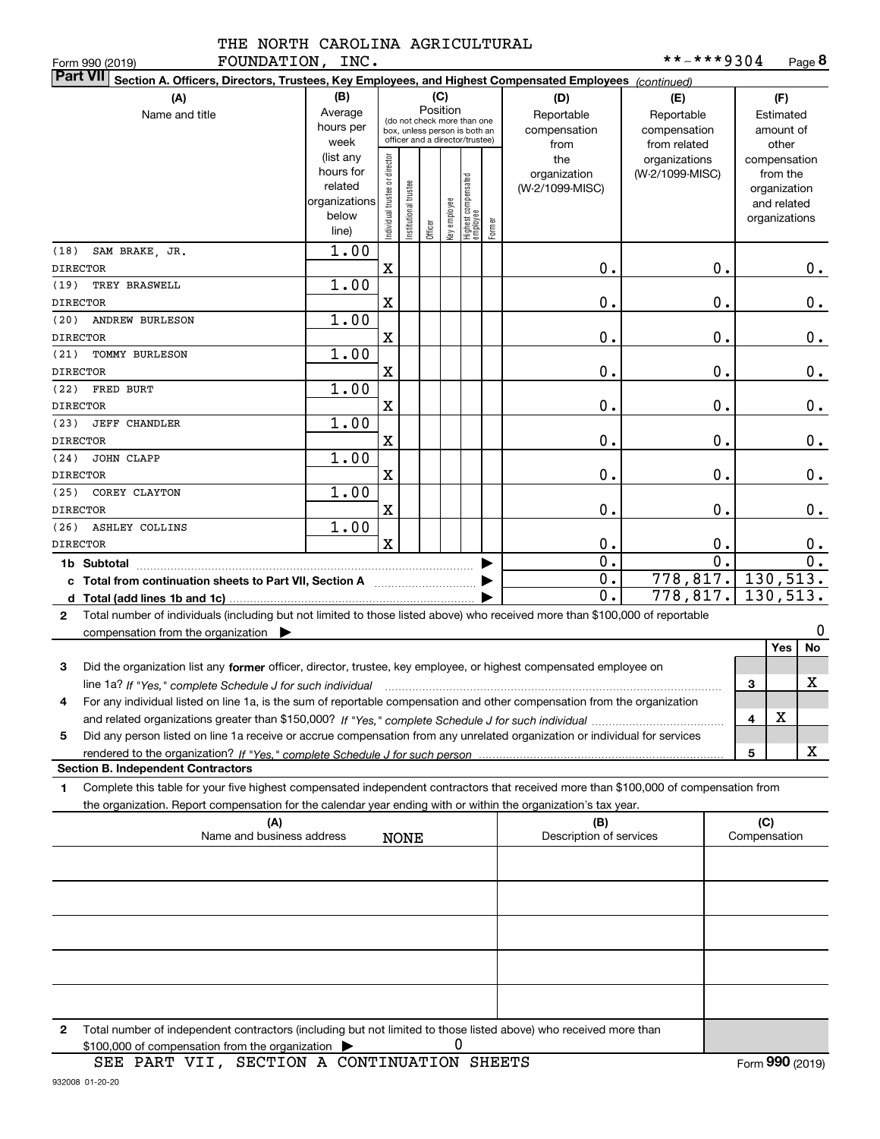| IND NOVIU    |  |  |
|--------------|--|--|
| ------------ |  |  |

| FOUNDATION, INC.<br>Form 990 (2019)                                                                                                          |                                                                                                        |                                |                      |         |              |                                  |        |                         | **-***9304            |                        |              |                             | Page 8                      |
|----------------------------------------------------------------------------------------------------------------------------------------------|--------------------------------------------------------------------------------------------------------|--------------------------------|----------------------|---------|--------------|----------------------------------|--------|-------------------------|-----------------------|------------------------|--------------|-----------------------------|-----------------------------|
| <b>Part VII</b>                                                                                                                              | Section A. Officers, Directors, Trustees, Key Employees, and Highest Compensated Employees (continued) |                                |                      |         |              |                                  |        |                         |                       |                        |              |                             |                             |
| (A)                                                                                                                                          | (B)                                                                                                    |                                |                      |         | (C)          |                                  |        | (D)                     | (E)                   |                        |              | (F)                         |                             |
| Name and title                                                                                                                               | Average                                                                                                |                                |                      |         | Position     | (do not check more than one      |        | Reportable              | Reportable            |                        |              | Estimated                   |                             |
|                                                                                                                                              | hours per                                                                                              |                                |                      |         |              | box, unless person is both an    |        | compensation            | compensation          |                        |              | amount of                   |                             |
|                                                                                                                                              | week                                                                                                   |                                |                      |         |              | officer and a director/trustee)  |        | from                    | from related          |                        |              | other                       |                             |
|                                                                                                                                              | (list any                                                                                              |                                |                      |         |              |                                  |        | the                     | organizations         |                        |              | compensation                |                             |
|                                                                                                                                              | hours for<br>related                                                                                   |                                |                      |         |              |                                  |        | organization            | (W-2/1099-MISC)       |                        |              | from the                    |                             |
|                                                                                                                                              | organizations                                                                                          |                                |                      |         |              |                                  |        | (W-2/1099-MISC)         |                       |                        |              | organization<br>and related |                             |
|                                                                                                                                              | below                                                                                                  |                                |                      |         |              |                                  |        |                         |                       |                        |              | organizations               |                             |
|                                                                                                                                              | line)                                                                                                  | Individual trustee or director | nstitutional trustee | Officer | Key employee | Highest compensated<br> employee | Former |                         |                       |                        |              |                             |                             |
| (18)<br>SAM BRAKE, JR.                                                                                                                       | 1.00                                                                                                   |                                |                      |         |              |                                  |        |                         |                       |                        |              |                             |                             |
| <b>DIRECTOR</b>                                                                                                                              |                                                                                                        | X                              |                      |         |              |                                  |        | 0.                      |                       | 0.                     |              |                             | 0.                          |
| (19)<br>TREY BRASWELL                                                                                                                        | 1.00                                                                                                   |                                |                      |         |              |                                  |        |                         |                       |                        |              |                             |                             |
| <b>DIRECTOR</b>                                                                                                                              |                                                                                                        | X                              |                      |         |              |                                  |        | 0.                      |                       | 0.                     |              |                             | 0.                          |
| (20)<br><b>ANDREW BURLESON</b>                                                                                                               | 1.00                                                                                                   |                                |                      |         |              |                                  |        |                         |                       |                        |              |                             |                             |
| <b>DIRECTOR</b>                                                                                                                              |                                                                                                        | X                              |                      |         |              |                                  |        | 0.                      |                       | 0.                     |              |                             | 0.                          |
| (21)<br>TOMMY BURLESON                                                                                                                       | 1.00                                                                                                   |                                |                      |         |              |                                  |        |                         |                       |                        |              |                             |                             |
| <b>DIRECTOR</b>                                                                                                                              |                                                                                                        | X                              |                      |         |              |                                  |        | 0.                      |                       | 0.                     |              |                             | 0.                          |
| (22)<br>FRED BURT                                                                                                                            | 1.00                                                                                                   |                                |                      |         |              |                                  |        |                         |                       |                        |              |                             |                             |
| <b>DIRECTOR</b>                                                                                                                              |                                                                                                        | X                              |                      |         |              |                                  |        | 0.                      |                       | 0.                     |              |                             | 0.                          |
| (23)<br><b>JEFF CHANDLER</b>                                                                                                                 | 1.00                                                                                                   |                                |                      |         |              |                                  |        |                         |                       |                        |              |                             |                             |
| <b>DIRECTOR</b>                                                                                                                              |                                                                                                        | х                              |                      |         |              |                                  |        | 0.                      |                       | 0.                     |              |                             | 0.                          |
| (24)<br>JOHN CLAPP                                                                                                                           | 1.00                                                                                                   |                                |                      |         |              |                                  |        |                         |                       |                        |              |                             |                             |
| <b>DIRECTOR</b>                                                                                                                              |                                                                                                        | х                              |                      |         |              |                                  |        | 0.                      |                       | 0.                     |              |                             | 0.                          |
| (25)<br>COREY CLAYTON                                                                                                                        | 1.00                                                                                                   |                                |                      |         |              |                                  |        |                         |                       |                        |              |                             |                             |
| <b>DIRECTOR</b>                                                                                                                              |                                                                                                        | х                              |                      |         |              |                                  |        | 0.                      |                       | 0.                     |              |                             | 0.                          |
| <b>ASHLEY COLLINS</b>                                                                                                                        | 1.00                                                                                                   |                                |                      |         |              |                                  |        |                         |                       |                        |              |                             |                             |
| (26)                                                                                                                                         |                                                                                                        | $\mathbf x$                    |                      |         |              |                                  |        |                         |                       |                        |              |                             |                             |
| <b>DIRECTOR</b>                                                                                                                              |                                                                                                        |                                |                      |         |              |                                  |        | 0.<br>$\overline{0}$ .  |                       | 0.<br>$\overline{0}$ . |              |                             | $0_{.}$<br>$\overline{0}$ . |
| 1b Subtotal                                                                                                                                  |                                                                                                        |                                |                      |         |              |                                  |        |                         | $778, 817.$ 130, 513. |                        |              |                             |                             |
| c Total from continuation sheets to Part VII, Section A manufactured by                                                                      |                                                                                                        |                                |                      |         |              |                                  |        | $0$ .<br>$\mathbf 0$ .  | $778, 817.$ 130, 513. |                        |              |                             |                             |
|                                                                                                                                              |                                                                                                        |                                |                      |         |              |                                  |        |                         |                       |                        |              |                             |                             |
| Total number of individuals (including but not limited to those listed above) who received more than \$100,000 of reportable<br>$\mathbf{2}$ |                                                                                                        |                                |                      |         |              |                                  |        |                         |                       |                        |              |                             |                             |
| compensation from the organization $\blacktriangleright$                                                                                     |                                                                                                        |                                |                      |         |              |                                  |        |                         |                       |                        |              |                             | 0                           |
|                                                                                                                                              |                                                                                                        |                                |                      |         |              |                                  |        |                         |                       |                        |              | Yes                         | No                          |
| 3<br>Did the organization list any former officer, director, trustee, key employee, or highest compensated employee on                       |                                                                                                        |                                |                      |         |              |                                  |        |                         |                       |                        |              |                             |                             |
| line 1a? If "Yes," complete Schedule J for such individual manumental content content from the complete schedu                               |                                                                                                        |                                |                      |         |              |                                  |        |                         |                       |                        | 3            |                             | х                           |
| For any individual listed on line 1a, is the sum of reportable compensation and other compensation from the organization                     |                                                                                                        |                                |                      |         |              |                                  |        |                         |                       |                        |              |                             |                             |
|                                                                                                                                              |                                                                                                        |                                |                      |         |              |                                  |        |                         |                       |                        | 4            | х                           |                             |
| Did any person listed on line 1a receive or accrue compensation from any unrelated organization or individual for services<br>5              |                                                                                                        |                                |                      |         |              |                                  |        |                         |                       |                        |              |                             |                             |
|                                                                                                                                              |                                                                                                        |                                |                      |         |              |                                  |        |                         |                       |                        | 5            |                             | X                           |
| <b>Section B. Independent Contractors</b>                                                                                                    |                                                                                                        |                                |                      |         |              |                                  |        |                         |                       |                        |              |                             |                             |
| Complete this table for your five highest compensated independent contractors that received more than \$100,000 of compensation from<br>1.   |                                                                                                        |                                |                      |         |              |                                  |        |                         |                       |                        |              |                             |                             |
| the organization. Report compensation for the calendar year ending with or within the organization's tax year.                               |                                                                                                        |                                |                      |         |              |                                  |        |                         |                       |                        |              |                             |                             |
| (A)                                                                                                                                          |                                                                                                        |                                |                      |         |              |                                  |        | (B)                     |                       |                        | (C)          |                             |                             |
| Name and business address                                                                                                                    |                                                                                                        |                                | <b>NONE</b>          |         |              |                                  |        | Description of services |                       |                        | Compensation |                             |                             |
|                                                                                                                                              |                                                                                                        |                                |                      |         |              |                                  |        |                         |                       |                        |              |                             |                             |
|                                                                                                                                              |                                                                                                        |                                |                      |         |              |                                  |        |                         |                       |                        |              |                             |                             |
|                                                                                                                                              |                                                                                                        |                                |                      |         |              |                                  |        |                         |                       |                        |              |                             |                             |
|                                                                                                                                              |                                                                                                        |                                |                      |         |              |                                  |        |                         |                       |                        |              |                             |                             |
|                                                                                                                                              |                                                                                                        |                                |                      |         |              |                                  |        |                         |                       |                        |              |                             |                             |
|                                                                                                                                              |                                                                                                        |                                |                      |         |              |                                  |        |                         |                       |                        |              |                             |                             |

| 2 Total number of independent contractors (including but not limited to those listed above) who received more than |  |
|--------------------------------------------------------------------------------------------------------------------|--|
| \$100,000 of compensation from the organization $\triangleright$                                                   |  |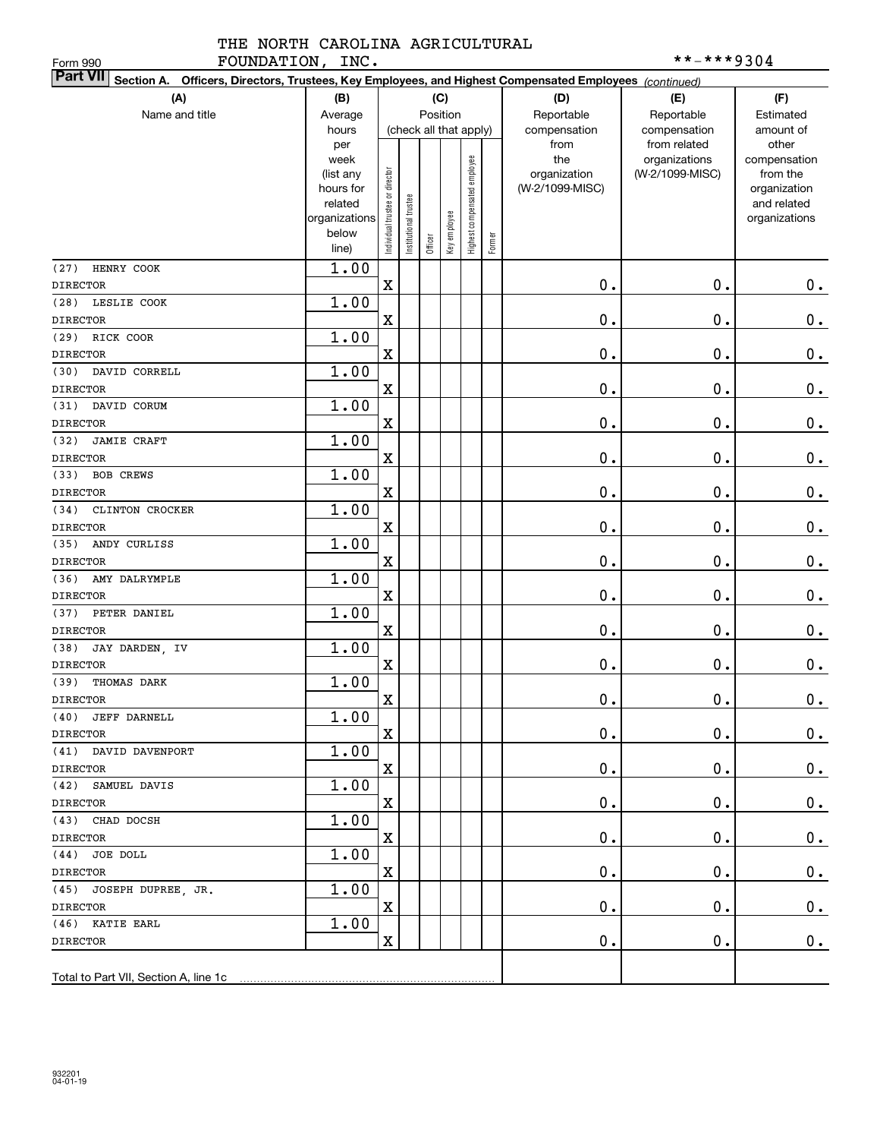| FOUNDATION, INC.<br>Form 990                                                                                              |                |                                |                       |         |              |                              |        |                 | **-***9304                       |                          |
|---------------------------------------------------------------------------------------------------------------------------|----------------|--------------------------------|-----------------------|---------|--------------|------------------------------|--------|-----------------|----------------------------------|--------------------------|
| <b>Part VII</b><br>Section A. Officers, Directors, Trustees, Key Employees, and Highest Compensated Employees (continued) |                |                                |                       |         |              |                              |        |                 |                                  |                          |
| (A)                                                                                                                       | (B)            |                                |                       |         | (C)          |                              |        | (D)             | (E)                              | (F)                      |
| Name and title                                                                                                            | Average        |                                |                       |         | Position     |                              |        | Reportable      | Reportable                       | Estimated                |
|                                                                                                                           | hours          |                                |                       |         |              | (check all that apply)       |        | compensation    | compensation                     | amount of                |
|                                                                                                                           | per<br>week    |                                |                       |         |              |                              |        | from<br>the     | from related                     | other                    |
|                                                                                                                           | (list any      |                                |                       |         |              |                              |        | organization    | organizations<br>(W-2/1099-MISC) | compensation<br>from the |
|                                                                                                                           | hours for      |                                |                       |         |              |                              |        | (W-2/1099-MISC) |                                  | organization             |
|                                                                                                                           | related        |                                |                       |         |              |                              |        |                 |                                  | and related              |
|                                                                                                                           | organizations  |                                |                       |         |              |                              |        |                 |                                  | organizations            |
|                                                                                                                           | below<br>line) | Individual trustee or director | Institutional trustee | Officer | Key employee | Highest compensated employee | Former |                 |                                  |                          |
|                                                                                                                           |                |                                |                       |         |              |                              |        |                 |                                  |                          |
| HENRY COOK<br>(27)<br><b>DIRECTOR</b>                                                                                     | 1.00           | $\mathbf X$                    |                       |         |              |                              |        | 0.              | 0.                               | 0.                       |
| LESLIE COOK<br>(28)                                                                                                       | 1.00           |                                |                       |         |              |                              |        |                 |                                  |                          |
| <b>DIRECTOR</b>                                                                                                           |                | $\mathbf X$                    |                       |         |              |                              |        | 0.              | 0.                               | $\mathbf 0$ .            |
| RICK COOR<br>(29)                                                                                                         | 1.00           |                                |                       |         |              |                              |        |                 |                                  |                          |
| <b>DIRECTOR</b>                                                                                                           |                | $\mathbf X$                    |                       |         |              |                              |        | 0.              | 0.                               | $\mathbf 0$ .            |
| DAVID CORRELL<br>(30)                                                                                                     | 1.00           |                                |                       |         |              |                              |        |                 |                                  |                          |
| <b>DIRECTOR</b>                                                                                                           |                | $\mathbf X$                    |                       |         |              |                              |        | 0.              | 0.                               | $\mathbf 0$ .            |
| DAVID CORUM<br>(31)                                                                                                       | 1.00           |                                |                       |         |              |                              |        |                 |                                  |                          |
| <b>DIRECTOR</b>                                                                                                           |                | $\mathbf X$                    |                       |         |              |                              |        | 0.              | 0.                               | $\mathbf 0$ .            |
| <b>JAMIE CRAFT</b><br>(32)                                                                                                | 1.00           |                                |                       |         |              |                              |        |                 |                                  |                          |
| <b>DIRECTOR</b>                                                                                                           |                | $\mathbf X$                    |                       |         |              |                              |        | 0.              | 0.                               | $\mathbf 0$ .            |
| <b>BOB CREWS</b><br>(33)                                                                                                  | 1.00           |                                |                       |         |              |                              |        |                 |                                  |                          |
| <b>DIRECTOR</b>                                                                                                           |                | $\mathbf X$                    |                       |         |              |                              |        | 0.              | $\mathbf 0$ .                    | $\mathbf 0$ .            |
| (34)<br>CLINTON CROCKER                                                                                                   | 1.00           |                                |                       |         |              |                              |        |                 |                                  |                          |
| <b>DIRECTOR</b>                                                                                                           |                | $\mathbf X$                    |                       |         |              |                              |        | 0.              | $\mathbf 0$ .                    | $\mathbf 0$ .            |
| ANDY CURLISS<br>(35)                                                                                                      | 1.00           |                                |                       |         |              |                              |        |                 |                                  |                          |
| <b>DIRECTOR</b>                                                                                                           |                | $\mathbf X$                    |                       |         |              |                              |        | $\mathbf 0$ .   | $\mathbf 0$ .                    | $\mathbf 0$ .            |
| (36)<br>AMY DALRYMPLE                                                                                                     | 1.00           |                                |                       |         |              |                              |        |                 |                                  |                          |
| <b>DIRECTOR</b>                                                                                                           |                | $\mathbf X$                    |                       |         |              |                              |        | $\mathbf 0$ .   | $\mathbf 0$ .                    | $\mathbf 0$ .            |
| PETER DANIEL<br>(37)                                                                                                      | 1.00           |                                |                       |         |              |                              |        |                 |                                  |                          |
| <b>DIRECTOR</b>                                                                                                           |                | $\mathbf X$                    |                       |         |              |                              |        | $\mathbf 0$ .   | $\mathbf 0$ .                    | $0$ .                    |
| (38)<br>JAY DARDEN, IV                                                                                                    | 1.00           |                                |                       |         |              |                              |        |                 |                                  |                          |
| <b>DIRECTOR</b>                                                                                                           |                | $\mathbf X$                    |                       |         |              |                              |        | 0.              | $\mathbf 0$ .                    | $0$ .                    |
| (39) THOMAS DARK                                                                                                          | 1.00           |                                |                       |         |              |                              |        |                 |                                  |                          |
| DIRECTOR                                                                                                                  | 1.00           | $\mathbf X$                    |                       |         |              |                              |        | $\mathbf 0$ .   | $\mathbf 0$ .                    | 0.                       |
| (40) JEFF DARNELL<br><b>DIRECTOR</b>                                                                                      |                | $\mathbf X$                    |                       |         |              |                              |        | $\mathbf 0$ .   | $\mathbf 0$ .                    | 0.                       |
| (41) DAVID DAVENPORT                                                                                                      | 1.00           |                                |                       |         |              |                              |        |                 |                                  |                          |
| <b>DIRECTOR</b>                                                                                                           |                | $\mathbf{x}$                   |                       |         |              |                              |        | $\mathbf 0$ .   | $\mathbf 0$ .                    | $\mathbf 0$ .            |
| (42) SAMUEL DAVIS                                                                                                         | 1.00           |                                |                       |         |              |                              |        |                 |                                  |                          |
| <b>DIRECTOR</b>                                                                                                           |                | $\mathbf X$                    |                       |         |              |                              |        | $\mathbf 0$ .   | 0.                               | $\mathbf 0$ .            |
| (43) CHAD DOCSH                                                                                                           | 1.00           |                                |                       |         |              |                              |        |                 |                                  |                          |
| <b>DIRECTOR</b>                                                                                                           |                | $\mathbf X$                    |                       |         |              |                              |        | $\mathbf 0$ .   | Ο.                               | $\mathbf 0$ .            |
| (44) JOE DOLL                                                                                                             | 1.00           |                                |                       |         |              |                              |        |                 |                                  |                          |
| <b>DIRECTOR</b>                                                                                                           |                | X                              |                       |         |              |                              |        | $\mathbf 0$ .   | $\mathbf 0$ .                    | 0.                       |
| (45) JOSEPH DUPREE, JR.                                                                                                   | 1.00           |                                |                       |         |              |                              |        |                 |                                  |                          |
| DIRECTOR                                                                                                                  |                | $\mathbf X$                    |                       |         |              |                              |        | $\mathbf 0$ .   | $\mathbf 0$ .                    | 0.                       |
| (46) KATIE EARL                                                                                                           | 1.00           |                                |                       |         |              |                              |        |                 |                                  |                          |
| DIRECTOR                                                                                                                  |                | X                              |                       |         |              |                              |        | $\mathbf 0$ .   | $\mathbf 0$ .                    | 0.                       |
|                                                                                                                           |                |                                |                       |         |              |                              |        |                 |                                  |                          |
| Total to Part VII, Section A, line 1c                                                                                     |                |                                |                       |         |              |                              |        |                 |                                  |                          |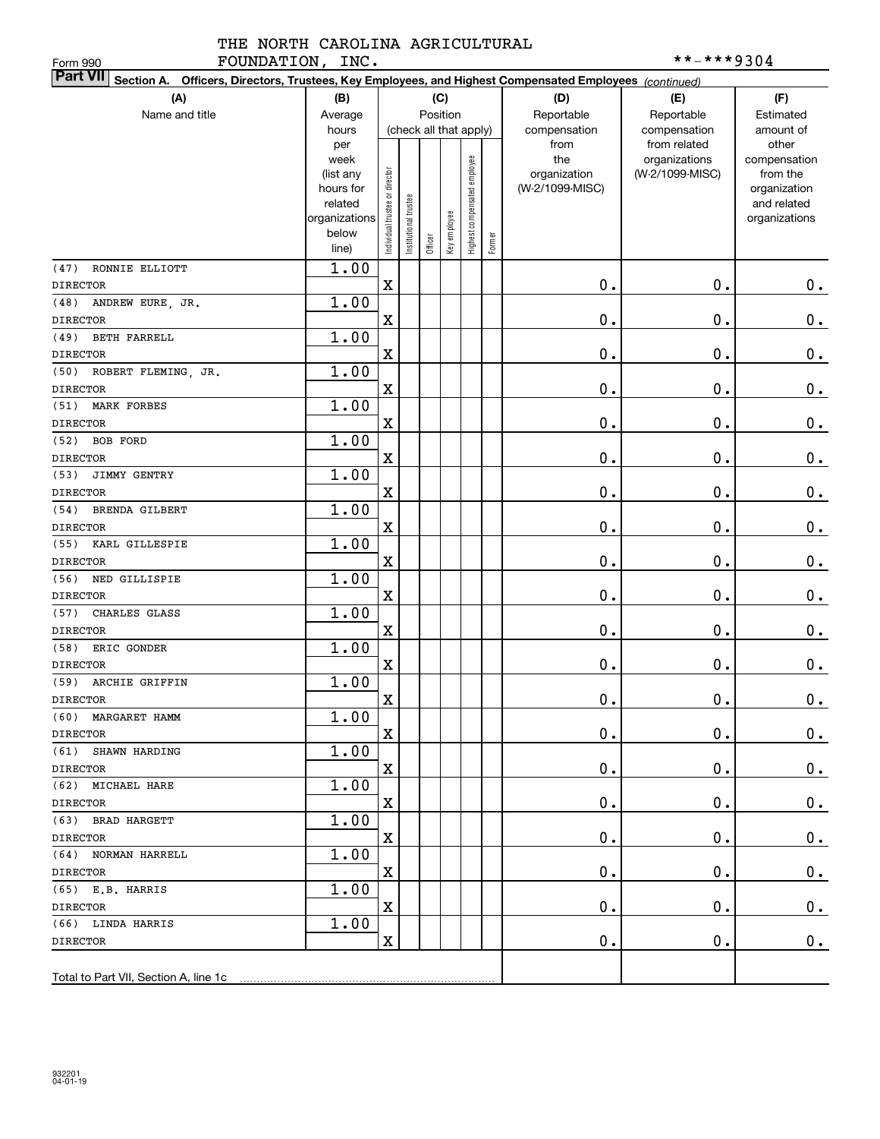| FOUNDATION, INC.<br>Form 990                                                                                              |                      |                                |                      |         |              |                              |        |                 | **-***9304      |                             |
|---------------------------------------------------------------------------------------------------------------------------|----------------------|--------------------------------|----------------------|---------|--------------|------------------------------|--------|-----------------|-----------------|-----------------------------|
| <b>Part VII</b><br>Section A. Officers, Directors, Trustees, Key Employees, and Highest Compensated Employees (continued) |                      |                                |                      |         |              |                              |        |                 |                 |                             |
| (A)                                                                                                                       | (B)                  |                                |                      |         | (C)          |                              |        | (D)             | (E)             | (F)                         |
| Name and title                                                                                                            | Average              |                                |                      |         | Position     |                              |        | Reportable      | Reportable      | Estimated                   |
|                                                                                                                           | hours                |                                |                      |         |              | (check all that apply)       |        | compensation    | compensation    | amount of                   |
|                                                                                                                           | per                  |                                |                      |         |              |                              |        | from            | from related    | other                       |
|                                                                                                                           | week                 |                                |                      |         |              |                              |        | the             | organizations   | compensation                |
|                                                                                                                           | (list any            |                                |                      |         |              |                              |        | organization    | (W-2/1099-MISC) | from the                    |
|                                                                                                                           | hours for<br>related |                                |                      |         |              |                              |        | (W-2/1099-MISC) |                 | organization<br>and related |
|                                                                                                                           | organizations        |                                |                      |         |              |                              |        |                 |                 | organizations               |
|                                                                                                                           | below                | Individual trustee or director | nstitutional trustee |         | Key employee | Highest compensated employee |        |                 |                 |                             |
|                                                                                                                           | line)                |                                |                      | Officer |              |                              | Former |                 |                 |                             |
| RONNIE ELLIOTT<br>(47)                                                                                                    | 1.00                 |                                |                      |         |              |                              |        |                 |                 |                             |
| <b>DIRECTOR</b>                                                                                                           |                      | X                              |                      |         |              |                              |        | 0.              | $\mathbf 0$ .   | 0.                          |
| ANDREW EURE, JR.<br>(48)                                                                                                  | 1.00                 |                                |                      |         |              |                              |        |                 |                 |                             |
| <b>DIRECTOR</b>                                                                                                           |                      | $\mathbf X$                    |                      |         |              |                              |        | 0.              | $\mathbf 0$ .   | 0.                          |
| (49)<br><b>BETH FARRELL</b>                                                                                               | 1.00                 |                                |                      |         |              |                              |        |                 |                 |                             |
| <b>DIRECTOR</b>                                                                                                           |                      | $\mathbf X$                    |                      |         |              |                              |        | 0.              | $\mathbf 0$ .   | $\mathbf 0$ .               |
| ROBERT FLEMING, JR.<br>(50)                                                                                               | 1.00                 |                                |                      |         |              |                              |        |                 |                 |                             |
| <b>DIRECTOR</b>                                                                                                           |                      | X                              |                      |         |              |                              |        | 0.              | 0.              | $0$ .                       |
| (51)<br>MARK FORBES                                                                                                       | 1.00                 |                                |                      |         |              |                              |        |                 |                 |                             |
| <b>DIRECTOR</b>                                                                                                           |                      | $\mathbf X$                    |                      |         |              |                              |        | 0.              | 0.              | $\mathbf 0$ .               |
| (52)<br><b>BOB FORD</b>                                                                                                   | 1.00                 |                                |                      |         |              |                              |        |                 |                 |                             |
| <b>DIRECTOR</b>                                                                                                           |                      | $\mathbf X$                    |                      |         |              |                              |        | 0.              | 0.              | $0$ .                       |
| (53)<br>JIMMY GENTRY                                                                                                      | 1.00                 |                                |                      |         |              |                              |        |                 |                 |                             |
| <b>DIRECTOR</b>                                                                                                           |                      | X                              |                      |         |              |                              |        | 0.              | 0.              | $0$ .                       |
| (54)<br><b>BRENDA GILBERT</b>                                                                                             | 1.00                 |                                |                      |         |              |                              |        |                 |                 |                             |
| <b>DIRECTOR</b>                                                                                                           |                      | $\mathbf X$                    |                      |         |              |                              |        | 0.              | 0.              | $0$ .                       |
| (55)<br>KARL GILLESPIE                                                                                                    | 1.00                 |                                |                      |         |              |                              |        |                 |                 |                             |
| <b>DIRECTOR</b>                                                                                                           |                      | $\mathbf X$                    |                      |         |              |                              |        | 0.              | 0.              | 0.                          |
| (56)<br>NED GILLISPIE                                                                                                     | 1.00                 |                                |                      |         |              |                              |        |                 |                 |                             |
| <b>DIRECTOR</b>                                                                                                           |                      | X                              |                      |         |              |                              |        | 0.              | 0.              | 0.                          |
| (57)<br>CHARLES GLASS                                                                                                     | 1.00                 |                                |                      |         |              |                              |        |                 |                 |                             |
| <b>DIRECTOR</b>                                                                                                           |                      | $\mathbf X$                    |                      |         |              |                              |        | 0.              | 0.              | 0.                          |
| (58)<br>ERIC GONDER                                                                                                       | 1.00                 |                                |                      |         |              |                              |        |                 |                 |                             |
| <b>DIRECTOR</b>                                                                                                           | 1.00                 | $\mathbf X$                    |                      |         |              |                              |        | 0.              | $0$ .           | 0.                          |
| (59) ARCHIE GRIFFIN<br>DIRECTOR                                                                                           |                      | $\overline{\mathbf{X}}$        |                      |         |              |                              |        | $\mathbf 0$ .   | $\mathbf 0$ .   | 0.                          |
| (60) MARGARET HAMM                                                                                                        | 1.00                 |                                |                      |         |              |                              |        |                 |                 |                             |
| <b>DIRECTOR</b>                                                                                                           |                      | $\mathbf X$                    |                      |         |              |                              |        | $\mathbf 0$ .   | $\mathbf 0$ .   | $0_{.}$                     |
| (61) SHAWN HARDING                                                                                                        | 1.00                 |                                |                      |         |              |                              |        |                 |                 |                             |
| DIRECTOR                                                                                                                  |                      | $\mathbf X$                    |                      |         |              |                              |        | 0.              | $\mathbf 0$ .   | $0$ .                       |
| (62) MICHAEL HARE                                                                                                         | 1.00                 |                                |                      |         |              |                              |        |                 |                 |                             |
| DIRECTOR                                                                                                                  |                      | $\mathbf X$                    |                      |         |              |                              |        | 0.              | $\mathbf 0$ .   | 0.                          |
| (63) BRAD HARGETT                                                                                                         | 1.00                 |                                |                      |         |              |                              |        |                 |                 |                             |
| DIRECTOR                                                                                                                  |                      | $\mathbf X$                    |                      |         |              |                              |        | 0.              | $\mathbf 0$ .   | 0.                          |
| (64) NORMAN HARRELL                                                                                                       | 1.00                 |                                |                      |         |              |                              |        |                 |                 |                             |
| DIRECTOR                                                                                                                  |                      | $\mathbf X$                    |                      |         |              |                              |        | 0.              | $\mathbf 0$ .   | $0_{.}$                     |
| $(65)$ E.B. HARRIS                                                                                                        | 1.00                 |                                |                      |         |              |                              |        |                 |                 |                             |
| DIRECTOR                                                                                                                  |                      | $\mathbf X$                    |                      |         |              |                              |        | 0.              | $\mathbf 0$ .   | 0.                          |
| (66) LINDA HARRIS                                                                                                         | 1.00                 |                                |                      |         |              |                              |        |                 |                 |                             |
| DIRECTOR                                                                                                                  |                      | X                              |                      |         |              |                              |        | $\mathbf 0$ .   | $\mathbf 0$ .   | 0.                          |
|                                                                                                                           |                      |                                |                      |         |              |                              |        |                 |                 |                             |
| Total to Part VII, Section A, line 1c                                                                                     |                      |                                |                      |         |              |                              |        |                 |                 |                             |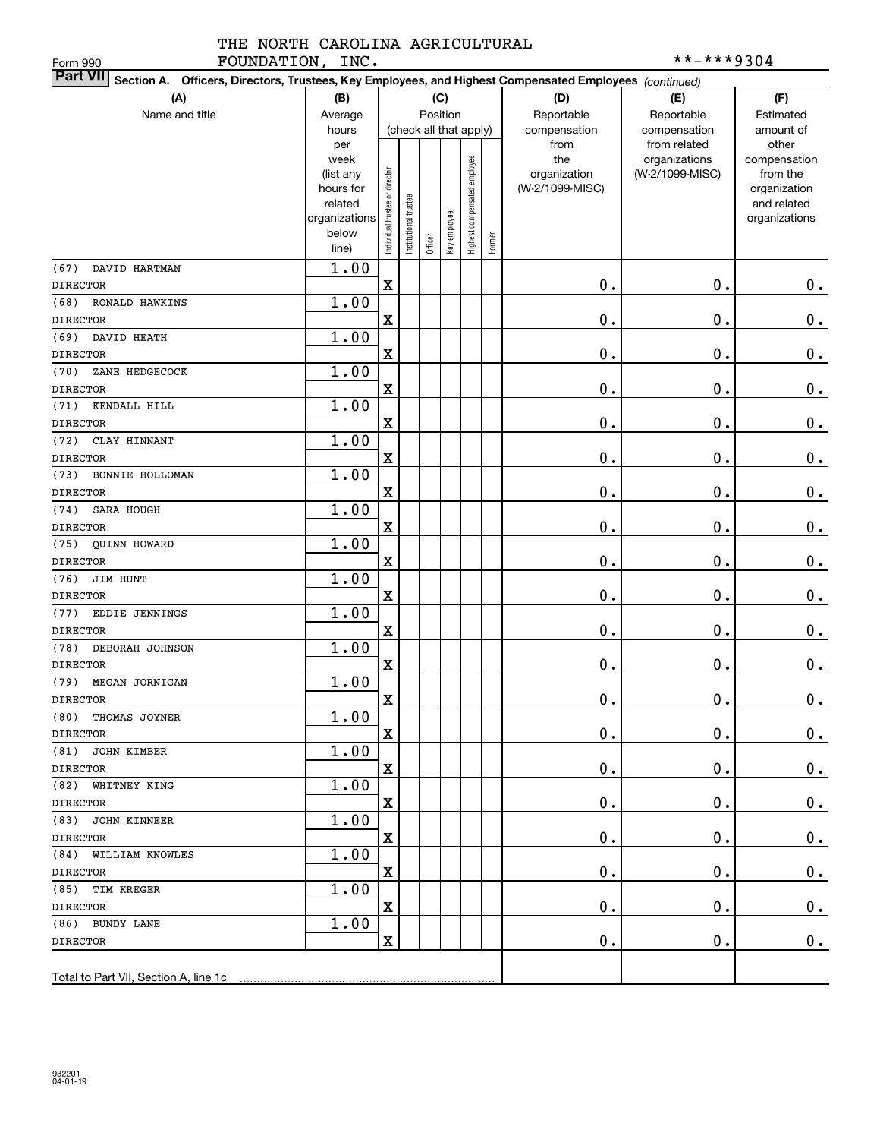| FOUNDATION, INC.<br>Form 990                                                                                              |                        |                                |                       |                        |              |                              |        |                 | **-***9304      |                              |
|---------------------------------------------------------------------------------------------------------------------------|------------------------|--------------------------------|-----------------------|------------------------|--------------|------------------------------|--------|-----------------|-----------------|------------------------------|
| <b>Part VII</b><br>Section A. Officers, Directors, Trustees, Key Employees, and Highest Compensated Employees (continued) |                        |                                |                       |                        |              |                              |        |                 |                 |                              |
| (A)                                                                                                                       | (B)                    |                                |                       | (C)                    |              |                              |        | (D)             | (E)             | (F)                          |
| Name and title                                                                                                            | Average                |                                |                       | Position               |              |                              |        | Reportable      | Reportable      | Estimated                    |
|                                                                                                                           | hours                  |                                |                       | (check all that apply) |              |                              |        | compensation    | compensation    | amount of                    |
|                                                                                                                           | per                    |                                |                       |                        |              |                              |        | from            | from related    | other                        |
|                                                                                                                           | week                   |                                |                       |                        |              |                              |        | the             | organizations   | compensation                 |
|                                                                                                                           | (list any              |                                |                       |                        |              |                              |        | organization    | (W-2/1099-MISC) | from the                     |
|                                                                                                                           | hours for              |                                |                       |                        |              |                              |        | (W-2/1099-MISC) |                 | organization                 |
|                                                                                                                           | related                |                                |                       |                        |              |                              |        |                 |                 | and related<br>organizations |
|                                                                                                                           | organizations<br>below |                                |                       |                        |              |                              |        |                 |                 |                              |
|                                                                                                                           | line)                  | Individual trustee or director | Institutional trustee | Officer                | Key employee | Highest compensated employee | Former |                 |                 |                              |
| (67)<br>DAVID HARTMAN                                                                                                     | 1.00                   |                                |                       |                        |              |                              |        |                 |                 |                              |
| <b>DIRECTOR</b>                                                                                                           |                        | $\mathbf x$                    |                       |                        |              |                              |        | $\mathbf 0$ .   | $\mathbf 0$ .   | $0$ .                        |
| (68)<br>RONALD HAWKINS                                                                                                    | 1.00                   |                                |                       |                        |              |                              |        |                 |                 |                              |
| <b>DIRECTOR</b>                                                                                                           |                        | $\mathbf x$                    |                       |                        |              |                              |        | 0.              | $\mathbf 0$ .   | $\mathbf 0$ .                |
| (69)<br>DAVID HEATH                                                                                                       | 1.00                   |                                |                       |                        |              |                              |        |                 |                 |                              |
| <b>DIRECTOR</b>                                                                                                           |                        | $\mathbf x$                    |                       |                        |              |                              |        | 0.              | $\mathbf 0$ .   | $\mathbf 0$ .                |
| (70)<br>ZANE HEDGECOCK                                                                                                    | 1.00                   |                                |                       |                        |              |                              |        |                 |                 |                              |
| <b>DIRECTOR</b>                                                                                                           |                        | X                              |                       |                        |              |                              |        | 0.              | $\mathbf 0$ .   | $\mathbf 0$ .                |
| KENDALL HILL<br>(71)                                                                                                      | 1.00                   |                                |                       |                        |              |                              |        |                 |                 |                              |
| <b>DIRECTOR</b>                                                                                                           |                        | X                              |                       |                        |              |                              |        | 0.              | $\mathbf 0$ .   | $0_{.}$                      |
| (72)<br>CLAY HINNANT                                                                                                      | 1.00                   |                                |                       |                        |              |                              |        |                 |                 |                              |
| <b>DIRECTOR</b>                                                                                                           |                        | $\mathbf x$                    |                       |                        |              |                              |        | 0.              | $\mathbf 0$ .   | $\mathbf 0$ .                |
| (73)<br>BONNIE HOLLOMAN                                                                                                   | 1.00                   |                                |                       |                        |              |                              |        |                 |                 |                              |
| <b>DIRECTOR</b>                                                                                                           |                        | $\mathbf x$                    |                       |                        |              |                              |        | 0.              | $\mathbf 0$ .   | $\mathbf 0$ .                |
| (74)<br><b>SARA HOUGH</b>                                                                                                 | 1.00                   |                                |                       |                        |              |                              |        |                 |                 |                              |
| <b>DIRECTOR</b>                                                                                                           |                        | $\mathbf x$                    |                       |                        |              |                              |        | 0.              | $\mathbf 0$ .   | $\mathbf 0$ .                |
| (75) QUINN HOWARD                                                                                                         | 1.00                   |                                |                       |                        |              |                              |        |                 |                 |                              |
| <b>DIRECTOR</b>                                                                                                           |                        | X                              |                       |                        |              |                              |        | 0.              | $\mathbf 0$ .   | $\mathbf 0$ .                |
| (76)<br>JIM HUNT                                                                                                          | 1.00                   |                                |                       |                        |              |                              |        |                 |                 |                              |
| <b>DIRECTOR</b>                                                                                                           |                        | X                              |                       |                        |              |                              |        | 0.              | $\mathbf 0$ .   | $\mathbf 0$ .                |
| (77)<br><b>EDDIE JENNINGS</b>                                                                                             | 1.00                   |                                |                       |                        |              |                              |        |                 |                 |                              |
| <b>DIRECTOR</b>                                                                                                           |                        | $\mathbf x$                    |                       |                        |              |                              |        | 0.              | $\mathbf 0$ .   | $\mathbf 0$ .                |
| (78)<br>DEBORAH JOHNSON                                                                                                   | 1.00                   |                                |                       |                        |              |                              |        |                 |                 |                              |
| <b>DIRECTOR</b>                                                                                                           |                        | $\mathbf x$                    |                       |                        |              |                              |        | 0.              | $\mathbf 0$ .   | 0.                           |
| (79) MEGAN JORNIGAN                                                                                                       | 1.00                   |                                |                       |                        |              |                              |        |                 |                 |                              |
| <b>DIRECTOR</b>                                                                                                           |                        | $\mathbf x$                    |                       |                        |              |                              |        | $\mathbf 0$ .   | $\mathbf 0$ .   | 0.                           |
| (80) THOMAS JOYNER                                                                                                        | 1.00                   |                                |                       |                        |              |                              |        |                 |                 |                              |
| <b>DIRECTOR</b>                                                                                                           |                        | $\mathbf X$                    |                       |                        |              |                              |        | $\mathbf 0$ .   | 0.              | 0.                           |
| (81) JOHN KIMBER                                                                                                          | 1.00                   |                                |                       |                        |              |                              |        |                 |                 |                              |
| DIRECTOR                                                                                                                  |                        | $\mathbf X$                    |                       |                        |              |                              |        | 0.              | О.              | 0.                           |
| (82) WHITNEY KING                                                                                                         | 1.00                   |                                |                       |                        |              |                              |        |                 |                 |                              |
| DIRECTOR                                                                                                                  |                        | $\mathbf X$                    |                       |                        |              |                              |        | 0.              | О.              | 0.                           |
| (83) JOHN KINNEER                                                                                                         | 1.00                   |                                |                       |                        |              |                              |        |                 |                 |                              |
| DIRECTOR                                                                                                                  |                        | $\mathbf X$                    |                       |                        |              |                              |        | 0.              | $\mathfrak o$ . | 0.                           |
| (84) WILLIAM KNOWLES                                                                                                      | 1.00                   |                                |                       |                        |              |                              |        |                 |                 |                              |
| DIRECTOR                                                                                                                  |                        | $\mathbf X$                    |                       |                        |              |                              |        | 0.              | О.              | 0.                           |
| (85) TIM KREGER                                                                                                           | 1.00                   |                                |                       |                        |              |                              |        |                 |                 |                              |
| DIRECTOR                                                                                                                  |                        | $\mathbf X$                    |                       |                        |              |                              |        | 0.              | $\mathfrak o$ . | $\mathbf 0$ .                |
| (86) BUNDY LANE                                                                                                           | 1.00                   |                                |                       |                        |              |                              |        |                 |                 |                              |
| DIRECTOR                                                                                                                  |                        | $\mathbf X$                    |                       |                        |              |                              |        | $\mathbf 0$ .   | $\mathfrak o$ . | 0.                           |
|                                                                                                                           |                        |                                |                       |                        |              |                              |        |                 |                 |                              |
| Total to Part VII, Section A, line 1c                                                                                     |                        |                                |                       |                        |              |                              |        |                 |                 |                              |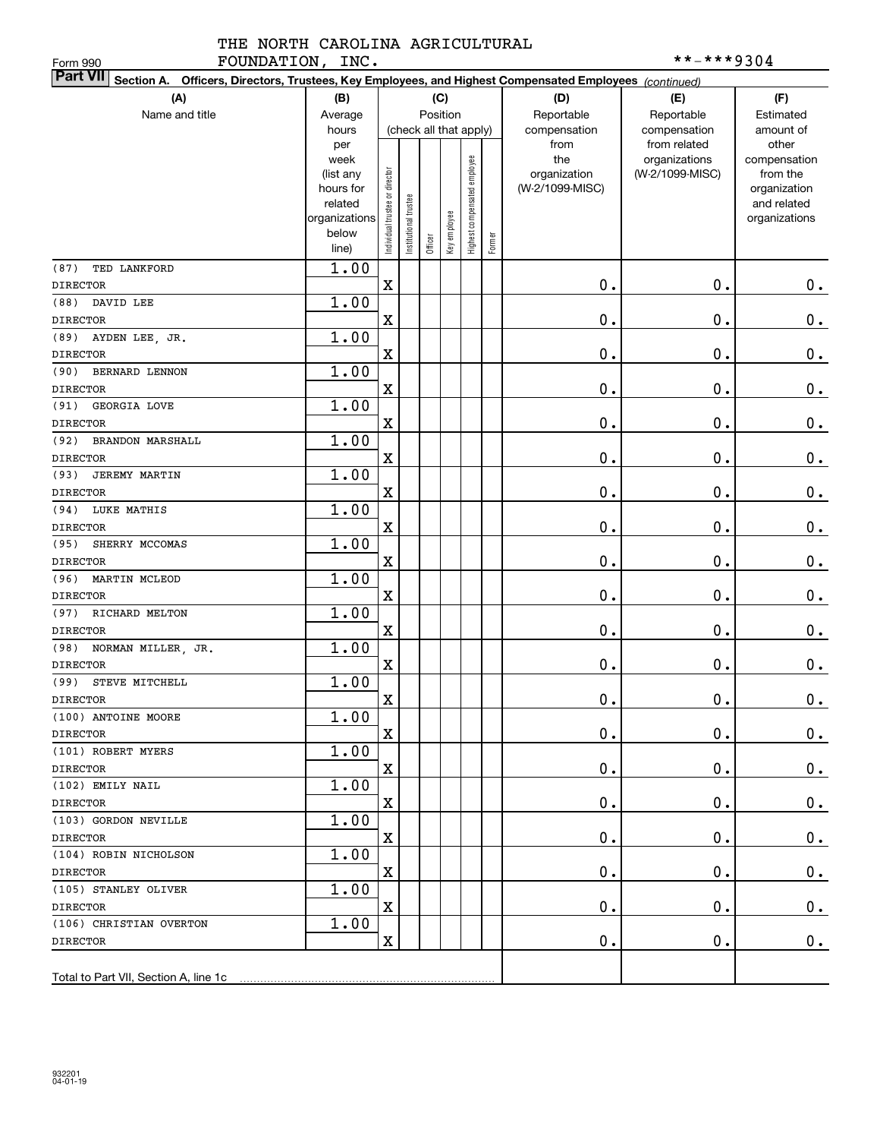| FOUNDATION, INC.<br>Form 990                                                                                              |                |                                |                       |         |              |                              |        |                 | **-***9304                    |                       |
|---------------------------------------------------------------------------------------------------------------------------|----------------|--------------------------------|-----------------------|---------|--------------|------------------------------|--------|-----------------|-------------------------------|-----------------------|
| <b>Part VII</b><br>Section A. Officers, Directors, Trustees, Key Employees, and Highest Compensated Employees (continued) |                |                                |                       |         |              |                              |        |                 |                               |                       |
| (A)                                                                                                                       | (B)            |                                |                       |         | (C)          |                              |        | (D)             | (E)                           | (F)                   |
| Name and title                                                                                                            | Average        |                                |                       |         | Position     |                              |        | Reportable      | Reportable                    | Estimated             |
|                                                                                                                           | hours          |                                |                       |         |              | (check all that apply)       |        | compensation    | compensation                  | amount of             |
|                                                                                                                           | per<br>week    |                                |                       |         |              |                              |        | from<br>the     | from related<br>organizations | other<br>compensation |
|                                                                                                                           | (list any      |                                |                       |         |              |                              |        | organization    | (W-2/1099-MISC)               | from the              |
|                                                                                                                           | hours for      |                                |                       |         |              |                              |        | (W-2/1099-MISC) |                               | organization          |
|                                                                                                                           | related        |                                |                       |         |              |                              |        |                 |                               | and related           |
|                                                                                                                           | organizations  |                                |                       |         |              |                              |        |                 |                               | organizations         |
|                                                                                                                           | below<br>line) | Individual trustee or director | Institutional trustee | Officer | Key employee | Highest compensated employee | Former |                 |                               |                       |
| (87)<br>TED LANKFORD                                                                                                      | 1.00           |                                |                       |         |              |                              |        |                 |                               |                       |
| <b>DIRECTOR</b>                                                                                                           |                | $\mathbf X$                    |                       |         |              |                              |        | 0.              | 0.                            | 0.                    |
| (88)<br>DAVID LEE                                                                                                         | 1.00           |                                |                       |         |              |                              |        |                 |                               |                       |
| <b>DIRECTOR</b>                                                                                                           |                | $\mathbf X$                    |                       |         |              |                              |        | 0.              | $\mathbf 0$ .                 | $0$ .                 |
| (89)<br>AYDEN LEE, JR.                                                                                                    | 1.00           |                                |                       |         |              |                              |        |                 |                               |                       |
| <b>DIRECTOR</b>                                                                                                           |                | $\mathbf X$                    |                       |         |              |                              |        | 0.              | $\mathbf 0$ .                 | $\mathbf 0$ .         |
| (90)<br>BERNARD LENNON                                                                                                    | 1.00           |                                |                       |         |              |                              |        |                 |                               |                       |
| <b>DIRECTOR</b>                                                                                                           |                | $\mathbf X$                    |                       |         |              |                              |        | 0.              | 0.                            | $\mathbf 0$ .         |
| GEORGIA LOVE<br>(91)                                                                                                      | 1.00           |                                |                       |         |              |                              |        |                 |                               |                       |
| <b>DIRECTOR</b>                                                                                                           |                | $\mathbf X$                    |                       |         |              |                              |        | 0.              | $\mathbf 0$ .                 | $\mathbf 0$ .         |
| (92)<br><b>BRANDON MARSHALL</b>                                                                                           | 1.00           |                                |                       |         |              |                              |        |                 |                               |                       |
| <b>DIRECTOR</b>                                                                                                           |                | $\mathbf X$                    |                       |         |              |                              |        | $\mathbf 0$ .   | $\mathbf 0$ .                 | $\mathbf 0$ .         |
| (93)<br><b>JEREMY MARTIN</b>                                                                                              | 1.00           |                                |                       |         |              |                              |        |                 |                               |                       |
| <b>DIRECTOR</b>                                                                                                           |                | $\mathbf X$                    |                       |         |              |                              |        | 0.              | $\mathbf 0$ .                 | $\mathbf 0$ .         |
| <b>LUKE MATHIS</b><br>(94)                                                                                                | 1.00           |                                |                       |         |              |                              |        |                 |                               |                       |
| <b>DIRECTOR</b>                                                                                                           |                | $\mathbf X$                    |                       |         |              |                              |        | 0.              | $\mathbf 0$ .                 | $\mathbf 0$ .         |
| SHERRY MCCOMAS<br>(95)                                                                                                    | 1.00           |                                |                       |         |              |                              |        |                 |                               |                       |
| <b>DIRECTOR</b>                                                                                                           |                | $\mathbf X$                    |                       |         |              |                              |        | $\mathbf 0$ .   | $\mathbf 0$ .                 | $\mathbf 0$ .         |
| (96)<br>MARTIN MCLEOD                                                                                                     | 1.00           |                                |                       |         |              |                              |        |                 |                               |                       |
| <b>DIRECTOR</b>                                                                                                           |                | $\mathbf X$                    |                       |         |              |                              |        | $\mathbf 0$ .   | $\mathbf 0$ .                 | $0$ .                 |
| (97) RICHARD MELTON                                                                                                       | 1.00           |                                |                       |         |              |                              |        |                 |                               |                       |
| <b>DIRECTOR</b>                                                                                                           |                | $\mathbf X$                    |                       |         |              |                              |        | $\mathbf 0$ .   | $\mathbf 0$ .                 | $0$ .                 |
| (98)<br>NORMAN MILLER, JR.                                                                                                | 1.00           |                                |                       |         |              |                              |        |                 |                               |                       |
| <b>DIRECTOR</b>                                                                                                           |                | $\mathbf X$                    |                       |         |              |                              |        | 0.              | $\mathbf 0$ .                 | $0$ .                 |
| (99) STEVE MITCHELL<br>DIRECTOR                                                                                           | 1.00           | $\mathbf X$                    |                       |         |              |                              |        | $\mathbf 0$ .   | $\mathbf 0$ .                 |                       |
| (100) ANTOINE MOORE                                                                                                       | 1.00           |                                |                       |         |              |                              |        |                 |                               | 0.                    |
| <b>DIRECTOR</b>                                                                                                           |                | $\mathbf x$                    |                       |         |              |                              |        | $\mathbf 0$ .   | 0.                            | 0.                    |
| (101) ROBERT MYERS                                                                                                        | 1.00           |                                |                       |         |              |                              |        |                 |                               |                       |
| ${\tt DIRECTOR}$                                                                                                          |                | $\mathbf X$                    |                       |         |              |                              |        | $\mathbf 0$ .   | Ο.                            | 0.                    |
| (102) EMILY NAIL                                                                                                          | 1.00           |                                |                       |         |              |                              |        |                 |                               |                       |
| <b>DIRECTOR</b>                                                                                                           |                | $\mathbf X$                    |                       |         |              |                              |        | $\mathbf 0$ .   | Ο.                            | $0_{.}$               |
| (103) GORDON NEVILLE                                                                                                      | 1.00           |                                |                       |         |              |                              |        |                 |                               |                       |
| <b>DIRECTOR</b>                                                                                                           |                | $\mathbf X$                    |                       |         |              |                              |        | $\mathbf 0$ .   | Ο.                            | $0_{.}$               |
| (104) ROBIN NICHOLSON                                                                                                     | 1.00           |                                |                       |         |              |                              |        |                 |                               |                       |
| <b>DIRECTOR</b>                                                                                                           |                | $\mathbf X$                    |                       |         |              |                              |        | $\mathbf 0$ .   | Ο.                            | 0.                    |
| (105) STANLEY OLIVER                                                                                                      | 1.00           |                                |                       |         |              |                              |        |                 |                               |                       |
| <b>DIRECTOR</b>                                                                                                           |                | $\mathbf X$                    |                       |         |              |                              |        | $\mathbf 0$ .   | Ο.                            | 0.                    |
| (106) CHRISTIAN OVERTON                                                                                                   | 1.00           |                                |                       |         |              |                              |        |                 |                               |                       |
| <b>DIRECTOR</b>                                                                                                           |                | X                              |                       |         |              |                              |        | $\mathfrak o$ . | Ο.                            | 0.                    |
|                                                                                                                           |                |                                |                       |         |              |                              |        |                 |                               |                       |
| Total to Part VII, Section A, line 1c                                                                                     |                |                                |                       |         |              |                              |        |                 |                               |                       |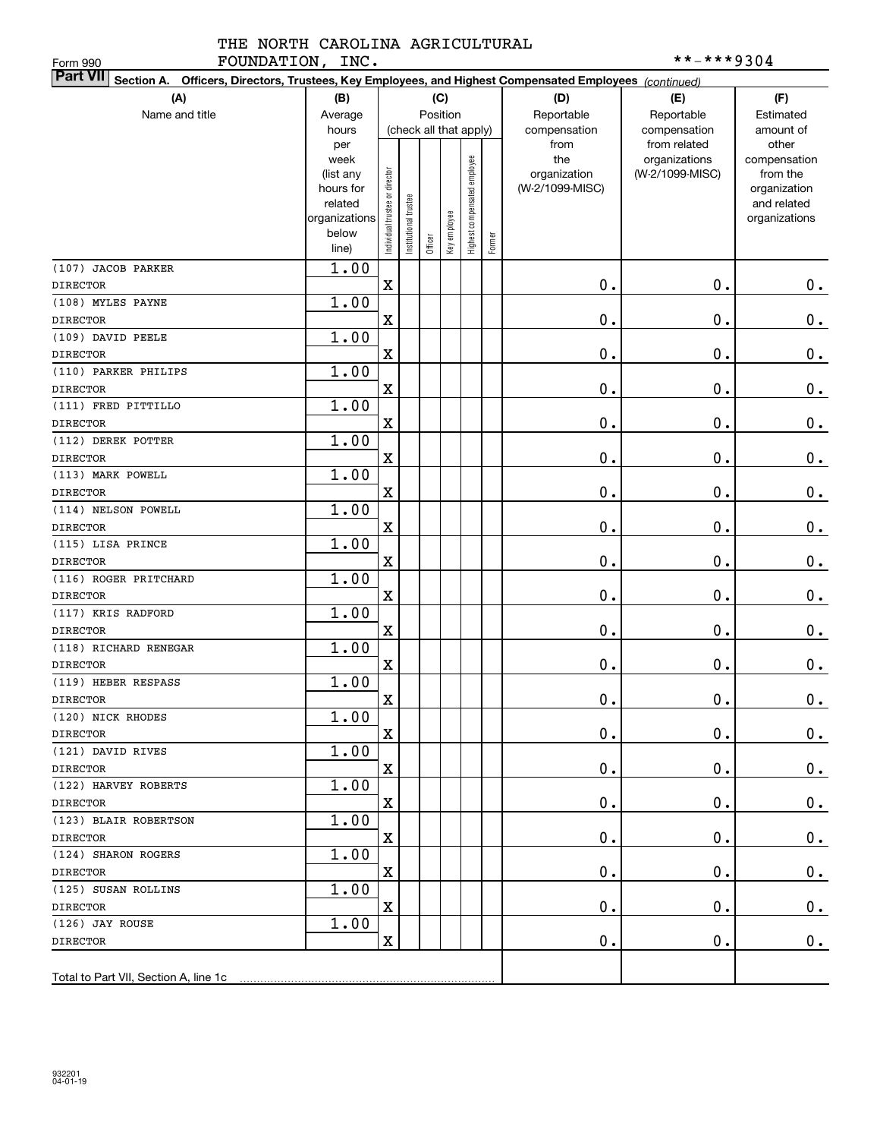| FOUNDATION, INC.<br>Form 990                                                                                              |                      |                                |                      |                        |              |                              |        |                 | **-***9304      |                             |
|---------------------------------------------------------------------------------------------------------------------------|----------------------|--------------------------------|----------------------|------------------------|--------------|------------------------------|--------|-----------------|-----------------|-----------------------------|
| <b>Part VII</b><br>Section A. Officers, Directors, Trustees, Key Employees, and Highest Compensated Employees (continued) |                      |                                |                      |                        |              |                              |        |                 |                 |                             |
| (A)                                                                                                                       | (B)                  |                                |                      | (C)                    |              |                              |        | (D)             | (E)             | (F)                         |
| Name and title                                                                                                            | Average              |                                |                      | Position               |              |                              |        | Reportable      | Reportable      | Estimated                   |
|                                                                                                                           | hours                |                                |                      | (check all that apply) |              |                              |        | compensation    | compensation    | amount of                   |
|                                                                                                                           | per                  |                                |                      |                        |              |                              |        | from            | from related    | other                       |
|                                                                                                                           | week                 |                                |                      |                        |              |                              |        | the             | organizations   | compensation                |
|                                                                                                                           | (list any            |                                |                      |                        |              |                              |        | organization    | (W-2/1099-MISC) | from the                    |
|                                                                                                                           | hours for<br>related |                                |                      |                        |              |                              |        | (W-2/1099-MISC) |                 | organization<br>and related |
|                                                                                                                           | organizations        |                                |                      |                        |              |                              |        |                 |                 | organizations               |
|                                                                                                                           | below                | Individual trustee or director | nstitutional trustee |                        | Key employee | Highest compensated employee |        |                 |                 |                             |
|                                                                                                                           | line)                |                                |                      | Officer                |              |                              | Former |                 |                 |                             |
| (107) JACOB PARKER                                                                                                        | 1.00                 |                                |                      |                        |              |                              |        |                 |                 |                             |
| <b>DIRECTOR</b>                                                                                                           |                      | $\mathbf x$                    |                      |                        |              |                              |        | 0.              | $\mathbf 0$ .   | $0$ .                       |
| (108) MYLES PAYNE                                                                                                         | 1.00                 |                                |                      |                        |              |                              |        |                 |                 |                             |
| <b>DIRECTOR</b>                                                                                                           |                      | $\mathbf x$                    |                      |                        |              |                              |        | 0.              | $\mathbf 0$ .   | $\mathbf 0$ .               |
| (109) DAVID PEELE                                                                                                         | 1.00                 |                                |                      |                        |              |                              |        |                 |                 |                             |
| <b>DIRECTOR</b>                                                                                                           |                      | $\mathbf x$                    |                      |                        |              |                              |        | 0.              | $\mathbf 0$ .   | $\mathbf 0$ .               |
| (110) PARKER PHILIPS                                                                                                      | 1.00                 |                                |                      |                        |              |                              |        |                 |                 |                             |
| <b>DIRECTOR</b>                                                                                                           |                      | $\mathbf x$                    |                      |                        |              |                              |        | 0.              | $\mathbf 0$ .   | $\mathbf 0$ .               |
| (111) FRED PITTILLO                                                                                                       | 1.00                 |                                |                      |                        |              |                              |        |                 |                 |                             |
| <b>DIRECTOR</b>                                                                                                           |                      | $\mathbf x$                    |                      |                        |              |                              |        | 0.              | $\mathbf 0$ .   | $\mathbf 0$ .               |
| (112) DEREK POTTER                                                                                                        | 1.00                 |                                |                      |                        |              |                              |        |                 |                 |                             |
| <b>DIRECTOR</b>                                                                                                           |                      | $\mathbf x$                    |                      |                        |              |                              |        | 0.              | $\mathbf 0$ .   | $\mathbf 0$ .               |
| (113) MARK POWELL                                                                                                         | 1.00                 |                                |                      |                        |              |                              |        |                 |                 |                             |
| <b>DIRECTOR</b>                                                                                                           |                      | $\mathbf x$                    |                      |                        |              |                              |        | 0.              | $\mathbf 0$ .   | $\mathbf 0$ .               |
| (114) NELSON POWELL                                                                                                       | 1.00                 |                                |                      |                        |              |                              |        |                 |                 |                             |
| <b>DIRECTOR</b>                                                                                                           |                      | $\mathbf x$                    |                      |                        |              |                              |        | 0.              | $\mathbf 0$ .   | $\mathbf 0$ .               |
| (115) LISA PRINCE                                                                                                         | 1.00                 |                                |                      |                        |              |                              |        |                 |                 |                             |
| <b>DIRECTOR</b>                                                                                                           |                      | $\mathbf x$                    |                      |                        |              |                              |        | 0.              | $\mathbf 0$ .   | $\mathbf 0$ .               |
| (116) ROGER PRITCHARD                                                                                                     | 1.00                 |                                |                      |                        |              |                              |        |                 |                 |                             |
| <b>DIRECTOR</b>                                                                                                           |                      | $\mathbf x$                    |                      |                        |              |                              |        | 0.              | $\mathbf 0$ .   | $0$ .                       |
| (117) KRIS RADFORD                                                                                                        | 1.00                 |                                |                      |                        |              |                              |        |                 |                 |                             |
| <b>DIRECTOR</b>                                                                                                           |                      | $\mathbf x$                    |                      |                        |              |                              |        | 0.              | $\mathbf 0$ .   | $0$ .                       |
| (118) RICHARD RENEGAR                                                                                                     | 1.00                 |                                |                      |                        |              |                              |        |                 |                 |                             |
| <b>DIRECTOR</b>                                                                                                           |                      | $\mathbf x$                    |                      |                        |              |                              |        | 0.              | $\mathbf 0$ .   | 0.                          |
| (119) HEBER RESPASS                                                                                                       | 1.00                 |                                |                      |                        |              |                              |        |                 |                 |                             |
| $\mathtt{DIRECTOR}$                                                                                                       |                      | $\overline{\mathbf{X}}$        |                      |                        |              |                              |        | $\mathbf 0$ .   | $\mathbf 0$ .   | $\mathbf 0$ .               |
| (120) NICK RHODES                                                                                                         | 1.00                 |                                |                      |                        |              |                              |        |                 |                 |                             |
| <b>DIRECTOR</b>                                                                                                           |                      | X                              |                      |                        |              |                              |        | 0.              | 0.              | $0_{.}$                     |
| (121) DAVID RIVES                                                                                                         | 1.00                 |                                |                      |                        |              |                              |        |                 |                 |                             |
| <b>DIRECTOR</b>                                                                                                           |                      | $\mathbf X$                    |                      |                        |              |                              |        | 0.              | О.              | 0.                          |
| (122) HARVEY ROBERTS                                                                                                      | 1.00                 |                                |                      |                        |              |                              |        |                 |                 |                             |
| <b>DIRECTOR</b>                                                                                                           |                      | $\mathbf X$                    |                      |                        |              |                              |        | $\mathbf 0$ .   | О.              | $0_{.}$                     |
| (123) BLAIR ROBERTSON                                                                                                     | 1.00                 |                                |                      |                        |              |                              |        |                 |                 |                             |
| DIRECTOR                                                                                                                  |                      | $\mathbf X$                    |                      |                        |              |                              |        | 0.              | О.              | $\mathbf 0$ .               |
| (124) SHARON ROGERS                                                                                                       | 1.00                 |                                |                      |                        |              |                              |        |                 |                 |                             |
| <b>DIRECTOR</b>                                                                                                           |                      | $\mathbf X$                    |                      |                        |              |                              |        | 0.              | О.              | $\mathbf 0$ .               |
| (125) SUSAN ROLLINS                                                                                                       | 1.00                 |                                |                      |                        |              |                              |        |                 |                 |                             |
| DIRECTOR                                                                                                                  |                      | $\mathbf X$                    |                      |                        |              |                              |        | $\mathbf 0$ .   | О.              | $0\cdot$                    |
| (126) JAY ROUSE                                                                                                           | 1.00                 |                                |                      |                        |              |                              |        |                 |                 |                             |
| DIRECTOR                                                                                                                  |                      | $\mathbf X$                    |                      |                        |              |                              |        | $\mathbf 0$ .   | $\mathfrak o$ . | 0.                          |
|                                                                                                                           |                      |                                |                      |                        |              |                              |        |                 |                 |                             |
|                                                                                                                           |                      |                                |                      |                        |              |                              |        |                 |                 |                             |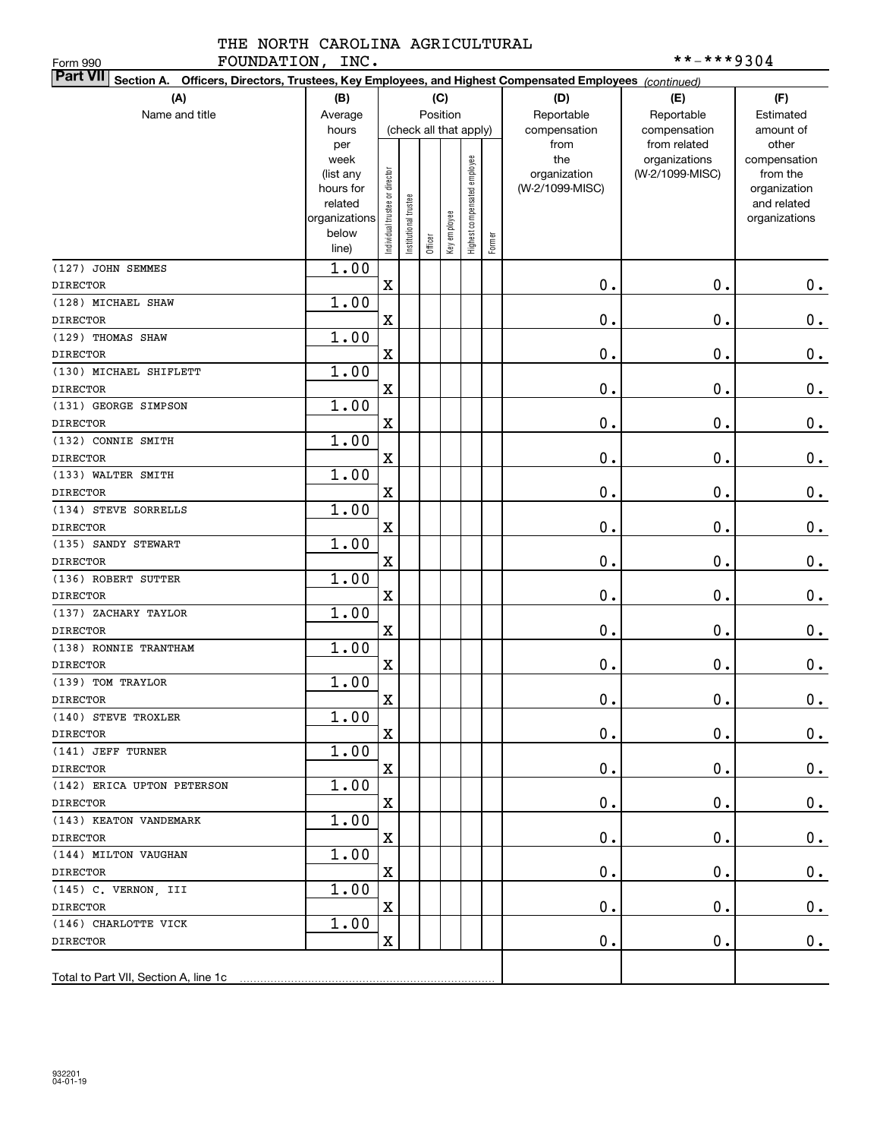| FOUNDATION, INC.<br>Form 990                                                                                              |                   |                                |                       |         |              |                              |        |                     | **-***9304                       |                          |
|---------------------------------------------------------------------------------------------------------------------------|-------------------|--------------------------------|-----------------------|---------|--------------|------------------------------|--------|---------------------|----------------------------------|--------------------------|
| <b>Part VII</b><br>Section A. Officers, Directors, Trustees, Key Employees, and Highest Compensated Employees (continued) |                   |                                |                       |         |              |                              |        |                     |                                  |                          |
| (A)                                                                                                                       | (B)               |                                |                       |         | (C)          |                              |        | (D)                 | (E)                              | (F)                      |
| Name and title                                                                                                            | Average           |                                |                       |         | Position     |                              |        | Reportable          | Reportable                       | Estimated                |
|                                                                                                                           | hours             |                                |                       |         |              | (check all that apply)       |        | compensation        | compensation                     | amount of                |
|                                                                                                                           | per               |                                |                       |         |              |                              |        | from                | from related                     | other                    |
|                                                                                                                           | week<br>(list any |                                |                       |         |              |                              |        | the<br>organization | organizations<br>(W-2/1099-MISC) | compensation<br>from the |
|                                                                                                                           | hours for         |                                |                       |         |              |                              |        | (W-2/1099-MISC)     |                                  | organization             |
|                                                                                                                           | related           |                                |                       |         |              |                              |        |                     |                                  | and related              |
|                                                                                                                           | organizations     |                                |                       |         |              |                              |        |                     |                                  | organizations            |
|                                                                                                                           | below             | Individual trustee or director | Institutional trustee | Officer | Key employee | Highest compensated employee | Former |                     |                                  |                          |
|                                                                                                                           | line)             |                                |                       |         |              |                              |        |                     |                                  |                          |
| (127) JOHN SEMMES                                                                                                         | 1.00              |                                |                       |         |              |                              |        |                     |                                  |                          |
| <b>DIRECTOR</b>                                                                                                           |                   | $\rm X$                        |                       |         |              |                              |        | $0$ .               | 0.                               | 0.                       |
| (128) MICHAEL SHAW                                                                                                        | 1.00              |                                |                       |         |              |                              |        |                     |                                  |                          |
| <b>DIRECTOR</b>                                                                                                           |                   | $\mathbf X$                    |                       |         |              |                              |        | 0.                  | $\mathbf 0$ .                    | $\mathbf 0$ .            |
| (129) THOMAS SHAW                                                                                                         | 1.00              |                                |                       |         |              |                              |        |                     |                                  |                          |
| <b>DIRECTOR</b>                                                                                                           |                   | $\mathbf X$                    |                       |         |              |                              |        | 0.                  | $\mathbf 0$ .                    | $\mathbf 0$ .            |
| (130) MICHAEL SHIFLETT                                                                                                    | 1.00              |                                |                       |         |              |                              |        |                     |                                  |                          |
| <b>DIRECTOR</b>                                                                                                           |                   | $\mathbf X$                    |                       |         |              |                              |        | $\mathbf 0$ .       | $\mathbf 0$ .                    | $\mathbf 0$ .            |
| (131) GEORGE SIMPSON                                                                                                      | 1.00              |                                |                       |         |              |                              |        |                     |                                  |                          |
| <b>DIRECTOR</b><br>(132) CONNIE SMITH                                                                                     | 1.00              | $\mathbf X$                    |                       |         |              |                              |        | $\mathbf 0$ .       | $\mathbf 0$ .                    | $\mathbf 0$ .            |
|                                                                                                                           |                   | $\mathbf X$                    |                       |         |              |                              |        | $\mathbf 0$ .       | $\mathbf 0$ .                    | $\mathbf 0$ .            |
| <b>DIRECTOR</b><br>(133) WALTER SMITH                                                                                     | 1.00              |                                |                       |         |              |                              |        |                     |                                  |                          |
| <b>DIRECTOR</b>                                                                                                           |                   | $\mathbf X$                    |                       |         |              |                              |        | 0.                  | $\mathbf 0$ .                    | $\mathbf 0$ .            |
| (134) STEVE SORRELLS                                                                                                      | 1.00              |                                |                       |         |              |                              |        |                     |                                  |                          |
| <b>DIRECTOR</b>                                                                                                           |                   | $\mathbf X$                    |                       |         |              |                              |        | 0.                  | $\mathbf 0$ .                    | $\mathbf 0$ .            |
| (135) SANDY STEWART                                                                                                       | 1.00              |                                |                       |         |              |                              |        |                     |                                  |                          |
| <b>DIRECTOR</b>                                                                                                           |                   | $\mathbf X$                    |                       |         |              |                              |        | $\mathbf 0$ .       | $\mathbf 0$ .                    | $\mathbf 0$ .            |
| (136) ROBERT SUTTER                                                                                                       | 1.00              |                                |                       |         |              |                              |        |                     |                                  |                          |
| <b>DIRECTOR</b>                                                                                                           |                   | $\mathbf X$                    |                       |         |              |                              |        | $\mathbf 0$ .       | $\mathbf 0$ .                    | $0$ .                    |
| (137) ZACHARY TAYLOR                                                                                                      | 1.00              |                                |                       |         |              |                              |        |                     |                                  |                          |
| <b>DIRECTOR</b>                                                                                                           |                   | $\mathbf X$                    |                       |         |              |                              |        | $\mathbf 0$ .       | $\mathbf 0$ .                    | $0$ .                    |
| (138) RONNIE TRANTHAM                                                                                                     | 1.00              |                                |                       |         |              |                              |        |                     |                                  |                          |
| <b>DIRECTOR</b>                                                                                                           |                   | $\mathbf X$                    |                       |         |              |                              |        | 0.                  | $\mathbf 0$ .                    | $0$ .                    |
| (139) TOM TRAYLOR                                                                                                         | 1.00              |                                |                       |         |              |                              |        |                     |                                  |                          |
| DIRECTOR                                                                                                                  |                   | $\mathbf X$                    |                       |         |              |                              |        | $\mathbf 0$ .       | $\mathbf 0$ .                    | 0.                       |
| (140) STEVE TROXLER                                                                                                       | 1.00              |                                |                       |         |              |                              |        |                     |                                  |                          |
| <b>DIRECTOR</b>                                                                                                           |                   | $\mathbf X$                    |                       |         |              |                              |        | $\mathbf 0$ .       | 0.                               | 0.                       |
| (141) JEFF TURNER                                                                                                         | 1.00              |                                |                       |         |              |                              |        |                     |                                  |                          |
| <b>DIRECTOR</b>                                                                                                           |                   | $\mathbf X$                    |                       |         |              |                              |        | $\mathbf 0$ .       | Ο.                               | 0.                       |
| (142) ERICA UPTON PETERSON                                                                                                | 1.00              |                                |                       |         |              |                              |        |                     |                                  |                          |
| <b>DIRECTOR</b>                                                                                                           |                   | $\mathbf X$                    |                       |         |              |                              |        | $\mathbf 0$ .       | Ο.                               | 0.                       |
| (143) KEATON VANDEMARK                                                                                                    | 1.00              |                                |                       |         |              |                              |        |                     |                                  |                          |
| <b>DIRECTOR</b>                                                                                                           |                   | $\mathbf X$                    |                       |         |              |                              |        | $\mathbf 0$ .       | Ο.                               | 0.                       |
| (144) MILTON VAUGHAN                                                                                                      | 1.00              |                                |                       |         |              |                              |        |                     |                                  |                          |
| <b>DIRECTOR</b>                                                                                                           |                   | $\mathbf X$                    |                       |         |              |                              |        | $\mathbf 0$ .       | Ο.                               | 0.                       |
| (145) C. VERNON, III                                                                                                      | 1.00              |                                |                       |         |              |                              |        |                     |                                  |                          |
| <b>DIRECTOR</b>                                                                                                           |                   | $\mathbf X$                    |                       |         |              |                              |        | $\mathbf 0$ .       | Ο.                               | 0.                       |
| (146) CHARLOTTE VICK                                                                                                      | 1.00              |                                |                       |         |              |                              |        |                     |                                  |                          |
| <b>DIRECTOR</b>                                                                                                           |                   | $\mathbf X$                    |                       |         |              |                              |        | $\mathbf 0$ .       | 0.                               | 0.                       |
|                                                                                                                           |                   |                                |                       |         |              |                              |        |                     |                                  |                          |
| Total to Part VII, Section A, line 1c                                                                                     |                   |                                |                       |         |              |                              |        |                     |                                  |                          |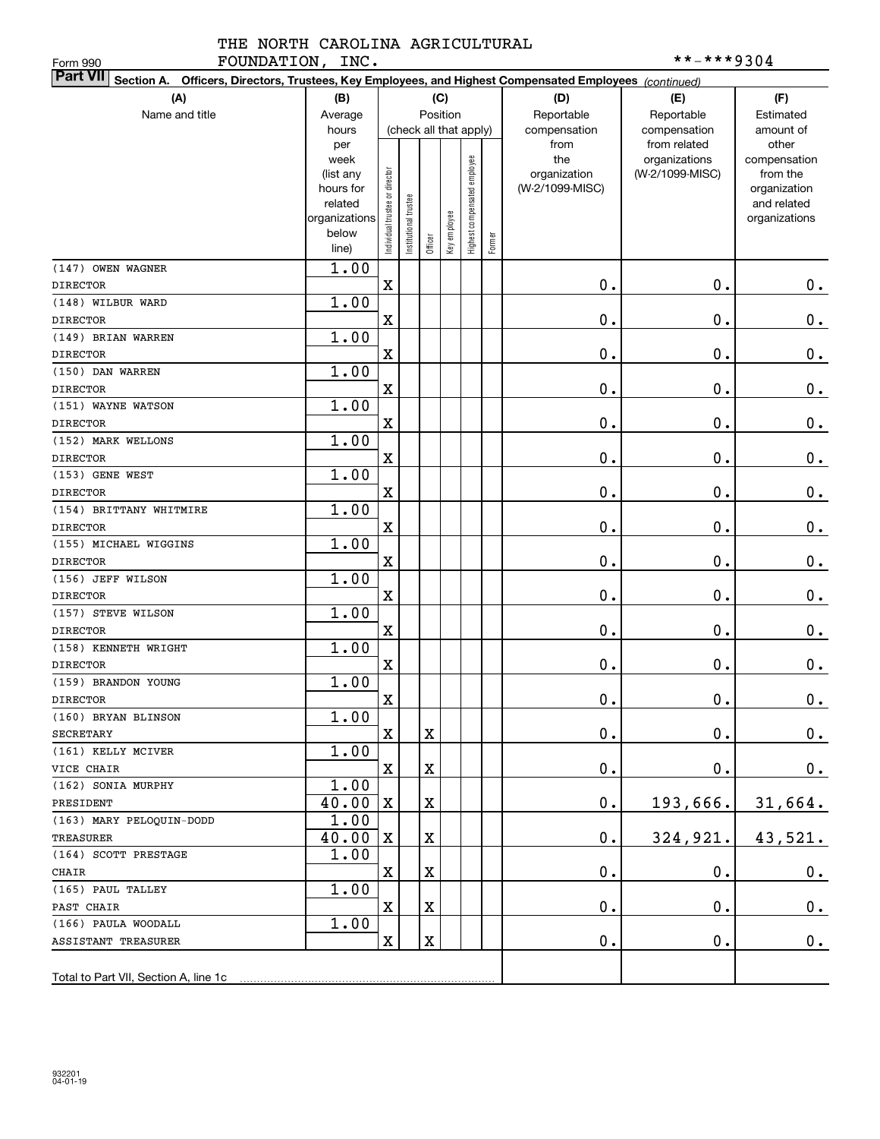| FOUNDATION, INC.<br>Form 990                                                                                              |                   |                                |                       |         |              |                              |        |                     | **-***9304                       |                          |
|---------------------------------------------------------------------------------------------------------------------------|-------------------|--------------------------------|-----------------------|---------|--------------|------------------------------|--------|---------------------|----------------------------------|--------------------------|
| <b>Part VII</b><br>Section A. Officers, Directors, Trustees, Key Employees, and Highest Compensated Employees (continued) |                   |                                |                       |         |              |                              |        |                     |                                  |                          |
| (A)                                                                                                                       | (B)               |                                |                       |         | (C)          |                              |        | (D)                 | (E)                              | (F)                      |
| Name and title                                                                                                            | Average           |                                |                       |         | Position     |                              |        | Reportable          | Reportable                       | Estimated                |
|                                                                                                                           | hours             |                                |                       |         |              | (check all that apply)       |        | compensation        | compensation                     | amount of                |
|                                                                                                                           | per               |                                |                       |         |              |                              |        | from                | from related                     | other                    |
|                                                                                                                           | week<br>(list any |                                |                       |         |              | Highest compensated employee |        | the<br>organization | organizations<br>(W-2/1099-MISC) | compensation<br>from the |
|                                                                                                                           | hours for         |                                |                       |         |              |                              |        | (W-2/1099-MISC)     |                                  | organization             |
|                                                                                                                           | related           |                                |                       |         |              |                              |        |                     |                                  | and related              |
|                                                                                                                           | organizations     |                                |                       |         |              |                              |        |                     |                                  | organizations            |
|                                                                                                                           | below             | Individual trustee or director | Institutional trustee | Officer | Key employee |                              | Former |                     |                                  |                          |
|                                                                                                                           | line)             |                                |                       |         |              |                              |        |                     |                                  |                          |
| (147) OWEN WAGNER                                                                                                         | 1.00              |                                |                       |         |              |                              |        |                     |                                  |                          |
| <b>DIRECTOR</b>                                                                                                           |                   | $\mathbf X$                    |                       |         |              |                              |        | 0.                  | 0.                               | 0.                       |
| (148) WILBUR WARD                                                                                                         | 1.00              |                                |                       |         |              |                              |        |                     |                                  |                          |
| <b>DIRECTOR</b>                                                                                                           |                   | $\mathbf X$                    |                       |         |              |                              |        | 0.                  | 0.                               | $0$ .                    |
| (149) BRIAN WARREN                                                                                                        | 1.00              |                                |                       |         |              |                              |        |                     | 0.                               |                          |
| <b>DIRECTOR</b><br>(150) DAN WARREN                                                                                       | 1.00              | $\mathbf X$                    |                       |         |              |                              |        | 0.                  |                                  | $\mathbf 0$ .            |
| <b>DIRECTOR</b>                                                                                                           |                   | $\mathbf X$                    |                       |         |              |                              |        | 0.                  | 0.                               | $\mathbf 0$ .            |
| (151) WAYNE WATSON                                                                                                        | 1.00              |                                |                       |         |              |                              |        |                     |                                  |                          |
| <b>DIRECTOR</b>                                                                                                           |                   | $\mathbf X$                    |                       |         |              |                              |        | $\mathbf 0$ .       | 0.                               | $\mathbf 0$ .            |
| (152) MARK WELLONS                                                                                                        | 1.00              |                                |                       |         |              |                              |        |                     |                                  |                          |
| <b>DIRECTOR</b>                                                                                                           |                   | $\mathbf X$                    |                       |         |              |                              |        | $\mathbf 0$ .       | $\mathbf 0$ .                    | $\mathbf 0$ .            |
| (153) GENE WEST                                                                                                           | 1.00              |                                |                       |         |              |                              |        |                     |                                  |                          |
| <b>DIRECTOR</b>                                                                                                           |                   | $\mathbf X$                    |                       |         |              |                              |        | 0.                  | $\mathbf 0$ .                    | $\mathbf 0$ .            |
| (154) BRITTANY WHITMIRE                                                                                                   | 1.00              |                                |                       |         |              |                              |        |                     |                                  |                          |
| <b>DIRECTOR</b>                                                                                                           |                   | $\mathbf X$                    |                       |         |              |                              |        | 0.                  | $\mathbf 0$ .                    | $\mathbf 0$ .            |
| (155) MICHAEL WIGGINS                                                                                                     | 1.00              |                                |                       |         |              |                              |        |                     |                                  |                          |
| <b>DIRECTOR</b>                                                                                                           |                   | $\mathbf X$                    |                       |         |              |                              |        | $\mathbf 0$ .       | $\mathbf 0$ .                    | $\mathbf 0$ .            |
| (156) JEFF WILSON                                                                                                         | 1.00              |                                |                       |         |              |                              |        |                     |                                  |                          |
| <b>DIRECTOR</b>                                                                                                           |                   | $\mathbf X$                    |                       |         |              |                              |        | $\mathbf 0$ .       | $\mathbf 0$ .                    | $\mathbf 0$ .            |
| (157) STEVE WILSON                                                                                                        | 1.00              |                                |                       |         |              |                              |        |                     |                                  |                          |
| <b>DIRECTOR</b>                                                                                                           |                   | $\mathbf X$                    |                       |         |              |                              |        | $\mathbf 0$ .       | $\mathbf 0$ .                    | $0$ .                    |
| (158) KENNETH WRIGHT                                                                                                      | 1.00              |                                |                       |         |              |                              |        |                     |                                  |                          |
| <b>DIRECTOR</b>                                                                                                           |                   | $\mathbf X$                    |                       |         |              |                              |        | 0.                  | $\mathbf 0$ .                    | $0$ .                    |
| (159) BRANDON YOUNG                                                                                                       | 1.00              |                                |                       |         |              |                              |        |                     |                                  |                          |
| DIRECTOR                                                                                                                  |                   | $\mathbf X$                    |                       |         |              |                              |        | $\mathbf 0$ .       | $\mathbf 0$ .                    | 0.                       |
| (160) BRYAN BLINSON                                                                                                       | 1.00              |                                |                       |         |              |                              |        |                     |                                  |                          |
| SECRETARY                                                                                                                 |                   | $\mathbf X$                    |                       | X       |              |                              |        | $\mathbf 0$ .       | $\mathbf 0$ .                    | 0.                       |
| (161) KELLY MCIVER                                                                                                        | 1.00              |                                |                       |         |              |                              |        |                     |                                  |                          |
| VICE CHAIR                                                                                                                |                   | $\mathbf X$                    |                       | X       |              |                              |        | $\mathbf 0$ .       | $\mathbf 0$ .                    | 0.                       |
| (162) SONIA MURPHY                                                                                                        | 1.00              |                                |                       |         |              |                              |        |                     |                                  |                          |
| PRESIDENT                                                                                                                 | 40.00             | X                              |                       | X       |              |                              |        | $\mathfrak o$ .     | 193,666.                         | 31,664.                  |
| (163) MARY PELOQUIN-DODD                                                                                                  | 1.00              |                                |                       |         |              |                              |        |                     |                                  |                          |
| TREASURER                                                                                                                 | 40.00             | $\mathbf{x}$                   |                       | Χ       |              |                              |        | $\mathbf 0$ .       | 324,921.                         | 43,521.                  |
| (164) SCOTT PRESTAGE                                                                                                      | 1.00              |                                |                       |         |              |                              |        |                     |                                  |                          |
| CHAIR                                                                                                                     |                   | X                              |                       | Χ       |              |                              |        | $\mathbf 0$ .       | $\mathbf 0$ .                    | 0.                       |
| (165) PAUL TALLEY                                                                                                         | 1.00              |                                |                       |         |              |                              |        |                     |                                  |                          |
| PAST CHAIR                                                                                                                |                   | $\mathbf X$                    |                       | X       |              |                              |        | $\mathbf 0$ .       | $\mathbf 0$ .                    | 0.                       |
| (166) PAULA WOODALL                                                                                                       | 1.00              |                                |                       |         |              |                              |        |                     |                                  |                          |
| ASSISTANT TREASURER                                                                                                       |                   | X                              |                       | X       |              |                              |        | $\mathbf 0$ .       | $\mathbf 0$ .                    | 0.                       |
|                                                                                                                           |                   |                                |                       |         |              |                              |        |                     |                                  |                          |
| Total to Part VII, Section A, line 1c                                                                                     |                   |                                |                       |         |              |                              |        |                     |                                  |                          |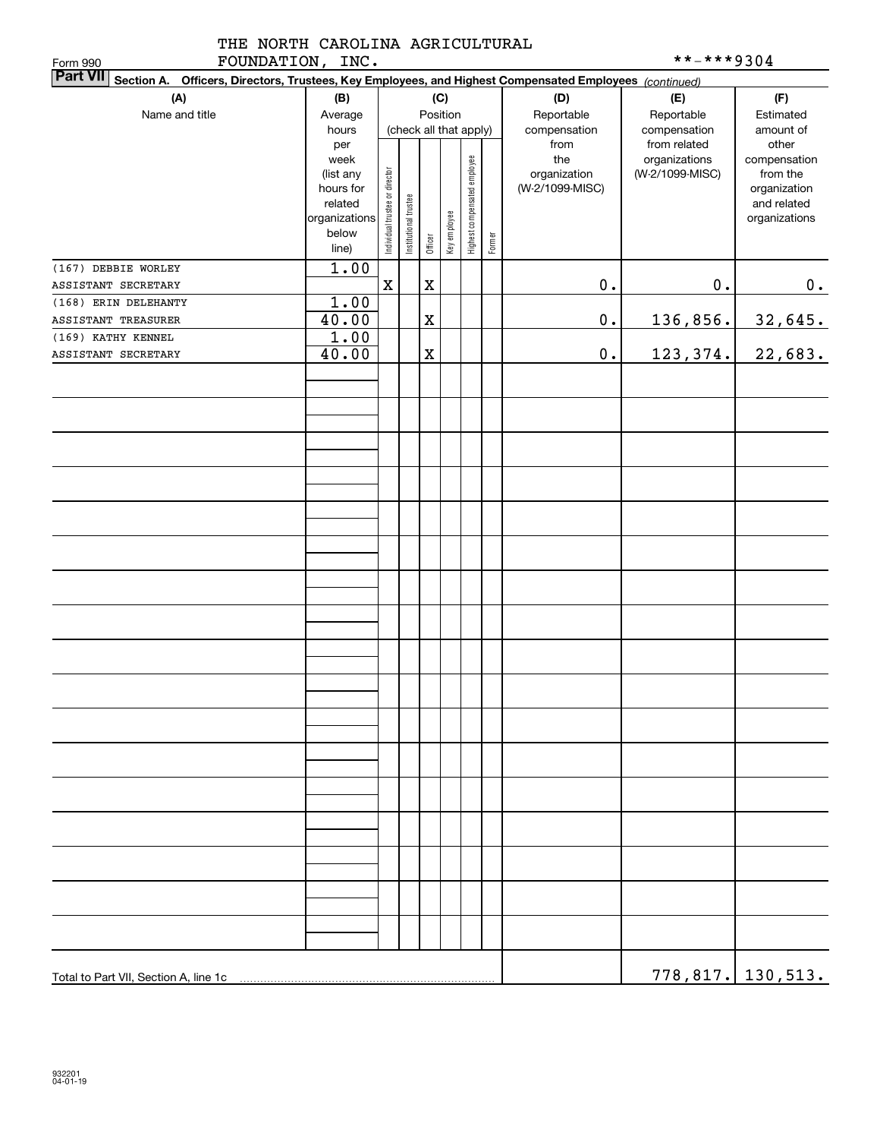|  | THE NORTH CAROLINA AGRICULTURAL |
|--|---------------------------------|
|  |                                 |

| **-***9304 |  |  |  |  |  |  |  |
|------------|--|--|--|--|--|--|--|
|------------|--|--|--|--|--|--|--|

| FOUNDATION, INC.<br>Form 990                                                                                              |                          | **-***9304                     |                        |             |              |                              |        |                 |                 |                              |
|---------------------------------------------------------------------------------------------------------------------------|--------------------------|--------------------------------|------------------------|-------------|--------------|------------------------------|--------|-----------------|-----------------|------------------------------|
| <b>Part VII</b><br>Section A. Officers, Directors, Trustees, Key Employees, and Highest Compensated Employees (continued) |                          |                                |                        |             |              |                              |        |                 |                 |                              |
| (A)                                                                                                                       | (B)                      |                                |                        |             | (C)          |                              |        | (D)             | (E)             | (F)                          |
| Name and title                                                                                                            | Average                  |                                |                        |             | Position     |                              |        | Reportable      | Reportable      | Estimated                    |
|                                                                                                                           | hours                    |                                | (check all that apply) |             |              |                              |        | compensation    | compensation    | amount of                    |
|                                                                                                                           | per                      |                                |                        |             |              |                              |        | from            | from related    | other                        |
|                                                                                                                           | week                     |                                |                        |             |              |                              |        | the             | organizations   | compensation                 |
|                                                                                                                           | (list any                |                                |                        |             |              |                              |        | organization    | (W-2/1099-MISC) | from the                     |
|                                                                                                                           | hours for                |                                |                        |             |              |                              |        | (W-2/1099-MISC) |                 | organization                 |
|                                                                                                                           | related<br>organizations |                                |                        |             |              |                              |        |                 |                 | and related<br>organizations |
|                                                                                                                           | below                    |                                |                        |             |              |                              |        |                 |                 |                              |
|                                                                                                                           | line)                    | Individual trustee or director | Institutional trustee  | Officer     | Key employee | Highest compensated employee | Former |                 |                 |                              |
| (167) DEBBIE WORLEY                                                                                                       | 1.00                     |                                |                        |             |              |                              |        |                 |                 |                              |
| ASSISTANT SECRETARY                                                                                                       |                          | $\mathbf X$                    |                        | $\mathbf X$ |              |                              |        | $0$ .           | $\mathbf 0$ .   | 0.                           |
| (168) ERIN DELEHANTY                                                                                                      | 1.00                     |                                |                        |             |              |                              |        |                 |                 |                              |
| ASSISTANT TREASURER                                                                                                       | 40.00                    |                                |                        | $\mathbf X$ |              |                              |        | $\mathbf 0$ .   | 136,856.        | 32,645.                      |
| (169) KATHY KENNEL                                                                                                        | 1.00                     |                                |                        |             |              |                              |        |                 |                 |                              |
| ASSISTANT SECRETARY                                                                                                       | 40.00                    |                                |                        | $\mathbf X$ |              |                              |        | $\mathbf 0$ .   | 123,374.        | 22,683.                      |
|                                                                                                                           |                          |                                |                        |             |              |                              |        |                 |                 |                              |
|                                                                                                                           |                          |                                |                        |             |              |                              |        |                 |                 |                              |
|                                                                                                                           |                          |                                |                        |             |              |                              |        |                 |                 |                              |
|                                                                                                                           |                          |                                |                        |             |              |                              |        |                 |                 |                              |
|                                                                                                                           |                          |                                |                        |             |              |                              |        |                 |                 |                              |
|                                                                                                                           |                          |                                |                        |             |              |                              |        |                 |                 |                              |
|                                                                                                                           |                          |                                |                        |             |              |                              |        |                 |                 |                              |
|                                                                                                                           |                          |                                |                        |             |              |                              |        |                 |                 |                              |
|                                                                                                                           |                          |                                |                        |             |              |                              |        |                 |                 |                              |
|                                                                                                                           |                          |                                |                        |             |              |                              |        |                 |                 |                              |
|                                                                                                                           |                          |                                |                        |             |              |                              |        |                 |                 |                              |
|                                                                                                                           |                          |                                |                        |             |              |                              |        |                 |                 |                              |
|                                                                                                                           |                          |                                |                        |             |              |                              |        |                 |                 |                              |
|                                                                                                                           |                          |                                |                        |             |              |                              |        |                 |                 |                              |
|                                                                                                                           |                          |                                |                        |             |              |                              |        |                 |                 |                              |
|                                                                                                                           |                          |                                |                        |             |              |                              |        |                 |                 |                              |
|                                                                                                                           |                          |                                |                        |             |              |                              |        |                 |                 |                              |
|                                                                                                                           |                          |                                |                        |             |              |                              |        |                 |                 |                              |
|                                                                                                                           |                          |                                |                        |             |              |                              |        |                 |                 |                              |
|                                                                                                                           |                          |                                |                        |             |              |                              |        |                 |                 |                              |
|                                                                                                                           |                          |                                |                        |             |              |                              |        |                 |                 |                              |
|                                                                                                                           |                          |                                |                        |             |              |                              |        |                 |                 |                              |
|                                                                                                                           |                          |                                |                        |             |              |                              |        |                 |                 |                              |
| Total to Part VII, Section A, line 1c                                                                                     |                          |                                |                        |             |              |                              |        |                 |                 | <u>778,817.   130,513.</u>   |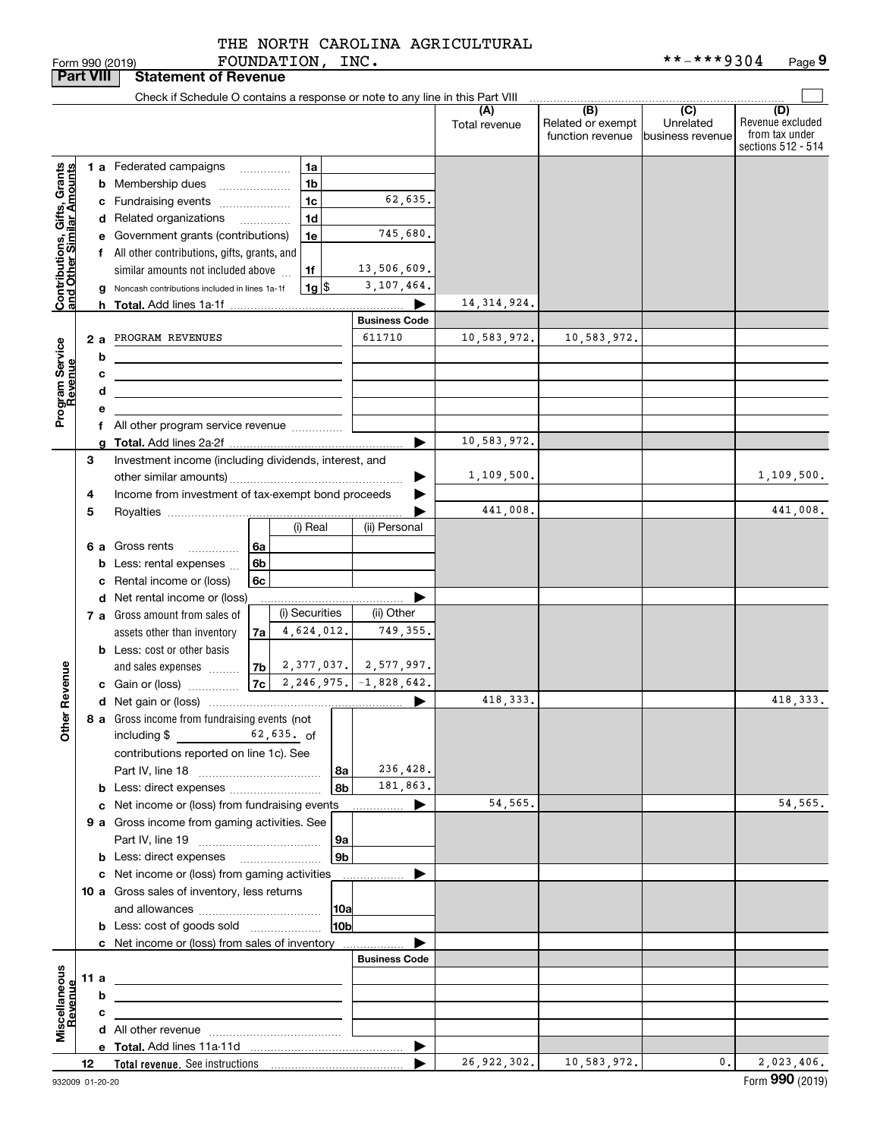FOUNDATION, INC. THE NORTH CAROLINA AGRICULTURAL

|                                                                                         | <b>Part VIII</b> |                  | <b>Statement of Revenue</b>                                                                                                                                                                                                                                                                                                                                                                                                                                                                                                                                                                                          |                                                                                         |                              |                                              |                                                 |                                                                 |
|-----------------------------------------------------------------------------------------|------------------|------------------|----------------------------------------------------------------------------------------------------------------------------------------------------------------------------------------------------------------------------------------------------------------------------------------------------------------------------------------------------------------------------------------------------------------------------------------------------------------------------------------------------------------------------------------------------------------------------------------------------------------------|-----------------------------------------------------------------------------------------|------------------------------|----------------------------------------------|-------------------------------------------------|-----------------------------------------------------------------|
|                                                                                         |                  |                  | Check if Schedule O contains a response or note to any line in this Part VIII                                                                                                                                                                                                                                                                                                                                                                                                                                                                                                                                        |                                                                                         |                              |                                              |                                                 |                                                                 |
|                                                                                         |                  |                  |                                                                                                                                                                                                                                                                                                                                                                                                                                                                                                                                                                                                                      |                                                                                         | (A)<br>Total revenue         | (B)<br>Related or exempt<br>function revenue | $\overline{C}$<br>Unrelated<br>business revenue | (D)<br>Revenue excluded<br>from tax under<br>sections 512 - 514 |
| Contributions, Gifts, Grants<br>and Other Similar Amounts<br>Program Service<br>Revenue | 2a               | b<br>с<br>d<br>е | <b>1 a</b> Federated campaigns<br>1a<br>$\overline{\phantom{a}}$<br>1 <sub>b</sub><br><b>b</b> Membership dues<br>1c<br>c Fundraising events<br>1 <sub>d</sub><br>d Related organizations<br>.<br>e Government grants (contributions)<br>1e<br>f All other contributions, gifts, grants, and<br>similar amounts not included above<br>1f<br>$1g$ $\frac{1}{3}$<br>g Noncash contributions included in lines 1a-1f<br>PROGRAM REVENUES<br><u> 1980 - Johann Barbara, martxa alemaniar arg</u><br><u> 1989 - Johann Stein, marwolaethau a bhann an t-Amhair an t-Amhair an t-Amhair an t-Amhair an t-Amhair an t-A</u> | 62,635.<br>745,680.<br>13,506,609.<br>3,107,464.<br>▶<br><b>Business Code</b><br>611710 | 14, 314, 924.<br>10,583,972. | 10,583,972.                                  |                                                 |                                                                 |
|                                                                                         |                  |                  | f All other program service revenue                                                                                                                                                                                                                                                                                                                                                                                                                                                                                                                                                                                  |                                                                                         |                              |                                              |                                                 |                                                                 |
|                                                                                         |                  | a                |                                                                                                                                                                                                                                                                                                                                                                                                                                                                                                                                                                                                                      | ▶                                                                                       | 10,583,972.                  |                                              |                                                 |                                                                 |
|                                                                                         | 3<br>4           |                  | Investment income (including dividends, interest, and<br>Income from investment of tax-exempt bond proceeds                                                                                                                                                                                                                                                                                                                                                                                                                                                                                                          |                                                                                         | 1,109,500.                   |                                              |                                                 | 1,109,500.                                                      |
|                                                                                         | 5                |                  |                                                                                                                                                                                                                                                                                                                                                                                                                                                                                                                                                                                                                      |                                                                                         | 441,008.                     |                                              |                                                 | 441,008.                                                        |
|                                                                                         |                  |                  | (i) Real<br>6 a Gross rents<br><b>6a</b><br>.<br><b>b</b> Less: rental expenses<br>6b<br>c Rental income or (loss)<br>6c                                                                                                                                                                                                                                                                                                                                                                                                                                                                                             | (ii) Personal                                                                           |                              |                                              |                                                 |                                                                 |
|                                                                                         |                  |                  | d Net rental income or (loss)                                                                                                                                                                                                                                                                                                                                                                                                                                                                                                                                                                                        |                                                                                         |                              |                                              |                                                 |                                                                 |
|                                                                                         |                  |                  | (i) Securities<br>7 a Gross amount from sales of                                                                                                                                                                                                                                                                                                                                                                                                                                                                                                                                                                     | (ii) Other                                                                              |                              |                                              |                                                 |                                                                 |
| Revenue                                                                                 |                  |                  | 4,624,012.<br>assets other than inventory<br>7a<br><b>b</b> Less: cost or other basis<br>$ 7b $ 2,377,037. 2,577,997.<br>and sales expenses<br>$ 7c $ 2, 246, 975. $-1$ , 828, 642.<br>c Gain or (loss)                                                                                                                                                                                                                                                                                                                                                                                                              | 749,355.                                                                                |                              |                                              |                                                 |                                                                 |
|                                                                                         |                  |                  |                                                                                                                                                                                                                                                                                                                                                                                                                                                                                                                                                                                                                      | ▶                                                                                       | 418,333.                     |                                              |                                                 | 418, 333.                                                       |
| Other                                                                                   |                  |                  | 8 a Gross income from fundraising events (not<br>62,635. of<br>including $$$<br>contributions reported on line 1c). See<br>8a<br>8b                                                                                                                                                                                                                                                                                                                                                                                                                                                                                  | 236,428.<br>181,863.                                                                    |                              |                                              |                                                 |                                                                 |
|                                                                                         |                  |                  | c Net income or (loss) from fundraising events                                                                                                                                                                                                                                                                                                                                                                                                                                                                                                                                                                       | ▶                                                                                       | 54,565.                      |                                              |                                                 | 54,565.                                                         |
|                                                                                         |                  |                  | 9 a Gross income from gaming activities. See<br>9а                                                                                                                                                                                                                                                                                                                                                                                                                                                                                                                                                                   |                                                                                         |                              |                                              |                                                 |                                                                 |
|                                                                                         |                  |                  | 9 <sub>b</sub><br><b>b</b> Less: direct expenses <b>manually</b>                                                                                                                                                                                                                                                                                                                                                                                                                                                                                                                                                     |                                                                                         |                              |                                              |                                                 |                                                                 |
|                                                                                         |                  |                  | c Net income or (loss) from gaming activities<br>10 a Gross sales of inventory, less returns<br> 10a<br>10b<br><b>b</b> Less: cost of goods sold                                                                                                                                                                                                                                                                                                                                                                                                                                                                     | ▶<br>.                                                                                  |                              |                                              |                                                 |                                                                 |
|                                                                                         |                  |                  | c Net income or (loss) from sales of inventory                                                                                                                                                                                                                                                                                                                                                                                                                                                                                                                                                                       |                                                                                         |                              |                                              |                                                 |                                                                 |
|                                                                                         |                  |                  |                                                                                                                                                                                                                                                                                                                                                                                                                                                                                                                                                                                                                      | <b>Business Code</b>                                                                    |                              |                                              |                                                 |                                                                 |
| Miscellaneous<br>Revenue                                                                | 11 a             |                  |                                                                                                                                                                                                                                                                                                                                                                                                                                                                                                                                                                                                                      |                                                                                         |                              |                                              |                                                 |                                                                 |
|                                                                                         |                  | b                | <u> 1980 - Jan Stein Stein Stein Stein Stein Stein Stein Stein Stein Stein Stein Stein Stein Stein Stein Stein S</u>                                                                                                                                                                                                                                                                                                                                                                                                                                                                                                 |                                                                                         |                              |                                              |                                                 |                                                                 |
|                                                                                         |                  | с                |                                                                                                                                                                                                                                                                                                                                                                                                                                                                                                                                                                                                                      |                                                                                         |                              |                                              |                                                 |                                                                 |
|                                                                                         |                  |                  |                                                                                                                                                                                                                                                                                                                                                                                                                                                                                                                                                                                                                      |                                                                                         |                              |                                              |                                                 |                                                                 |
|                                                                                         | 12               |                  |                                                                                                                                                                                                                                                                                                                                                                                                                                                                                                                                                                                                                      | ▶                                                                                       | 26, 922, 302.                | 10,583,972.                                  | $\mathbf{0}$ .                                  | 2,023,406.                                                      |
|                                                                                         |                  |                  |                                                                                                                                                                                                                                                                                                                                                                                                                                                                                                                                                                                                                      |                                                                                         |                              |                                              |                                                 |                                                                 |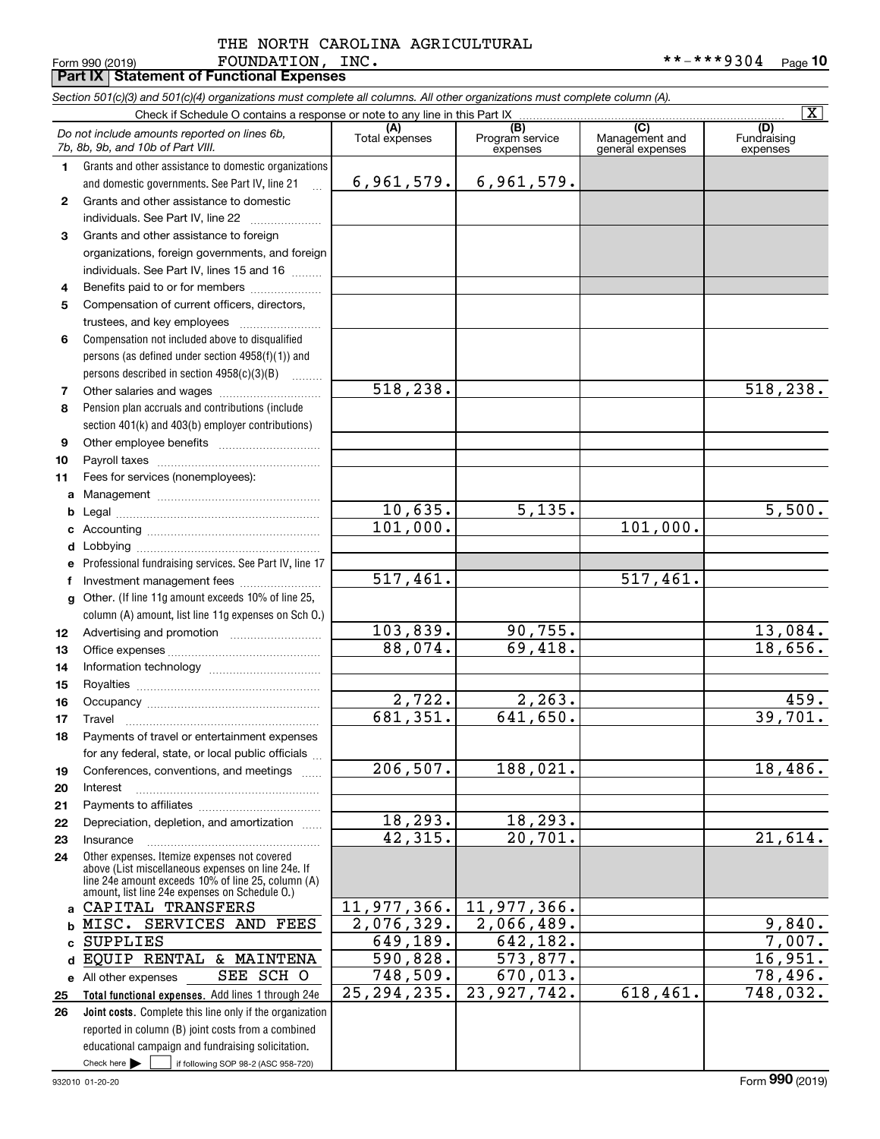#### Form 990 (2019) Page **Part IX Statement of Functional Expenses** FOUNDATION, INC. \*\*-\*\*\*9304 THE NORTH CAROLINA AGRICULTURAL

|              | Section 501(c)(3) and 501(c)(4) organizations must complete all columns. All other organizations must complete column (A).<br>Check if Schedule O contains a response or note to any line in this Part IX |                           |                                  |                                    | $\overline{\mathbf{X}}$        |
|--------------|-----------------------------------------------------------------------------------------------------------------------------------------------------------------------------------------------------------|---------------------------|----------------------------------|------------------------------------|--------------------------------|
|              |                                                                                                                                                                                                           | (A)                       | (B)                              | (C)                                |                                |
|              | Do not include amounts reported on lines 6b,<br>7b, 8b, 9b, and 10b of Part VIII.                                                                                                                         | Total expenses            | Program service<br>expenses      | Management and<br>general expenses | (D)<br>Fundraising<br>expenses |
| 1.           | Grants and other assistance to domestic organizations                                                                                                                                                     |                           |                                  |                                    |                                |
|              | and domestic governments. See Part IV, line 21<br>$\mathbf{r}$                                                                                                                                            | 6,961,579.                | 6,961,579.                       |                                    |                                |
| $\mathbf{2}$ | Grants and other assistance to domestic<br>individuals. See Part IV, line 22                                                                                                                              |                           |                                  |                                    |                                |
| 3            | Grants and other assistance to foreign                                                                                                                                                                    |                           |                                  |                                    |                                |
|              | organizations, foreign governments, and foreign                                                                                                                                                           |                           |                                  |                                    |                                |
|              | individuals. See Part IV, lines 15 and 16                                                                                                                                                                 |                           |                                  |                                    |                                |
| 4            | Benefits paid to or for members                                                                                                                                                                           |                           |                                  |                                    |                                |
| 5            | Compensation of current officers, directors,                                                                                                                                                              |                           |                                  |                                    |                                |
|              | trustees, and key employees                                                                                                                                                                               |                           |                                  |                                    |                                |
| 6            | Compensation not included above to disqualified                                                                                                                                                           |                           |                                  |                                    |                                |
|              | persons (as defined under section 4958(f)(1)) and                                                                                                                                                         |                           |                                  |                                    |                                |
|              | persons described in section 4958(c)(3)(B)                                                                                                                                                                |                           |                                  |                                    |                                |
| 7            |                                                                                                                                                                                                           | 518, 238.                 |                                  |                                    | $\overline{518}$ , 238.        |
| 8            | Pension plan accruals and contributions (include                                                                                                                                                          |                           |                                  |                                    |                                |
|              | section 401(k) and 403(b) employer contributions)                                                                                                                                                         |                           |                                  |                                    |                                |
| 9            |                                                                                                                                                                                                           |                           |                                  |                                    |                                |
| 10           |                                                                                                                                                                                                           |                           |                                  |                                    |                                |
| 11           | Fees for services (nonemployees):                                                                                                                                                                         |                           |                                  |                                    |                                |
| а            |                                                                                                                                                                                                           |                           |                                  |                                    |                                |
| b            |                                                                                                                                                                                                           | 10,635.                   | 5,135.                           |                                    | 5,500.                         |
| c            |                                                                                                                                                                                                           | 101,000.                  |                                  | $\overline{101}$ , 000.            |                                |
| d            |                                                                                                                                                                                                           |                           |                                  |                                    |                                |
| е            | Professional fundraising services. See Part IV, line 17                                                                                                                                                   |                           |                                  |                                    |                                |
| f            | Investment management fees                                                                                                                                                                                | $\overline{517}$ , 461.   |                                  | 517,461.                           |                                |
| g            | Other. (If line 11g amount exceeds 10% of line 25,                                                                                                                                                        |                           |                                  |                                    |                                |
|              | column (A) amount, list line 11g expenses on Sch O.)                                                                                                                                                      |                           |                                  |                                    |                                |
| 12           |                                                                                                                                                                                                           | 103,839.                  | 90,755.                          |                                    | $\frac{13,084}{18,656}$        |
| 13           |                                                                                                                                                                                                           | 88,074.                   | 69,418.                          |                                    |                                |
| 14           |                                                                                                                                                                                                           |                           |                                  |                                    |                                |
| 15           |                                                                                                                                                                                                           |                           |                                  |                                    | 459.                           |
| 16           |                                                                                                                                                                                                           | 2,722.<br>681,351.        | 2, 263.<br>$\overline{641,}650.$ |                                    | 39,701.                        |
| 17           |                                                                                                                                                                                                           |                           |                                  |                                    |                                |
| 18           | Payments of travel or entertainment expenses                                                                                                                                                              |                           |                                  |                                    |                                |
|              | for any federal, state, or local public officials                                                                                                                                                         | 206, 507.                 | 188,021.                         |                                    | 18,486.                        |
| 19<br>20     | Conferences, conventions, and meetings<br>Interest                                                                                                                                                        |                           |                                  |                                    |                                |
| 21           |                                                                                                                                                                                                           |                           |                                  |                                    |                                |
| 22           | Depreciation, depletion, and amortization                                                                                                                                                                 | 18, 293.                  | 18,293.                          |                                    |                                |
| 23           | Insurance                                                                                                                                                                                                 | 42,315.                   | 20,701.                          |                                    | 21,614.                        |
| 24           | Other expenses. Itemize expenses not covered                                                                                                                                                              |                           |                                  |                                    |                                |
|              | above (List miscellaneous expenses on line 24e. If<br>line 24e amount exceeds 10% of line 25, column (A)                                                                                                  |                           |                                  |                                    |                                |
|              | amount, list line 24e expenses on Schedule 0.)                                                                                                                                                            |                           |                                  |                                    |                                |
| a            | CAPITAL TRANSFERS                                                                                                                                                                                         | 11,977,366.               | $\overline{11}$ , 977, 366.      |                                    |                                |
| b            | MISC. SERVICES AND FEES                                                                                                                                                                                   | 2,076,329.                | 2,066,489.                       |                                    | 9,840.                         |
| C            | <b>SUPPLIES</b>                                                                                                                                                                                           | 649,189.                  | 642,182.                         |                                    | 7,007.                         |
| d            | EQUIP RENTAL & MAINTENA                                                                                                                                                                                   | 590,828.                  | 573,877.                         |                                    | 16,951.                        |
|              | SEE SCH O<br>e All other expenses                                                                                                                                                                         | 748,509.<br>25, 294, 235. | 670,013.<br>23,927,742.          | 618,461.                           | 78,496.                        |
| 25           | Total functional expenses. Add lines 1 through 24e                                                                                                                                                        |                           |                                  |                                    | 748,032.                       |
| 26           | Joint costs. Complete this line only if the organization<br>reported in column (B) joint costs from a combined                                                                                            |                           |                                  |                                    |                                |
|              | educational campaign and fundraising solicitation.                                                                                                                                                        |                           |                                  |                                    |                                |
|              | Check here $\blacktriangleright$<br>if following SOP 98-2 (ASC 958-720)                                                                                                                                   |                           |                                  |                                    |                                |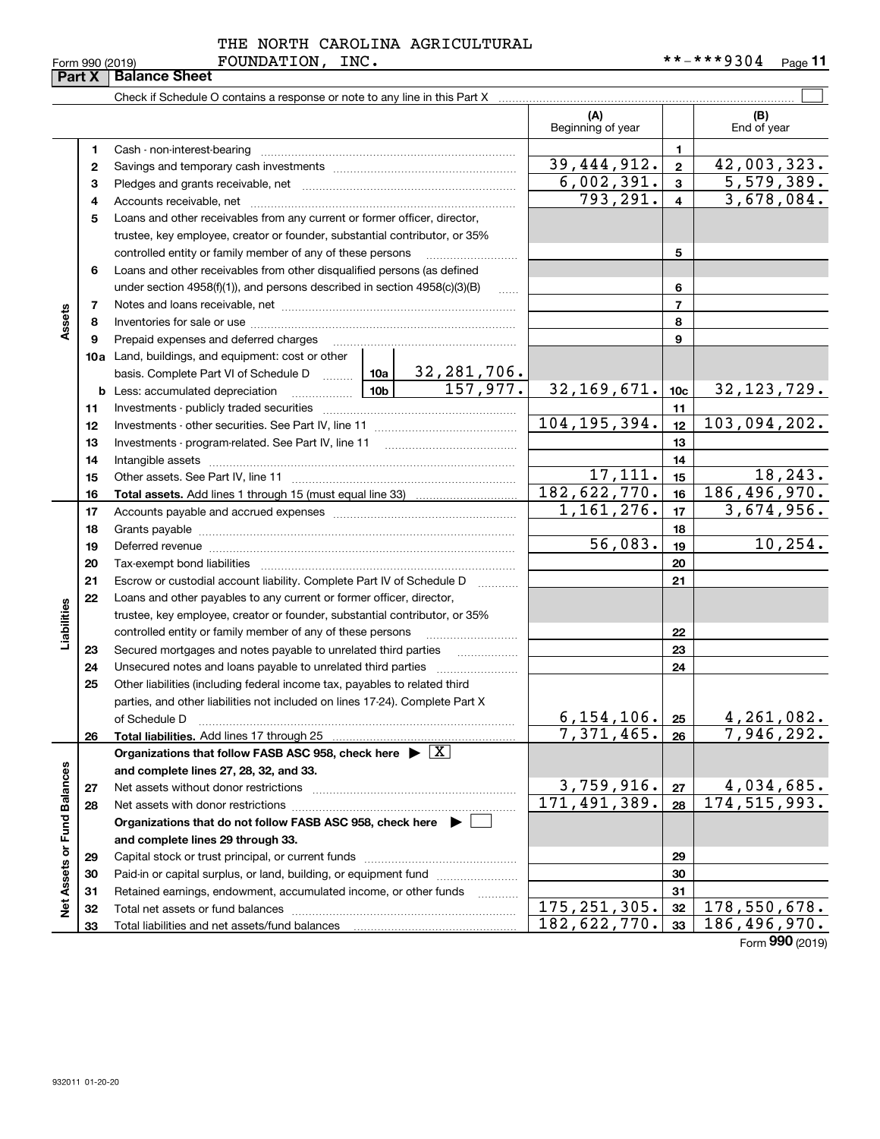| Form 990 (2019)             |  |  |
|-----------------------------|--|--|
| <b>Part X Balance Sheet</b> |  |  |

#### FOUNDATION, INC. THE NORTH CAROLINA AGRICULTURAL

#### $\mathcal{L}^{\text{max}}$ Check if Schedule O contains a response or note to any line in this Part X **(A) (B)** Beginning of year | | End of year **11**Cash - non-interest-bearing ~~~~~~~~~~~~~~~~~~~~~~~~~  $39,444,912. | z | 42,003,323.$ **22**Savings and temporary cash investments ~~~~~~~~~~~~~~~~~~ 6,002,391. 5,579,389. **33**Pledges and grants receivable, net ~~~~~~~~~~~~~~~~~~~~~ $793, 291. | 4 | 3, 678, 084.$ Accounts receivable, net ~~~~~~~~~~~~~~~~~~~~~~~~~~ **445**Loans and other receivables from any current or former officer, director, trustee, key employee, creator or founder, substantial contributor, or 35% controlled entity or family member of any of these persons ~~~~~~~~~ **56**Loans and other receivables from other disqualified persons (as defined under section  $4958(f)(1)$ , and persons described in section  $4958(c)(3)(B)$ **677**Notes and loans receivable, net ~~~~~~~~~~~~~~~~~~~~~~~ **Assets 88**Inventories for sale or use ~~~~~~~~~~~~~~~~~~~~~~~~~~Prepaid expenses and deferred charges **9910a**Land, buildings, and equipment: cost or other 32,281,706. basis. Complete Part VI of Schedule D ......... Letting **10c**157,977. 32,169,671. 32,123,729. **b** Less: accumulated depreciation  $\ldots$  **10b 1111**Investments - publicly traded securities ~~~~~~~~~~~~~~~~~~~ 104,195,394. 103,094,202.**1212**Investments - other securities. See Part IV, line 11 ~~~~~~~~~~~~~~ **1313**Investments - program-related. See Part IV, line 11 ~~~~~~~~~~~~~**1414**Intangible assets ~~~~~~~~~~~~~~~~~~~~~~~~~~~~~~ Other assets. See Part IV, line 11 ~~~~~~~~~~~~~~~~~~~~~~  $17,111.$   $15$  18,243. **1515**182,622,770. 186,496,970. **1616Total assets.**  Add lines 1 through 15 (must equal line 33)  $1,161,276.$   $|17|$  3,674,956. **1717**Accounts payable and accrued expenses ~~~~~~~~~~~~~~~~~~ **1818**Grants payable ~~~~~~~~~~~~~~~~~~~~~~~~~~~~~~~  $56,083.$  19 10,254. **1919**Deferred revenue ~~~~~~~~~~~~~~~~~~~~~~~~~~~~~~ **2020**Tax-exempt bond liabilities …………………………………………………………… Escrow or custodial account liability. Complete Part IV of Schedule D **212122**Loans and other payables to any current or former officer, director, **Liabilities** iabilities trustee, key employee, creator or founder, substantial contributor, or 35% controlled entity or family member of any of these persons ~~~~~~~~~**2223**Secured mortgages and notes payable to unrelated third parties **23**Unsecured notes and loans payable to unrelated third parties ~~~~~~~~ **242425**Other liabilities (including federal income tax, payables to related third parties, and other liabilities not included on lines 17-24). Complete Part X of Schedule D ~~~~~~~~~~~~~~~~~~~~~~~~~~~~~~~  $6,154,106$ .  $|25|$  4, 261, 082. **25**7,371,465. 7,946,292. **2626Total liabilities.**  Add lines 17 through 25 **Organizations that follow FASB ASC 958, check here** | X Assets or Fund Balances **Net Assets or Fund Balances and complete lines 27, 28, 32, and 33.**  $3,759,916. |z_7| 4,034,685.$ **2727**Net assets without donor restrictions ~~~~~~~~~~~~~~~~~~~~ 171,491,389. 174,515,993. **2828**Net assets with donor restrictions ~~~~~~~~~~~~~~~~~~~~~~ **Organizations that do not follow FASB ASC 958, check here** | **and complete lines 29 through 33. 2929**Capital stock or trust principal, or current funds ~~~~~~~~~~~~~~~ **3030**Paid-in or capital surplus, or land, building, or equipment fund www.commun.com **3131**Retained earnings, endowment, accumulated income, or other funds www.com Total net assets or fund balances ~~~~~~~~~~~~~~~~~~~~~~ اقع<br>ح 175,251,305. 178,550,678. **3232**182,622,770. 33 186,496,970. Total liabilities and net assets/fund balances **3333**

Form (2019) **990**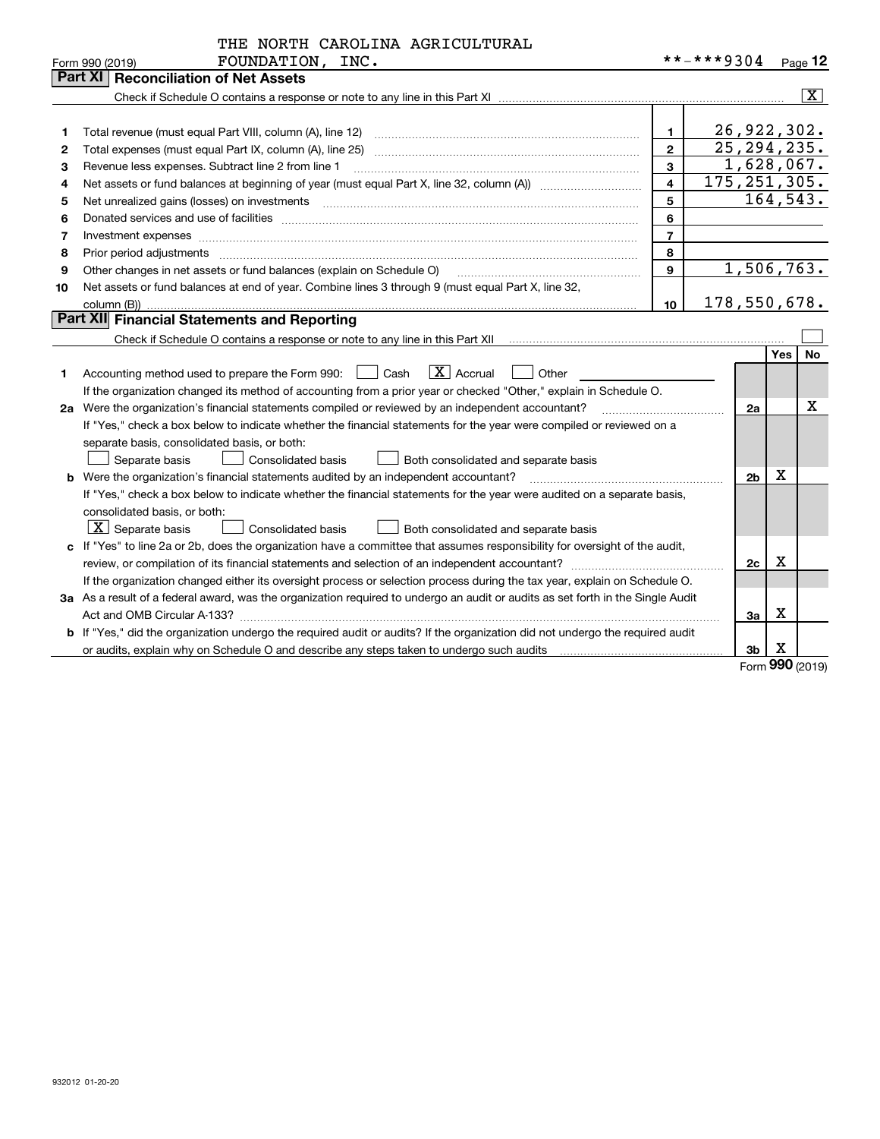|  | THE NORTH CAROLINA AGRICULTURAL |
|--|---------------------------------|
|  |                                 |

|    | <b>Part XI Reconciliation of Net Assets</b>                                                                                     |                |                |                     |              |
|----|---------------------------------------------------------------------------------------------------------------------------------|----------------|----------------|---------------------|--------------|
|    |                                                                                                                                 |                |                |                     | $\mathbf{X}$ |
|    |                                                                                                                                 |                |                |                     |              |
|    | Total revenue (must equal Part VIII, column (A), line 12)                                                                       | $\mathbf{1}$   | 26, 922, 302.  |                     |              |
| 2  |                                                                                                                                 | $\overline{2}$ | 25, 294, 235.  |                     |              |
| З  | Revenue less expenses. Subtract line 2 from line 1                                                                              | $\mathbf{3}$   |                | 1,628,067.          |              |
| 4  |                                                                                                                                 | 4              | 175, 251, 305. |                     |              |
| 5  | Net unrealized gains (losses) on investments with an annumerous contract and a set of the set of the set of the                 | 5              |                | 164, 543.           |              |
| 6  |                                                                                                                                 | 6              |                |                     |              |
| 7  | Investment expenses www.communication.com/www.communication.com/www.communication.com/www.com                                   | $\overline{7}$ |                |                     |              |
| 8  | Prior period adjustments www.communication.communication.com/news/communication.com/news/communication.com/news/                | 8              |                |                     |              |
| 9  | Other changes in net assets or fund balances (explain on Schedule O)                                                            | 9              |                | 1,506,763.          |              |
| 10 | Net assets or fund balances at end of year. Combine lines 3 through 9 (must equal Part X, line 32,                              |                |                |                     |              |
|    | column (B))                                                                                                                     | 10             | 178,550,678.   |                     |              |
|    | Part XII Financial Statements and Reporting                                                                                     |                |                |                     |              |
|    |                                                                                                                                 |                |                |                     |              |
|    |                                                                                                                                 |                |                | Yes                 | No           |
| 1  | $\boxed{\mathbf{X}}$ Accrual<br>Accounting method used to prepare the Form 990: <u>[16</u> ] Cash<br>Other                      |                |                |                     |              |
|    | If the organization changed its method of accounting from a prior year or checked "Other," explain in Schedule O.               |                |                |                     |              |
| 2a | Were the organization's financial statements compiled or reviewed by an independent accountant?                                 |                |                | 2a                  | X            |
|    | If "Yes," check a box below to indicate whether the financial statements for the year were compiled or reviewed on a            |                |                |                     |              |
|    | separate basis, consolidated basis, or both:                                                                                    |                |                |                     |              |
|    | Separate basis<br><b>Consolidated basis</b><br>Both consolidated and separate basis                                             |                |                |                     |              |
|    | <b>b</b> Were the organization's financial statements audited by an independent accountant?                                     |                |                | х<br>2 <sub>b</sub> |              |
|    | If "Yes," check a box below to indicate whether the financial statements for the year were audited on a separate basis,         |                |                |                     |              |
|    | consolidated basis, or both:                                                                                                    |                |                |                     |              |
|    | $\boxed{\textbf{X}}$ Separate basis<br>Consolidated basis<br>Both consolidated and separate basis                               |                |                |                     |              |
|    | c If "Yes" to line 2a or 2b, does the organization have a committee that assumes responsibility for oversight of the audit,     |                |                |                     |              |
|    |                                                                                                                                 |                |                | х<br>2c             |              |
|    | If the organization changed either its oversight process or selection process during the tax year, explain on Schedule O.       |                |                |                     |              |
|    | 3a As a result of a federal award, was the organization required to undergo an audit or audits as set forth in the Single Audit |                |                |                     |              |
|    | Act and OMB Circular A-133?                                                                                                     |                |                | Х<br>3a             |              |
|    | b If "Yes," did the organization undergo the required audit or audits? If the organization did not undergo the required audit   |                |                |                     |              |
|    |                                                                                                                                 |                | 3 <sub>b</sub> | X                   |              |

Form (2019) **990**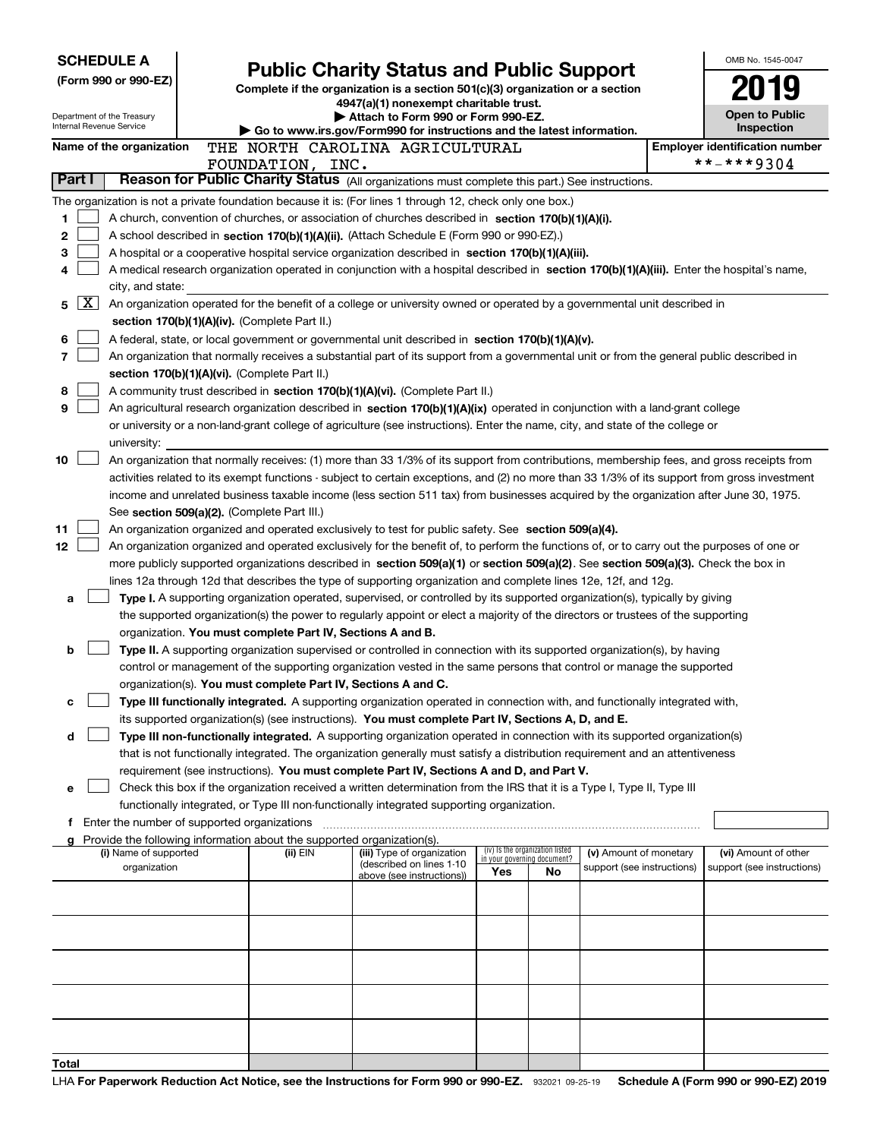| <b>SCHEDULE A</b>    |              |                                               | <b>Public Charity Status and Public Support</b>                                    |                                                                                                                                                                                                                                                                |                                    |    |                            | OMB No. 1545-0047 |                                       |  |
|----------------------|--------------|-----------------------------------------------|------------------------------------------------------------------------------------|----------------------------------------------------------------------------------------------------------------------------------------------------------------------------------------------------------------------------------------------------------------|------------------------------------|----|----------------------------|-------------------|---------------------------------------|--|
| (Form 990 or 990-EZ) |              |                                               | Complete if the organization is a section 501(c)(3) organization or a section      |                                                                                                                                                                                                                                                                |                                    |    |                            |                   |                                       |  |
|                      |              |                                               |                                                                                    | 4947(a)(1) nonexempt charitable trust.                                                                                                                                                                                                                         |                                    |    |                            |                   |                                       |  |
|                      |              | Department of the Treasury                    |                                                                                    | Attach to Form 990 or Form 990-EZ.                                                                                                                                                                                                                             |                                    |    |                            |                   | <b>Open to Public</b>                 |  |
|                      |              | Internal Revenue Service                      |                                                                                    | $\blacktriangleright$ Go to www.irs.gov/Form990 for instructions and the latest information.                                                                                                                                                                   |                                    |    |                            |                   | Inspection                            |  |
|                      |              | Name of the organization                      |                                                                                    | THE NORTH CAROLINA AGRICULTURAL                                                                                                                                                                                                                                |                                    |    |                            |                   | <b>Employer identification number</b> |  |
|                      |              |                                               | FOUNDATION, INC.                                                                   |                                                                                                                                                                                                                                                                |                                    |    |                            |                   | **-***9304                            |  |
|                      | Part I       |                                               |                                                                                    | Reason for Public Charity Status (All organizations must complete this part.) See instructions.                                                                                                                                                                |                                    |    |                            |                   |                                       |  |
|                      |              |                                               |                                                                                    | The organization is not a private foundation because it is: (For lines 1 through 12, check only one box.)                                                                                                                                                      |                                    |    |                            |                   |                                       |  |
| 1                    |              |                                               |                                                                                    | A church, convention of churches, or association of churches described in section 170(b)(1)(A)(i).                                                                                                                                                             |                                    |    |                            |                   |                                       |  |
| 2                    |              |                                               |                                                                                    | A school described in section 170(b)(1)(A)(ii). (Attach Schedule E (Form 990 or 990-EZ).)                                                                                                                                                                      |                                    |    |                            |                   |                                       |  |
| 3<br>4               |              |                                               |                                                                                    | A hospital or a cooperative hospital service organization described in section 170(b)(1)(A)(iii).<br>A medical research organization operated in conjunction with a hospital described in section 170(b)(1)(A)(iii). Enter the hospital's name,                |                                    |    |                            |                   |                                       |  |
|                      |              | city, and state:                              |                                                                                    |                                                                                                                                                                                                                                                                |                                    |    |                            |                   |                                       |  |
| 5                    | $\mathbf{X}$ |                                               |                                                                                    | An organization operated for the benefit of a college or university owned or operated by a governmental unit described in                                                                                                                                      |                                    |    |                            |                   |                                       |  |
|                      |              |                                               | section 170(b)(1)(A)(iv). (Complete Part II.)                                      |                                                                                                                                                                                                                                                                |                                    |    |                            |                   |                                       |  |
| 6                    |              |                                               |                                                                                    | A federal, state, or local government or governmental unit described in section 170(b)(1)(A)(v).                                                                                                                                                               |                                    |    |                            |                   |                                       |  |
| 7                    |              |                                               |                                                                                    | An organization that normally receives a substantial part of its support from a governmental unit or from the general public described in                                                                                                                      |                                    |    |                            |                   |                                       |  |
|                      |              |                                               | section 170(b)(1)(A)(vi). (Complete Part II.)                                      |                                                                                                                                                                                                                                                                |                                    |    |                            |                   |                                       |  |
| 8                    |              |                                               |                                                                                    | A community trust described in section 170(b)(1)(A)(vi). (Complete Part II.)                                                                                                                                                                                   |                                    |    |                            |                   |                                       |  |
| 9                    |              |                                               |                                                                                    | An agricultural research organization described in section 170(b)(1)(A)(ix) operated in conjunction with a land-grant college                                                                                                                                  |                                    |    |                            |                   |                                       |  |
|                      |              |                                               |                                                                                    | or university or a non-land-grant college of agriculture (see instructions). Enter the name, city, and state of the college or                                                                                                                                 |                                    |    |                            |                   |                                       |  |
|                      |              | university:                                   |                                                                                    |                                                                                                                                                                                                                                                                |                                    |    |                            |                   |                                       |  |
| 10                   |              |                                               |                                                                                    | An organization that normally receives: (1) more than 33 1/3% of its support from contributions, membership fees, and gross receipts from                                                                                                                      |                                    |    |                            |                   |                                       |  |
|                      |              |                                               |                                                                                    | activities related to its exempt functions - subject to certain exceptions, and (2) no more than 33 1/3% of its support from gross investment                                                                                                                  |                                    |    |                            |                   |                                       |  |
|                      |              |                                               |                                                                                    | income and unrelated business taxable income (less section 511 tax) from businesses acquired by the organization after June 30, 1975.                                                                                                                          |                                    |    |                            |                   |                                       |  |
|                      |              |                                               | See section 509(a)(2). (Complete Part III.)                                        |                                                                                                                                                                                                                                                                |                                    |    |                            |                   |                                       |  |
| 11                   |              |                                               |                                                                                    | An organization organized and operated exclusively to test for public safety. See section 509(a)(4).                                                                                                                                                           |                                    |    |                            |                   |                                       |  |
| 12                   |              |                                               |                                                                                    | An organization organized and operated exclusively for the benefit of, to perform the functions of, or to carry out the purposes of one or                                                                                                                     |                                    |    |                            |                   |                                       |  |
|                      |              |                                               |                                                                                    | more publicly supported organizations described in section 509(a)(1) or section 509(a)(2). See section 509(a)(3). Check the box in                                                                                                                             |                                    |    |                            |                   |                                       |  |
| a                    |              |                                               |                                                                                    | lines 12a through 12d that describes the type of supporting organization and complete lines 12e, 12f, and 12g.                                                                                                                                                 |                                    |    |                            |                   |                                       |  |
|                      |              |                                               |                                                                                    | Type I. A supporting organization operated, supervised, or controlled by its supported organization(s), typically by giving<br>the supported organization(s) the power to regularly appoint or elect a majority of the directors or trustees of the supporting |                                    |    |                            |                   |                                       |  |
|                      |              |                                               | organization. You must complete Part IV, Sections A and B.                         |                                                                                                                                                                                                                                                                |                                    |    |                            |                   |                                       |  |
| b                    |              |                                               |                                                                                    | Type II. A supporting organization supervised or controlled in connection with its supported organization(s), by having                                                                                                                                        |                                    |    |                            |                   |                                       |  |
|                      |              |                                               |                                                                                    | control or management of the supporting organization vested in the same persons that control or manage the supported                                                                                                                                           |                                    |    |                            |                   |                                       |  |
|                      |              |                                               | organization(s). You must complete Part IV, Sections A and C.                      |                                                                                                                                                                                                                                                                |                                    |    |                            |                   |                                       |  |
| с                    |              |                                               |                                                                                    | Type III functionally integrated. A supporting organization operated in connection with, and functionally integrated with,                                                                                                                                     |                                    |    |                            |                   |                                       |  |
|                      |              |                                               |                                                                                    | its supported organization(s) (see instructions). You must complete Part IV, Sections A, D, and E.                                                                                                                                                             |                                    |    |                            |                   |                                       |  |
| d                    |              |                                               |                                                                                    | Type III non-functionally integrated. A supporting organization operated in connection with its supported organization(s)                                                                                                                                      |                                    |    |                            |                   |                                       |  |
|                      |              |                                               |                                                                                    | that is not functionally integrated. The organization generally must satisfy a distribution requirement and an attentiveness                                                                                                                                   |                                    |    |                            |                   |                                       |  |
|                      |              |                                               |                                                                                    | requirement (see instructions). You must complete Part IV, Sections A and D, and Part V.                                                                                                                                                                       |                                    |    |                            |                   |                                       |  |
| е                    |              |                                               |                                                                                    | Check this box if the organization received a written determination from the IRS that it is a Type I, Type II, Type III                                                                                                                                        |                                    |    |                            |                   |                                       |  |
|                      |              |                                               |                                                                                    | functionally integrated, or Type III non-functionally integrated supporting organization.                                                                                                                                                                      |                                    |    |                            |                   |                                       |  |
|                      |              | f Enter the number of supported organizations |                                                                                    |                                                                                                                                                                                                                                                                |                                    |    |                            |                   |                                       |  |
|                      |              | (i) Name of supported                         | Provide the following information about the supported organization(s).<br>(ii) EIN | (iii) Type of organization                                                                                                                                                                                                                                     | (iv) Is the organization listed    |    | (v) Amount of monetary     |                   | (vi) Amount of other                  |  |
|                      |              | organization                                  |                                                                                    | (described on lines 1-10                                                                                                                                                                                                                                       | in your governing document?<br>Yes | No | support (see instructions) |                   | support (see instructions)            |  |
|                      |              |                                               |                                                                                    | above (see instructions))                                                                                                                                                                                                                                      |                                    |    |                            |                   |                                       |  |
|                      |              |                                               |                                                                                    |                                                                                                                                                                                                                                                                |                                    |    |                            |                   |                                       |  |
|                      |              |                                               |                                                                                    |                                                                                                                                                                                                                                                                |                                    |    |                            |                   |                                       |  |
|                      |              |                                               |                                                                                    |                                                                                                                                                                                                                                                                |                                    |    |                            |                   |                                       |  |
|                      |              |                                               |                                                                                    |                                                                                                                                                                                                                                                                |                                    |    |                            |                   |                                       |  |
|                      |              |                                               |                                                                                    |                                                                                                                                                                                                                                                                |                                    |    |                            |                   |                                       |  |
|                      |              |                                               |                                                                                    |                                                                                                                                                                                                                                                                |                                    |    |                            |                   |                                       |  |
|                      |              |                                               |                                                                                    |                                                                                                                                                                                                                                                                |                                    |    |                            |                   |                                       |  |
|                      |              |                                               |                                                                                    |                                                                                                                                                                                                                                                                |                                    |    |                            |                   |                                       |  |
|                      |              |                                               |                                                                                    |                                                                                                                                                                                                                                                                |                                    |    |                            |                   |                                       |  |
| Total                |              |                                               |                                                                                    |                                                                                                                                                                                                                                                                |                                    |    |                            |                   |                                       |  |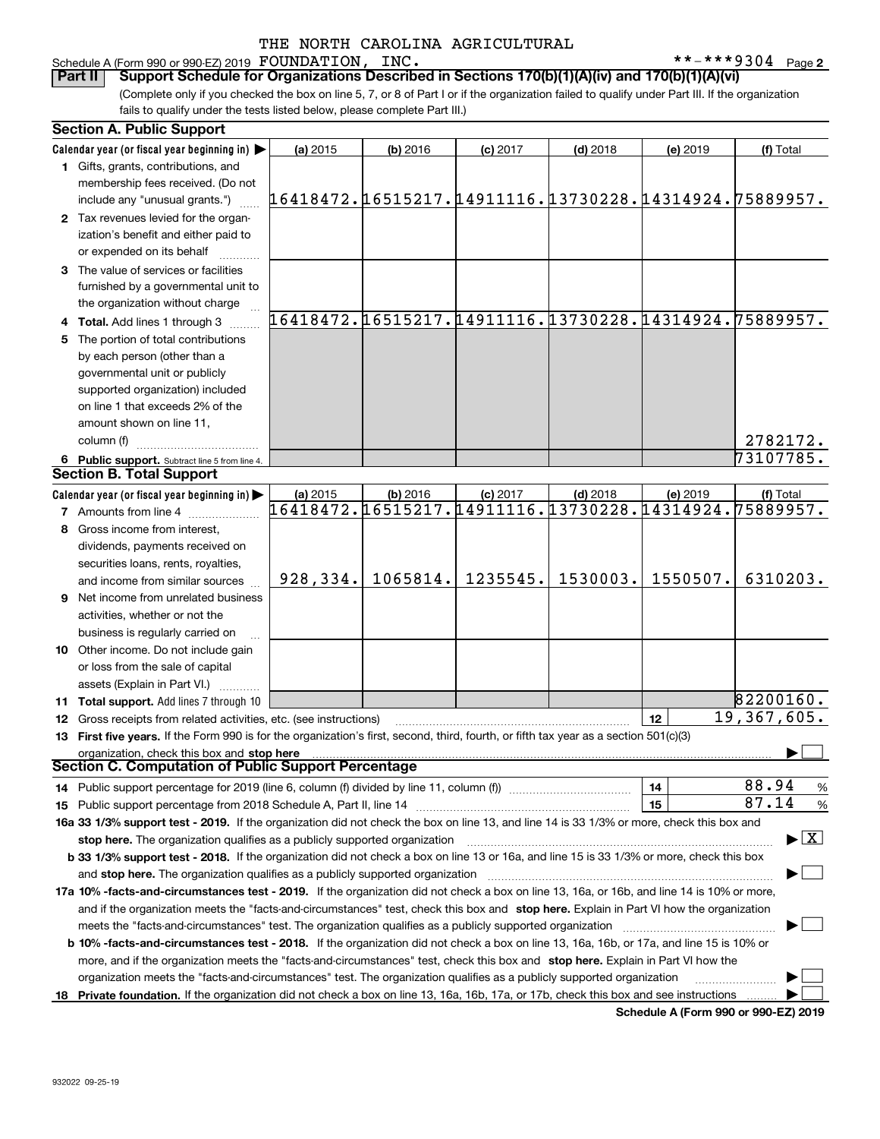#### Schedule A (Form 990 or 990-EZ) 2019 Page FOUNDATION, INC. \*\*-\*\*\*9304

**2**

(Complete only if you checked the box on line 5, 7, or 8 of Part I or if the organization failed to qualify under Part III. If the organization fails to qualify under the tests listed below, please complete Part III.) **Part II Support Schedule for Organizations Described in Sections 170(b)(1)(A)(iv) and 170(b)(1)(A)(vi)** 

| <b>Section A. Public Support</b>                                                                                                                                                                                                                                   |                                                        |            |            |            |          |               |
|--------------------------------------------------------------------------------------------------------------------------------------------------------------------------------------------------------------------------------------------------------------------|--------------------------------------------------------|------------|------------|------------|----------|---------------|
| Calendar year (or fiscal year beginning in) $\blacktriangleright$                                                                                                                                                                                                  | (a) 2015                                               | $(b)$ 2016 | $(c)$ 2017 | $(d)$ 2018 | (e) 2019 | (f) Total     |
| 1 Gifts, grants, contributions, and                                                                                                                                                                                                                                |                                                        |            |            |            |          |               |
| membership fees received. (Do not                                                                                                                                                                                                                                  |                                                        |            |            |            |          |               |
| include any "unusual grants.")                                                                                                                                                                                                                                     | 16418472.16515217.14911116.13730228.14314924.75889957. |            |            |            |          |               |
| 2 Tax revenues levied for the organ-                                                                                                                                                                                                                               |                                                        |            |            |            |          |               |
| ization's benefit and either paid to                                                                                                                                                                                                                               |                                                        |            |            |            |          |               |
| or expended on its behalf                                                                                                                                                                                                                                          |                                                        |            |            |            |          |               |
| 3 The value of services or facilities                                                                                                                                                                                                                              |                                                        |            |            |            |          |               |
| furnished by a governmental unit to                                                                                                                                                                                                                                |                                                        |            |            |            |          |               |
| the organization without charge                                                                                                                                                                                                                                    |                                                        |            |            |            |          |               |
| 4 Total. Add lines 1 through 3                                                                                                                                                                                                                                     | 16418472.16515217.14911116.13730228.14314924.75889957. |            |            |            |          |               |
| 5 The portion of total contributions                                                                                                                                                                                                                               |                                                        |            |            |            |          |               |
| by each person (other than a                                                                                                                                                                                                                                       |                                                        |            |            |            |          |               |
| governmental unit or publicly                                                                                                                                                                                                                                      |                                                        |            |            |            |          |               |
| supported organization) included                                                                                                                                                                                                                                   |                                                        |            |            |            |          |               |
| on line 1 that exceeds 2% of the                                                                                                                                                                                                                                   |                                                        |            |            |            |          |               |
| amount shown on line 11,                                                                                                                                                                                                                                           |                                                        |            |            |            |          |               |
| column (f)                                                                                                                                                                                                                                                         |                                                        |            |            |            |          | 2782172.      |
| 6 Public support. Subtract line 5 from line 4.                                                                                                                                                                                                                     |                                                        |            |            |            |          | 73107785.     |
| <b>Section B. Total Support</b>                                                                                                                                                                                                                                    |                                                        |            |            |            |          |               |
| Calendar year (or fiscal year beginning in)                                                                                                                                                                                                                        | (a) 2015                                               | (b) 2016   | $(c)$ 2017 | $(d)$ 2018 | (e) 2019 | (f) Total     |
| <b>7</b> Amounts from line 4                                                                                                                                                                                                                                       | 16418472.16515217.14911116.13730228.14314924.          |            |            |            |          | 75889957.     |
| 8 Gross income from interest,                                                                                                                                                                                                                                      |                                                        |            |            |            |          |               |
| dividends, payments received on                                                                                                                                                                                                                                    |                                                        |            |            |            |          |               |
| securities loans, rents, royalties,                                                                                                                                                                                                                                |                                                        |            |            |            |          |               |
| and income from similar sources                                                                                                                                                                                                                                    | 928,334.                                               | 1065814.   | 1235545.   | 1530003.   | 1550507. | 6310203.      |
| 9 Net income from unrelated business                                                                                                                                                                                                                               |                                                        |            |            |            |          |               |
| activities, whether or not the                                                                                                                                                                                                                                     |                                                        |            |            |            |          |               |
|                                                                                                                                                                                                                                                                    |                                                        |            |            |            |          |               |
| business is regularly carried on                                                                                                                                                                                                                                   |                                                        |            |            |            |          |               |
| <b>10</b> Other income. Do not include gain                                                                                                                                                                                                                        |                                                        |            |            |            |          |               |
| or loss from the sale of capital                                                                                                                                                                                                                                   |                                                        |            |            |            |          |               |
| assets (Explain in Part VI.)                                                                                                                                                                                                                                       |                                                        |            |            |            |          | 82200160.     |
| 11 Total support. Add lines 7 through 10                                                                                                                                                                                                                           |                                                        |            |            |            |          | 19,367,605.   |
| <b>12</b> Gross receipts from related activities, etc. (see instructions)                                                                                                                                                                                          |                                                        |            |            |            | 12       |               |
| 13 First five years. If the Form 990 is for the organization's first, second, third, fourth, or fifth tax year as a section 501(c)(3)                                                                                                                              |                                                        |            |            |            |          |               |
| organization, check this box and stop here<br>Section C. Computation of Public Support Percentage                                                                                                                                                                  |                                                        |            |            |            |          |               |
|                                                                                                                                                                                                                                                                    |                                                        |            |            |            |          | 88.94         |
| 14 Public support percentage for 2019 (line 6, column (f) divided by line 11, column (f) <i>mummention</i>                                                                                                                                                         |                                                        |            |            |            | 14       | $\%$<br>87.14 |
|                                                                                                                                                                                                                                                                    |                                                        |            |            |            | 15       | %             |
| 16a 33 1/3% support test - 2019. If the organization did not check the box on line 13, and line 14 is 33 1/3% or more, check this box and                                                                                                                          |                                                        |            |            |            |          |               |
| $\blacktriangleright$ $\boxed{\text{X}}$<br>stop here. The organization qualifies as a publicly supported organization<br>b 33 1/3% support test - 2018. If the organization did not check a box on line 13 or 16a, and line 15 is 33 1/3% or more, check this box |                                                        |            |            |            |          |               |
|                                                                                                                                                                                                                                                                    |                                                        |            |            |            |          |               |
| and stop here. The organization qualifies as a publicly supported organization                                                                                                                                                                                     |                                                        |            |            |            |          |               |
| 17a 10% -facts-and-circumstances test - 2019. If the organization did not check a box on line 13, 16a, or 16b, and line 14 is 10% or more,                                                                                                                         |                                                        |            |            |            |          |               |
| and if the organization meets the "facts-and-circumstances" test, check this box and stop here. Explain in Part VI how the organization                                                                                                                            |                                                        |            |            |            |          |               |
| meets the "facts-and-circumstances" test. The organization qualifies as a publicly supported organization                                                                                                                                                          |                                                        |            |            |            |          |               |
| <b>b 10% -facts-and-circumstances test - 2018.</b> If the organization did not check a box on line 13, 16a, 16b, or 17a, and line 15 is 10% or                                                                                                                     |                                                        |            |            |            |          |               |
| more, and if the organization meets the "facts-and-circumstances" test, check this box and stop here. Explain in Part VI how the                                                                                                                                   |                                                        |            |            |            |          |               |
| organization meets the "facts-and-circumstances" test. The organization qualifies as a publicly supported organization                                                                                                                                             |                                                        |            |            |            |          |               |
| 18 Private foundation. If the organization did not check a box on line 13, 16a, 16b, 17a, or 17b, check this box and see instructions                                                                                                                              |                                                        |            |            |            |          |               |

**Schedule A (Form 990 or 990-EZ) 2019**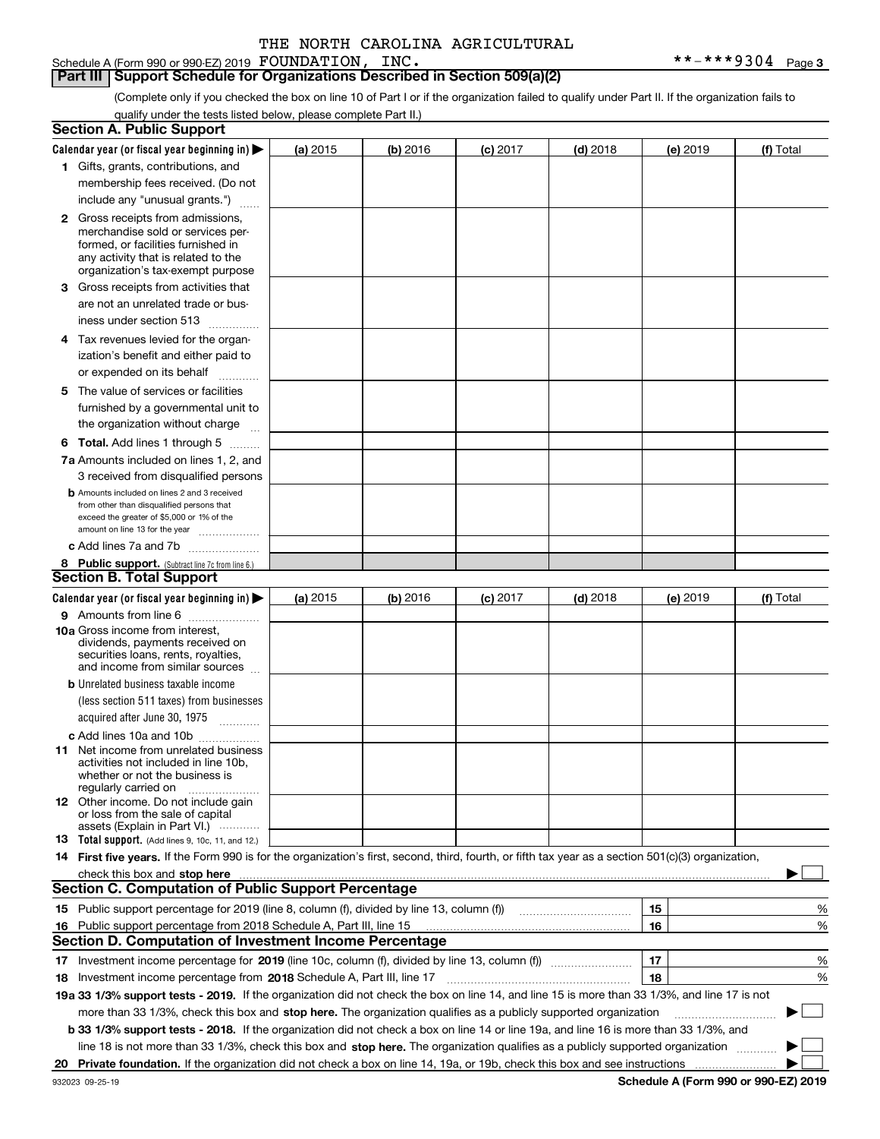Schedule A (Form 990 or 990-EZ) 2019 Page FOUNDATION, INC. \*\*-\*\*\*9304

**Part III Support Schedule for Organizations Described in Section 509(a)(2)** 

(Complete only if you checked the box on line 10 of Part I or if the organization failed to qualify under Part II. If the organization fails to qualify under the tests listed below, please complete Part II.)

|    | <b>Section A. Public Support</b>                                                                                                                                                                                              |          |          |            |            |          |             |
|----|-------------------------------------------------------------------------------------------------------------------------------------------------------------------------------------------------------------------------------|----------|----------|------------|------------|----------|-------------|
|    | Calendar year (or fiscal year beginning in) $\blacktriangleright$                                                                                                                                                             | (a) 2015 | (b) 2016 | $(c)$ 2017 | $(d)$ 2018 | (e) 2019 | (f) Total   |
|    | 1 Gifts, grants, contributions, and                                                                                                                                                                                           |          |          |            |            |          |             |
|    | membership fees received. (Do not                                                                                                                                                                                             |          |          |            |            |          |             |
|    | include any "unusual grants.")                                                                                                                                                                                                |          |          |            |            |          |             |
|    | <b>2</b> Gross receipts from admissions,                                                                                                                                                                                      |          |          |            |            |          |             |
|    | merchandise sold or services per-                                                                                                                                                                                             |          |          |            |            |          |             |
|    | formed, or facilities furnished in                                                                                                                                                                                            |          |          |            |            |          |             |
|    | any activity that is related to the<br>organization's tax-exempt purpose                                                                                                                                                      |          |          |            |            |          |             |
|    | 3 Gross receipts from activities that                                                                                                                                                                                         |          |          |            |            |          |             |
|    | are not an unrelated trade or bus-                                                                                                                                                                                            |          |          |            |            |          |             |
|    | iness under section 513                                                                                                                                                                                                       |          |          |            |            |          |             |
|    | 4 Tax revenues levied for the organ-                                                                                                                                                                                          |          |          |            |            |          |             |
|    | ization's benefit and either paid to                                                                                                                                                                                          |          |          |            |            |          |             |
|    | or expended on its behalf                                                                                                                                                                                                     |          |          |            |            |          |             |
|    | .<br>5 The value of services or facilities                                                                                                                                                                                    |          |          |            |            |          |             |
|    | furnished by a governmental unit to                                                                                                                                                                                           |          |          |            |            |          |             |
|    | the organization without charge                                                                                                                                                                                               |          |          |            |            |          |             |
|    |                                                                                                                                                                                                                               |          |          |            |            |          |             |
|    | <b>6 Total.</b> Add lines 1 through 5                                                                                                                                                                                         |          |          |            |            |          |             |
|    | 7a Amounts included on lines 1, 2, and                                                                                                                                                                                        |          |          |            |            |          |             |
|    | 3 received from disqualified persons<br><b>b</b> Amounts included on lines 2 and 3 received                                                                                                                                   |          |          |            |            |          |             |
|    | from other than disqualified persons that                                                                                                                                                                                     |          |          |            |            |          |             |
|    | exceed the greater of \$5,000 or 1% of the                                                                                                                                                                                    |          |          |            |            |          |             |
|    | amount on line 13 for the year                                                                                                                                                                                                |          |          |            |            |          |             |
|    | c Add lines 7a and 7b                                                                                                                                                                                                         |          |          |            |            |          |             |
|    | 8 Public support. (Subtract line 7c from line 6.)<br><b>Section B. Total Support</b>                                                                                                                                          |          |          |            |            |          |             |
|    |                                                                                                                                                                                                                               |          |          |            |            |          |             |
|    | Calendar year (or fiscal year beginning in)                                                                                                                                                                                   | (a) 2015 | (b) 2016 | $(c)$ 2017 | $(d)$ 2018 | (e) 2019 | (f) Total   |
|    | 9 Amounts from line 6                                                                                                                                                                                                         |          |          |            |            |          |             |
|    | <b>10a</b> Gross income from interest,<br>dividends, payments received on                                                                                                                                                     |          |          |            |            |          |             |
|    | securities loans, rents, royalties,                                                                                                                                                                                           |          |          |            |            |          |             |
|    | and income from similar sources                                                                                                                                                                                               |          |          |            |            |          |             |
|    | <b>b</b> Unrelated business taxable income                                                                                                                                                                                    |          |          |            |            |          |             |
|    | (less section 511 taxes) from businesses                                                                                                                                                                                      |          |          |            |            |          |             |
|    | acquired after June 30, 1975 [10001]                                                                                                                                                                                          |          |          |            |            |          |             |
|    | c Add lines 10a and 10b                                                                                                                                                                                                       |          |          |            |            |          |             |
|    | 11 Net income from unrelated business                                                                                                                                                                                         |          |          |            |            |          |             |
|    | activities not included in line 10b,<br>whether or not the business is                                                                                                                                                        |          |          |            |            |          |             |
|    | regularly carried on                                                                                                                                                                                                          |          |          |            |            |          |             |
|    | <b>12</b> Other income. Do not include gain                                                                                                                                                                                   |          |          |            |            |          |             |
|    | or loss from the sale of capital<br>assets (Explain in Part VI.)                                                                                                                                                              |          |          |            |            |          |             |
|    | <b>13</b> Total support. (Add lines 9, 10c, 11, and 12.)                                                                                                                                                                      |          |          |            |            |          |             |
|    | 14 First five years. If the Form 990 is for the organization's first, second, third, fourth, or fifth tax year as a section 501(c)(3) organization,                                                                           |          |          |            |            |          |             |
|    | check this box and stop here with the continuum control to the change of the state of the state of the change of the change of the change of the change of the change of the change of the change of the change of the change |          |          |            |            |          |             |
|    | <b>Section C. Computation of Public Support Percentage</b>                                                                                                                                                                    |          |          |            |            |          |             |
|    | 15 Public support percentage for 2019 (line 8, column (f), divided by line 13, column (f))                                                                                                                                    |          |          |            |            | 15       | %           |
|    | 16 Public support percentage from 2018 Schedule A, Part III, line 15                                                                                                                                                          |          |          |            |            | 16       | %           |
|    | Section D. Computation of Investment Income Percentage                                                                                                                                                                        |          |          |            |            |          |             |
|    | 17 Investment income percentage for 2019 (line 10c, column (f), divided by line 13, column (f))                                                                                                                               |          |          |            |            | 17       | %           |
|    | <b>18</b> Investment income percentage from <b>2018</b> Schedule A, Part III, line 17                                                                                                                                         |          |          |            |            | 18       | %           |
|    | 19a 33 1/3% support tests - 2019. If the organization did not check the box on line 14, and line 15 is more than 33 1/3%, and line 17 is not                                                                                  |          |          |            |            |          |             |
|    | more than 33 1/3%, check this box and stop here. The organization qualifies as a publicly supported organization                                                                                                              |          |          |            |            |          | $\sim$<br>▶ |
|    | b 33 1/3% support tests - 2018. If the organization did not check a box on line 14 or line 19a, and line 16 is more than 33 1/3%, and                                                                                         |          |          |            |            |          |             |
|    | line 18 is not more than 33 1/3%, check this box and stop here. The organization qualifies as a publicly supported organization                                                                                               |          |          |            |            |          |             |
| 20 |                                                                                                                                                                                                                               |          |          |            |            |          |             |
|    |                                                                                                                                                                                                                               |          |          |            |            |          |             |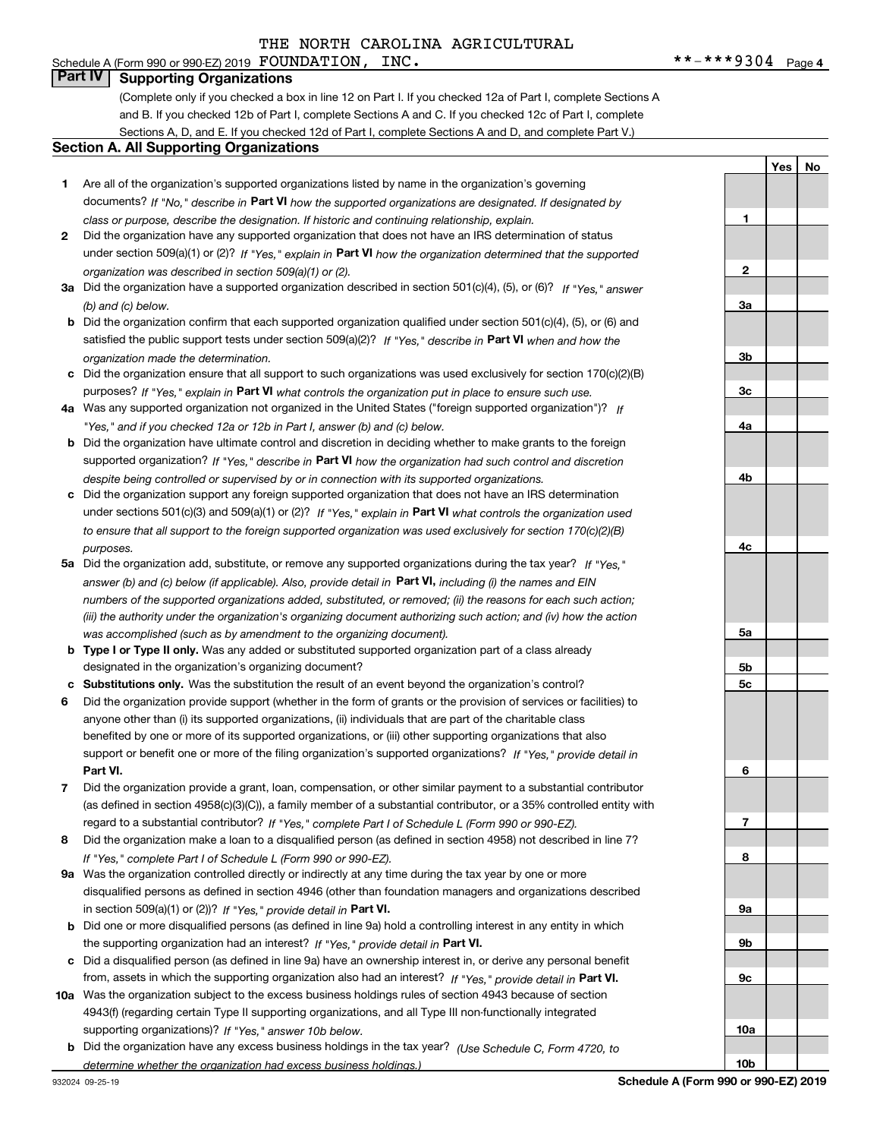#### Schedule A (Form 990 or 990-EZ) 2019 Page FOUNDATION, INC. \*\*-\*\*\*9304 **Part IV Supporting Organizations**

(Complete only if you checked a box in line 12 on Part I. If you checked 12a of Part I, complete Sections A and B. If you checked 12b of Part I, complete Sections A and C. If you checked 12c of Part I, complete Sections A, D, and E. If you checked 12d of Part I, complete Sections A and D, and complete Part V.)

#### **Section A. All Supporting Organizations**

- **1** Are all of the organization's supported organizations listed by name in the organization's governing documents? If "No," describe in **Part VI** how the supported organizations are designated. If designated by *class or purpose, describe the designation. If historic and continuing relationship, explain.*
- **2** Did the organization have any supported organization that does not have an IRS determination of status under section 509(a)(1) or (2)? If "Yes," explain in Part VI how the organization determined that the supported *organization was described in section 509(a)(1) or (2).*
- **3a** Did the organization have a supported organization described in section 501(c)(4), (5), or (6)? If "Yes," answer *(b) and (c) below.*
- **b** Did the organization confirm that each supported organization qualified under section 501(c)(4), (5), or (6) and satisfied the public support tests under section 509(a)(2)? If "Yes," describe in **Part VI** when and how the *organization made the determination.*
- **c**Did the organization ensure that all support to such organizations was used exclusively for section 170(c)(2)(B) purposes? If "Yes," explain in **Part VI** what controls the organization put in place to ensure such use.
- **4a***If* Was any supported organization not organized in the United States ("foreign supported organization")? *"Yes," and if you checked 12a or 12b in Part I, answer (b) and (c) below.*
- **b** Did the organization have ultimate control and discretion in deciding whether to make grants to the foreign supported organization? If "Yes," describe in **Part VI** how the organization had such control and discretion *despite being controlled or supervised by or in connection with its supported organizations.*
- **c** Did the organization support any foreign supported organization that does not have an IRS determination under sections 501(c)(3) and 509(a)(1) or (2)? If "Yes," explain in **Part VI** what controls the organization used *to ensure that all support to the foreign supported organization was used exclusively for section 170(c)(2)(B) purposes.*
- **5a***If "Yes,"* Did the organization add, substitute, or remove any supported organizations during the tax year? answer (b) and (c) below (if applicable). Also, provide detail in **Part VI,** including (i) the names and EIN *numbers of the supported organizations added, substituted, or removed; (ii) the reasons for each such action; (iii) the authority under the organization's organizing document authorizing such action; and (iv) how the action was accomplished (such as by amendment to the organizing document).*
- **b** Type I or Type II only. Was any added or substituted supported organization part of a class already designated in the organization's organizing document?
- **cSubstitutions only.**  Was the substitution the result of an event beyond the organization's control?
- **6** Did the organization provide support (whether in the form of grants or the provision of services or facilities) to **Part VI.** *If "Yes," provide detail in* support or benefit one or more of the filing organization's supported organizations? anyone other than (i) its supported organizations, (ii) individuals that are part of the charitable class benefited by one or more of its supported organizations, or (iii) other supporting organizations that also
- **7**Did the organization provide a grant, loan, compensation, or other similar payment to a substantial contributor *If "Yes," complete Part I of Schedule L (Form 990 or 990-EZ).* regard to a substantial contributor? (as defined in section 4958(c)(3)(C)), a family member of a substantial contributor, or a 35% controlled entity with
- **8** Did the organization make a loan to a disqualified person (as defined in section 4958) not described in line 7? *If "Yes," complete Part I of Schedule L (Form 990 or 990-EZ).*
- **9a** Was the organization controlled directly or indirectly at any time during the tax year by one or more in section 509(a)(1) or (2))? If "Yes," *provide detail in* <code>Part VI.</code> disqualified persons as defined in section 4946 (other than foundation managers and organizations described
- **b** Did one or more disqualified persons (as defined in line 9a) hold a controlling interest in any entity in which the supporting organization had an interest? If "Yes," provide detail in P**art VI**.
- **c**Did a disqualified person (as defined in line 9a) have an ownership interest in, or derive any personal benefit from, assets in which the supporting organization also had an interest? If "Yes," provide detail in P**art VI.**
- **10a** Was the organization subject to the excess business holdings rules of section 4943 because of section supporting organizations)? If "Yes," answer 10b below. 4943(f) (regarding certain Type II supporting organizations, and all Type III non-functionally integrated
- **b** Did the organization have any excess business holdings in the tax year? (Use Schedule C, Form 4720, to *determine whether the organization had excess business holdings.)*

**23a3b3c4a4b4c5a5b5c6789a 9b9c10a**

**1**

**YesNo**

**10b**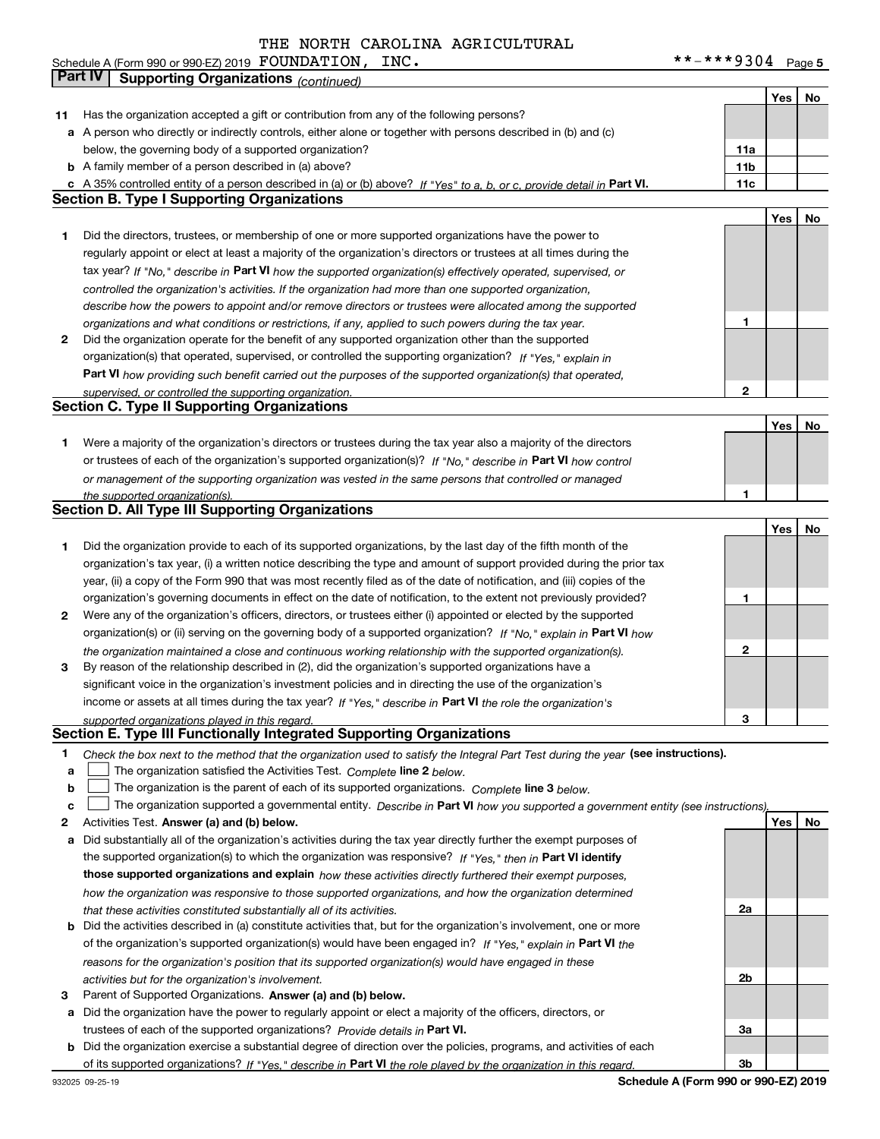**5** Schedule A (Form 990 or 990-EZ) 2019 POUNDATILON,LNC。 Page FOUNDATION, INC. \*\*-\*\*\*9304

|    | Part IV<br><b>Supporting Organizations (continued)</b>                                                                                                                                                       |              |     |    |
|----|--------------------------------------------------------------------------------------------------------------------------------------------------------------------------------------------------------------|--------------|-----|----|
|    |                                                                                                                                                                                                              |              | Yes | No |
| 11 | Has the organization accepted a gift or contribution from any of the following persons?                                                                                                                      |              |     |    |
|    | a A person who directly or indirectly controls, either alone or together with persons described in (b) and (c)                                                                                               |              |     |    |
|    | below, the governing body of a supported organization?                                                                                                                                                       | 11a          |     |    |
|    | <b>b</b> A family member of a person described in (a) above?                                                                                                                                                 | 11b          |     |    |
|    | c A 35% controlled entity of a person described in (a) or (b) above? If "Yes" to a, b, or c, provide detail in Part VI.                                                                                      | 11c          |     |    |
|    | <b>Section B. Type I Supporting Organizations</b>                                                                                                                                                            |              |     |    |
|    |                                                                                                                                                                                                              |              | Yes | No |
| 1  | Did the directors, trustees, or membership of one or more supported organizations have the power to                                                                                                          |              |     |    |
|    | regularly appoint or elect at least a majority of the organization's directors or trustees at all times during the                                                                                           |              |     |    |
|    | tax year? If "No," describe in Part VI how the supported organization(s) effectively operated, supervised, or                                                                                                |              |     |    |
|    | controlled the organization's activities. If the organization had more than one supported organization,                                                                                                      |              |     |    |
|    | describe how the powers to appoint and/or remove directors or trustees were allocated among the supported                                                                                                    |              |     |    |
|    | organizations and what conditions or restrictions, if any, applied to such powers during the tax year.                                                                                                       | 1            |     |    |
| 2  | Did the organization operate for the benefit of any supported organization other than the supported                                                                                                          |              |     |    |
|    | organization(s) that operated, supervised, or controlled the supporting organization? If "Yes," explain in                                                                                                   |              |     |    |
|    | Part VI how providing such benefit carried out the purposes of the supported organization(s) that operated,                                                                                                  | 2            |     |    |
|    | supervised, or controlled the supporting organization.<br><b>Section C. Type II Supporting Organizations</b>                                                                                                 |              |     |    |
|    |                                                                                                                                                                                                              |              | Yes | No |
| 1  | Were a majority of the organization's directors or trustees during the tax year also a majority of the directors                                                                                             |              |     |    |
|    | or trustees of each of the organization's supported organization(s)? If "No," describe in Part VI how control                                                                                                |              |     |    |
|    | or management of the supporting organization was vested in the same persons that controlled or managed                                                                                                       |              |     |    |
|    | the supported organization(s).                                                                                                                                                                               | 1            |     |    |
|    | <b>Section D. All Type III Supporting Organizations</b>                                                                                                                                                      |              |     |    |
|    |                                                                                                                                                                                                              |              | Yes | No |
| 1  | Did the organization provide to each of its supported organizations, by the last day of the fifth month of the                                                                                               |              |     |    |
|    | organization's tax year, (i) a written notice describing the type and amount of support provided during the prior tax                                                                                        |              |     |    |
|    | year, (ii) a copy of the Form 990 that was most recently filed as of the date of notification, and (iii) copies of the                                                                                       |              |     |    |
|    | organization's governing documents in effect on the date of notification, to the extent not previously provided?                                                                                             | 1            |     |    |
| 2  | Were any of the organization's officers, directors, or trustees either (i) appointed or elected by the supported                                                                                             |              |     |    |
|    | organization(s) or (ii) serving on the governing body of a supported organization? If "No," explain in Part VI how                                                                                           |              |     |    |
|    | the organization maintained a close and continuous working relationship with the supported organization(s).                                                                                                  | $\mathbf{2}$ |     |    |
| 3  | By reason of the relationship described in (2), did the organization's supported organizations have a                                                                                                        |              |     |    |
|    | significant voice in the organization's investment policies and in directing the use of the organization's                                                                                                   |              |     |    |
|    | income or assets at all times during the tax year? If "Yes," describe in Part VI the role the organization's                                                                                                 | 3            |     |    |
|    | supported organizations played in this regard.<br>Section E. Type III Functionally Integrated Supporting Organizations                                                                                       |              |     |    |
| 1  | Check the box next to the method that the organization used to satisfy the Integral Part Test during the year (see instructions).                                                                            |              |     |    |
| a  | The organization satisfied the Activities Test. Complete line 2 below.                                                                                                                                       |              |     |    |
| b  | The organization is the parent of each of its supported organizations. Complete line 3 below.                                                                                                                |              |     |    |
| c  | The organization supported a governmental entity. Describe in Part VI how you supported a government entity (see instructions),                                                                              |              |     |    |
| 2  | Activities Test. Answer (a) and (b) below.                                                                                                                                                                   |              | Yes | No |
| а  | Did substantially all of the organization's activities during the tax year directly further the exempt purposes of                                                                                           |              |     |    |
|    | the supported organization(s) to which the organization was responsive? If "Yes," then in Part VI identify                                                                                                   |              |     |    |
|    | those supported organizations and explain how these activities directly furthered their exempt purposes,                                                                                                     |              |     |    |
|    | how the organization was responsive to those supported organizations, and how the organization determined                                                                                                    |              |     |    |
|    | that these activities constituted substantially all of its activities.                                                                                                                                       | 2a           |     |    |
|    | <b>b</b> Did the activities described in (a) constitute activities that, but for the organization's involvement, one or more                                                                                 |              |     |    |
|    | of the organization's supported organization(s) would have been engaged in? If "Yes," explain in Part VI the                                                                                                 |              |     |    |
|    | reasons for the organization's position that its supported organization(s) would have engaged in these                                                                                                       |              |     |    |
|    | activities but for the organization's involvement.                                                                                                                                                           | 2b           |     |    |
| з  | Parent of Supported Organizations. Answer (a) and (b) below.                                                                                                                                                 |              |     |    |
| а  | Did the organization have the power to regularly appoint or elect a majority of the officers, directors, or                                                                                                  |              |     |    |
|    | trustees of each of the supported organizations? Provide details in Part VI.<br><b>b</b> Did the organization exercise a substantial degree of direction over the policies, programs, and activities of each | За           |     |    |
|    | of its supported organizations? If "Yes," describe in Part VI the role played by the organization in this regard.                                                                                            | Зb           |     |    |
|    | Schodule A (Form 000 or 000 F7) 2010                                                                                                                                                                         |              |     |    |

**Schedule A (Form 990 or 990-EZ) 2019**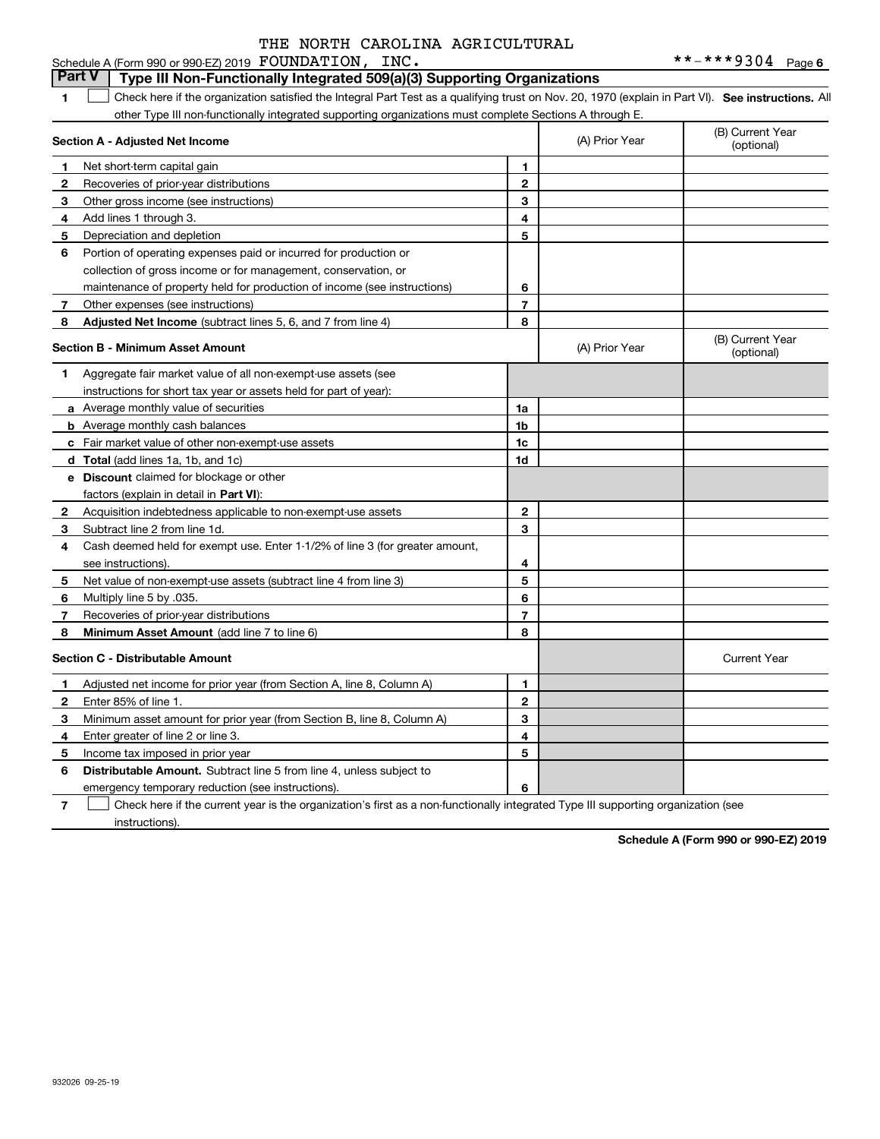#### **1SEP 10. See instructions.** All antegral Part Test as a qualifying trust on Nov. 20, 1970 (explain in Part VI). See instructions. All **Section A - Adjusted Net Income 123** Other gross income (see instructions) **4**Add lines 1 through 3. **56** Portion of operating expenses paid or incurred for production or **78** Adjusted Net Income (subtract lines 5, 6, and 7 from line 4) **8 8 1234567Section B - Minimum Asset Amount 1**Aggregate fair market value of all non-exempt-use assets (see **2**Acquisition indebtedness applicable to non-exempt-use assets **3** Subtract line 2 from line 1d. **4**Cash deemed held for exempt use. Enter 1-1/2% of line 3 (for greater amount, **5** Net value of non-exempt-use assets (subtract line 4 from line 3) **678a** Average monthly value of securities **b** Average monthly cash balances **c**Fair market value of other non-exempt-use assets **dTotal**  (add lines 1a, 1b, and 1c) **eDiscount** claimed for blockage or other **1a1b1c1d 2345678**factors (explain in detail in **Part VI**): **Minimum Asset Amount**  (add line 7 to line 6) **Section C - Distributable Amount 123456123456Distributable Amount.** Subtract line 5 from line 4, unless subject to other Type III non-functionally integrated supporting organizations must complete Sections A through E. (B) Current Year (optional)(A) Prior Year Net short-term capital gain Recoveries of prior-year distributions Depreciation and depletion collection of gross income or for management, conservation, or maintenance of property held for production of income (see instructions) Other expenses (see instructions) (B) Current Year (optional)(A) Prior Year instructions for short tax year or assets held for part of year): see instructions). Multiply line 5 by .035. Recoveries of prior-year distributions Current Year Adjusted net income for prior year (from Section A, line 8, Column A) Enter 85% of line 1. Minimum asset amount for prior year (from Section B, line 8, Column A) Enter greater of line 2 or line 3. Income tax imposed in prior year emergency temporary reduction (see instructions). **Part V** Type III Non-Functionally Integrated 509(a)(3) Supporting Organizations  $\mathcal{L}^{\text{max}}$

**7**Check here if the current year is the organization's first as a non-functionally integrated Type III supporting organization (see instructions). $\mathcal{L}^{\text{max}}$ 

**Schedule A (Form 990 or 990-EZ) 2019**

932026 09-25-19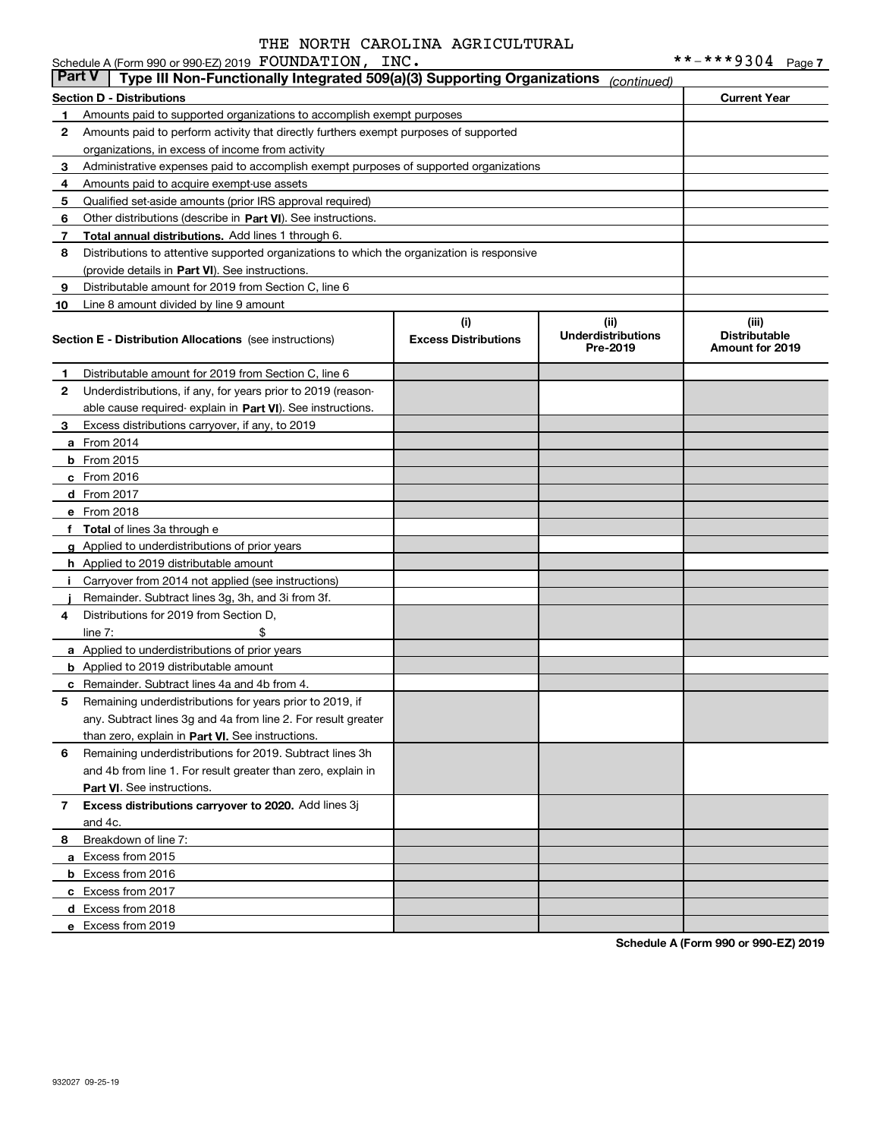#### **Section D - Distributions Current Year 1**Amounts paid to supported organizations to accomplish exempt purposes **2345** Qualified set-aside amounts (prior IRS approval required) **678910**Other distributions (describe in Part VI). See instructions. **Total annual distributions.** Add lines 1 through 6. (provide details in Part VI). See instructions. **(i)Excess Distributions (ii) UnderdistributionsPre-2019(iii) Distributable Amount for 2019 Section E - Distribution Allocations**  (see instructions) **12**Underdistributions, if any, for years prior to 2019 (reason-**3**Excess distributions carryover, if any, to 2019 **4**Distributions for 2019 from Section D, **5** Remaining underdistributions for years prior to 2019, if **6** Remaining underdistributions for 2019. Subtract lines 3h **7Excess distributions carryover to 2020.**  Add lines 3j **8**Breakdown of line 7: able cause required- explain in Part VI). See instructions. **a** From 2014 **b** From 2015 **c**From 2016 **d**From 2017 **e** From 2018 **f Total**  of lines 3a through e **g**Applied to underdistributions of prior years **h** Applied to 2019 distributable amount **ij** Remainder. Subtract lines 3g, 3h, and 3i from 3f. **a** Applied to underdistributions of prior years **b** Applied to 2019 distributable amount **c** Remainder. Subtract lines 4a and 4b from 4. than zero, explain in Part VI. See instructions. **Part VI** . See instructions. **a** Excess from 2015 **b** Excess from 2016 **c**Excess from 2017 **d**Excess from 2018 Schedule A (Form 990 or 990-EZ) 2019 Page FOUNDATION, INC. \*\*-\*\*\*9304 Amounts paid to perform activity that directly furthers exempt purposes of supported organizations, in excess of income from activity Administrative expenses paid to accomplish exempt purposes of supported organizations Amounts paid to acquire exempt-use assets Distributions to attentive supported organizations to which the organization is responsive Distributable amount for 2019 from Section C, line 6 Line 8 amount divided by line 9 amount Distributable amount for 2019 from Section C, line 6 Carryover from 2014 not applied (see instructions)  $line 7:$   $\frac{1}{2}$ any. Subtract lines 3g and 4a from line 2. For result greater and 4b from line 1. For result greater than zero, explain in and 4c. **Part V** Type III Non-Functionally Integrated 509(a)(3) Supporting Organizations (continued)

**Schedule A (Form 990 or 990-EZ) 2019**

**e** Excess from 2019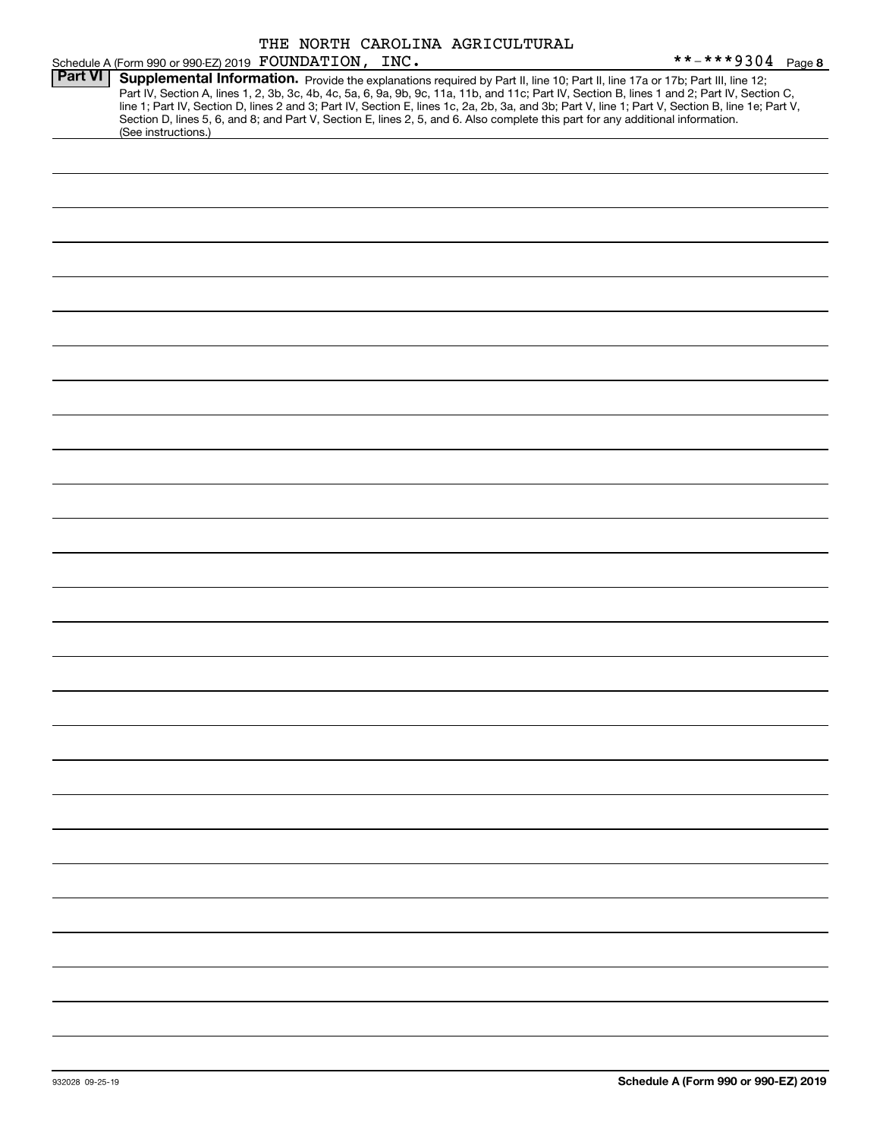|                |                                                                                                                                                                                                                                                                                                                                                                                                                                                                                                                                                                                             |  | THE NORTH CAROLINA AGRICULTURAL |                   |
|----------------|---------------------------------------------------------------------------------------------------------------------------------------------------------------------------------------------------------------------------------------------------------------------------------------------------------------------------------------------------------------------------------------------------------------------------------------------------------------------------------------------------------------------------------------------------------------------------------------------|--|---------------------------------|-------------------|
|                | Schedule A (Form 990 or 990-EZ) 2019 FOUNDATION, INC.                                                                                                                                                                                                                                                                                                                                                                                                                                                                                                                                       |  |                                 | **-***9304 Page 8 |
| <b>Part VI</b> | Supplemental Information. Provide the explanations required by Part II, line 10; Part II, line 17a or 17b; Part III, line 12;<br>Part IV, Section A, lines 1, 2, 3b, 3c, 4b, 4c, 5a, 6, 9a, 9b, 9c, 11a, 11b, and 11c; Part IV, Section B, lines 1 and 2; Part IV, Section C,<br>line 1; Part IV, Section D, lines 2 and 3; Part IV, Section E, lines 1c, 2a, 2b, 3a, and 3b; Part V, line 1; Part V, Section B, line 1e; Part V,<br>Section D, lines 5, 6, and 8; and Part V, Section E, lines 2, 5, and 6. Also complete this part for any additional information.<br>(See instructions.) |  |                                 |                   |
|                |                                                                                                                                                                                                                                                                                                                                                                                                                                                                                                                                                                                             |  |                                 |                   |
|                |                                                                                                                                                                                                                                                                                                                                                                                                                                                                                                                                                                                             |  |                                 |                   |
|                |                                                                                                                                                                                                                                                                                                                                                                                                                                                                                                                                                                                             |  |                                 |                   |
|                |                                                                                                                                                                                                                                                                                                                                                                                                                                                                                                                                                                                             |  |                                 |                   |
|                |                                                                                                                                                                                                                                                                                                                                                                                                                                                                                                                                                                                             |  |                                 |                   |
|                |                                                                                                                                                                                                                                                                                                                                                                                                                                                                                                                                                                                             |  |                                 |                   |
|                |                                                                                                                                                                                                                                                                                                                                                                                                                                                                                                                                                                                             |  |                                 |                   |
|                |                                                                                                                                                                                                                                                                                                                                                                                                                                                                                                                                                                                             |  |                                 |                   |
|                |                                                                                                                                                                                                                                                                                                                                                                                                                                                                                                                                                                                             |  |                                 |                   |
|                |                                                                                                                                                                                                                                                                                                                                                                                                                                                                                                                                                                                             |  |                                 |                   |
|                |                                                                                                                                                                                                                                                                                                                                                                                                                                                                                                                                                                                             |  |                                 |                   |
|                |                                                                                                                                                                                                                                                                                                                                                                                                                                                                                                                                                                                             |  |                                 |                   |
|                |                                                                                                                                                                                                                                                                                                                                                                                                                                                                                                                                                                                             |  |                                 |                   |
|                |                                                                                                                                                                                                                                                                                                                                                                                                                                                                                                                                                                                             |  |                                 |                   |
|                |                                                                                                                                                                                                                                                                                                                                                                                                                                                                                                                                                                                             |  |                                 |                   |
|                |                                                                                                                                                                                                                                                                                                                                                                                                                                                                                                                                                                                             |  |                                 |                   |
|                |                                                                                                                                                                                                                                                                                                                                                                                                                                                                                                                                                                                             |  |                                 |                   |
|                |                                                                                                                                                                                                                                                                                                                                                                                                                                                                                                                                                                                             |  |                                 |                   |
|                |                                                                                                                                                                                                                                                                                                                                                                                                                                                                                                                                                                                             |  |                                 |                   |
|                |                                                                                                                                                                                                                                                                                                                                                                                                                                                                                                                                                                                             |  |                                 |                   |
|                |                                                                                                                                                                                                                                                                                                                                                                                                                                                                                                                                                                                             |  |                                 |                   |
|                |                                                                                                                                                                                                                                                                                                                                                                                                                                                                                                                                                                                             |  |                                 |                   |
|                |                                                                                                                                                                                                                                                                                                                                                                                                                                                                                                                                                                                             |  |                                 |                   |
|                |                                                                                                                                                                                                                                                                                                                                                                                                                                                                                                                                                                                             |  |                                 |                   |
|                |                                                                                                                                                                                                                                                                                                                                                                                                                                                                                                                                                                                             |  |                                 |                   |
|                |                                                                                                                                                                                                                                                                                                                                                                                                                                                                                                                                                                                             |  |                                 |                   |
|                |                                                                                                                                                                                                                                                                                                                                                                                                                                                                                                                                                                                             |  |                                 |                   |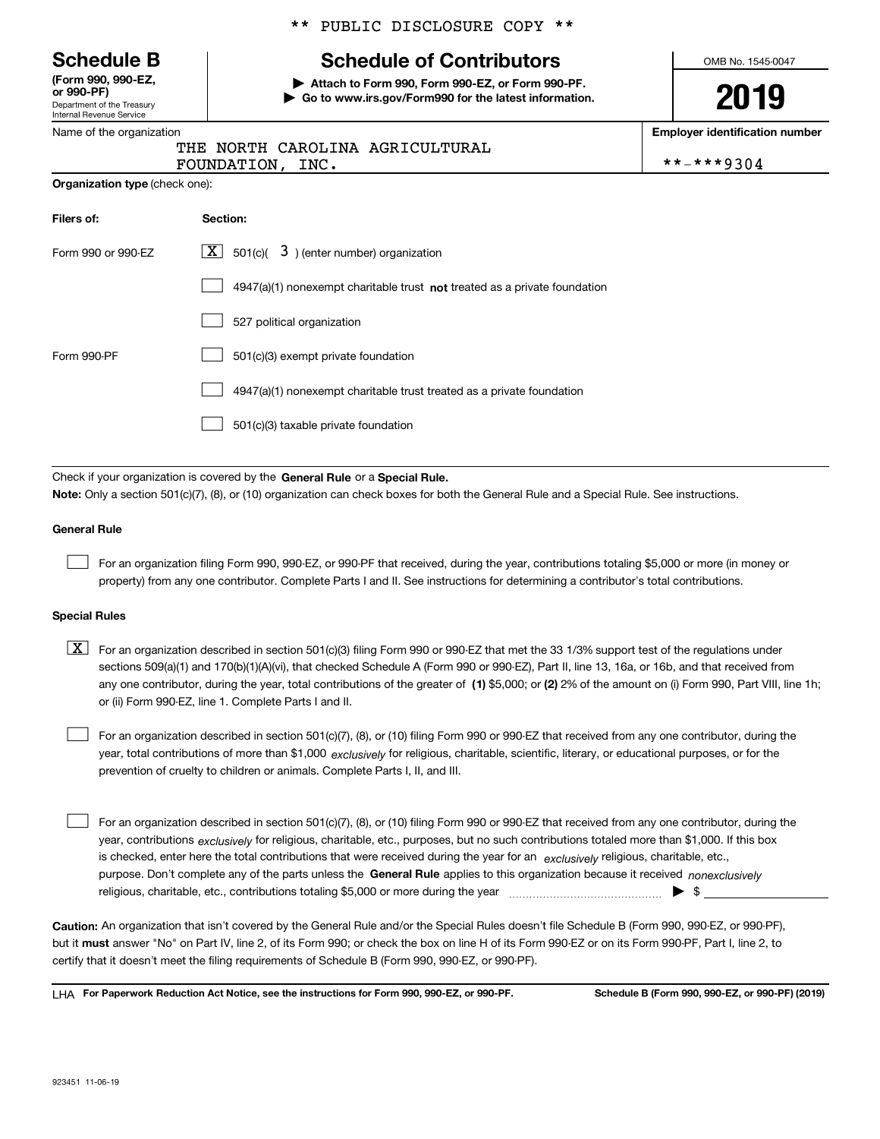Department of the Treasury Internal Revenue Service **(Form 990, 990-EZ, or 990-PF)**

|  | Name of the organization |  |
|--|--------------------------|--|
|  |                          |  |

#### \*\* PUBLIC DISCLOSURE COPY \*\*

## **Schedule B Schedule of Contributors**

**| Attach to Form 990, Form 990-EZ, or Form 990-PF. | Go to www.irs.gov/Form990 for the latest information.** OMB No. 1545-0047

**2019**

**Employer identification number**

|                  | THE NORTH CAROLINA AGRICULTURAL |            |
|------------------|---------------------------------|------------|
| FOUNDATION, INC. |                                 | **-***9304 |

| <b>Organization type (check one):</b> |  |  |
|---------------------------------------|--|--|
|---------------------------------------|--|--|

| Filers of:         | Section:                                                                           |
|--------------------|------------------------------------------------------------------------------------|
| Form 990 or 990-EZ | $\lfloor \mathbf{X} \rfloor$ 501(c)( 3) (enter number) organization                |
|                    | $4947(a)(1)$ nonexempt charitable trust <b>not</b> treated as a private foundation |
|                    | 527 political organization                                                         |
| Form 990-PF        | 501(c)(3) exempt private foundation                                                |
|                    | 4947(a)(1) nonexempt charitable trust treated as a private foundation              |
|                    | 501(c)(3) taxable private foundation                                               |

Check if your organization is covered by the **General Rule** or a **Special Rule. Note:**  Only a section 501(c)(7), (8), or (10) organization can check boxes for both the General Rule and a Special Rule. See instructions.

#### **General Rule**

 $\mathcal{L}^{\text{max}}$ 

For an organization filing Form 990, 990-EZ, or 990-PF that received, during the year, contributions totaling \$5,000 or more (in money or property) from any one contributor. Complete Parts I and II. See instructions for determining a contributor's total contributions.

#### **Special Rules**

any one contributor, during the year, total contributions of the greater of  $\,$  (1) \$5,000; or **(2)** 2% of the amount on (i) Form 990, Part VIII, line 1h;  $\boxed{\textbf{X}}$  For an organization described in section 501(c)(3) filing Form 990 or 990-EZ that met the 33 1/3% support test of the regulations under sections 509(a)(1) and 170(b)(1)(A)(vi), that checked Schedule A (Form 990 or 990-EZ), Part II, line 13, 16a, or 16b, and that received from or (ii) Form 990-EZ, line 1. Complete Parts I and II.

year, total contributions of more than \$1,000 *exclusively* for religious, charitable, scientific, literary, or educational purposes, or for the For an organization described in section 501(c)(7), (8), or (10) filing Form 990 or 990-EZ that received from any one contributor, during the prevention of cruelty to children or animals. Complete Parts I, II, and III.  $\mathcal{L}^{\text{max}}$ 

purpose. Don't complete any of the parts unless the **General Rule** applies to this organization because it received *nonexclusively* year, contributions <sub>exclusively</sub> for religious, charitable, etc., purposes, but no such contributions totaled more than \$1,000. If this box is checked, enter here the total contributions that were received during the year for an  $\;$ exclusively religious, charitable, etc., For an organization described in section 501(c)(7), (8), or (10) filing Form 990 or 990-EZ that received from any one contributor, during the religious, charitable, etc., contributions totaling \$5,000 or more during the year  $\Box$ — $\Box$   $\Box$  $\mathcal{L}^{\text{max}}$ 

**Caution:**  An organization that isn't covered by the General Rule and/or the Special Rules doesn't file Schedule B (Form 990, 990-EZ, or 990-PF),  **must** but it answer "No" on Part IV, line 2, of its Form 990; or check the box on line H of its Form 990-EZ or on its Form 990-PF, Part I, line 2, to certify that it doesn't meet the filing requirements of Schedule B (Form 990, 990-EZ, or 990-PF).

**For Paperwork Reduction Act Notice, see the instructions for Form 990, 990-EZ, or 990-PF. Schedule B (Form 990, 990-EZ, or 990-PF) (2019)** LHA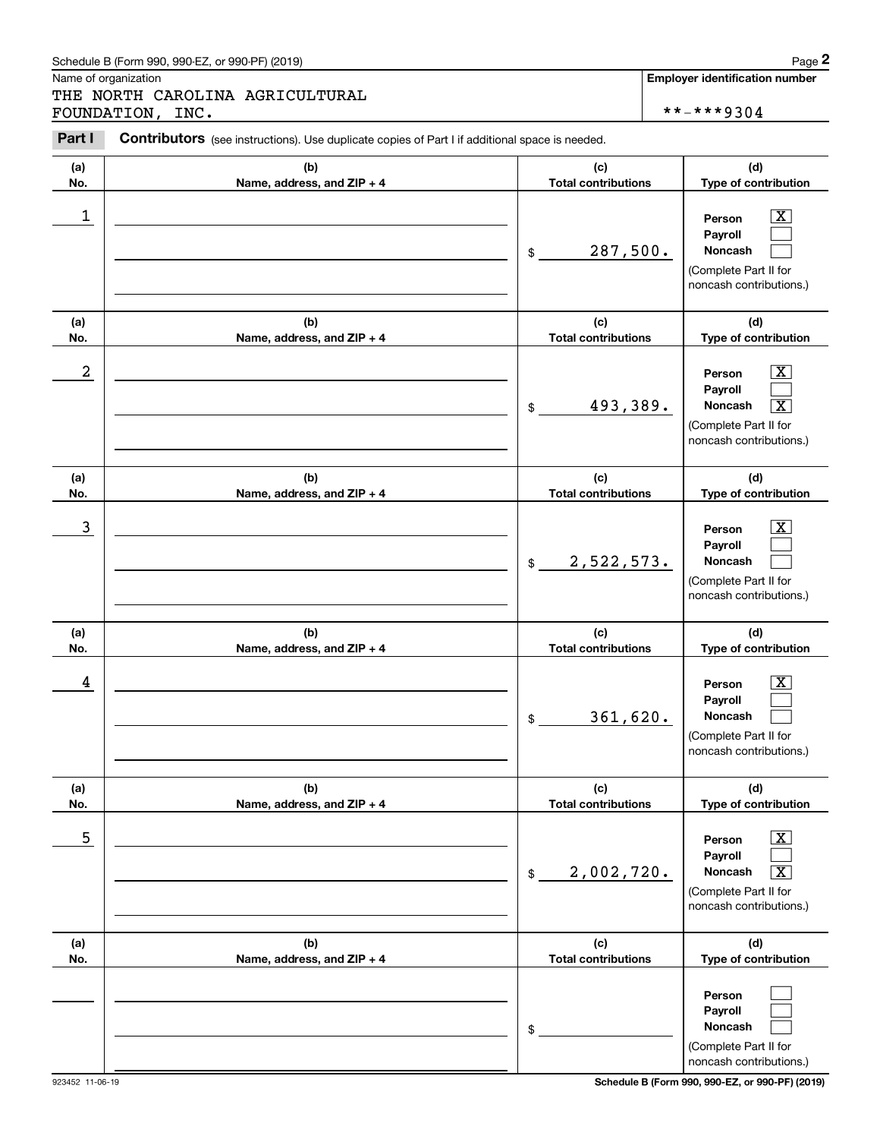## Schedule B (Form 990, 990-EZ, or 990-PF) (2019) Page 2

|            | Schedule B (Form 990, 990-EZ, or 990-PF) (2019)                                                |                                   | Page 2                                                                                                                            |
|------------|------------------------------------------------------------------------------------------------|-----------------------------------|-----------------------------------------------------------------------------------------------------------------------------------|
|            | Name of organization<br>THE NORTH CAROLINA AGRICULTURAL<br>FOUNDATION, INC.                    |                                   | <b>Employer identification number</b><br>**-***9304                                                                               |
| Part I     | Contributors (see instructions). Use duplicate copies of Part I if additional space is needed. |                                   |                                                                                                                                   |
| (a)<br>No. | (b)<br>Name, address, and ZIP + 4                                                              | (c)<br><b>Total contributions</b> | (d)<br>Type of contribution                                                                                                       |
| 1          |                                                                                                | 287,500.<br>\$                    | $\overline{\mathbf{X}}$<br>Person<br>Payroll<br>Noncash<br>(Complete Part II for<br>noncash contributions.)                       |
| (a)<br>No. | (b)<br>Name, address, and ZIP + 4                                                              | (c)<br><b>Total contributions</b> | (d)<br>Type of contribution                                                                                                       |
| 2          |                                                                                                | 493,389.<br>\$                    | $\mathbf{X}$<br>Person<br>Payroll<br>$\overline{\mathbf{x}}$<br>Noncash<br>(Complete Part II for<br>noncash contributions.)       |
| (a)<br>No. | (b)<br>Name, address, and ZIP + 4                                                              | (c)<br><b>Total contributions</b> | (d)<br>Type of contribution                                                                                                       |
| 3          |                                                                                                | 2,522,573.<br>\$                  | $\overline{\mathbf{X}}$<br>Person<br>Payroll<br>Noncash<br>(Complete Part II for<br>noncash contributions.)                       |
| (a)<br>No. | (b)<br>Name, address, and ZIP + 4                                                              | (c)<br><b>Total contributions</b> | (d)<br>Type of contribution                                                                                                       |
| 4          |                                                                                                | 361,620.<br>\$                    | $\mathbf{X}$<br>Person<br>Payroll<br>Noncash<br>(Complete Part II for<br>noncash contributions.)                                  |
| (a)<br>No. | (b)<br>Name, address, and ZIP + 4                                                              | (c)<br><b>Total contributions</b> | (d)<br>Type of contribution                                                                                                       |
| 5          |                                                                                                | 2,002,720.<br>\$                  | $\boxed{\text{X}}$<br>Person<br>Payroll<br>Noncash<br>$\overline{\mathbf{X}}$<br>(Complete Part II for<br>noncash contributions.) |
| (a)<br>No. | (b)<br>Name, address, and ZIP + 4                                                              | (c)<br><b>Total contributions</b> | (d)<br>Type of contribution                                                                                                       |
|            |                                                                                                | \$                                | Person<br>Payroll<br>Noncash<br>(Complete Part II for<br>noncash contributions.)                                                  |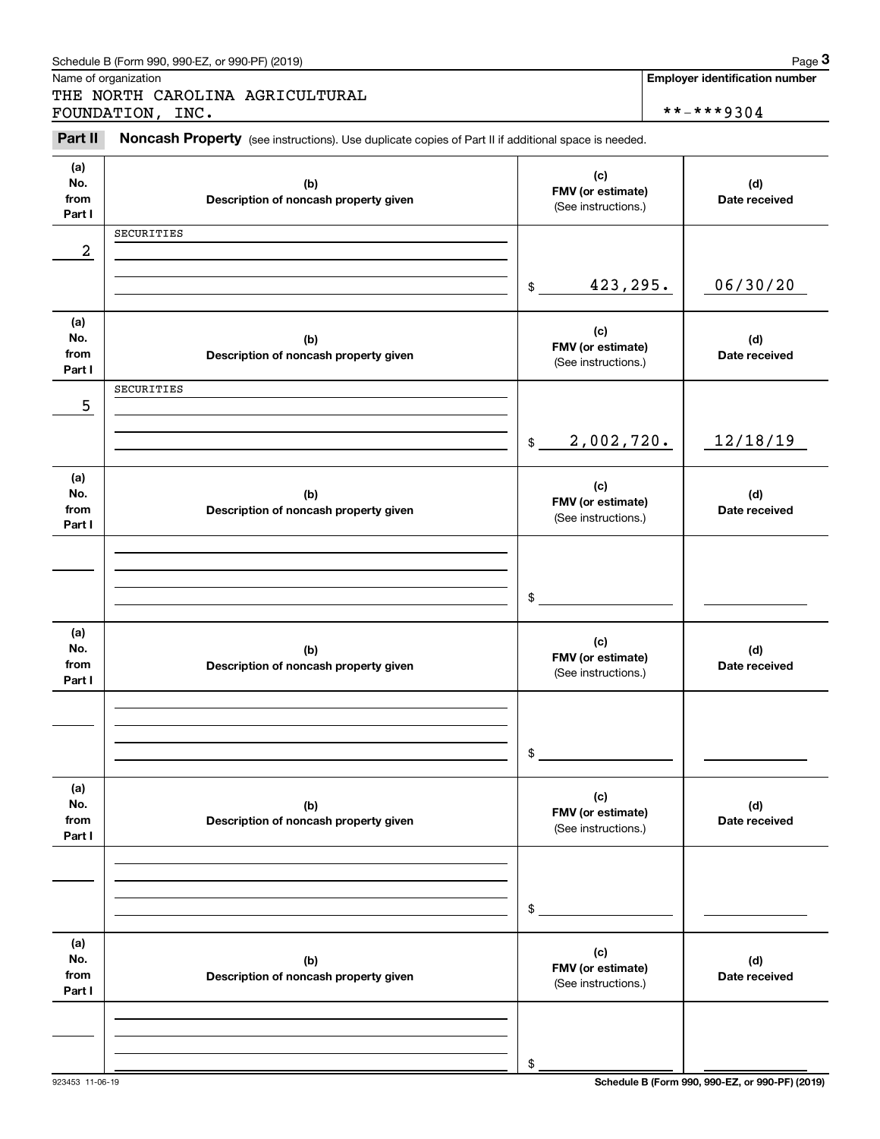|                              | Schedule B (Form 990, 990-EZ, or 990-PF) (2019)                                                                         |                                                 | Page 3                                |
|------------------------------|-------------------------------------------------------------------------------------------------------------------------|-------------------------------------------------|---------------------------------------|
|                              | Name of organization<br>THE NORTH CAROLINA AGRICULTURAL                                                                 |                                                 | <b>Employer identification number</b> |
| Part II                      | FOUNDATION, INC.<br>Noncash Property (see instructions). Use duplicate copies of Part II if additional space is needed. |                                                 | **-***9304                            |
| (a)<br>No.<br>from<br>Part I | (b)<br>Description of noncash property given                                                                            | (c)<br>FMV (or estimate)<br>(See instructions.) | (d)<br>Date received                  |
| $\overline{\mathbf{c}}$      | SECURITIES                                                                                                              |                                                 |                                       |
|                              |                                                                                                                         | 423,295.<br>\$                                  | 06/30/20                              |
| (a)<br>No.<br>from<br>Part I | (b)<br>Description of noncash property given                                                                            | (c)<br>FMV (or estimate)<br>(See instructions.) | (d)<br>Date received                  |
| 5                            | SECURITIES                                                                                                              |                                                 |                                       |
|                              |                                                                                                                         | 2,002,720.<br>$\mathfrak{S}$                    | 12/18/19                              |
| (a)<br>No.<br>from<br>Part I | (b)<br>Description of noncash property given                                                                            | (c)<br>FMV (or estimate)<br>(See instructions.) | (d)<br>Date received                  |
|                              |                                                                                                                         | \$                                              |                                       |
| (a)<br>No.<br>from<br>Part I | (b)<br>Description of noncash property given                                                                            | (c)<br>FMV (or estimate)<br>(See instructions.) | (d)<br>Date received                  |
|                              |                                                                                                                         | \$                                              |                                       |
| (a)<br>No.<br>from<br>Part I | (b)<br>Description of noncash property given                                                                            | (c)<br>FMV (or estimate)<br>(See instructions.) | (d)<br>Date received                  |
|                              |                                                                                                                         | \$                                              |                                       |
| (a)<br>No.<br>from<br>Part I | (b)<br>Description of noncash property given                                                                            | (c)<br>FMV (or estimate)<br>(See instructions.) | (d)<br>Date received                  |
|                              |                                                                                                                         | \$                                              |                                       |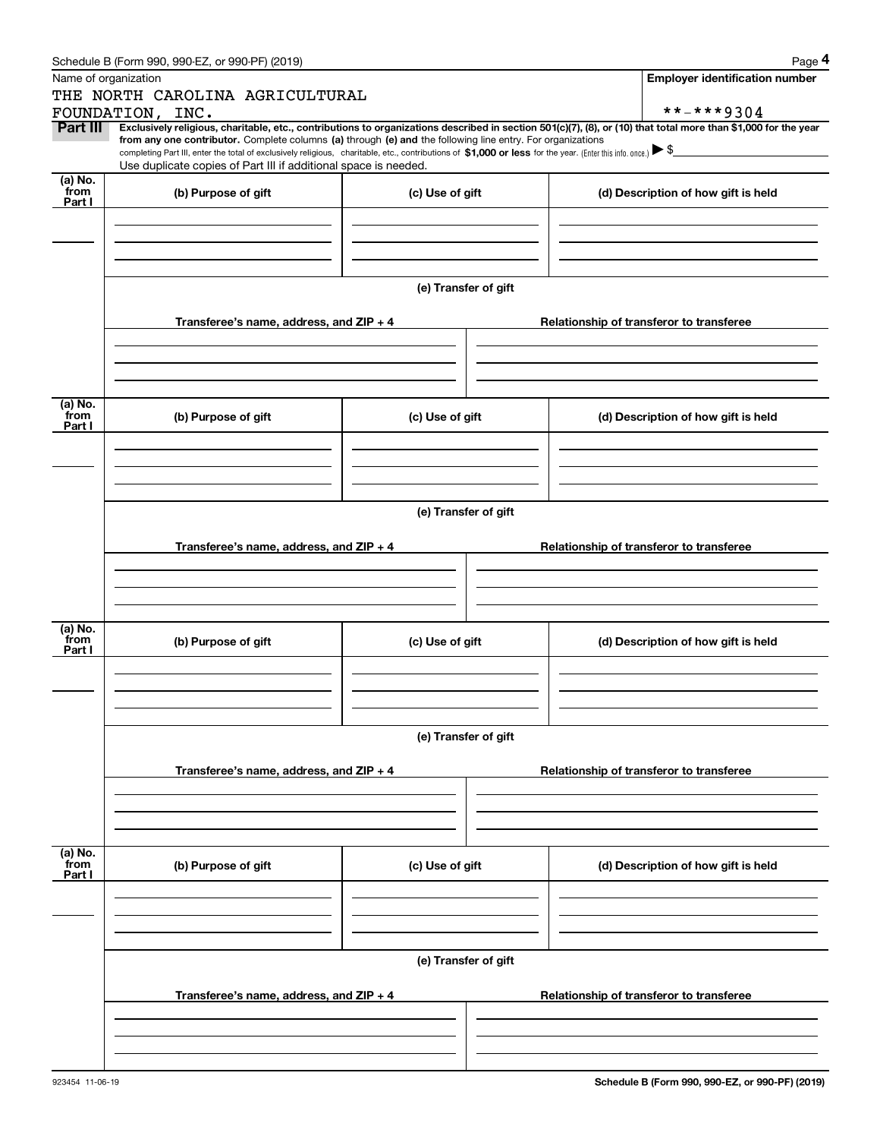|                 | Schedule B (Form 990, 990-EZ, or 990-PF) (2019)                                                                                                                                   |                      | Page 4                                                                                                                                                         |  |  |  |  |
|-----------------|-----------------------------------------------------------------------------------------------------------------------------------------------------------------------------------|----------------------|----------------------------------------------------------------------------------------------------------------------------------------------------------------|--|--|--|--|
|                 | Name of organization                                                                                                                                                              |                      | <b>Employer identification number</b>                                                                                                                          |  |  |  |  |
|                 | THE NORTH CAROLINA AGRICULTURAL                                                                                                                                                   |                      |                                                                                                                                                                |  |  |  |  |
|                 | FOUNDATION, INC.                                                                                                                                                                  |                      | **-***9304                                                                                                                                                     |  |  |  |  |
| Part III        | from any one contributor. Complete columns (a) through (e) and the following line entry. For organizations                                                                        |                      | Exclusively religious, charitable, etc., contributions to organizations described in section 501(c)(7), (8), or (10) that total more than \$1,000 for the year |  |  |  |  |
|                 | completing Part III, enter the total of exclusively religious, charitable, etc., contributions of \$1,000 or less for the year. (Enter this info. once.) $\blacktriangleright$ \$ |                      |                                                                                                                                                                |  |  |  |  |
| (a) No.         | Use duplicate copies of Part III if additional space is needed.                                                                                                                   |                      |                                                                                                                                                                |  |  |  |  |
| from<br>Part I  | (b) Purpose of gift                                                                                                                                                               | (c) Use of gift      | (d) Description of how gift is held                                                                                                                            |  |  |  |  |
|                 |                                                                                                                                                                                   |                      |                                                                                                                                                                |  |  |  |  |
|                 |                                                                                                                                                                                   |                      |                                                                                                                                                                |  |  |  |  |
|                 |                                                                                                                                                                                   |                      |                                                                                                                                                                |  |  |  |  |
|                 |                                                                                                                                                                                   |                      |                                                                                                                                                                |  |  |  |  |
|                 |                                                                                                                                                                                   | (e) Transfer of gift |                                                                                                                                                                |  |  |  |  |
|                 |                                                                                                                                                                                   |                      |                                                                                                                                                                |  |  |  |  |
|                 | Transferee's name, address, and ZIP + 4                                                                                                                                           |                      | Relationship of transferor to transferee                                                                                                                       |  |  |  |  |
|                 |                                                                                                                                                                                   |                      |                                                                                                                                                                |  |  |  |  |
|                 |                                                                                                                                                                                   |                      |                                                                                                                                                                |  |  |  |  |
|                 |                                                                                                                                                                                   |                      |                                                                                                                                                                |  |  |  |  |
| (a) No.<br>from | (b) Purpose of gift                                                                                                                                                               | (c) Use of gift      | (d) Description of how gift is held                                                                                                                            |  |  |  |  |
| Part I          |                                                                                                                                                                                   |                      |                                                                                                                                                                |  |  |  |  |
|                 |                                                                                                                                                                                   |                      |                                                                                                                                                                |  |  |  |  |
|                 |                                                                                                                                                                                   |                      |                                                                                                                                                                |  |  |  |  |
|                 |                                                                                                                                                                                   |                      |                                                                                                                                                                |  |  |  |  |
|                 |                                                                                                                                                                                   | (e) Transfer of gift |                                                                                                                                                                |  |  |  |  |
|                 |                                                                                                                                                                                   |                      |                                                                                                                                                                |  |  |  |  |
|                 | Transferee's name, address, and ZIP + 4                                                                                                                                           |                      | Relationship of transferor to transferee                                                                                                                       |  |  |  |  |
|                 |                                                                                                                                                                                   |                      |                                                                                                                                                                |  |  |  |  |
|                 |                                                                                                                                                                                   |                      |                                                                                                                                                                |  |  |  |  |
|                 |                                                                                                                                                                                   |                      |                                                                                                                                                                |  |  |  |  |
| (a) No.         |                                                                                                                                                                                   |                      |                                                                                                                                                                |  |  |  |  |
| from<br>Part I  | (b) Purpose of gift                                                                                                                                                               | (c) Use of gift      | (d) Description of how gift is held                                                                                                                            |  |  |  |  |
|                 |                                                                                                                                                                                   |                      |                                                                                                                                                                |  |  |  |  |
|                 |                                                                                                                                                                                   |                      |                                                                                                                                                                |  |  |  |  |
|                 |                                                                                                                                                                                   |                      |                                                                                                                                                                |  |  |  |  |
|                 |                                                                                                                                                                                   |                      |                                                                                                                                                                |  |  |  |  |
|                 |                                                                                                                                                                                   | (e) Transfer of gift |                                                                                                                                                                |  |  |  |  |
|                 | Transferee's name, address, and $ZIP + 4$                                                                                                                                         |                      | Relationship of transferor to transferee                                                                                                                       |  |  |  |  |
|                 |                                                                                                                                                                                   |                      |                                                                                                                                                                |  |  |  |  |
|                 |                                                                                                                                                                                   |                      |                                                                                                                                                                |  |  |  |  |
|                 |                                                                                                                                                                                   |                      |                                                                                                                                                                |  |  |  |  |
|                 |                                                                                                                                                                                   |                      |                                                                                                                                                                |  |  |  |  |
| (a) No.<br>from | (b) Purpose of gift                                                                                                                                                               | (c) Use of gift      | (d) Description of how gift is held                                                                                                                            |  |  |  |  |
| Part I          |                                                                                                                                                                                   |                      |                                                                                                                                                                |  |  |  |  |
|                 |                                                                                                                                                                                   |                      |                                                                                                                                                                |  |  |  |  |
|                 |                                                                                                                                                                                   |                      |                                                                                                                                                                |  |  |  |  |
|                 |                                                                                                                                                                                   |                      |                                                                                                                                                                |  |  |  |  |
|                 |                                                                                                                                                                                   | (e) Transfer of gift |                                                                                                                                                                |  |  |  |  |
|                 |                                                                                                                                                                                   |                      |                                                                                                                                                                |  |  |  |  |
|                 | Transferee's name, address, and $ZIP + 4$                                                                                                                                         |                      | Relationship of transferor to transferee                                                                                                                       |  |  |  |  |
|                 |                                                                                                                                                                                   |                      |                                                                                                                                                                |  |  |  |  |
|                 |                                                                                                                                                                                   |                      |                                                                                                                                                                |  |  |  |  |
|                 |                                                                                                                                                                                   |                      |                                                                                                                                                                |  |  |  |  |
|                 |                                                                                                                                                                                   |                      |                                                                                                                                                                |  |  |  |  |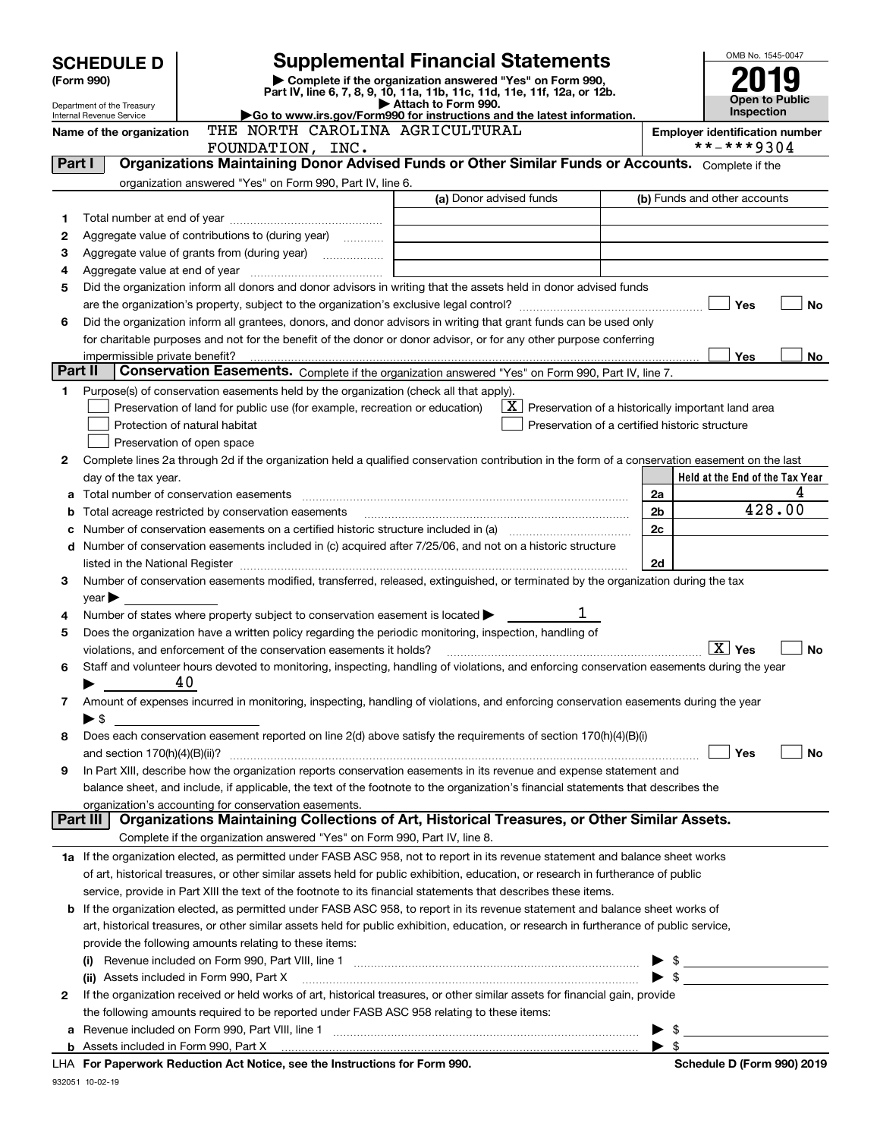| Complete if the organization answered "Yes" on Form 990,<br>(Form 990)<br>Part IV, line 6, 7, 8, 9, 10, 11a, 11b, 11c, 11d, 11e, 11f, 12a, or 12b.<br>Open to Public<br>Attach to Form 990.<br>Department of the Treasury<br><b>Inspection</b><br>Go to www.irs.gov/Form990 for instructions and the latest information.<br>Internal Revenue Service<br>THE NORTH CAROLINA AGRICULTURAL<br>Name of the organization<br><b>Employer identification number</b><br>**-***9304<br>FOUNDATION, INC.<br>Organizations Maintaining Donor Advised Funds or Other Similar Funds or Accounts. Complete if the<br>Part I<br>organization answered "Yes" on Form 990, Part IV, line 6.<br>(a) Donor advised funds<br>(b) Funds and other accounts<br>1<br>Aggregate value of contributions to (during year) <i>mimimal</i><br>2<br>З<br><u> 1989 - Johann Barbara, martin amerikan personal (</u><br>4<br>Did the organization inform all donors and donor advisors in writing that the assets held in donor advised funds<br>5<br>Yes<br>No<br>Did the organization inform all grantees, donors, and donor advisors in writing that grant funds can be used only<br>6<br>for charitable purposes and not for the benefit of the donor or donor advisor, or for any other purpose conferring<br>Yes<br>No<br>impermissible private benefit?<br>Part II<br>Conservation Easements. Complete if the organization answered "Yes" on Form 990, Part IV, line 7.<br>Purpose(s) of conservation easements held by the organization (check all that apply).<br>1<br>$\lfloor x \rfloor$ Preservation of a historically important land area<br>Preservation of land for public use (for example, recreation or education)<br>Protection of natural habitat<br>Preservation of a certified historic structure<br>Preservation of open space<br>Complete lines 2a through 2d if the organization held a qualified conservation contribution in the form of a conservation easement on the last<br>2<br>Held at the End of the Tax Year<br>day of the tax year.<br>4<br>2a<br>a<br>428.00<br>2b<br>Total acreage restricted by conservation easements<br>b<br>2c<br>c<br>Number of conservation easements included in (c) acquired after 7/25/06, and not on a historic structure<br>d<br>2d<br>listed in the National Register [111] Marshall Register [11] Marshall Register [11] Marshall Register [11] Marshall Register [11] Marshall Register [11] Marshall Register [11] Marshall Register [11] Marshall Register [11]<br>Number of conservation easements modified, transferred, released, extinguished, or terminated by the organization during the tax<br>З.<br>$year \blacktriangleright$<br>Number of states where property subject to conservation easement is located $\blacktriangleright$<br>4<br>Does the organization have a written policy regarding the periodic monitoring, inspection, handling of<br>5<br>$\mid$ $\rm X\mid$ Yes<br><b>No</b><br>violations, and enforcement of the conservation easements it holds?<br>Staff and volunteer hours devoted to monitoring, inspecting, handling of violations, and enforcing conservation easements during the year<br>6<br>40<br>Amount of expenses incurred in monitoring, inspecting, handling of violations, and enforcing conservation easements during the year<br>7<br>$\blacktriangleright$ \$<br>Does each conservation easement reported on line 2(d) above satisfy the requirements of section 170(h)(4)(B)(i)<br>8<br>Yes<br>No<br>In Part XIII, describe how the organization reports conservation easements in its revenue and expense statement and<br>9<br>balance sheet, and include, if applicable, the text of the footnote to the organization's financial statements that describes the<br>organization's accounting for conservation easements.<br>Organizations Maintaining Collections of Art, Historical Treasures, or Other Similar Assets.<br>Part III<br>Complete if the organization answered "Yes" on Form 990, Part IV, line 8.<br>1a If the organization elected, as permitted under FASB ASC 958, not to report in its revenue statement and balance sheet works<br>of art, historical treasures, or other similar assets held for public exhibition, education, or research in furtherance of public<br>service, provide in Part XIII the text of the footnote to its financial statements that describes these items.<br>If the organization elected, as permitted under FASB ASC 958, to report in its revenue statement and balance sheet works of<br>b<br>art, historical treasures, or other similar assets held for public exhibition, education, or research in furtherance of public service,<br>provide the following amounts relating to these items:<br>$\blacktriangleright$ \$<br>(ii) Assets included in Form 990, Part X [11] [2000] [2010] Assets included in Form 990, Part X [11] [11] [200<br>If the organization received or held works of art, historical treasures, or other similar assets for financial gain, provide<br>2<br>the following amounts required to be reported under FASB ASC 958 relating to these items:<br>а<br>LHA For Paperwork Reduction Act Notice, see the Instructions for Form 990.<br>Schedule D (Form 990) 2019 |                                                               |  |  |  |  | OMB No. 1545-0047 |  |
|---------------------------------------------------------------------------------------------------------------------------------------------------------------------------------------------------------------------------------------------------------------------------------------------------------------------------------------------------------------------------------------------------------------------------------------------------------------------------------------------------------------------------------------------------------------------------------------------------------------------------------------------------------------------------------------------------------------------------------------------------------------------------------------------------------------------------------------------------------------------------------------------------------------------------------------------------------------------------------------------------------------------------------------------------------------------------------------------------------------------------------------------------------------------------------------------------------------------------------------------------------------------------------------------------------------------------------------------------------------------------------------------------------------------------------------------------------------------------------------------------------------------------------------------------------------------------------------------------------------------------------------------------------------------------------------------------------------------------------------------------------------------------------------------------------------------------------------------------------------------------------------------------------------------------------------------------------------------------------------------------------------------------------------------------------------------------------------------------------------------------------------------------------------------------------------------------------------------------------------------------------------------------------------------------------------------------------------------------------------------------------------------------------------------------------------------------------------------------------------------------------------------------------------------------------------------------------------------------------------------------------------------------------------------------------------------------------------------------------------------------------------------------------------------------------------------------------------------------------------------------------------------------------------------------------------------------------------------------------------------------------------------------------------------------------------------------------------------------------------------------------------------------------------------------------------------------------------------------------------------------------------------------------------------------------------------------------------------------------------------------------------------------------------------------------------------------------------------------------------------------------------------------------------------------------------------------------------------------------------------------------------------------------------------------------------------------------------------------------------------------------------------------------------------------------------------------------------------------------------------------------------------------------------------------------------------------------------------------------------------------------------------------------------------------------------------------------------------------------------------------------------------------------------------------------------------------------------------------------------------------------------------------------------------------------------------------------------------------------------------------------------------------------------------------------------------------------------------------------------------------------------------------------------------------------------------------------------------------------------------------------------------------------------------------------------------------------------------------------------------------------------------------------------------------------------------------------------------------------------------------------------------------------------------------------------------------------------------------------------------------------------------------------------------------------------------------------------------------------------------------------------------------------------------------------------------------------------------------------------------------|---------------------------------------------------------------|--|--|--|--|-------------------|--|
|                                                                                                                                                                                                                                                                                                                                                                                                                                                                                                                                                                                                                                                                                                                                                                                                                                                                                                                                                                                                                                                                                                                                                                                                                                                                                                                                                                                                                                                                                                                                                                                                                                                                                                                                                                                                                                                                                                                                                                                                                                                                                                                                                                                                                                                                                                                                                                                                                                                                                                                                                                                                                                                                                                                                                                                                                                                                                                                                                                                                                                                                                                                                                                                                                                                                                                                                                                                                                                                                                                                                                                                                                                                                                                                                                                                                                                                                                                                                                                                                                                                                                                                                                                                                                                                                                                                                                                                                                                                                                                                                                                                                                                                                                                                                                                                                                                                                                                                                                                                                                                                                                                                                                                                                                                                   | <b>Supplemental Financial Statements</b><br><b>SCHEDULE D</b> |  |  |  |  |                   |  |
|                                                                                                                                                                                                                                                                                                                                                                                                                                                                                                                                                                                                                                                                                                                                                                                                                                                                                                                                                                                                                                                                                                                                                                                                                                                                                                                                                                                                                                                                                                                                                                                                                                                                                                                                                                                                                                                                                                                                                                                                                                                                                                                                                                                                                                                                                                                                                                                                                                                                                                                                                                                                                                                                                                                                                                                                                                                                                                                                                                                                                                                                                                                                                                                                                                                                                                                                                                                                                                                                                                                                                                                                                                                                                                                                                                                                                                                                                                                                                                                                                                                                                                                                                                                                                                                                                                                                                                                                                                                                                                                                                                                                                                                                                                                                                                                                                                                                                                                                                                                                                                                                                                                                                                                                                                                   |                                                               |  |  |  |  |                   |  |
|                                                                                                                                                                                                                                                                                                                                                                                                                                                                                                                                                                                                                                                                                                                                                                                                                                                                                                                                                                                                                                                                                                                                                                                                                                                                                                                                                                                                                                                                                                                                                                                                                                                                                                                                                                                                                                                                                                                                                                                                                                                                                                                                                                                                                                                                                                                                                                                                                                                                                                                                                                                                                                                                                                                                                                                                                                                                                                                                                                                                                                                                                                                                                                                                                                                                                                                                                                                                                                                                                                                                                                                                                                                                                                                                                                                                                                                                                                                                                                                                                                                                                                                                                                                                                                                                                                                                                                                                                                                                                                                                                                                                                                                                                                                                                                                                                                                                                                                                                                                                                                                                                                                                                                                                                                                   |                                                               |  |  |  |  |                   |  |
|                                                                                                                                                                                                                                                                                                                                                                                                                                                                                                                                                                                                                                                                                                                                                                                                                                                                                                                                                                                                                                                                                                                                                                                                                                                                                                                                                                                                                                                                                                                                                                                                                                                                                                                                                                                                                                                                                                                                                                                                                                                                                                                                                                                                                                                                                                                                                                                                                                                                                                                                                                                                                                                                                                                                                                                                                                                                                                                                                                                                                                                                                                                                                                                                                                                                                                                                                                                                                                                                                                                                                                                                                                                                                                                                                                                                                                                                                                                                                                                                                                                                                                                                                                                                                                                                                                                                                                                                                                                                                                                                                                                                                                                                                                                                                                                                                                                                                                                                                                                                                                                                                                                                                                                                                                                   |                                                               |  |  |  |  |                   |  |
|                                                                                                                                                                                                                                                                                                                                                                                                                                                                                                                                                                                                                                                                                                                                                                                                                                                                                                                                                                                                                                                                                                                                                                                                                                                                                                                                                                                                                                                                                                                                                                                                                                                                                                                                                                                                                                                                                                                                                                                                                                                                                                                                                                                                                                                                                                                                                                                                                                                                                                                                                                                                                                                                                                                                                                                                                                                                                                                                                                                                                                                                                                                                                                                                                                                                                                                                                                                                                                                                                                                                                                                                                                                                                                                                                                                                                                                                                                                                                                                                                                                                                                                                                                                                                                                                                                                                                                                                                                                                                                                                                                                                                                                                                                                                                                                                                                                                                                                                                                                                                                                                                                                                                                                                                                                   |                                                               |  |  |  |  |                   |  |
|                                                                                                                                                                                                                                                                                                                                                                                                                                                                                                                                                                                                                                                                                                                                                                                                                                                                                                                                                                                                                                                                                                                                                                                                                                                                                                                                                                                                                                                                                                                                                                                                                                                                                                                                                                                                                                                                                                                                                                                                                                                                                                                                                                                                                                                                                                                                                                                                                                                                                                                                                                                                                                                                                                                                                                                                                                                                                                                                                                                                                                                                                                                                                                                                                                                                                                                                                                                                                                                                                                                                                                                                                                                                                                                                                                                                                                                                                                                                                                                                                                                                                                                                                                                                                                                                                                                                                                                                                                                                                                                                                                                                                                                                                                                                                                                                                                                                                                                                                                                                                                                                                                                                                                                                                                                   |                                                               |  |  |  |  |                   |  |
|                                                                                                                                                                                                                                                                                                                                                                                                                                                                                                                                                                                                                                                                                                                                                                                                                                                                                                                                                                                                                                                                                                                                                                                                                                                                                                                                                                                                                                                                                                                                                                                                                                                                                                                                                                                                                                                                                                                                                                                                                                                                                                                                                                                                                                                                                                                                                                                                                                                                                                                                                                                                                                                                                                                                                                                                                                                                                                                                                                                                                                                                                                                                                                                                                                                                                                                                                                                                                                                                                                                                                                                                                                                                                                                                                                                                                                                                                                                                                                                                                                                                                                                                                                                                                                                                                                                                                                                                                                                                                                                                                                                                                                                                                                                                                                                                                                                                                                                                                                                                                                                                                                                                                                                                                                                   |                                                               |  |  |  |  |                   |  |
|                                                                                                                                                                                                                                                                                                                                                                                                                                                                                                                                                                                                                                                                                                                                                                                                                                                                                                                                                                                                                                                                                                                                                                                                                                                                                                                                                                                                                                                                                                                                                                                                                                                                                                                                                                                                                                                                                                                                                                                                                                                                                                                                                                                                                                                                                                                                                                                                                                                                                                                                                                                                                                                                                                                                                                                                                                                                                                                                                                                                                                                                                                                                                                                                                                                                                                                                                                                                                                                                                                                                                                                                                                                                                                                                                                                                                                                                                                                                                                                                                                                                                                                                                                                                                                                                                                                                                                                                                                                                                                                                                                                                                                                                                                                                                                                                                                                                                                                                                                                                                                                                                                                                                                                                                                                   |                                                               |  |  |  |  |                   |  |
|                                                                                                                                                                                                                                                                                                                                                                                                                                                                                                                                                                                                                                                                                                                                                                                                                                                                                                                                                                                                                                                                                                                                                                                                                                                                                                                                                                                                                                                                                                                                                                                                                                                                                                                                                                                                                                                                                                                                                                                                                                                                                                                                                                                                                                                                                                                                                                                                                                                                                                                                                                                                                                                                                                                                                                                                                                                                                                                                                                                                                                                                                                                                                                                                                                                                                                                                                                                                                                                                                                                                                                                                                                                                                                                                                                                                                                                                                                                                                                                                                                                                                                                                                                                                                                                                                                                                                                                                                                                                                                                                                                                                                                                                                                                                                                                                                                                                                                                                                                                                                                                                                                                                                                                                                                                   |                                                               |  |  |  |  |                   |  |
|                                                                                                                                                                                                                                                                                                                                                                                                                                                                                                                                                                                                                                                                                                                                                                                                                                                                                                                                                                                                                                                                                                                                                                                                                                                                                                                                                                                                                                                                                                                                                                                                                                                                                                                                                                                                                                                                                                                                                                                                                                                                                                                                                                                                                                                                                                                                                                                                                                                                                                                                                                                                                                                                                                                                                                                                                                                                                                                                                                                                                                                                                                                                                                                                                                                                                                                                                                                                                                                                                                                                                                                                                                                                                                                                                                                                                                                                                                                                                                                                                                                                                                                                                                                                                                                                                                                                                                                                                                                                                                                                                                                                                                                                                                                                                                                                                                                                                                                                                                                                                                                                                                                                                                                                                                                   |                                                               |  |  |  |  |                   |  |
|                                                                                                                                                                                                                                                                                                                                                                                                                                                                                                                                                                                                                                                                                                                                                                                                                                                                                                                                                                                                                                                                                                                                                                                                                                                                                                                                                                                                                                                                                                                                                                                                                                                                                                                                                                                                                                                                                                                                                                                                                                                                                                                                                                                                                                                                                                                                                                                                                                                                                                                                                                                                                                                                                                                                                                                                                                                                                                                                                                                                                                                                                                                                                                                                                                                                                                                                                                                                                                                                                                                                                                                                                                                                                                                                                                                                                                                                                                                                                                                                                                                                                                                                                                                                                                                                                                                                                                                                                                                                                                                                                                                                                                                                                                                                                                                                                                                                                                                                                                                                                                                                                                                                                                                                                                                   |                                                               |  |  |  |  |                   |  |
|                                                                                                                                                                                                                                                                                                                                                                                                                                                                                                                                                                                                                                                                                                                                                                                                                                                                                                                                                                                                                                                                                                                                                                                                                                                                                                                                                                                                                                                                                                                                                                                                                                                                                                                                                                                                                                                                                                                                                                                                                                                                                                                                                                                                                                                                                                                                                                                                                                                                                                                                                                                                                                                                                                                                                                                                                                                                                                                                                                                                                                                                                                                                                                                                                                                                                                                                                                                                                                                                                                                                                                                                                                                                                                                                                                                                                                                                                                                                                                                                                                                                                                                                                                                                                                                                                                                                                                                                                                                                                                                                                                                                                                                                                                                                                                                                                                                                                                                                                                                                                                                                                                                                                                                                                                                   |                                                               |  |  |  |  |                   |  |
|                                                                                                                                                                                                                                                                                                                                                                                                                                                                                                                                                                                                                                                                                                                                                                                                                                                                                                                                                                                                                                                                                                                                                                                                                                                                                                                                                                                                                                                                                                                                                                                                                                                                                                                                                                                                                                                                                                                                                                                                                                                                                                                                                                                                                                                                                                                                                                                                                                                                                                                                                                                                                                                                                                                                                                                                                                                                                                                                                                                                                                                                                                                                                                                                                                                                                                                                                                                                                                                                                                                                                                                                                                                                                                                                                                                                                                                                                                                                                                                                                                                                                                                                                                                                                                                                                                                                                                                                                                                                                                                                                                                                                                                                                                                                                                                                                                                                                                                                                                                                                                                                                                                                                                                                                                                   |                                                               |  |  |  |  |                   |  |
|                                                                                                                                                                                                                                                                                                                                                                                                                                                                                                                                                                                                                                                                                                                                                                                                                                                                                                                                                                                                                                                                                                                                                                                                                                                                                                                                                                                                                                                                                                                                                                                                                                                                                                                                                                                                                                                                                                                                                                                                                                                                                                                                                                                                                                                                                                                                                                                                                                                                                                                                                                                                                                                                                                                                                                                                                                                                                                                                                                                                                                                                                                                                                                                                                                                                                                                                                                                                                                                                                                                                                                                                                                                                                                                                                                                                                                                                                                                                                                                                                                                                                                                                                                                                                                                                                                                                                                                                                                                                                                                                                                                                                                                                                                                                                                                                                                                                                                                                                                                                                                                                                                                                                                                                                                                   |                                                               |  |  |  |  |                   |  |
|                                                                                                                                                                                                                                                                                                                                                                                                                                                                                                                                                                                                                                                                                                                                                                                                                                                                                                                                                                                                                                                                                                                                                                                                                                                                                                                                                                                                                                                                                                                                                                                                                                                                                                                                                                                                                                                                                                                                                                                                                                                                                                                                                                                                                                                                                                                                                                                                                                                                                                                                                                                                                                                                                                                                                                                                                                                                                                                                                                                                                                                                                                                                                                                                                                                                                                                                                                                                                                                                                                                                                                                                                                                                                                                                                                                                                                                                                                                                                                                                                                                                                                                                                                                                                                                                                                                                                                                                                                                                                                                                                                                                                                                                                                                                                                                                                                                                                                                                                                                                                                                                                                                                                                                                                                                   |                                                               |  |  |  |  |                   |  |
|                                                                                                                                                                                                                                                                                                                                                                                                                                                                                                                                                                                                                                                                                                                                                                                                                                                                                                                                                                                                                                                                                                                                                                                                                                                                                                                                                                                                                                                                                                                                                                                                                                                                                                                                                                                                                                                                                                                                                                                                                                                                                                                                                                                                                                                                                                                                                                                                                                                                                                                                                                                                                                                                                                                                                                                                                                                                                                                                                                                                                                                                                                                                                                                                                                                                                                                                                                                                                                                                                                                                                                                                                                                                                                                                                                                                                                                                                                                                                                                                                                                                                                                                                                                                                                                                                                                                                                                                                                                                                                                                                                                                                                                                                                                                                                                                                                                                                                                                                                                                                                                                                                                                                                                                                                                   |                                                               |  |  |  |  |                   |  |
|                                                                                                                                                                                                                                                                                                                                                                                                                                                                                                                                                                                                                                                                                                                                                                                                                                                                                                                                                                                                                                                                                                                                                                                                                                                                                                                                                                                                                                                                                                                                                                                                                                                                                                                                                                                                                                                                                                                                                                                                                                                                                                                                                                                                                                                                                                                                                                                                                                                                                                                                                                                                                                                                                                                                                                                                                                                                                                                                                                                                                                                                                                                                                                                                                                                                                                                                                                                                                                                                                                                                                                                                                                                                                                                                                                                                                                                                                                                                                                                                                                                                                                                                                                                                                                                                                                                                                                                                                                                                                                                                                                                                                                                                                                                                                                                                                                                                                                                                                                                                                                                                                                                                                                                                                                                   |                                                               |  |  |  |  |                   |  |
|                                                                                                                                                                                                                                                                                                                                                                                                                                                                                                                                                                                                                                                                                                                                                                                                                                                                                                                                                                                                                                                                                                                                                                                                                                                                                                                                                                                                                                                                                                                                                                                                                                                                                                                                                                                                                                                                                                                                                                                                                                                                                                                                                                                                                                                                                                                                                                                                                                                                                                                                                                                                                                                                                                                                                                                                                                                                                                                                                                                                                                                                                                                                                                                                                                                                                                                                                                                                                                                                                                                                                                                                                                                                                                                                                                                                                                                                                                                                                                                                                                                                                                                                                                                                                                                                                                                                                                                                                                                                                                                                                                                                                                                                                                                                                                                                                                                                                                                                                                                                                                                                                                                                                                                                                                                   |                                                               |  |  |  |  |                   |  |
|                                                                                                                                                                                                                                                                                                                                                                                                                                                                                                                                                                                                                                                                                                                                                                                                                                                                                                                                                                                                                                                                                                                                                                                                                                                                                                                                                                                                                                                                                                                                                                                                                                                                                                                                                                                                                                                                                                                                                                                                                                                                                                                                                                                                                                                                                                                                                                                                                                                                                                                                                                                                                                                                                                                                                                                                                                                                                                                                                                                                                                                                                                                                                                                                                                                                                                                                                                                                                                                                                                                                                                                                                                                                                                                                                                                                                                                                                                                                                                                                                                                                                                                                                                                                                                                                                                                                                                                                                                                                                                                                                                                                                                                                                                                                                                                                                                                                                                                                                                                                                                                                                                                                                                                                                                                   |                                                               |  |  |  |  |                   |  |
|                                                                                                                                                                                                                                                                                                                                                                                                                                                                                                                                                                                                                                                                                                                                                                                                                                                                                                                                                                                                                                                                                                                                                                                                                                                                                                                                                                                                                                                                                                                                                                                                                                                                                                                                                                                                                                                                                                                                                                                                                                                                                                                                                                                                                                                                                                                                                                                                                                                                                                                                                                                                                                                                                                                                                                                                                                                                                                                                                                                                                                                                                                                                                                                                                                                                                                                                                                                                                                                                                                                                                                                                                                                                                                                                                                                                                                                                                                                                                                                                                                                                                                                                                                                                                                                                                                                                                                                                                                                                                                                                                                                                                                                                                                                                                                                                                                                                                                                                                                                                                                                                                                                                                                                                                                                   |                                                               |  |  |  |  |                   |  |
|                                                                                                                                                                                                                                                                                                                                                                                                                                                                                                                                                                                                                                                                                                                                                                                                                                                                                                                                                                                                                                                                                                                                                                                                                                                                                                                                                                                                                                                                                                                                                                                                                                                                                                                                                                                                                                                                                                                                                                                                                                                                                                                                                                                                                                                                                                                                                                                                                                                                                                                                                                                                                                                                                                                                                                                                                                                                                                                                                                                                                                                                                                                                                                                                                                                                                                                                                                                                                                                                                                                                                                                                                                                                                                                                                                                                                                                                                                                                                                                                                                                                                                                                                                                                                                                                                                                                                                                                                                                                                                                                                                                                                                                                                                                                                                                                                                                                                                                                                                                                                                                                                                                                                                                                                                                   |                                                               |  |  |  |  |                   |  |
|                                                                                                                                                                                                                                                                                                                                                                                                                                                                                                                                                                                                                                                                                                                                                                                                                                                                                                                                                                                                                                                                                                                                                                                                                                                                                                                                                                                                                                                                                                                                                                                                                                                                                                                                                                                                                                                                                                                                                                                                                                                                                                                                                                                                                                                                                                                                                                                                                                                                                                                                                                                                                                                                                                                                                                                                                                                                                                                                                                                                                                                                                                                                                                                                                                                                                                                                                                                                                                                                                                                                                                                                                                                                                                                                                                                                                                                                                                                                                                                                                                                                                                                                                                                                                                                                                                                                                                                                                                                                                                                                                                                                                                                                                                                                                                                                                                                                                                                                                                                                                                                                                                                                                                                                                                                   |                                                               |  |  |  |  |                   |  |
|                                                                                                                                                                                                                                                                                                                                                                                                                                                                                                                                                                                                                                                                                                                                                                                                                                                                                                                                                                                                                                                                                                                                                                                                                                                                                                                                                                                                                                                                                                                                                                                                                                                                                                                                                                                                                                                                                                                                                                                                                                                                                                                                                                                                                                                                                                                                                                                                                                                                                                                                                                                                                                                                                                                                                                                                                                                                                                                                                                                                                                                                                                                                                                                                                                                                                                                                                                                                                                                                                                                                                                                                                                                                                                                                                                                                                                                                                                                                                                                                                                                                                                                                                                                                                                                                                                                                                                                                                                                                                                                                                                                                                                                                                                                                                                                                                                                                                                                                                                                                                                                                                                                                                                                                                                                   |                                                               |  |  |  |  |                   |  |
|                                                                                                                                                                                                                                                                                                                                                                                                                                                                                                                                                                                                                                                                                                                                                                                                                                                                                                                                                                                                                                                                                                                                                                                                                                                                                                                                                                                                                                                                                                                                                                                                                                                                                                                                                                                                                                                                                                                                                                                                                                                                                                                                                                                                                                                                                                                                                                                                                                                                                                                                                                                                                                                                                                                                                                                                                                                                                                                                                                                                                                                                                                                                                                                                                                                                                                                                                                                                                                                                                                                                                                                                                                                                                                                                                                                                                                                                                                                                                                                                                                                                                                                                                                                                                                                                                                                                                                                                                                                                                                                                                                                                                                                                                                                                                                                                                                                                                                                                                                                                                                                                                                                                                                                                                                                   |                                                               |  |  |  |  |                   |  |
|                                                                                                                                                                                                                                                                                                                                                                                                                                                                                                                                                                                                                                                                                                                                                                                                                                                                                                                                                                                                                                                                                                                                                                                                                                                                                                                                                                                                                                                                                                                                                                                                                                                                                                                                                                                                                                                                                                                                                                                                                                                                                                                                                                                                                                                                                                                                                                                                                                                                                                                                                                                                                                                                                                                                                                                                                                                                                                                                                                                                                                                                                                                                                                                                                                                                                                                                                                                                                                                                                                                                                                                                                                                                                                                                                                                                                                                                                                                                                                                                                                                                                                                                                                                                                                                                                                                                                                                                                                                                                                                                                                                                                                                                                                                                                                                                                                                                                                                                                                                                                                                                                                                                                                                                                                                   |                                                               |  |  |  |  |                   |  |
|                                                                                                                                                                                                                                                                                                                                                                                                                                                                                                                                                                                                                                                                                                                                                                                                                                                                                                                                                                                                                                                                                                                                                                                                                                                                                                                                                                                                                                                                                                                                                                                                                                                                                                                                                                                                                                                                                                                                                                                                                                                                                                                                                                                                                                                                                                                                                                                                                                                                                                                                                                                                                                                                                                                                                                                                                                                                                                                                                                                                                                                                                                                                                                                                                                                                                                                                                                                                                                                                                                                                                                                                                                                                                                                                                                                                                                                                                                                                                                                                                                                                                                                                                                                                                                                                                                                                                                                                                                                                                                                                                                                                                                                                                                                                                                                                                                                                                                                                                                                                                                                                                                                                                                                                                                                   |                                                               |  |  |  |  |                   |  |
|                                                                                                                                                                                                                                                                                                                                                                                                                                                                                                                                                                                                                                                                                                                                                                                                                                                                                                                                                                                                                                                                                                                                                                                                                                                                                                                                                                                                                                                                                                                                                                                                                                                                                                                                                                                                                                                                                                                                                                                                                                                                                                                                                                                                                                                                                                                                                                                                                                                                                                                                                                                                                                                                                                                                                                                                                                                                                                                                                                                                                                                                                                                                                                                                                                                                                                                                                                                                                                                                                                                                                                                                                                                                                                                                                                                                                                                                                                                                                                                                                                                                                                                                                                                                                                                                                                                                                                                                                                                                                                                                                                                                                                                                                                                                                                                                                                                                                                                                                                                                                                                                                                                                                                                                                                                   |                                                               |  |  |  |  |                   |  |
|                                                                                                                                                                                                                                                                                                                                                                                                                                                                                                                                                                                                                                                                                                                                                                                                                                                                                                                                                                                                                                                                                                                                                                                                                                                                                                                                                                                                                                                                                                                                                                                                                                                                                                                                                                                                                                                                                                                                                                                                                                                                                                                                                                                                                                                                                                                                                                                                                                                                                                                                                                                                                                                                                                                                                                                                                                                                                                                                                                                                                                                                                                                                                                                                                                                                                                                                                                                                                                                                                                                                                                                                                                                                                                                                                                                                                                                                                                                                                                                                                                                                                                                                                                                                                                                                                                                                                                                                                                                                                                                                                                                                                                                                                                                                                                                                                                                                                                                                                                                                                                                                                                                                                                                                                                                   |                                                               |  |  |  |  |                   |  |
|                                                                                                                                                                                                                                                                                                                                                                                                                                                                                                                                                                                                                                                                                                                                                                                                                                                                                                                                                                                                                                                                                                                                                                                                                                                                                                                                                                                                                                                                                                                                                                                                                                                                                                                                                                                                                                                                                                                                                                                                                                                                                                                                                                                                                                                                                                                                                                                                                                                                                                                                                                                                                                                                                                                                                                                                                                                                                                                                                                                                                                                                                                                                                                                                                                                                                                                                                                                                                                                                                                                                                                                                                                                                                                                                                                                                                                                                                                                                                                                                                                                                                                                                                                                                                                                                                                                                                                                                                                                                                                                                                                                                                                                                                                                                                                                                                                                                                                                                                                                                                                                                                                                                                                                                                                                   |                                                               |  |  |  |  |                   |  |
|                                                                                                                                                                                                                                                                                                                                                                                                                                                                                                                                                                                                                                                                                                                                                                                                                                                                                                                                                                                                                                                                                                                                                                                                                                                                                                                                                                                                                                                                                                                                                                                                                                                                                                                                                                                                                                                                                                                                                                                                                                                                                                                                                                                                                                                                                                                                                                                                                                                                                                                                                                                                                                                                                                                                                                                                                                                                                                                                                                                                                                                                                                                                                                                                                                                                                                                                                                                                                                                                                                                                                                                                                                                                                                                                                                                                                                                                                                                                                                                                                                                                                                                                                                                                                                                                                                                                                                                                                                                                                                                                                                                                                                                                                                                                                                                                                                                                                                                                                                                                                                                                                                                                                                                                                                                   |                                                               |  |  |  |  |                   |  |
|                                                                                                                                                                                                                                                                                                                                                                                                                                                                                                                                                                                                                                                                                                                                                                                                                                                                                                                                                                                                                                                                                                                                                                                                                                                                                                                                                                                                                                                                                                                                                                                                                                                                                                                                                                                                                                                                                                                                                                                                                                                                                                                                                                                                                                                                                                                                                                                                                                                                                                                                                                                                                                                                                                                                                                                                                                                                                                                                                                                                                                                                                                                                                                                                                                                                                                                                                                                                                                                                                                                                                                                                                                                                                                                                                                                                                                                                                                                                                                                                                                                                                                                                                                                                                                                                                                                                                                                                                                                                                                                                                                                                                                                                                                                                                                                                                                                                                                                                                                                                                                                                                                                                                                                                                                                   |                                                               |  |  |  |  |                   |  |
|                                                                                                                                                                                                                                                                                                                                                                                                                                                                                                                                                                                                                                                                                                                                                                                                                                                                                                                                                                                                                                                                                                                                                                                                                                                                                                                                                                                                                                                                                                                                                                                                                                                                                                                                                                                                                                                                                                                                                                                                                                                                                                                                                                                                                                                                                                                                                                                                                                                                                                                                                                                                                                                                                                                                                                                                                                                                                                                                                                                                                                                                                                                                                                                                                                                                                                                                                                                                                                                                                                                                                                                                                                                                                                                                                                                                                                                                                                                                                                                                                                                                                                                                                                                                                                                                                                                                                                                                                                                                                                                                                                                                                                                                                                                                                                                                                                                                                                                                                                                                                                                                                                                                                                                                                                                   |                                                               |  |  |  |  |                   |  |
|                                                                                                                                                                                                                                                                                                                                                                                                                                                                                                                                                                                                                                                                                                                                                                                                                                                                                                                                                                                                                                                                                                                                                                                                                                                                                                                                                                                                                                                                                                                                                                                                                                                                                                                                                                                                                                                                                                                                                                                                                                                                                                                                                                                                                                                                                                                                                                                                                                                                                                                                                                                                                                                                                                                                                                                                                                                                                                                                                                                                                                                                                                                                                                                                                                                                                                                                                                                                                                                                                                                                                                                                                                                                                                                                                                                                                                                                                                                                                                                                                                                                                                                                                                                                                                                                                                                                                                                                                                                                                                                                                                                                                                                                                                                                                                                                                                                                                                                                                                                                                                                                                                                                                                                                                                                   |                                                               |  |  |  |  |                   |  |
|                                                                                                                                                                                                                                                                                                                                                                                                                                                                                                                                                                                                                                                                                                                                                                                                                                                                                                                                                                                                                                                                                                                                                                                                                                                                                                                                                                                                                                                                                                                                                                                                                                                                                                                                                                                                                                                                                                                                                                                                                                                                                                                                                                                                                                                                                                                                                                                                                                                                                                                                                                                                                                                                                                                                                                                                                                                                                                                                                                                                                                                                                                                                                                                                                                                                                                                                                                                                                                                                                                                                                                                                                                                                                                                                                                                                                                                                                                                                                                                                                                                                                                                                                                                                                                                                                                                                                                                                                                                                                                                                                                                                                                                                                                                                                                                                                                                                                                                                                                                                                                                                                                                                                                                                                                                   |                                                               |  |  |  |  |                   |  |
|                                                                                                                                                                                                                                                                                                                                                                                                                                                                                                                                                                                                                                                                                                                                                                                                                                                                                                                                                                                                                                                                                                                                                                                                                                                                                                                                                                                                                                                                                                                                                                                                                                                                                                                                                                                                                                                                                                                                                                                                                                                                                                                                                                                                                                                                                                                                                                                                                                                                                                                                                                                                                                                                                                                                                                                                                                                                                                                                                                                                                                                                                                                                                                                                                                                                                                                                                                                                                                                                                                                                                                                                                                                                                                                                                                                                                                                                                                                                                                                                                                                                                                                                                                                                                                                                                                                                                                                                                                                                                                                                                                                                                                                                                                                                                                                                                                                                                                                                                                                                                                                                                                                                                                                                                                                   |                                                               |  |  |  |  |                   |  |
|                                                                                                                                                                                                                                                                                                                                                                                                                                                                                                                                                                                                                                                                                                                                                                                                                                                                                                                                                                                                                                                                                                                                                                                                                                                                                                                                                                                                                                                                                                                                                                                                                                                                                                                                                                                                                                                                                                                                                                                                                                                                                                                                                                                                                                                                                                                                                                                                                                                                                                                                                                                                                                                                                                                                                                                                                                                                                                                                                                                                                                                                                                                                                                                                                                                                                                                                                                                                                                                                                                                                                                                                                                                                                                                                                                                                                                                                                                                                                                                                                                                                                                                                                                                                                                                                                                                                                                                                                                                                                                                                                                                                                                                                                                                                                                                                                                                                                                                                                                                                                                                                                                                                                                                                                                                   |                                                               |  |  |  |  |                   |  |
|                                                                                                                                                                                                                                                                                                                                                                                                                                                                                                                                                                                                                                                                                                                                                                                                                                                                                                                                                                                                                                                                                                                                                                                                                                                                                                                                                                                                                                                                                                                                                                                                                                                                                                                                                                                                                                                                                                                                                                                                                                                                                                                                                                                                                                                                                                                                                                                                                                                                                                                                                                                                                                                                                                                                                                                                                                                                                                                                                                                                                                                                                                                                                                                                                                                                                                                                                                                                                                                                                                                                                                                                                                                                                                                                                                                                                                                                                                                                                                                                                                                                                                                                                                                                                                                                                                                                                                                                                                                                                                                                                                                                                                                                                                                                                                                                                                                                                                                                                                                                                                                                                                                                                                                                                                                   |                                                               |  |  |  |  |                   |  |
|                                                                                                                                                                                                                                                                                                                                                                                                                                                                                                                                                                                                                                                                                                                                                                                                                                                                                                                                                                                                                                                                                                                                                                                                                                                                                                                                                                                                                                                                                                                                                                                                                                                                                                                                                                                                                                                                                                                                                                                                                                                                                                                                                                                                                                                                                                                                                                                                                                                                                                                                                                                                                                                                                                                                                                                                                                                                                                                                                                                                                                                                                                                                                                                                                                                                                                                                                                                                                                                                                                                                                                                                                                                                                                                                                                                                                                                                                                                                                                                                                                                                                                                                                                                                                                                                                                                                                                                                                                                                                                                                                                                                                                                                                                                                                                                                                                                                                                                                                                                                                                                                                                                                                                                                                                                   |                                                               |  |  |  |  |                   |  |
|                                                                                                                                                                                                                                                                                                                                                                                                                                                                                                                                                                                                                                                                                                                                                                                                                                                                                                                                                                                                                                                                                                                                                                                                                                                                                                                                                                                                                                                                                                                                                                                                                                                                                                                                                                                                                                                                                                                                                                                                                                                                                                                                                                                                                                                                                                                                                                                                                                                                                                                                                                                                                                                                                                                                                                                                                                                                                                                                                                                                                                                                                                                                                                                                                                                                                                                                                                                                                                                                                                                                                                                                                                                                                                                                                                                                                                                                                                                                                                                                                                                                                                                                                                                                                                                                                                                                                                                                                                                                                                                                                                                                                                                                                                                                                                                                                                                                                                                                                                                                                                                                                                                                                                                                                                                   |                                                               |  |  |  |  |                   |  |
|                                                                                                                                                                                                                                                                                                                                                                                                                                                                                                                                                                                                                                                                                                                                                                                                                                                                                                                                                                                                                                                                                                                                                                                                                                                                                                                                                                                                                                                                                                                                                                                                                                                                                                                                                                                                                                                                                                                                                                                                                                                                                                                                                                                                                                                                                                                                                                                                                                                                                                                                                                                                                                                                                                                                                                                                                                                                                                                                                                                                                                                                                                                                                                                                                                                                                                                                                                                                                                                                                                                                                                                                                                                                                                                                                                                                                                                                                                                                                                                                                                                                                                                                                                                                                                                                                                                                                                                                                                                                                                                                                                                                                                                                                                                                                                                                                                                                                                                                                                                                                                                                                                                                                                                                                                                   |                                                               |  |  |  |  |                   |  |
|                                                                                                                                                                                                                                                                                                                                                                                                                                                                                                                                                                                                                                                                                                                                                                                                                                                                                                                                                                                                                                                                                                                                                                                                                                                                                                                                                                                                                                                                                                                                                                                                                                                                                                                                                                                                                                                                                                                                                                                                                                                                                                                                                                                                                                                                                                                                                                                                                                                                                                                                                                                                                                                                                                                                                                                                                                                                                                                                                                                                                                                                                                                                                                                                                                                                                                                                                                                                                                                                                                                                                                                                                                                                                                                                                                                                                                                                                                                                                                                                                                                                                                                                                                                                                                                                                                                                                                                                                                                                                                                                                                                                                                                                                                                                                                                                                                                                                                                                                                                                                                                                                                                                                                                                                                                   |                                                               |  |  |  |  |                   |  |
|                                                                                                                                                                                                                                                                                                                                                                                                                                                                                                                                                                                                                                                                                                                                                                                                                                                                                                                                                                                                                                                                                                                                                                                                                                                                                                                                                                                                                                                                                                                                                                                                                                                                                                                                                                                                                                                                                                                                                                                                                                                                                                                                                                                                                                                                                                                                                                                                                                                                                                                                                                                                                                                                                                                                                                                                                                                                                                                                                                                                                                                                                                                                                                                                                                                                                                                                                                                                                                                                                                                                                                                                                                                                                                                                                                                                                                                                                                                                                                                                                                                                                                                                                                                                                                                                                                                                                                                                                                                                                                                                                                                                                                                                                                                                                                                                                                                                                                                                                                                                                                                                                                                                                                                                                                                   |                                                               |  |  |  |  |                   |  |
|                                                                                                                                                                                                                                                                                                                                                                                                                                                                                                                                                                                                                                                                                                                                                                                                                                                                                                                                                                                                                                                                                                                                                                                                                                                                                                                                                                                                                                                                                                                                                                                                                                                                                                                                                                                                                                                                                                                                                                                                                                                                                                                                                                                                                                                                                                                                                                                                                                                                                                                                                                                                                                                                                                                                                                                                                                                                                                                                                                                                                                                                                                                                                                                                                                                                                                                                                                                                                                                                                                                                                                                                                                                                                                                                                                                                                                                                                                                                                                                                                                                                                                                                                                                                                                                                                                                                                                                                                                                                                                                                                                                                                                                                                                                                                                                                                                                                                                                                                                                                                                                                                                                                                                                                                                                   |                                                               |  |  |  |  |                   |  |
|                                                                                                                                                                                                                                                                                                                                                                                                                                                                                                                                                                                                                                                                                                                                                                                                                                                                                                                                                                                                                                                                                                                                                                                                                                                                                                                                                                                                                                                                                                                                                                                                                                                                                                                                                                                                                                                                                                                                                                                                                                                                                                                                                                                                                                                                                                                                                                                                                                                                                                                                                                                                                                                                                                                                                                                                                                                                                                                                                                                                                                                                                                                                                                                                                                                                                                                                                                                                                                                                                                                                                                                                                                                                                                                                                                                                                                                                                                                                                                                                                                                                                                                                                                                                                                                                                                                                                                                                                                                                                                                                                                                                                                                                                                                                                                                                                                                                                                                                                                                                                                                                                                                                                                                                                                                   |                                                               |  |  |  |  |                   |  |
|                                                                                                                                                                                                                                                                                                                                                                                                                                                                                                                                                                                                                                                                                                                                                                                                                                                                                                                                                                                                                                                                                                                                                                                                                                                                                                                                                                                                                                                                                                                                                                                                                                                                                                                                                                                                                                                                                                                                                                                                                                                                                                                                                                                                                                                                                                                                                                                                                                                                                                                                                                                                                                                                                                                                                                                                                                                                                                                                                                                                                                                                                                                                                                                                                                                                                                                                                                                                                                                                                                                                                                                                                                                                                                                                                                                                                                                                                                                                                                                                                                                                                                                                                                                                                                                                                                                                                                                                                                                                                                                                                                                                                                                                                                                                                                                                                                                                                                                                                                                                                                                                                                                                                                                                                                                   |                                                               |  |  |  |  |                   |  |
|                                                                                                                                                                                                                                                                                                                                                                                                                                                                                                                                                                                                                                                                                                                                                                                                                                                                                                                                                                                                                                                                                                                                                                                                                                                                                                                                                                                                                                                                                                                                                                                                                                                                                                                                                                                                                                                                                                                                                                                                                                                                                                                                                                                                                                                                                                                                                                                                                                                                                                                                                                                                                                                                                                                                                                                                                                                                                                                                                                                                                                                                                                                                                                                                                                                                                                                                                                                                                                                                                                                                                                                                                                                                                                                                                                                                                                                                                                                                                                                                                                                                                                                                                                                                                                                                                                                                                                                                                                                                                                                                                                                                                                                                                                                                                                                                                                                                                                                                                                                                                                                                                                                                                                                                                                                   |                                                               |  |  |  |  |                   |  |
|                                                                                                                                                                                                                                                                                                                                                                                                                                                                                                                                                                                                                                                                                                                                                                                                                                                                                                                                                                                                                                                                                                                                                                                                                                                                                                                                                                                                                                                                                                                                                                                                                                                                                                                                                                                                                                                                                                                                                                                                                                                                                                                                                                                                                                                                                                                                                                                                                                                                                                                                                                                                                                                                                                                                                                                                                                                                                                                                                                                                                                                                                                                                                                                                                                                                                                                                                                                                                                                                                                                                                                                                                                                                                                                                                                                                                                                                                                                                                                                                                                                                                                                                                                                                                                                                                                                                                                                                                                                                                                                                                                                                                                                                                                                                                                                                                                                                                                                                                                                                                                                                                                                                                                                                                                                   |                                                               |  |  |  |  |                   |  |
|                                                                                                                                                                                                                                                                                                                                                                                                                                                                                                                                                                                                                                                                                                                                                                                                                                                                                                                                                                                                                                                                                                                                                                                                                                                                                                                                                                                                                                                                                                                                                                                                                                                                                                                                                                                                                                                                                                                                                                                                                                                                                                                                                                                                                                                                                                                                                                                                                                                                                                                                                                                                                                                                                                                                                                                                                                                                                                                                                                                                                                                                                                                                                                                                                                                                                                                                                                                                                                                                                                                                                                                                                                                                                                                                                                                                                                                                                                                                                                                                                                                                                                                                                                                                                                                                                                                                                                                                                                                                                                                                                                                                                                                                                                                                                                                                                                                                                                                                                                                                                                                                                                                                                                                                                                                   |                                                               |  |  |  |  |                   |  |
|                                                                                                                                                                                                                                                                                                                                                                                                                                                                                                                                                                                                                                                                                                                                                                                                                                                                                                                                                                                                                                                                                                                                                                                                                                                                                                                                                                                                                                                                                                                                                                                                                                                                                                                                                                                                                                                                                                                                                                                                                                                                                                                                                                                                                                                                                                                                                                                                                                                                                                                                                                                                                                                                                                                                                                                                                                                                                                                                                                                                                                                                                                                                                                                                                                                                                                                                                                                                                                                                                                                                                                                                                                                                                                                                                                                                                                                                                                                                                                                                                                                                                                                                                                                                                                                                                                                                                                                                                                                                                                                                                                                                                                                                                                                                                                                                                                                                                                                                                                                                                                                                                                                                                                                                                                                   |                                                               |  |  |  |  |                   |  |
|                                                                                                                                                                                                                                                                                                                                                                                                                                                                                                                                                                                                                                                                                                                                                                                                                                                                                                                                                                                                                                                                                                                                                                                                                                                                                                                                                                                                                                                                                                                                                                                                                                                                                                                                                                                                                                                                                                                                                                                                                                                                                                                                                                                                                                                                                                                                                                                                                                                                                                                                                                                                                                                                                                                                                                                                                                                                                                                                                                                                                                                                                                                                                                                                                                                                                                                                                                                                                                                                                                                                                                                                                                                                                                                                                                                                                                                                                                                                                                                                                                                                                                                                                                                                                                                                                                                                                                                                                                                                                                                                                                                                                                                                                                                                                                                                                                                                                                                                                                                                                                                                                                                                                                                                                                                   |                                                               |  |  |  |  |                   |  |
|                                                                                                                                                                                                                                                                                                                                                                                                                                                                                                                                                                                                                                                                                                                                                                                                                                                                                                                                                                                                                                                                                                                                                                                                                                                                                                                                                                                                                                                                                                                                                                                                                                                                                                                                                                                                                                                                                                                                                                                                                                                                                                                                                                                                                                                                                                                                                                                                                                                                                                                                                                                                                                                                                                                                                                                                                                                                                                                                                                                                                                                                                                                                                                                                                                                                                                                                                                                                                                                                                                                                                                                                                                                                                                                                                                                                                                                                                                                                                                                                                                                                                                                                                                                                                                                                                                                                                                                                                                                                                                                                                                                                                                                                                                                                                                                                                                                                                                                                                                                                                                                                                                                                                                                                                                                   |                                                               |  |  |  |  |                   |  |
|                                                                                                                                                                                                                                                                                                                                                                                                                                                                                                                                                                                                                                                                                                                                                                                                                                                                                                                                                                                                                                                                                                                                                                                                                                                                                                                                                                                                                                                                                                                                                                                                                                                                                                                                                                                                                                                                                                                                                                                                                                                                                                                                                                                                                                                                                                                                                                                                                                                                                                                                                                                                                                                                                                                                                                                                                                                                                                                                                                                                                                                                                                                                                                                                                                                                                                                                                                                                                                                                                                                                                                                                                                                                                                                                                                                                                                                                                                                                                                                                                                                                                                                                                                                                                                                                                                                                                                                                                                                                                                                                                                                                                                                                                                                                                                                                                                                                                                                                                                                                                                                                                                                                                                                                                                                   |                                                               |  |  |  |  |                   |  |
|                                                                                                                                                                                                                                                                                                                                                                                                                                                                                                                                                                                                                                                                                                                                                                                                                                                                                                                                                                                                                                                                                                                                                                                                                                                                                                                                                                                                                                                                                                                                                                                                                                                                                                                                                                                                                                                                                                                                                                                                                                                                                                                                                                                                                                                                                                                                                                                                                                                                                                                                                                                                                                                                                                                                                                                                                                                                                                                                                                                                                                                                                                                                                                                                                                                                                                                                                                                                                                                                                                                                                                                                                                                                                                                                                                                                                                                                                                                                                                                                                                                                                                                                                                                                                                                                                                                                                                                                                                                                                                                                                                                                                                                                                                                                                                                                                                                                                                                                                                                                                                                                                                                                                                                                                                                   |                                                               |  |  |  |  |                   |  |
|                                                                                                                                                                                                                                                                                                                                                                                                                                                                                                                                                                                                                                                                                                                                                                                                                                                                                                                                                                                                                                                                                                                                                                                                                                                                                                                                                                                                                                                                                                                                                                                                                                                                                                                                                                                                                                                                                                                                                                                                                                                                                                                                                                                                                                                                                                                                                                                                                                                                                                                                                                                                                                                                                                                                                                                                                                                                                                                                                                                                                                                                                                                                                                                                                                                                                                                                                                                                                                                                                                                                                                                                                                                                                                                                                                                                                                                                                                                                                                                                                                                                                                                                                                                                                                                                                                                                                                                                                                                                                                                                                                                                                                                                                                                                                                                                                                                                                                                                                                                                                                                                                                                                                                                                                                                   |                                                               |  |  |  |  |                   |  |
|                                                                                                                                                                                                                                                                                                                                                                                                                                                                                                                                                                                                                                                                                                                                                                                                                                                                                                                                                                                                                                                                                                                                                                                                                                                                                                                                                                                                                                                                                                                                                                                                                                                                                                                                                                                                                                                                                                                                                                                                                                                                                                                                                                                                                                                                                                                                                                                                                                                                                                                                                                                                                                                                                                                                                                                                                                                                                                                                                                                                                                                                                                                                                                                                                                                                                                                                                                                                                                                                                                                                                                                                                                                                                                                                                                                                                                                                                                                                                                                                                                                                                                                                                                                                                                                                                                                                                                                                                                                                                                                                                                                                                                                                                                                                                                                                                                                                                                                                                                                                                                                                                                                                                                                                                                                   |                                                               |  |  |  |  |                   |  |
|                                                                                                                                                                                                                                                                                                                                                                                                                                                                                                                                                                                                                                                                                                                                                                                                                                                                                                                                                                                                                                                                                                                                                                                                                                                                                                                                                                                                                                                                                                                                                                                                                                                                                                                                                                                                                                                                                                                                                                                                                                                                                                                                                                                                                                                                                                                                                                                                                                                                                                                                                                                                                                                                                                                                                                                                                                                                                                                                                                                                                                                                                                                                                                                                                                                                                                                                                                                                                                                                                                                                                                                                                                                                                                                                                                                                                                                                                                                                                                                                                                                                                                                                                                                                                                                                                                                                                                                                                                                                                                                                                                                                                                                                                                                                                                                                                                                                                                                                                                                                                                                                                                                                                                                                                                                   |                                                               |  |  |  |  |                   |  |

932051 10-02-19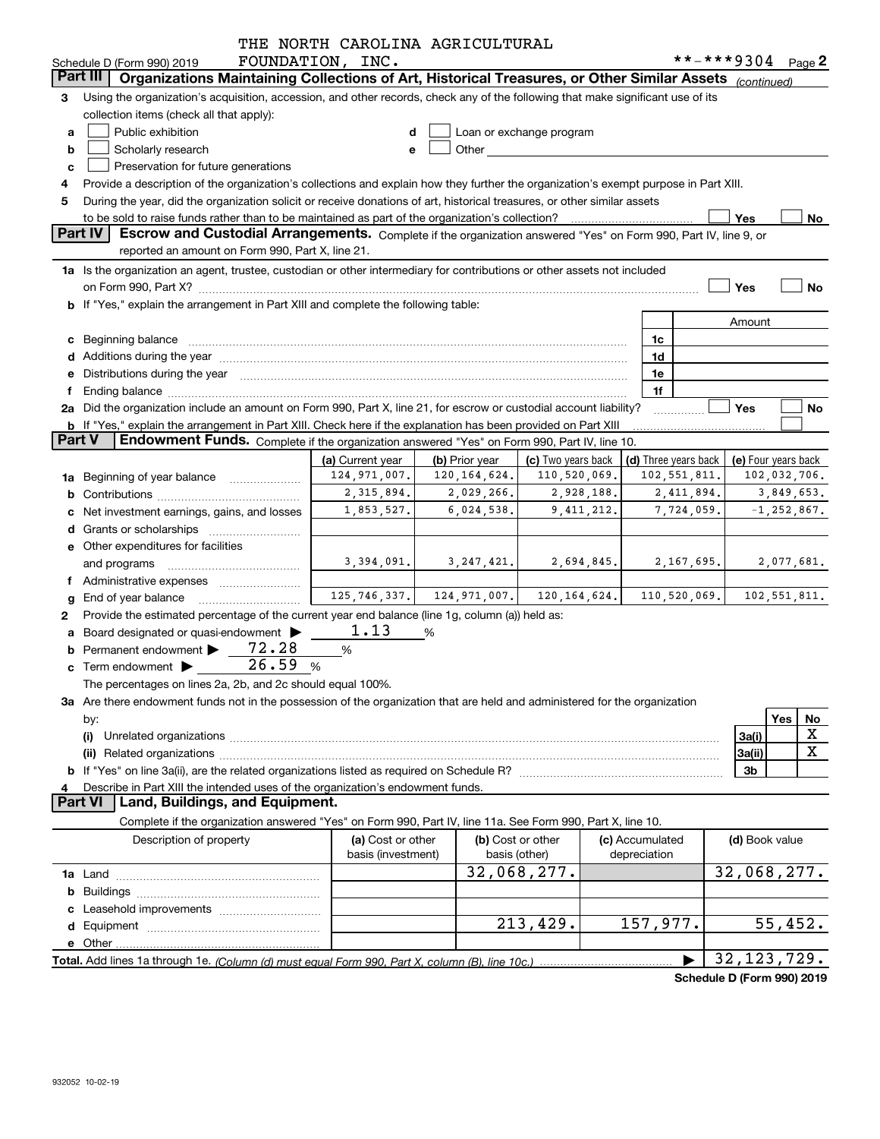|               |                                                                                                                                                                                                                                | THE NORTH CAROLINA AGRICULTURAL         |                |                                                                                                                                                                                                                                |                                 |                                                                                                                                                                                                                                                                                                                                     |                 |
|---------------|--------------------------------------------------------------------------------------------------------------------------------------------------------------------------------------------------------------------------------|-----------------------------------------|----------------|--------------------------------------------------------------------------------------------------------------------------------------------------------------------------------------------------------------------------------|---------------------------------|-------------------------------------------------------------------------------------------------------------------------------------------------------------------------------------------------------------------------------------------------------------------------------------------------------------------------------------|-----------------|
|               | Schedule D (Form 990) 2019<br>Part III                                                                                                                                                                                         | FOUNDATION, INC.                        |                |                                                                                                                                                                                                                                |                                 | **-***9304 Page 2                                                                                                                                                                                                                                                                                                                   |                 |
|               | Organizations Maintaining Collections of Art, Historical Treasures, or Other Similar Assets (continued)                                                                                                                        |                                         |                |                                                                                                                                                                                                                                |                                 |                                                                                                                                                                                                                                                                                                                                     |                 |
| 3             | Using the organization's acquisition, accession, and other records, check any of the following that make significant use of its                                                                                                |                                         |                |                                                                                                                                                                                                                                |                                 |                                                                                                                                                                                                                                                                                                                                     |                 |
|               | collection items (check all that apply):                                                                                                                                                                                       |                                         |                |                                                                                                                                                                                                                                |                                 |                                                                                                                                                                                                                                                                                                                                     |                 |
| a             | Public exhibition                                                                                                                                                                                                              |                                         |                | Loan or exchange program                                                                                                                                                                                                       |                                 |                                                                                                                                                                                                                                                                                                                                     |                 |
| b             | Scholarly research                                                                                                                                                                                                             |                                         |                | Other and the control of the control of the control of the control of the control of the control of the control of the control of the control of the control of the control of the control of the control of the control of th |                                 |                                                                                                                                                                                                                                                                                                                                     |                 |
| c             | Preservation for future generations                                                                                                                                                                                            |                                         |                |                                                                                                                                                                                                                                |                                 |                                                                                                                                                                                                                                                                                                                                     |                 |
|               | Provide a description of the organization's collections and explain how they further the organization's exempt purpose in Part XIII.                                                                                           |                                         |                |                                                                                                                                                                                                                                |                                 |                                                                                                                                                                                                                                                                                                                                     |                 |
| 5             | During the year, did the organization solicit or receive donations of art, historical treasures, or other similar assets                                                                                                       |                                         |                |                                                                                                                                                                                                                                |                                 |                                                                                                                                                                                                                                                                                                                                     |                 |
|               | to be sold to raise funds rather than to be maintained as part of the organization's collection?                                                                                                                               |                                         |                |                                                                                                                                                                                                                                |                                 | Yes                                                                                                                                                                                                                                                                                                                                 | No              |
|               | Part IV<br>Escrow and Custodial Arrangements. Complete if the organization answered "Yes" on Form 990, Part IV, line 9, or                                                                                                     |                                         |                |                                                                                                                                                                                                                                |                                 |                                                                                                                                                                                                                                                                                                                                     |                 |
|               | reported an amount on Form 990, Part X, line 21.                                                                                                                                                                               |                                         |                |                                                                                                                                                                                                                                |                                 |                                                                                                                                                                                                                                                                                                                                     |                 |
|               | 1a Is the organization an agent, trustee, custodian or other intermediary for contributions or other assets not included                                                                                                       |                                         |                |                                                                                                                                                                                                                                |                                 |                                                                                                                                                                                                                                                                                                                                     |                 |
|               | on Form 990, Part X? [11] matter continuum matter contract to the contract of the contract of the contract of the contract of the contract of the contract of the contract of the contract of the contract of the contract of  |                                         |                |                                                                                                                                                                                                                                |                                 | Yes                                                                                                                                                                                                                                                                                                                                 | No              |
|               | b If "Yes," explain the arrangement in Part XIII and complete the following table:                                                                                                                                             |                                         |                |                                                                                                                                                                                                                                |                                 |                                                                                                                                                                                                                                                                                                                                     |                 |
|               |                                                                                                                                                                                                                                |                                         |                |                                                                                                                                                                                                                                |                                 | Amount                                                                                                                                                                                                                                                                                                                              |                 |
|               | c Beginning balance measurements and the state of the state of the state of the state of the state of the state of the state of the state of the state of the state of the state of the state of the state of the state of the |                                         |                |                                                                                                                                                                                                                                | 1c                              |                                                                                                                                                                                                                                                                                                                                     |                 |
|               |                                                                                                                                                                                                                                |                                         |                |                                                                                                                                                                                                                                | 1d                              |                                                                                                                                                                                                                                                                                                                                     |                 |
|               | e Distributions during the year manufactured and continuum and control of the control of the control of the control of the control of the control of the control of the control of the control of the control of the control o |                                         |                |                                                                                                                                                                                                                                | 1e                              |                                                                                                                                                                                                                                                                                                                                     |                 |
| f             |                                                                                                                                                                                                                                |                                         |                |                                                                                                                                                                                                                                | 1f                              |                                                                                                                                                                                                                                                                                                                                     |                 |
|               | 2a Did the organization include an amount on Form 990, Part X, line 21, for escrow or custodial account liability?                                                                                                             |                                         |                |                                                                                                                                                                                                                                |                                 | Yes                                                                                                                                                                                                                                                                                                                                 | No              |
|               | b If "Yes," explain the arrangement in Part XIII. Check here if the explanation has been provided on Part XIII                                                                                                                 |                                         |                |                                                                                                                                                                                                                                |                                 |                                                                                                                                                                                                                                                                                                                                     |                 |
| <b>Part V</b> | <b>Endowment Funds.</b> Complete if the organization answered "Yes" on Form 990, Part IV, line 10.                                                                                                                             |                                         |                |                                                                                                                                                                                                                                |                                 |                                                                                                                                                                                                                                                                                                                                     |                 |
|               |                                                                                                                                                                                                                                | (a) Current year                        | (b) Prior year | (c) Two years back                                                                                                                                                                                                             | (d) Three years back            | (e) Four years back                                                                                                                                                                                                                                                                                                                 |                 |
|               | 1a Beginning of year balance                                                                                                                                                                                                   | 124,971,007.                            | 120, 164, 624. | 110,520,069.                                                                                                                                                                                                                   | 102, 551, 811.                  |                                                                                                                                                                                                                                                                                                                                     | 102,032,706.    |
|               |                                                                                                                                                                                                                                | 2,315,894.                              | 2,029,266.     | 2,928,188.                                                                                                                                                                                                                     | 2,411,894.                      |                                                                                                                                                                                                                                                                                                                                     | 3,849,653.      |
|               | Net investment earnings, gains, and losses                                                                                                                                                                                     | 1,853,527.                              | 6,024,538.     | 9, 411, 212.                                                                                                                                                                                                                   | 7,724,059.                      |                                                                                                                                                                                                                                                                                                                                     | $-1, 252, 867.$ |
|               |                                                                                                                                                                                                                                |                                         |                |                                                                                                                                                                                                                                |                                 |                                                                                                                                                                                                                                                                                                                                     |                 |
|               | e Other expenditures for facilities                                                                                                                                                                                            |                                         |                |                                                                                                                                                                                                                                |                                 |                                                                                                                                                                                                                                                                                                                                     |                 |
|               | and programs                                                                                                                                                                                                                   | 3,394,091.                              |                | $3, 247, 421.$ $2, 694, 845.$                                                                                                                                                                                                  | 2,167,695.                      |                                                                                                                                                                                                                                                                                                                                     | 2,077,681.      |
|               | f Administrative expenses                                                                                                                                                                                                      |                                         |                |                                                                                                                                                                                                                                |                                 |                                                                                                                                                                                                                                                                                                                                     |                 |
|               | <b>g</b> End of year balance $\ldots$                                                                                                                                                                                          | 125, 746, 337.                          |                | $124, 971, 007.$ 120, 164, 624.                                                                                                                                                                                                | 110, 520, 069.                  |                                                                                                                                                                                                                                                                                                                                     | 102,551,811.    |
| 2             | Provide the estimated percentage of the current year end balance (line 1g, column (a)) held as:                                                                                                                                |                                         |                |                                                                                                                                                                                                                                |                                 |                                                                                                                                                                                                                                                                                                                                     |                 |
|               | a Board designated or quasi-endowment >                                                                                                                                                                                        | 1.13                                    | %              |                                                                                                                                                                                                                                |                                 |                                                                                                                                                                                                                                                                                                                                     |                 |
|               | 72.28<br>Permanent endowment                                                                                                                                                                                                   | %                                       |                |                                                                                                                                                                                                                                |                                 |                                                                                                                                                                                                                                                                                                                                     |                 |
|               | 26.59<br>$\mathbf c$ Term endowment $\blacktriangleright$                                                                                                                                                                      | %                                       |                |                                                                                                                                                                                                                                |                                 |                                                                                                                                                                                                                                                                                                                                     |                 |
|               | The percentages on lines 2a, 2b, and 2c should equal 100%.                                                                                                                                                                     |                                         |                |                                                                                                                                                                                                                                |                                 |                                                                                                                                                                                                                                                                                                                                     |                 |
|               | 3a Are there endowment funds not in the possession of the organization that are held and administered for the organization                                                                                                     |                                         |                |                                                                                                                                                                                                                                |                                 |                                                                                                                                                                                                                                                                                                                                     |                 |
|               | by:                                                                                                                                                                                                                            |                                         |                |                                                                                                                                                                                                                                |                                 | Yes                                                                                                                                                                                                                                                                                                                                 | No              |
|               | (i)                                                                                                                                                                                                                            |                                         |                |                                                                                                                                                                                                                                |                                 | 3a(i)                                                                                                                                                                                                                                                                                                                               | х               |
|               |                                                                                                                                                                                                                                |                                         |                |                                                                                                                                                                                                                                |                                 | 3a(ii)                                                                                                                                                                                                                                                                                                                              | X               |
|               |                                                                                                                                                                                                                                |                                         |                |                                                                                                                                                                                                                                |                                 | 3b                                                                                                                                                                                                                                                                                                                                  |                 |
| 4             | Describe in Part XIII the intended uses of the organization's endowment funds.                                                                                                                                                 |                                         |                |                                                                                                                                                                                                                                |                                 |                                                                                                                                                                                                                                                                                                                                     |                 |
|               | Land, Buildings, and Equipment.<br><b>Part VI</b>                                                                                                                                                                              |                                         |                |                                                                                                                                                                                                                                |                                 |                                                                                                                                                                                                                                                                                                                                     |                 |
|               | Complete if the organization answered "Yes" on Form 990, Part IV, line 11a. See Form 990, Part X, line 10.                                                                                                                     |                                         |                |                                                                                                                                                                                                                                |                                 |                                                                                                                                                                                                                                                                                                                                     |                 |
|               | Description of property                                                                                                                                                                                                        | (a) Cost or other<br>basis (investment) |                | (b) Cost or other<br>basis (other)                                                                                                                                                                                             | (c) Accumulated<br>depreciation | (d) Book value                                                                                                                                                                                                                                                                                                                      |                 |
|               |                                                                                                                                                                                                                                |                                         |                | 32,068,277.                                                                                                                                                                                                                    |                                 | 32,068,277.                                                                                                                                                                                                                                                                                                                         |                 |
|               |                                                                                                                                                                                                                                |                                         |                |                                                                                                                                                                                                                                |                                 |                                                                                                                                                                                                                                                                                                                                     |                 |
|               |                                                                                                                                                                                                                                |                                         |                |                                                                                                                                                                                                                                |                                 |                                                                                                                                                                                                                                                                                                                                     |                 |
|               |                                                                                                                                                                                                                                |                                         |                | 213,429.                                                                                                                                                                                                                       | 157,977.                        |                                                                                                                                                                                                                                                                                                                                     | 55,452.         |
|               |                                                                                                                                                                                                                                |                                         |                |                                                                                                                                                                                                                                |                                 |                                                                                                                                                                                                                                                                                                                                     |                 |
|               |                                                                                                                                                                                                                                |                                         |                |                                                                                                                                                                                                                                |                                 | 32, 123, 729.                                                                                                                                                                                                                                                                                                                       |                 |
|               |                                                                                                                                                                                                                                |                                         |                |                                                                                                                                                                                                                                |                                 | $\mathbf{a}$ . $\mathbf{b}$ $\mathbf{c}$ $\mathbf{c}$ $\mathbf{c}$ $\mathbf{c}$ $\mathbf{c}$ $\mathbf{c}$ $\mathbf{c}$ $\mathbf{c}$ $\mathbf{c}$ $\mathbf{c}$ $\mathbf{c}$ $\mathbf{c}$ $\mathbf{c}$ $\mathbf{c}$ $\mathbf{c}$ $\mathbf{c}$ $\mathbf{c}$ $\mathbf{c}$ $\mathbf{c}$ $\mathbf{c}$ $\mathbf{c}$ $\mathbf{c}$ $\mathbf$ |                 |

**Schedule D (Form 990) 2019**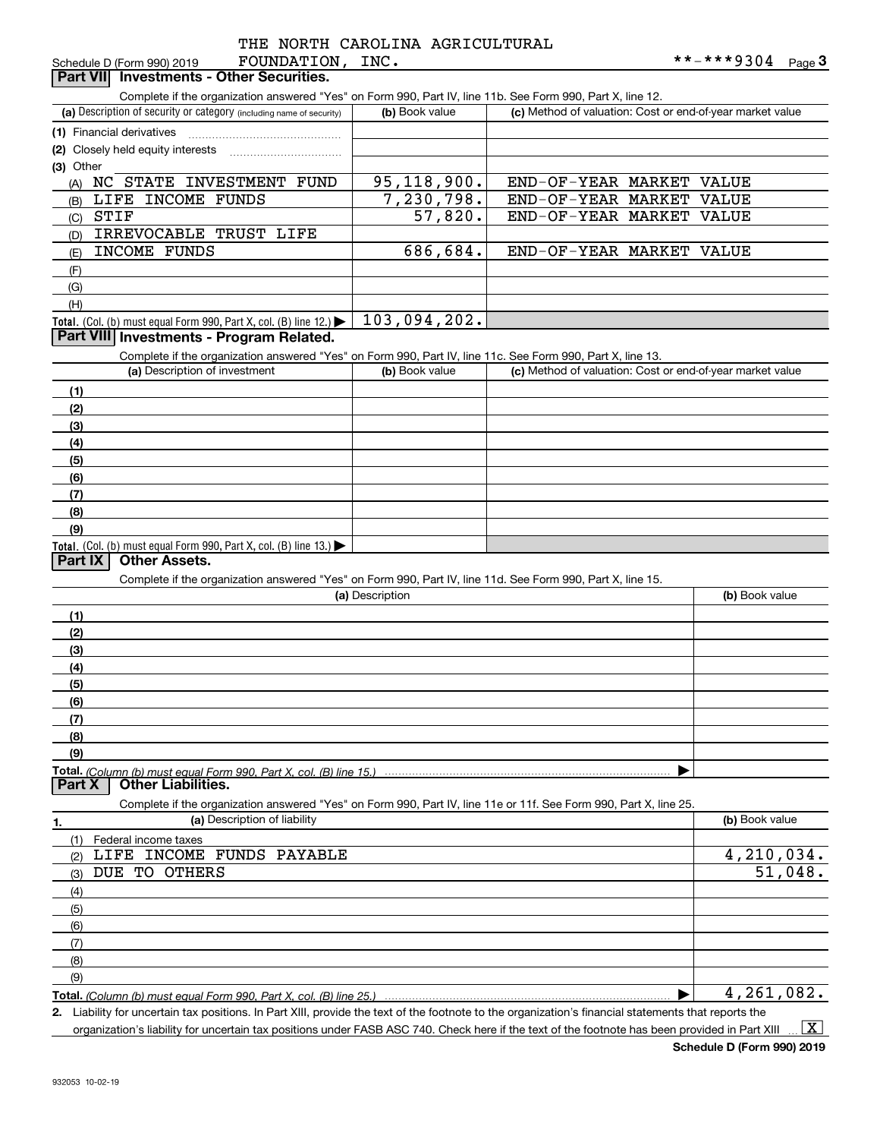|                            | IIID NORII CARODI |      |
|----------------------------|-------------------|------|
| Schedule D (Form 990) 2019 | FOUNDATION,       | INC. |

| Part VII Investments - Other Securities.                                                                          |                 |                                                           |                |
|-------------------------------------------------------------------------------------------------------------------|-----------------|-----------------------------------------------------------|----------------|
| Complete if the organization answered "Yes" on Form 990, Part IV, line 11b. See Form 990, Part X, line 12.        |                 |                                                           |                |
| (a) Description of security or category (including name of security)                                              | (b) Book value  | (c) Method of valuation: Cost or end-of-year market value |                |
| (1) Financial derivatives                                                                                         |                 |                                                           |                |
| (2) Closely held equity interests                                                                                 |                 |                                                           |                |
| (3) Other                                                                                                         |                 |                                                           |                |
| (A) NC STATE INVESTMENT FUND                                                                                      | 95, 118, 900.   | END-OF-YEAR MARKET VALUE                                  |                |
| LIFE INCOME FUNDS<br>(B)                                                                                          | 7,230,798.      | END-OF-YEAR MARKET VALUE                                  |                |
| STIF<br>(C)                                                                                                       | 57,820.         | END-OF-YEAR MARKET                                        | VALUE          |
| IRREVOCABLE TRUST LIFE<br>(D)                                                                                     |                 |                                                           |                |
| INCOME FUNDS<br>(E)                                                                                               | 686,684.        | END-OF-YEAR MARKET VALUE                                  |                |
| (F)                                                                                                               |                 |                                                           |                |
| (G)                                                                                                               |                 |                                                           |                |
| (H)                                                                                                               |                 |                                                           |                |
| <b>Total.</b> (Col. (b) must equal Form 990, Part X, col. (B) line 12.)                                           | 103,094,202.    |                                                           |                |
| Part VIII Investments - Program Related.                                                                          |                 |                                                           |                |
| Complete if the organization answered "Yes" on Form 990, Part IV, line 11c. See Form 990, Part X, line 13.        |                 |                                                           |                |
| (a) Description of investment                                                                                     | (b) Book value  | (c) Method of valuation: Cost or end-of-year market value |                |
| (1)                                                                                                               |                 |                                                           |                |
| (2)                                                                                                               |                 |                                                           |                |
| (3)                                                                                                               |                 |                                                           |                |
| (4)                                                                                                               |                 |                                                           |                |
| (5)                                                                                                               |                 |                                                           |                |
| (6)                                                                                                               |                 |                                                           |                |
| (7)                                                                                                               |                 |                                                           |                |
| (8)                                                                                                               |                 |                                                           |                |
| (9)                                                                                                               |                 |                                                           |                |
| Total. (Col. (b) must equal Form 990, Part X, col. (B) line $13.$ )                                               |                 |                                                           |                |
| <b>Other Assets.</b><br>Part IX                                                                                   |                 |                                                           |                |
| Complete if the organization answered "Yes" on Form 990, Part IV, line 11d. See Form 990, Part X, line 15.        |                 |                                                           |                |
|                                                                                                                   | (a) Description |                                                           | (b) Book value |
| (1)                                                                                                               |                 |                                                           |                |
| (2)                                                                                                               |                 |                                                           |                |
| (3)                                                                                                               |                 |                                                           |                |
| (4)                                                                                                               |                 |                                                           |                |
| (5)                                                                                                               |                 |                                                           |                |
| (6)                                                                                                               |                 |                                                           |                |
| (7)                                                                                                               |                 |                                                           |                |
| (8)                                                                                                               |                 |                                                           |                |
| (9)                                                                                                               |                 |                                                           |                |
| Total. (Column (b) must equal Form 990. Part X. col. (B) line 15.)<br><b>Other Liabilities.</b><br>Part X         |                 |                                                           |                |
| Complete if the organization answered "Yes" on Form 990, Part IV, line 11e or 11f. See Form 990, Part X, line 25. |                 |                                                           |                |
| (a) Description of liability<br><u>1.</u>                                                                         |                 |                                                           | (b) Book value |
| (1)<br>Federal income taxes                                                                                       |                 |                                                           |                |
| LIFE INCOME FUNDS PAYABLE<br>(2)                                                                                  |                 |                                                           | 4,210,034.     |
| DUE TO OTHERS<br>(3)                                                                                              |                 |                                                           | 51,048.        |
| (4)                                                                                                               |                 |                                                           |                |
| (5)                                                                                                               |                 |                                                           |                |
| (6)                                                                                                               |                 |                                                           |                |
| (7)                                                                                                               |                 |                                                           |                |
| (8)                                                                                                               |                 |                                                           |                |
| (9)                                                                                                               |                 |                                                           |                |
|                                                                                                                   |                 |                                                           | 4,261,082.     |
| Total. (Column (b) must equal Form 990, Part X, col. (B) line 25.)                                                |                 |                                                           |                |

**2.** Liability for uncertain tax positions. In Part XIII, provide the text of the footnote to the organization's financial statements that reports the organization's liability for uncertain tax positions under FASB ASC 740. Check here if the text of the footnote has been provided in Part XIII  $\vert$  X  $\vert$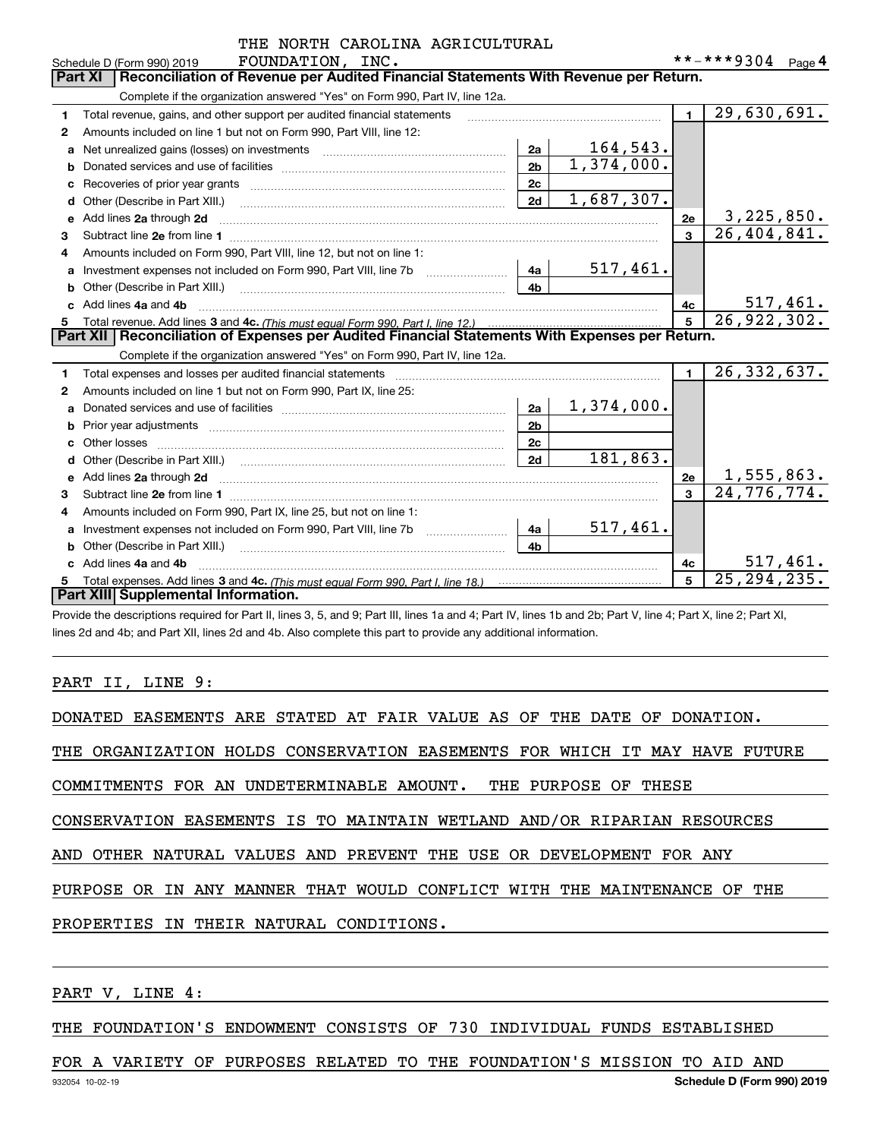|              | THE NORTH CAROLINA AGRICULIORAL                                                                                                                                                                                                     |                |                               |                |                   |
|--------------|-------------------------------------------------------------------------------------------------------------------------------------------------------------------------------------------------------------------------------------|----------------|-------------------------------|----------------|-------------------|
|              | FOUNDATION, INC.<br>Schedule D (Form 990) 2019<br>Reconciliation of Revenue per Audited Financial Statements With Revenue per Return.<br><b>Part XI</b>                                                                             |                |                               |                | **-***9304 Page 4 |
|              |                                                                                                                                                                                                                                     |                |                               |                |                   |
|              | Complete if the organization answered "Yes" on Form 990, Part IV, line 12a.                                                                                                                                                         |                |                               |                |                   |
| 1            | Total revenue, gains, and other support per audited financial statements                                                                                                                                                            |                |                               | $\blacksquare$ | 29,630,691.       |
| $\mathbf{2}$ | Amounts included on line 1 but not on Form 990, Part VIII, line 12:                                                                                                                                                                 |                |                               |                |                   |
| a            |                                                                                                                                                                                                                                     | 2a             | $\frac{164,543.}{1,374,000.}$ |                |                   |
| b            |                                                                                                                                                                                                                                     | 2 <sub>b</sub> |                               |                |                   |
| C            |                                                                                                                                                                                                                                     | 2c             |                               |                |                   |
| d            | Other (Describe in Part XIII.) <b>Construction Contract Construction</b> Chern Construction Chern Chern Chern Chern Chern Chern Chern Chern Chern Chern Chern Chern Chern Chern Chern Chern Chern Chern Chern Chern Chern Chern Che | 2d             | 1,687,307.                    |                |                   |
|              | Add lines 2a through 2d                                                                                                                                                                                                             |                |                               | 2e             | 3,225,850.        |
| З.           |                                                                                                                                                                                                                                     |                |                               | $\mathbf{a}$   | 26,404,841.       |
| 4            | Amounts included on Form 990, Part VIII, line 12, but not on line 1:                                                                                                                                                                |                |                               |                |                   |
| а            | Investment expenses not included on Form 990, Part VIII, line 7b [1000000000000000000000000000000000                                                                                                                                | 4a             | <u>517,461.</u>               |                |                   |
| b            | Other (Describe in Part XIII.) <b>Construction Contract Construction</b> Chemistry Chemistry Chemistry Chemistry Chemistry                                                                                                          | 4 <sub>b</sub> |                               |                |                   |
|              | Add lines 4a and 4b                                                                                                                                                                                                                 |                |                               | 4c             | <u>517,461.</u>   |
|              |                                                                                                                                                                                                                                     | 5              | 26, 922, 302.                 |                |                   |
|              | Part XII   Reconciliation of Expenses per Audited Financial Statements With Expenses per Return.                                                                                                                                    |                |                               |                |                   |
|              | Complete if the organization answered "Yes" on Form 990, Part IV, line 12a.                                                                                                                                                         |                |                               |                |                   |
| 1            | Total expenses and losses per audited financial statements                                                                                                                                                                          |                |                               | $\blacksquare$ | 26, 332, 637.     |
| 2            | Amounts included on line 1 but not on Form 990, Part IX, line 25:                                                                                                                                                                   |                |                               |                |                   |
| a            |                                                                                                                                                                                                                                     | 2a             | 1,374,000.                    |                |                   |
| b            |                                                                                                                                                                                                                                     | 2 <sub>b</sub> |                               |                |                   |
|              |                                                                                                                                                                                                                                     | 2 <sub>c</sub> |                               |                |                   |
| d            |                                                                                                                                                                                                                                     | 2d             | 181,863.                      |                |                   |
| e            | Add lines 2a through 2d <b>contained a contained a contained a contained a</b> contained a contained a contained a contained a contained a contained a contained a contained a contained a contained a contained a contained a cont |                |                               | 2e             | 1,555,863.        |
| 3            |                                                                                                                                                                                                                                     |                |                               | $\mathbf{a}$   | 24,776,774.       |
| 4            | Amounts included on Form 990, Part IX, line 25, but not on line 1:                                                                                                                                                                  |                |                               |                |                   |
| a            | Investment expenses not included on Form 990, Part VIII, line 7b [100] [100] [100] [100] [100] [100] [100] [10                                                                                                                      | 4a             | 517,461.                      |                |                   |
|              | Other (Describe in Part XIII.) <b>Construction Contract Construction</b> Chemical Construction Chemical Chemical Chemical Chemical Chemical Chemical Chemical Chemical Chemical Chemical Chemical Chemical Chemical Chemical Chemic | 4 <sub>h</sub> |                               |                |                   |
|              | Add lines 4a and 4b                                                                                                                                                                                                                 |                |                               | 4c             | 517,461.          |
| 5            |                                                                                                                                                                                                                                     |                |                               | 5              | 25, 294, 235.     |
|              | Part XIII Supplemental Information.                                                                                                                                                                                                 |                |                               |                |                   |

CAROLINA AGRICULTURAL

Provide the descriptions required for Part II, lines 3, 5, and 9; Part III, lines 1a and 4; Part IV, lines 1b and 2b; Part V, line 4; Part X, line 2; Part XI, lines 2d and 4b; and Part XII, lines 2d and 4b. Also complete this part to provide any additional information.

#### PART II, LINE 9:

|  | DONATED EASEMENTS ARE STATED AT FAIR VALUE AS OF THE DATE OF DONATION. |  |  |  |  |  |  |  |  |  |  |  |  |
|--|------------------------------------------------------------------------|--|--|--|--|--|--|--|--|--|--|--|--|
|--|------------------------------------------------------------------------|--|--|--|--|--|--|--|--|--|--|--|--|

THE ORGANIZATION HOLDS CONSERVATION EASEMENTS FOR WHICH IT MAY HAVE FUTURE

COMMITMENTS FOR AN UNDETERMINABLE AMOUNT. THE PURPOSE OF THESE

CONSERVATION EASEMENTS IS TO MAINTAIN WETLAND AND/OR RIPARIAN RESOURCES

AND OTHER NATURAL VALUES AND PREVENT THE USE OR DEVELOPMENT FOR ANY

PURPOSE OR IN ANY MANNER THAT WOULD CONFLICT WITH THE MAINTENANCE OF THE

PROPERTIES IN THEIR NATURAL CONDITIONS.

PART V, LINE 4:

THE FOUNDATION'S ENDOWMENT CONSISTS OF 730 INDIVIDUAL FUNDS ESTABLISHED

FOR A VARIETY OF PURPOSES RELATED TO THE FOUNDATION'S MISSION TO AID AND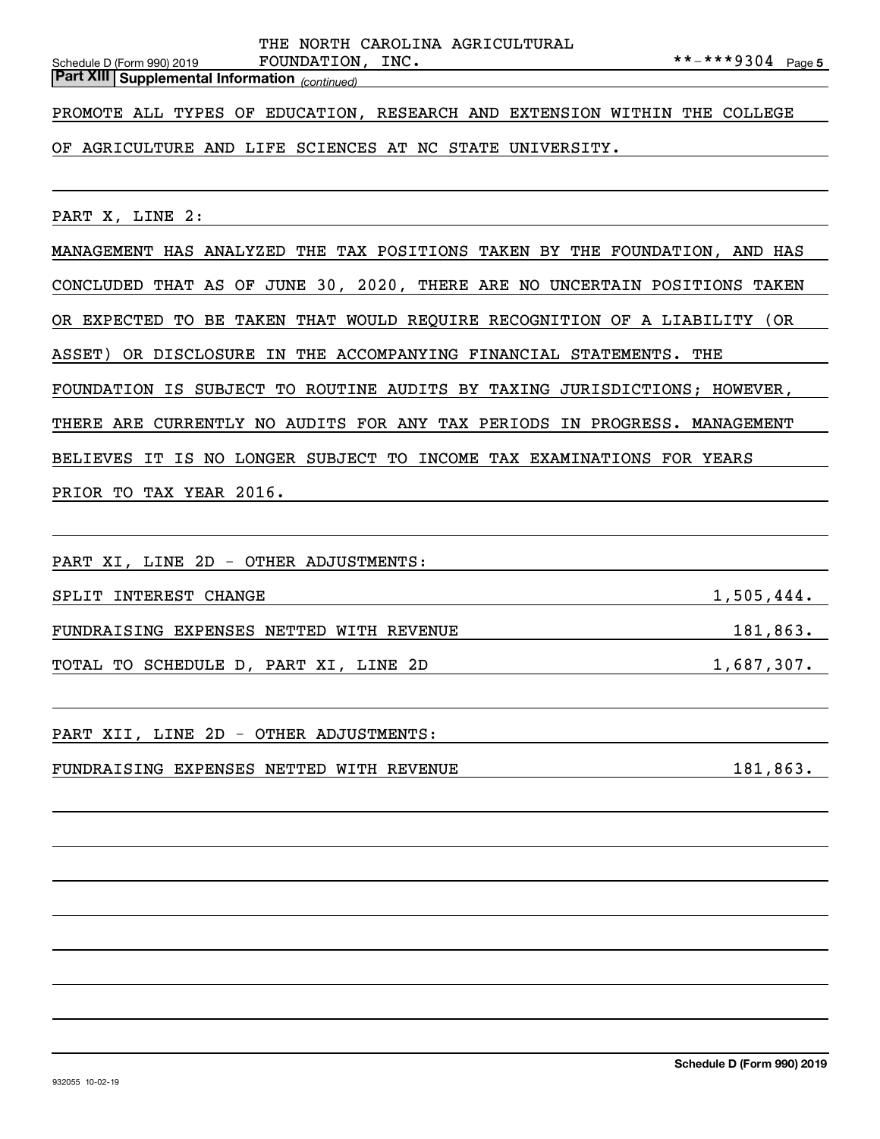*(continued)* **Part XIII Supplemental Information** 

PROMOTE ALL TYPES OF EDUCATION, RESEARCH AND EXTENSION WITHIN THE COLLEGE

OF AGRICULTURE AND LIFE SCIENCES AT NC STATE UNIVERSITY.

PART X, LINE 2:

MANAGEMENT HAS ANALYZED THE TAX POSITIONS TAKEN BY THE FOUNDATION, AND HAS CONCLUDED THAT AS OF JUNE 30, 2020, THERE ARE NO UNCERTAIN POSITIONS TAKEN OR EXPECTED TO BE TAKEN THAT WOULD REQUIRE RECOGNITION OF A LIABILITY (OR ASSET) OR DISCLOSURE IN THE ACCOMPANYING FINANCIAL STATEMENTS. THE FOUNDATION IS SUBJECT TO ROUTINE AUDITS BY TAXING JURISDICTIONS; HOWEVER, THERE ARE CURRENTLY NO AUDITS FOR ANY TAX PERIODS IN PROGRESS. MANAGEMENT BELIEVES IT IS NO LONGER SUBJECT TO INCOME TAX EXAMINATIONS FOR YEARS PRIOR TO TAX YEAR 2016.

PART XI, LINE 2D - OTHER ADJUSTMENTS:

| SPLIT INTEREST CHANGE                    | 1,505,444. |
|------------------------------------------|------------|
|                                          |            |
| FUNDRAISING EXPENSES NETTED WITH REVENUE | 181,863.   |
|                                          |            |
| TOTAL TO SCHEDULE D, PART XI, LINE 2D    | 1,687,307. |

PART XII, LINE 2D - OTHER ADJUSTMENTS:

FUNDRAISING EXPENSES NETTED WITH REVENUE 181,863.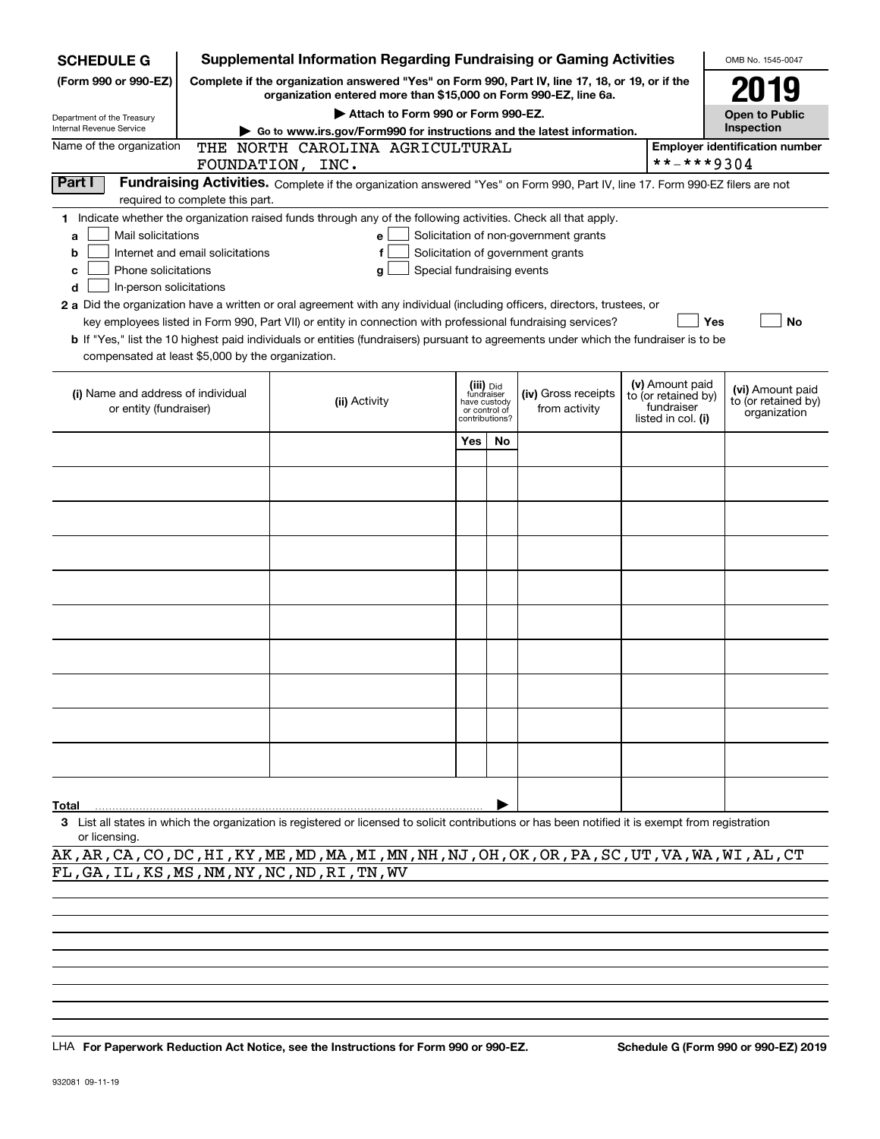| <b>SCHEDULE G</b>                                            |                                                                                                                                                                     | <b>Supplemental Information Regarding Fundraising or Gaming Activities</b>                                                                         |     |                                                                            |                                       |  |                                                                            | OMB No. 1545-0047                                       |
|--------------------------------------------------------------|---------------------------------------------------------------------------------------------------------------------------------------------------------------------|----------------------------------------------------------------------------------------------------------------------------------------------------|-----|----------------------------------------------------------------------------|---------------------------------------|--|----------------------------------------------------------------------------|---------------------------------------------------------|
| (Form 990 or 990-EZ)                                         | Complete if the organization answered "Yes" on Form 990, Part IV, line 17, 18, or 19, or if the<br>organization entered more than \$15,000 on Form 990-EZ, line 6a. |                                                                                                                                                    |     |                                                                            |                                       |  |                                                                            | 2019                                                    |
| Department of the Treasury                                   |                                                                                                                                                                     | Attach to Form 990 or Form 990-EZ.                                                                                                                 |     |                                                                            |                                       |  |                                                                            | <b>Open to Public</b>                                   |
| Internal Revenue Service                                     |                                                                                                                                                                     | Go to www.irs.gov/Form990 for instructions and the latest information.                                                                             |     |                                                                            |                                       |  |                                                                            | Inspection                                              |
| Name of the organization                                     |                                                                                                                                                                     | THE NORTH CAROLINA AGRICULTURAL                                                                                                                    |     |                                                                            |                                       |  |                                                                            | <b>Employer identification number</b>                   |
|                                                              |                                                                                                                                                                     | FOUNDATION, INC.                                                                                                                                   |     |                                                                            |                                       |  | **-***9304                                                                 |                                                         |
| Part I                                                       | required to complete this part.                                                                                                                                     | Fundraising Activities. Complete if the organization answered "Yes" on Form 990, Part IV, line 17. Form 990-EZ filers are not                      |     |                                                                            |                                       |  |                                                                            |                                                         |
|                                                              |                                                                                                                                                                     | 1 Indicate whether the organization raised funds through any of the following activities. Check all that apply.                                    |     |                                                                            |                                       |  |                                                                            |                                                         |
| Mail solicitations<br>a                                      |                                                                                                                                                                     | e                                                                                                                                                  |     |                                                                            | Solicitation of non-government grants |  |                                                                            |                                                         |
| b                                                            | Internet and email solicitations                                                                                                                                    |                                                                                                                                                    |     |                                                                            | Solicitation of government grants     |  |                                                                            |                                                         |
| Phone solicitations<br>с                                     |                                                                                                                                                                     | Special fundraising events<br>g                                                                                                                    |     |                                                                            |                                       |  |                                                                            |                                                         |
| In-person solicitations<br>d                                 |                                                                                                                                                                     |                                                                                                                                                    |     |                                                                            |                                       |  |                                                                            |                                                         |
|                                                              |                                                                                                                                                                     | 2 a Did the organization have a written or oral agreement with any individual (including officers, directors, trustees, or                         |     |                                                                            |                                       |  |                                                                            |                                                         |
|                                                              |                                                                                                                                                                     | key employees listed in Form 990, Part VII) or entity in connection with professional fundraising services?                                        |     |                                                                            |                                       |  | Yes                                                                        | No                                                      |
|                                                              |                                                                                                                                                                     | b If "Yes," list the 10 highest paid individuals or entities (fundraisers) pursuant to agreements under which the fundraiser is to be              |     |                                                                            |                                       |  |                                                                            |                                                         |
| compensated at least \$5,000 by the organization.            |                                                                                                                                                                     |                                                                                                                                                    |     |                                                                            |                                       |  |                                                                            |                                                         |
| (i) Name and address of individual<br>or entity (fundraiser) |                                                                                                                                                                     | (ii) Activity                                                                                                                                      |     | (iii) Did<br>fundraiser<br>have custody<br>or control of<br>contributions? | (iv) Gross receipts<br>from activity  |  | (v) Amount paid<br>to (or retained by)<br>fundraiser<br>listed in col. (i) | (vi) Amount paid<br>to (or retained by)<br>organization |
|                                                              |                                                                                                                                                                     |                                                                                                                                                    |     |                                                                            |                                       |  |                                                                            |                                                         |
|                                                              |                                                                                                                                                                     |                                                                                                                                                    | Yes | No.                                                                        |                                       |  |                                                                            |                                                         |
|                                                              |                                                                                                                                                                     |                                                                                                                                                    |     |                                                                            |                                       |  |                                                                            |                                                         |
|                                                              |                                                                                                                                                                     |                                                                                                                                                    |     |                                                                            |                                       |  |                                                                            |                                                         |
|                                                              |                                                                                                                                                                     |                                                                                                                                                    |     |                                                                            |                                       |  |                                                                            |                                                         |
|                                                              |                                                                                                                                                                     |                                                                                                                                                    |     |                                                                            |                                       |  |                                                                            |                                                         |
|                                                              |                                                                                                                                                                     |                                                                                                                                                    |     |                                                                            |                                       |  |                                                                            |                                                         |
|                                                              |                                                                                                                                                                     |                                                                                                                                                    |     |                                                                            |                                       |  |                                                                            |                                                         |
|                                                              |                                                                                                                                                                     |                                                                                                                                                    |     |                                                                            |                                       |  |                                                                            |                                                         |
|                                                              |                                                                                                                                                                     |                                                                                                                                                    |     |                                                                            |                                       |  |                                                                            |                                                         |
|                                                              |                                                                                                                                                                     |                                                                                                                                                    |     |                                                                            |                                       |  |                                                                            |                                                         |
|                                                              |                                                                                                                                                                     |                                                                                                                                                    |     |                                                                            |                                       |  |                                                                            |                                                         |
| Total                                                        |                                                                                                                                                                     |                                                                                                                                                    |     |                                                                            |                                       |  |                                                                            |                                                         |
|                                                              |                                                                                                                                                                     | 3 List all states in which the organization is registered or licensed to solicit contributions or has been notified it is exempt from registration |     |                                                                            |                                       |  |                                                                            |                                                         |

or licensing.

AK,AR,CA,CO,DC,HI,KY,ME,MD,MA,MI,MN,NH,NJ,OH,OK,OR,PA,SC,UT,VA,WA,WI,AL,CT FL,GA,IL,KS,MS,NM,NY,NC,ND,RI,TN,WV

LHA For Paperwork Reduction Act Notice, see the Instructions for Form 990 or 990-EZ. Schedule G (Form 990 or 990-EZ) 2019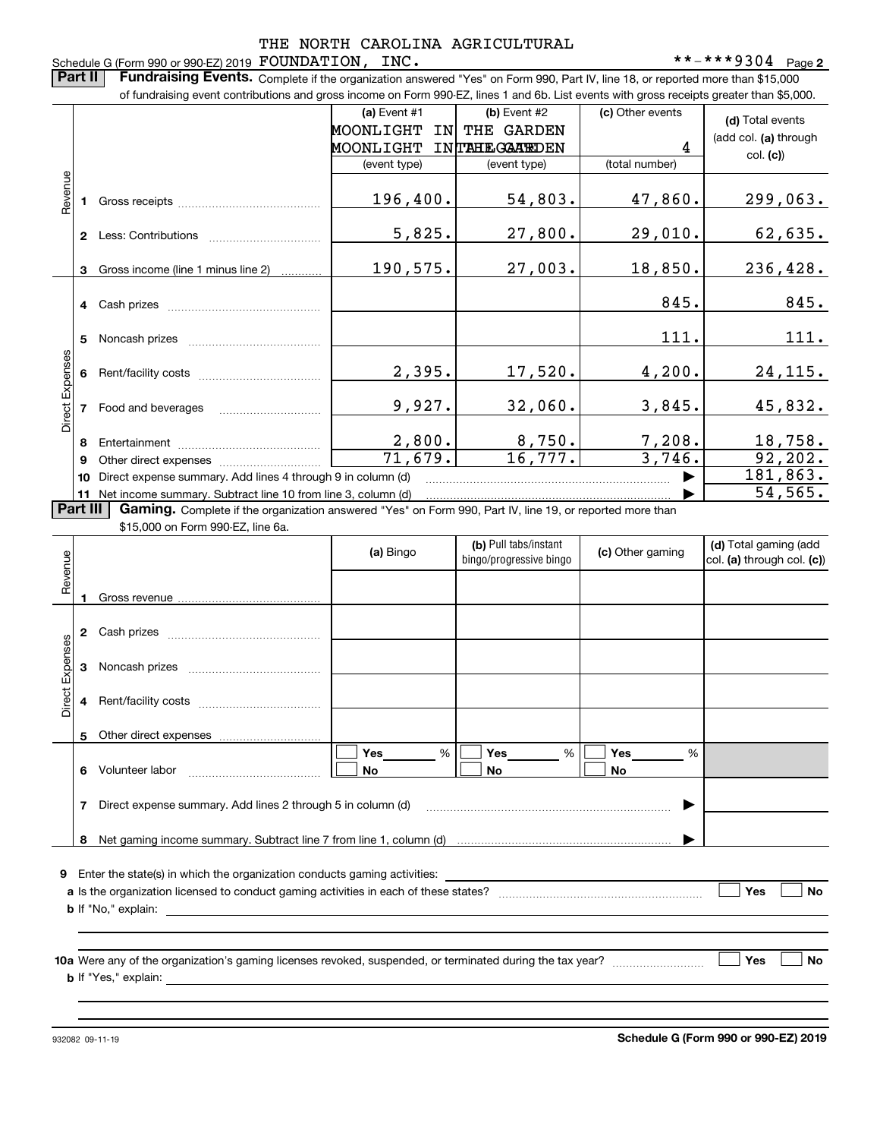#### Schedule G (Form 990 or 990-EZ) 2019 Page FOUNDATION, INC. \*\*-\*\*\*9304 THE NORTH CAROLINA AGRICULTURAL

**2**

**Part II** | Fundraising Events. Complete if the organization answered "Yes" on Form 990, Part IV, line 18, or reported more than \$15,000 of fundraising event contributions and gross income on Form 990-EZ, lines 1 and 6b. List events with gross receipts greater than \$5,000.

|                 |                | of fundraising event contributions and gross income on Form 990-EZ, lines T and 6D. List events with gross receipts greater than \$5,000. |                        |                         |                  |                            |
|-----------------|----------------|-------------------------------------------------------------------------------------------------------------------------------------------|------------------------|-------------------------|------------------|----------------------------|
|                 |                |                                                                                                                                           | (a) Event #1           | $(b)$ Event #2          | (c) Other events | (d) Total events           |
|                 |                |                                                                                                                                           | MOONLIGHT<br><b>IN</b> | THE GARDEN              |                  | (add col. (a) through      |
|                 |                |                                                                                                                                           | MOONLIGHT              | <b>INTAHEGAATEDEN</b>   | 4                | col. (c)                   |
|                 |                |                                                                                                                                           | (event type)           | (event type)            | (total number)   |                            |
|                 |                |                                                                                                                                           |                        |                         |                  |                            |
| Revenue         | 1.             |                                                                                                                                           | 196,400.               | 54,803.                 | 47,860.          | 299,063.                   |
|                 |                |                                                                                                                                           |                        |                         |                  |                            |
|                 |                |                                                                                                                                           | 5,825.                 | 27,800.                 | 29,010.          | 62,635.                    |
|                 |                |                                                                                                                                           |                        |                         |                  |                            |
|                 | 3              | Gross income (line 1 minus line 2)                                                                                                        | 190,575.               | 27,003.                 | 18,850.          | 236,428.                   |
|                 |                |                                                                                                                                           |                        |                         |                  |                            |
|                 |                |                                                                                                                                           |                        |                         | 845.             | 845.                       |
|                 |                |                                                                                                                                           |                        |                         |                  |                            |
|                 | 5              |                                                                                                                                           |                        |                         | 111.             | 111.                       |
|                 |                |                                                                                                                                           |                        |                         |                  |                            |
| Direct Expenses |                |                                                                                                                                           | 2,395.                 | 17,520.                 | 4,200.           | 24, 115.                   |
|                 |                |                                                                                                                                           |                        |                         |                  |                            |
|                 | $\overline{7}$ | Food and beverages                                                                                                                        | 9,927.                 | 32,060.                 | 3,845.           | 45,832.                    |
|                 |                |                                                                                                                                           |                        |                         |                  |                            |
|                 | 8              |                                                                                                                                           | 2,800.                 | 8,750.                  | 7,208.           | 18,758.                    |
|                 | 9              |                                                                                                                                           | 71,679.                | 16,777.                 | 3,746.           | 92, 202.                   |
|                 | 10             | Direct expense summary. Add lines 4 through 9 in column (d)                                                                               | 181,863.               |                         |                  |                            |
|                 |                | 11 Net income summary. Subtract line 10 from line 3, column (d)                                                                           |                        |                         |                  | 54, 565.                   |
| Part III        |                | Gaming. Complete if the organization answered "Yes" on Form 990, Part IV, line 19, or reported more than                                  |                        |                         |                  |                            |
|                 |                | \$15,000 on Form 990-EZ, line 6a.                                                                                                         |                        |                         |                  |                            |
|                 |                |                                                                                                                                           | (a) Bingo              | (b) Pull tabs/instant   | (c) Other gaming | (d) Total gaming (add      |
|                 |                |                                                                                                                                           |                        | bingo/progressive bingo |                  | col. (a) through col. (c)) |
| Revenue         |                |                                                                                                                                           |                        |                         |                  |                            |
|                 |                |                                                                                                                                           |                        |                         |                  |                            |
|                 |                |                                                                                                                                           |                        |                         |                  |                            |
|                 |                |                                                                                                                                           |                        |                         |                  |                            |
| Expenses        |                |                                                                                                                                           |                        |                         |                  |                            |
|                 | $\mathbf{3}$   |                                                                                                                                           |                        |                         |                  |                            |
|                 |                |                                                                                                                                           |                        |                         |                  |                            |

| Revenue         |   |                                                                                                           | (a) Bingo | (b) Pull tabs/instant<br>bingo/progressive bingo | (c) Other gaming                      | (d) Total gaming (add<br>col. (a) through col. (c)) |
|-----------------|---|-----------------------------------------------------------------------------------------------------------|-----------|--------------------------------------------------|---------------------------------------|-----------------------------------------------------|
|                 |   |                                                                                                           |           |                                                  |                                       |                                                     |
|                 | 2 |                                                                                                           |           |                                                  |                                       |                                                     |
| Direct Expenses | 3 |                                                                                                           |           |                                                  |                                       |                                                     |
|                 |   |                                                                                                           |           |                                                  |                                       |                                                     |
|                 | 5 |                                                                                                           |           |                                                  |                                       |                                                     |
|                 | 6 |                                                                                                           | %<br>No   | %<br>No                                          | Yes $\qquad \qquad \qquad$<br>%<br>No |                                                     |
|                 |   |                                                                                                           |           |                                                  |                                       |                                                     |
|                 | 8 |                                                                                                           |           |                                                  |                                       |                                                     |
| 9               |   |                                                                                                           |           |                                                  |                                       |                                                     |
|                 |   |                                                                                                           |           |                                                  |                                       | Yes<br><b>No</b>                                    |
|                 |   |                                                                                                           |           |                                                  |                                       |                                                     |
|                 |   | 10a Were any of the organization's gaming licenses revoked, suspended, or terminated during the tax year? |           |                                                  |                                       | <b>No</b><br>Yes                                    |
|                 |   |                                                                                                           |           |                                                  |                                       |                                                     |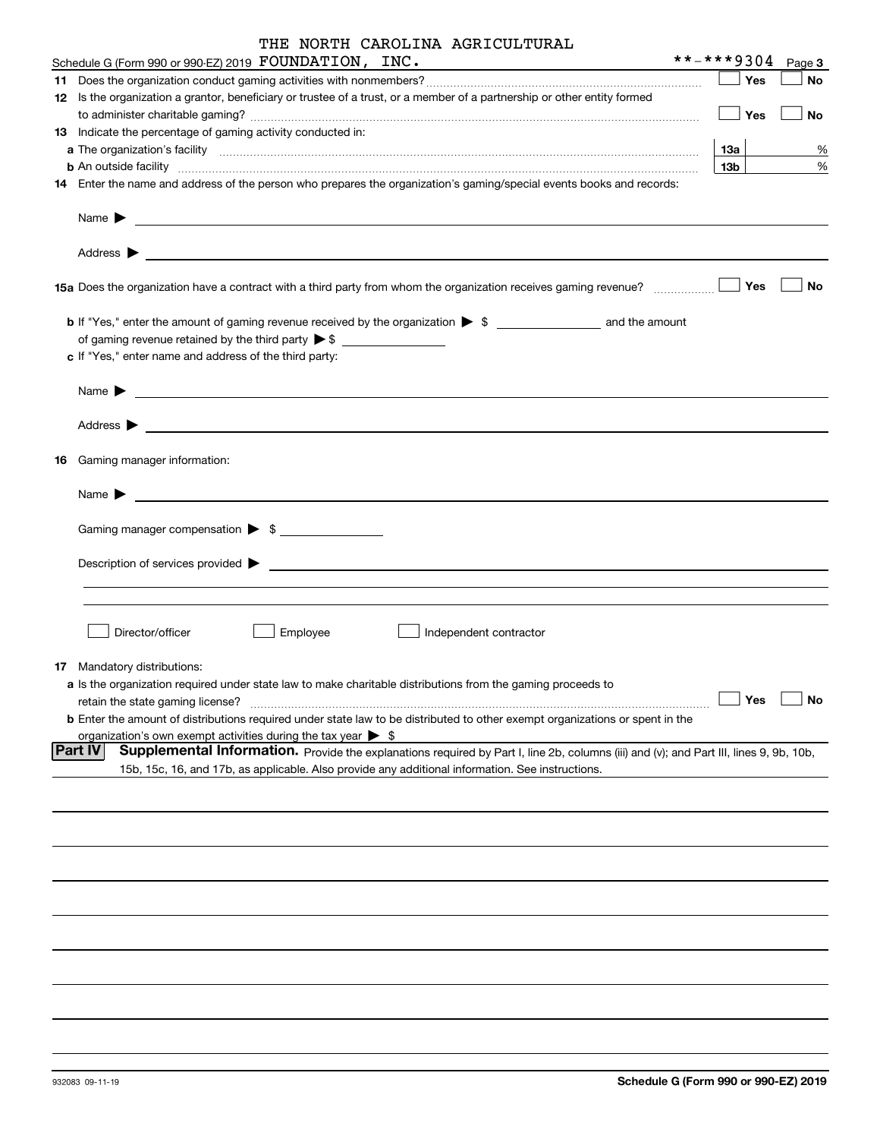| THE NORTH CAROLINA AGRICULTURAL |  |
|---------------------------------|--|
|---------------------------------|--|

| Schedule G (Form 990 or 99 <u>0-EZ) 2019</u> $\hbox{\tt FOUNDATION}$ , $\hbox{\tt INC.}$                                                                                                                            | **-***9304 |             |            | Page 3    |
|---------------------------------------------------------------------------------------------------------------------------------------------------------------------------------------------------------------------|------------|-------------|------------|-----------|
|                                                                                                                                                                                                                     |            |             | Yes        | No        |
| 12 Is the organization a grantor, beneficiary or trustee of a trust, or a member of a partnership or other entity formed                                                                                            |            |             |            |           |
|                                                                                                                                                                                                                     |            | $\vert$ Yes |            | No        |
| 13 Indicate the percentage of gaming activity conducted in:                                                                                                                                                         |            |             |            |           |
|                                                                                                                                                                                                                     |            | 13а         |            | %         |
| <b>b</b> An outside facility <i>www.communicality www.communicality.communicality www.communicality www.communicality.communicality www.communicality.com</i>                                                       |            | 13b         |            | $\%$      |
| 14 Enter the name and address of the person who prepares the organization's gaming/special events books and records:                                                                                                |            |             |            |           |
|                                                                                                                                                                                                                     |            |             |            |           |
|                                                                                                                                                                                                                     |            |             |            | No        |
| <b>b</b> If "Yes," enter the amount of gaming revenue received by the organization $\triangleright$ \$<br>c If "Yes," enter name and address of the third party:                                                    |            |             |            |           |
|                                                                                                                                                                                                                     |            |             |            |           |
|                                                                                                                                                                                                                     |            |             |            |           |
| 16 Gaming manager information:                                                                                                                                                                                      |            |             |            |           |
| <u> 1989 - Johann Harry Harry Harry Harry Harry Harry Harry Harry Harry Harry Harry Harry Harry Harry Harry Harry</u><br>Name $\blacktriangleright$                                                                 |            |             |            |           |
|                                                                                                                                                                                                                     |            |             |            |           |
| Gaming manager compensation > \$                                                                                                                                                                                    |            |             |            |           |
| $\blacksquare$ Description of services provided $\blacktriangleright$                                                                                                                                               |            |             |            |           |
|                                                                                                                                                                                                                     |            |             |            |           |
| Director/officer<br>Employee<br>Independent contractor                                                                                                                                                              |            |             |            |           |
| 17 Mandatory distributions:                                                                                                                                                                                         |            |             |            |           |
| a Is the organization required under state law to make charitable distributions from the gaming proceeds to<br>retain the state gaming license?                                                                     |            |             | $\Box$ Yes | $\Box$ No |
| <b>b</b> Enter the amount of distributions required under state law to be distributed to other exempt organizations or spent in the<br>organization's own exempt activities during the tax year $\triangleright$ \$ |            |             |            |           |
| <b>Part IV</b><br>Supplemental Information. Provide the explanations required by Part I, line 2b, columns (iii) and (v); and Part III, lines 9, 9b, 10b,                                                            |            |             |            |           |
| 15b, 15c, 16, and 17b, as applicable. Also provide any additional information. See instructions.                                                                                                                    |            |             |            |           |
|                                                                                                                                                                                                                     |            |             |            |           |
|                                                                                                                                                                                                                     |            |             |            |           |
|                                                                                                                                                                                                                     |            |             |            |           |
|                                                                                                                                                                                                                     |            |             |            |           |
|                                                                                                                                                                                                                     |            |             |            |           |
|                                                                                                                                                                                                                     |            |             |            |           |
|                                                                                                                                                                                                                     |            |             |            |           |
|                                                                                                                                                                                                                     |            |             |            |           |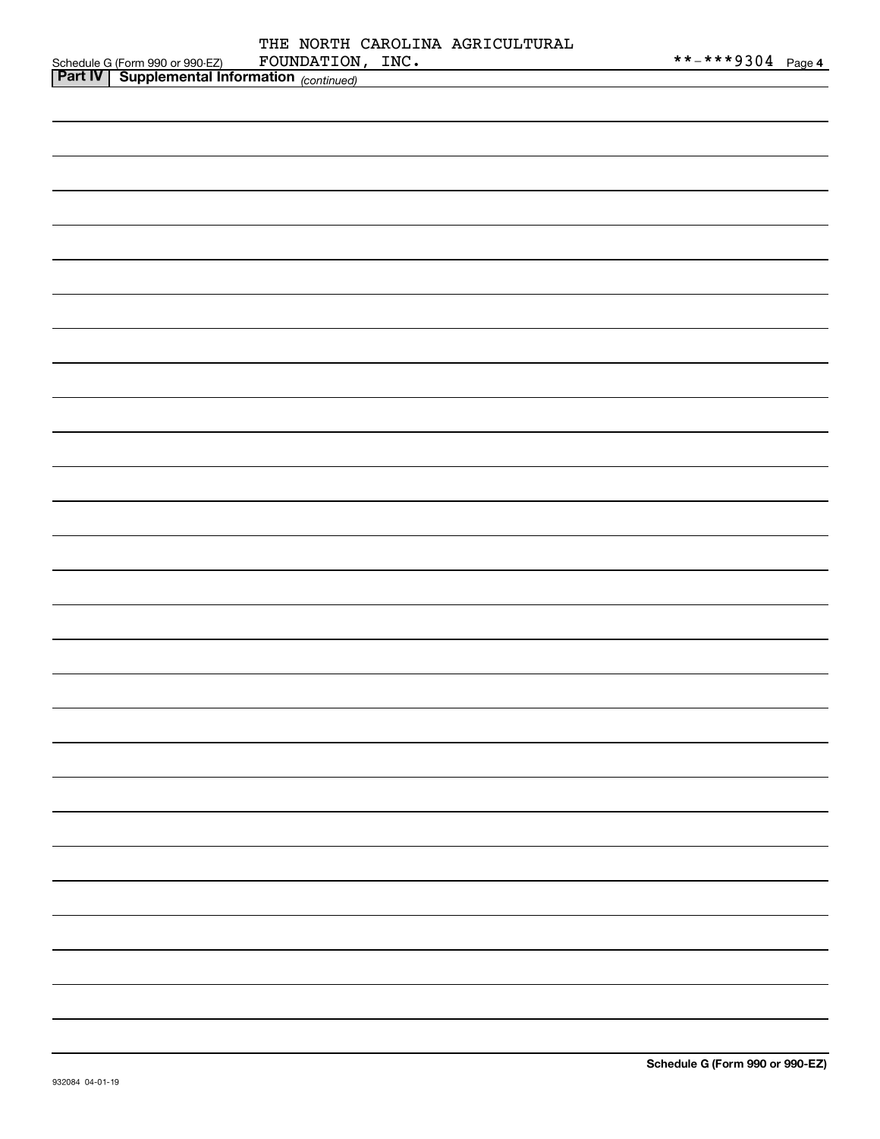| <b>Part IV</b><br>$\blacksquare$ Supplemental Information $\langle \ldots \rangle$ |             |      |                                 |                   |  |
|------------------------------------------------------------------------------------|-------------|------|---------------------------------|-------------------|--|
| Schedule G (Form 990 or 990-EZ)                                                    | FOUNDATION, | INC. |                                 | **-***9304 Page 4 |  |
|                                                                                    |             |      | THE NORTH CAROLINA AGRICULTURAL |                   |  |

| <u>Part IV</u> Supplemental Information <sub>(continued)</sub> |  |
|----------------------------------------------------------------|--|
|                                                                |  |
|                                                                |  |
|                                                                |  |
|                                                                |  |
|                                                                |  |
|                                                                |  |
|                                                                |  |
|                                                                |  |
|                                                                |  |
|                                                                |  |
|                                                                |  |
|                                                                |  |
|                                                                |  |
|                                                                |  |
|                                                                |  |
|                                                                |  |
|                                                                |  |
|                                                                |  |
|                                                                |  |
|                                                                |  |
|                                                                |  |
|                                                                |  |
|                                                                |  |
|                                                                |  |
|                                                                |  |
|                                                                |  |
|                                                                |  |
|                                                                |  |
|                                                                |  |
|                                                                |  |
|                                                                |  |
|                                                                |  |
|                                                                |  |
|                                                                |  |
|                                                                |  |
|                                                                |  |
|                                                                |  |
|                                                                |  |
|                                                                |  |
|                                                                |  |
|                                                                |  |
|                                                                |  |
|                                                                |  |
|                                                                |  |
|                                                                |  |
|                                                                |  |
|                                                                |  |
|                                                                |  |
|                                                                |  |
|                                                                |  |
|                                                                |  |
|                                                                |  |
|                                                                |  |
|                                                                |  |
|                                                                |  |
|                                                                |  |
|                                                                |  |
|                                                                |  |
|                                                                |  |
|                                                                |  |
|                                                                |  |
|                                                                |  |
|                                                                |  |
|                                                                |  |
|                                                                |  |
|                                                                |  |
|                                                                |  |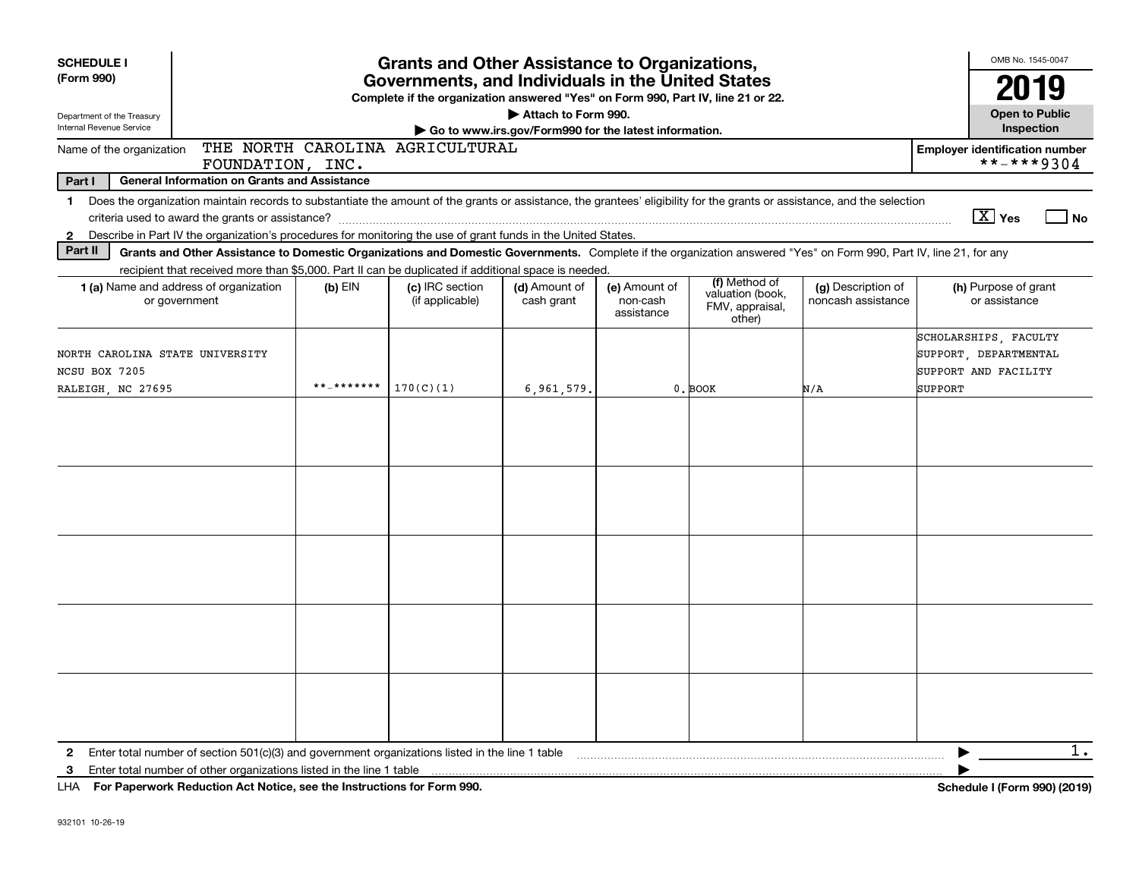| <b>SCHEDULE I</b><br>(Form 990)<br>Governments, and Individuals in the United States<br>Complete if the organization answered "Yes" on Form 990, Part IV, line 21 or 22.<br>Department of the Treasury<br>Internal Revenue Service                                           | OMB No. 1545-0047<br><b>Open to Public</b> |                                                       |                                         |                                                                |                                          |                                                                                   |
|------------------------------------------------------------------------------------------------------------------------------------------------------------------------------------------------------------------------------------------------------------------------------|--------------------------------------------|-------------------------------------------------------|-----------------------------------------|----------------------------------------------------------------|------------------------------------------|-----------------------------------------------------------------------------------|
| THE NORTH CAROLINA AGRICULTURAL<br>Name of the organization                                                                                                                                                                                                                  |                                            | Go to www.irs.gov/Form990 for the latest information. |                                         |                                                                |                                          | Inspection<br><b>Employer identification number</b>                               |
| FOUNDATION, INC.                                                                                                                                                                                                                                                             |                                            |                                                       |                                         |                                                                |                                          | **-***9304                                                                        |
| Part I<br><b>General Information on Grants and Assistance</b>                                                                                                                                                                                                                |                                            |                                                       |                                         |                                                                |                                          |                                                                                   |
| Does the organization maintain records to substantiate the amount of the grants or assistance, the grantees' eligibility for the grants or assistance, and the selection<br>1.                                                                                               |                                            |                                                       |                                         |                                                                |                                          |                                                                                   |
| Describe in Part IV the organization's procedures for monitoring the use of grant funds in the United States.<br>$\mathbf{2}$                                                                                                                                                |                                            |                                                       |                                         |                                                                |                                          | $\boxed{\text{X}}$ Yes<br>  No                                                    |
| Part II<br>Grants and Other Assistance to Domestic Organizations and Domestic Governments. Complete if the organization answered "Yes" on Form 990, Part IV, line 21, for any                                                                                                |                                            |                                                       |                                         |                                                                |                                          |                                                                                   |
| recipient that received more than \$5,000. Part II can be duplicated if additional space is needed.                                                                                                                                                                          |                                            |                                                       |                                         |                                                                |                                          |                                                                                   |
| 1 (a) Name and address of organization<br>$(b)$ EIN<br>or government                                                                                                                                                                                                         | (c) IRC section<br>(if applicable)         | (d) Amount of<br>cash grant                           | (e) Amount of<br>non-cash<br>assistance | (f) Method of<br>valuation (book,<br>FMV, appraisal,<br>other) | (g) Description of<br>noncash assistance | (h) Purpose of grant<br>or assistance                                             |
| NORTH CAROLINA STATE UNIVERSITY<br>NCSU BOX 7205<br>**_*******<br>RALEIGH, NC 27695                                                                                                                                                                                          | 170(C)(1)                                  | 6,961,579                                             |                                         | 0. BOOK                                                        | N/A                                      | SCHOLARSHIPS, FACULTY<br>SUPPORT, DEPARTMENTAL<br>SUPPORT AND FACILITY<br>SUPPORT |
|                                                                                                                                                                                                                                                                              |                                            |                                                       |                                         |                                                                |                                          |                                                                                   |
|                                                                                                                                                                                                                                                                              |                                            |                                                       |                                         |                                                                |                                          |                                                                                   |
|                                                                                                                                                                                                                                                                              |                                            |                                                       |                                         |                                                                |                                          |                                                                                   |
| Enter total number of section $501(c)(3)$ and government organizations listed in the line 1 table<br>$\mathbf{2}$<br>Enter total number of other organizations listed in the line 1 table<br>3<br>LHA For Paperwork Reduction Act Notice, see the Instructions for Form 990. |                                            |                                                       |                                         |                                                                |                                          | $1$ .<br>Schedule I (Form 990) (2019)                                             |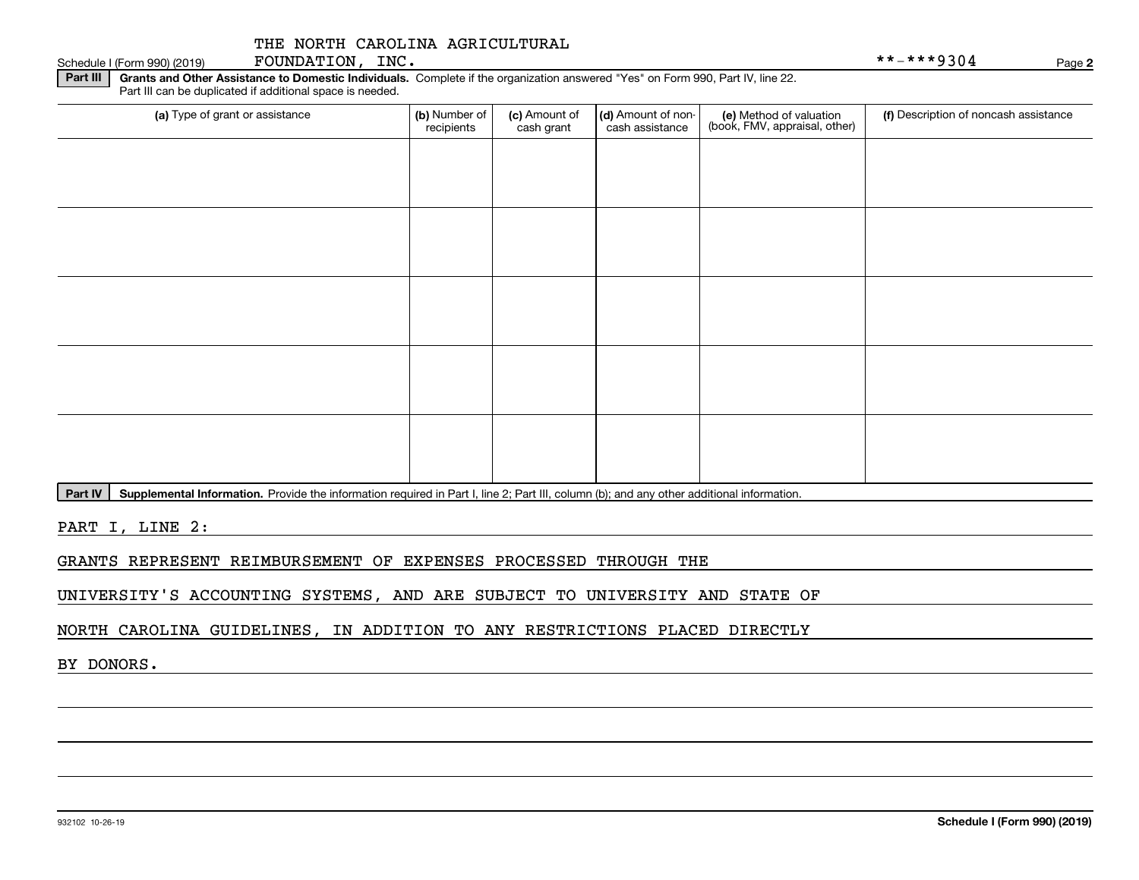| Part III<br>Grants and Other Assistance to Domestic Individuals. Complete if the organization answered "Yes" on Form 990, Part IV, line 22.<br>Part III can be duplicated if additional space is needed. |                             |                             |                                       |                                                          |                                       |
|----------------------------------------------------------------------------------------------------------------------------------------------------------------------------------------------------------|-----------------------------|-----------------------------|---------------------------------------|----------------------------------------------------------|---------------------------------------|
| (a) Type of grant or assistance                                                                                                                                                                          | (b) Number of<br>recipients | (c) Amount of<br>cash grant | (d) Amount of non-<br>cash assistance | (e) Method of valuation<br>(book, FMV, appraisal, other) | (f) Description of noncash assistance |
|                                                                                                                                                                                                          |                             |                             |                                       |                                                          |                                       |
|                                                                                                                                                                                                          |                             |                             |                                       |                                                          |                                       |
|                                                                                                                                                                                                          |                             |                             |                                       |                                                          |                                       |
|                                                                                                                                                                                                          |                             |                             |                                       |                                                          |                                       |
|                                                                                                                                                                                                          |                             |                             |                                       |                                                          |                                       |
|                                                                                                                                                                                                          |                             |                             |                                       |                                                          |                                       |
|                                                                                                                                                                                                          |                             |                             |                                       |                                                          |                                       |
|                                                                                                                                                                                                          |                             |                             |                                       |                                                          |                                       |
|                                                                                                                                                                                                          |                             |                             |                                       |                                                          |                                       |
|                                                                                                                                                                                                          |                             |                             |                                       |                                                          |                                       |

Part IV | Supplemental Information. Provide the information required in Part I, line 2; Part III, column (b); and any other additional information.

PART I, LINE 2:

GRANTS REPRESENT REIMBURSEMENT OF EXPENSES PROCESSED THROUGH THE

UNIVERSITY'S ACCOUNTING SYSTEMS, AND ARE SUBJECT TO UNIVERSITY AND STATE OF

NORTH CAROLINA GUIDELINES, IN ADDITION TO ANY RESTRICTIONS PLACED DIRECTLY

BY DONORS.

Schedule I (Form 990) (2019)  ${\hbox{FOUNDATION}}$  ,  $\hbox{INC.}\atop \phantom{a}$ 

**2**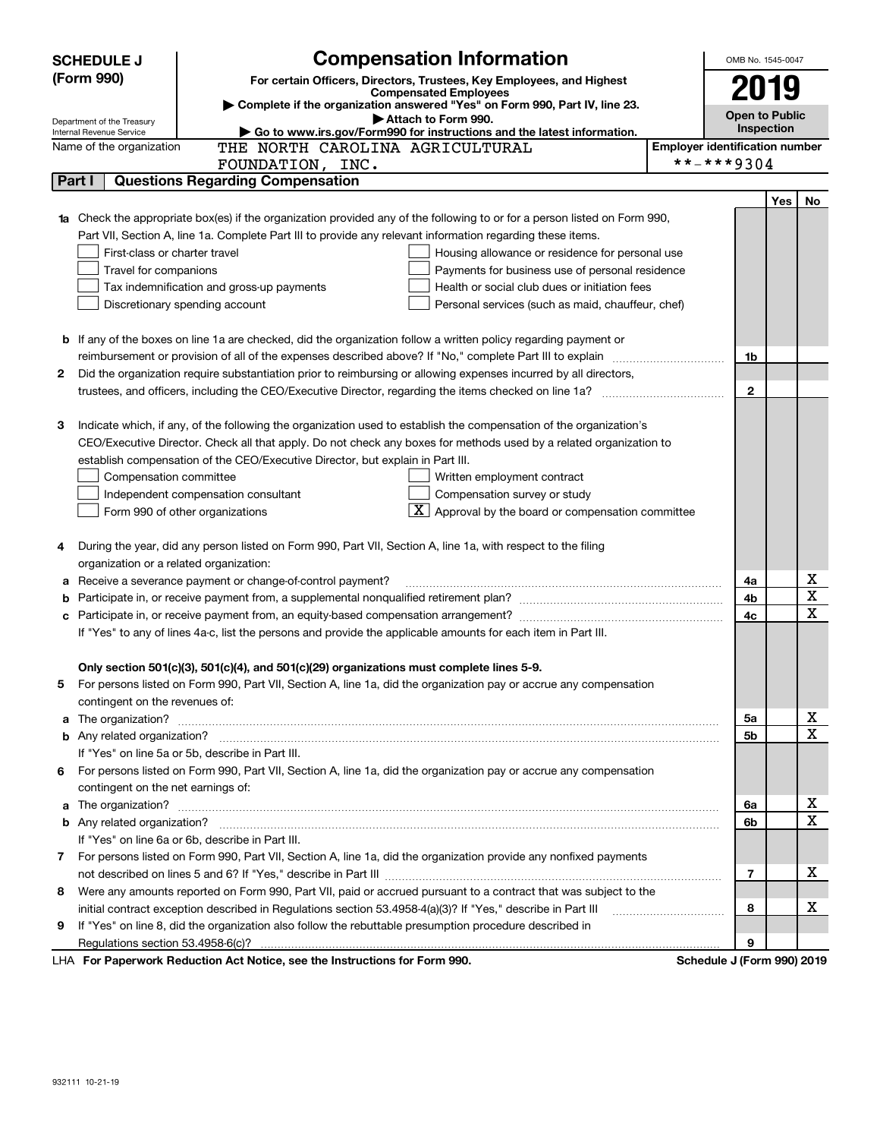|    | <b>SCHEDULE J</b>                       | <b>Compensation Information</b>                                                                                                                                                                                                          |                                       | OMB No. 1545-0047          |            |             |
|----|-----------------------------------------|------------------------------------------------------------------------------------------------------------------------------------------------------------------------------------------------------------------------------------------|---------------------------------------|----------------------------|------------|-------------|
|    | (Form 990)                              | For certain Officers, Directors, Trustees, Key Employees, and Highest                                                                                                                                                                    |                                       |                            |            |             |
|    |                                         | <b>Compensated Employees</b>                                                                                                                                                                                                             |                                       | 2019                       |            |             |
|    | Department of the Treasury              | Complete if the organization answered "Yes" on Form 990, Part IV, line 23.<br>Attach to Form 990.                                                                                                                                        |                                       | <b>Open to Public</b>      |            |             |
|    | Internal Revenue Service                |                                                                                                                                                                                                                                          | <b>Inspection</b>                     |                            |            |             |
|    | Name of the organization                | THE NORTH CAROLINA AGRICULTURAL                                                                                                                                                                                                          | <b>Employer identification number</b> |                            |            |             |
|    |                                         | FOUNDATION, INC.                                                                                                                                                                                                                         |                                       | **-***9304                 |            |             |
|    | Part I                                  | <b>Questions Regarding Compensation</b>                                                                                                                                                                                                  |                                       |                            |            |             |
|    |                                         |                                                                                                                                                                                                                                          |                                       |                            | <b>Yes</b> | No          |
|    |                                         | <b>1a</b> Check the appropriate box(es) if the organization provided any of the following to or for a person listed on Form 990,                                                                                                         |                                       |                            |            |             |
|    |                                         | Part VII, Section A, line 1a. Complete Part III to provide any relevant information regarding these items.                                                                                                                               |                                       |                            |            |             |
|    | First-class or charter travel           | Housing allowance or residence for personal use                                                                                                                                                                                          |                                       |                            |            |             |
|    | Travel for companions                   | Payments for business use of personal residence                                                                                                                                                                                          |                                       |                            |            |             |
|    |                                         | Health or social club dues or initiation fees<br>Tax indemnification and gross-up payments                                                                                                                                               |                                       |                            |            |             |
|    |                                         | Discretionary spending account<br>Personal services (such as maid, chauffeur, chef)                                                                                                                                                      |                                       |                            |            |             |
|    |                                         |                                                                                                                                                                                                                                          |                                       |                            |            |             |
|    |                                         | <b>b</b> If any of the boxes on line 1a are checked, did the organization follow a written policy regarding payment or                                                                                                                   |                                       |                            |            |             |
|    |                                         |                                                                                                                                                                                                                                          |                                       | 1b                         |            |             |
| 2  |                                         | Did the organization require substantiation prior to reimbursing or allowing expenses incurred by all directors,                                                                                                                         |                                       |                            |            |             |
|    |                                         |                                                                                                                                                                                                                                          |                                       | $\mathbf{2}$               |            |             |
|    |                                         |                                                                                                                                                                                                                                          |                                       |                            |            |             |
| З  |                                         | Indicate which, if any, of the following the organization used to establish the compensation of the organization's<br>CEO/Executive Director. Check all that apply. Do not check any boxes for methods used by a related organization to |                                       |                            |            |             |
|    |                                         | establish compensation of the CEO/Executive Director, but explain in Part III.                                                                                                                                                           |                                       |                            |            |             |
|    |                                         |                                                                                                                                                                                                                                          |                                       |                            |            |             |
|    | Compensation committee                  | Written employment contract<br>Compensation survey or study                                                                                                                                                                              |                                       |                            |            |             |
|    |                                         | Independent compensation consultant<br>$\mathbf{X}$ Approval by the board or compensation committee<br>Form 990 of other organizations                                                                                                   |                                       |                            |            |             |
|    |                                         |                                                                                                                                                                                                                                          |                                       |                            |            |             |
| 4  |                                         | During the year, did any person listed on Form 990, Part VII, Section A, line 1a, with respect to the filing                                                                                                                             |                                       |                            |            |             |
|    | organization or a related organization: |                                                                                                                                                                                                                                          |                                       |                            |            |             |
| а  |                                         | Receive a severance payment or change-of-control payment?                                                                                                                                                                                |                                       | 4a                         |            | х           |
| b  |                                         |                                                                                                                                                                                                                                          |                                       | 4b                         |            | X           |
| с  |                                         |                                                                                                                                                                                                                                          |                                       | 4c                         |            | X           |
|    |                                         | If "Yes" to any of lines 4a-c, list the persons and provide the applicable amounts for each item in Part III.                                                                                                                            |                                       |                            |            |             |
|    |                                         |                                                                                                                                                                                                                                          |                                       |                            |            |             |
|    |                                         | Only section 501(c)(3), 501(c)(4), and 501(c)(29) organizations must complete lines 5-9.                                                                                                                                                 |                                       |                            |            |             |
|    |                                         | For persons listed on Form 990, Part VII, Section A, line 1a, did the organization pay or accrue any compensation                                                                                                                        |                                       |                            |            |             |
|    | contingent on the revenues of:          |                                                                                                                                                                                                                                          |                                       |                            |            |             |
|    |                                         | a The organization? <b>Entitation</b> and the organization?                                                                                                                                                                              |                                       | 5а                         |            | х           |
|    |                                         |                                                                                                                                                                                                                                          |                                       | 5b                         |            | X           |
|    |                                         | If "Yes" on line 5a or 5b, describe in Part III.                                                                                                                                                                                         |                                       |                            |            |             |
| 6. |                                         | For persons listed on Form 990, Part VII, Section A, line 1a, did the organization pay or accrue any compensation                                                                                                                        |                                       |                            |            |             |
|    | contingent on the net earnings of:      |                                                                                                                                                                                                                                          |                                       |                            |            |             |
|    |                                         |                                                                                                                                                                                                                                          |                                       | 6a                         |            | х           |
|    |                                         |                                                                                                                                                                                                                                          |                                       | 6b                         |            | $\mathbf X$ |
|    |                                         | If "Yes" on line 6a or 6b, describe in Part III.                                                                                                                                                                                         |                                       |                            |            |             |
|    |                                         | 7 For persons listed on Form 990, Part VII, Section A, line 1a, did the organization provide any nonfixed payments                                                                                                                       |                                       |                            |            |             |
|    |                                         |                                                                                                                                                                                                                                          |                                       | 7                          |            | x           |
| 8  |                                         | Were any amounts reported on Form 990, Part VII, paid or accrued pursuant to a contract that was subject to the                                                                                                                          |                                       |                            |            |             |
|    |                                         | initial contract exception described in Regulations section 53.4958-4(a)(3)? If "Yes," describe in Part III                                                                                                                              |                                       | 8                          |            | х           |
| 9  |                                         | If "Yes" on line 8, did the organization also follow the rebuttable presumption procedure described in                                                                                                                                   |                                       |                            |            |             |
|    |                                         |                                                                                                                                                                                                                                          |                                       | 9                          |            |             |
|    |                                         | LHA For Paperwork Reduction Act Notice, see the Instructions for Form 990.                                                                                                                                                               |                                       | Schedule J (Form 990) 2019 |            |             |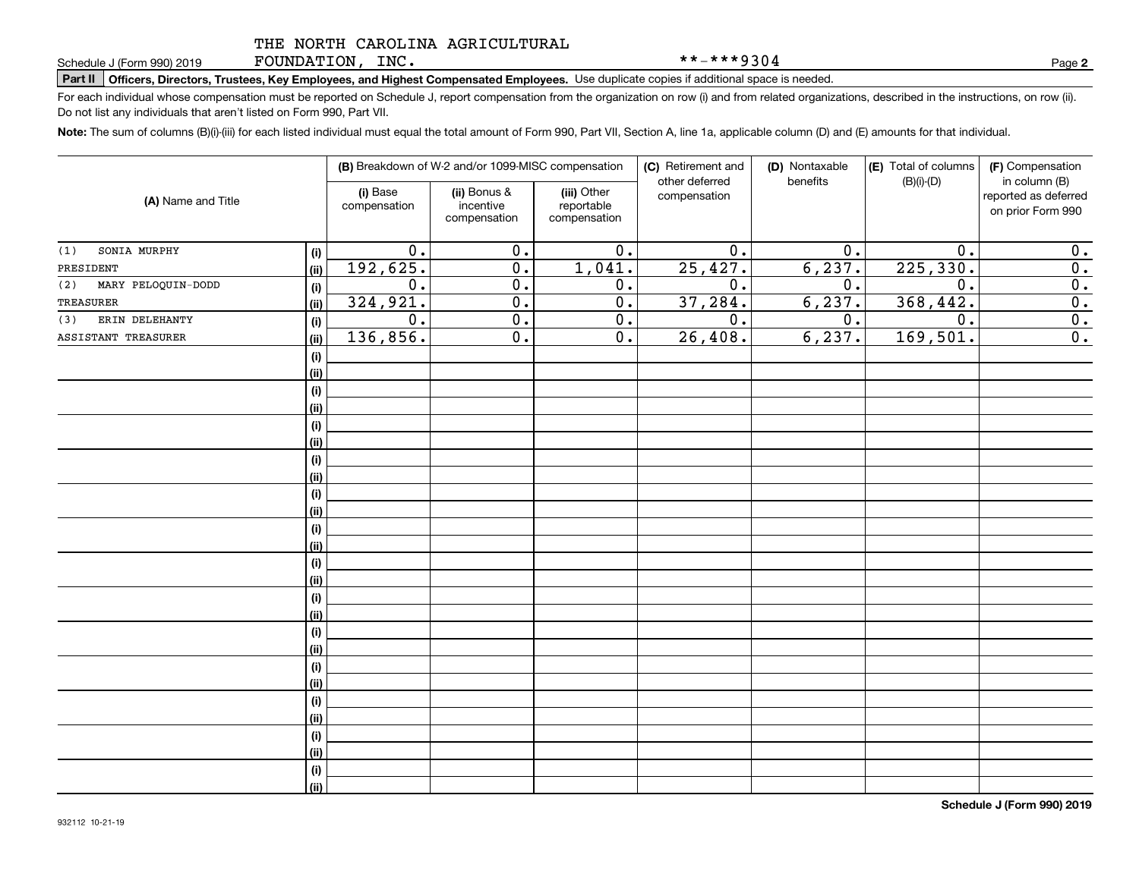FOUNDATION, INC.

**Part II Officers, Directors, Trustees, Key Employees, and Highest Compensated Employees.**  Schedule J (Form 990) 2019 Page Use duplicate copies if additional space is needed.

For each individual whose compensation must be reported on Schedule J, report compensation from the organization on row (i) and from related organizations, described in the instructions, on row (ii). Do not list any individuals that aren't listed on Form 990, Part VII.

**Note:**  The sum of columns (B)(i)-(iii) for each listed individual must equal the total amount of Form 990, Part VII, Section A, line 1a, applicable column (D) and (E) amounts for that individual.

|                           |      | (B) Breakdown of W-2 and/or 1099-MISC compensation |                                           | (C) Retirement and<br>other deferred      | (D) Nontaxable<br>benefits | (E) Total of columns<br>$(B)(i)-(D)$ | (F) Compensation<br>in column (B) |                                           |
|---------------------------|------|----------------------------------------------------|-------------------------------------------|-------------------------------------------|----------------------------|--------------------------------------|-----------------------------------|-------------------------------------------|
| (A) Name and Title        |      | (i) Base<br>compensation                           | (ii) Bonus &<br>incentive<br>compensation | (iii) Other<br>reportable<br>compensation | compensation               |                                      |                                   | reported as deferred<br>on prior Form 990 |
| SONIA MURPHY<br>(1)       | (i)  | $\overline{0}$ .                                   | $\overline{0}$ .                          | $\overline{0}$ .                          | $\overline{0}$ .           | 0.                                   | $\overline{0}$ .                  | $\mathbf 0$ .                             |
| PRESIDENT                 | (ii) | 192,625.                                           | $\overline{0}$ .                          | 1,041.                                    | 25,427.                    | 6, 237.                              | 225, 330.                         | $\overline{0}$ .                          |
| MARY PELOQUIN-DODD<br>(2) | (i)  | $\overline{0}$ .                                   | $\overline{0}$ .                          | $\overline{0}$ .                          | $\overline{0}$ .           | 0.                                   | $\overline{0}$ .                  | $\overline{0}$ .                          |
| TREASURER                 | (ii) | 324,921.                                           | $\overline{0}$ .                          | $\overline{0}$ .                          | 37, 284.                   | 6, 237.                              | 368, 442.                         | $\overline{0}$ .                          |
| ERIN DELEHANTY<br>(3)     | (i)  | $\overline{0}$ .                                   | $\overline{0}$ .                          | $\overline{0}$ .                          | $\overline{0}$ .           | 0.                                   | $\overline{0}$ .                  | $\overline{0}$ .                          |
| ASSISTANT TREASURER       | (ii) | 136,856.                                           | $\overline{0}$ .                          | $\overline{0}$ .                          | 26,408.                    | 6, 237.                              | 169,501.                          | $\overline{0}$ .                          |
|                           | (i)  |                                                    |                                           |                                           |                            |                                      |                                   |                                           |
|                           | (ii) |                                                    |                                           |                                           |                            |                                      |                                   |                                           |
|                           | (i)  |                                                    |                                           |                                           |                            |                                      |                                   |                                           |
|                           | (ii) |                                                    |                                           |                                           |                            |                                      |                                   |                                           |
|                           | (i)  |                                                    |                                           |                                           |                            |                                      |                                   |                                           |
|                           | (ii) |                                                    |                                           |                                           |                            |                                      |                                   |                                           |
|                           | (i)  |                                                    |                                           |                                           |                            |                                      |                                   |                                           |
|                           | (ii) |                                                    |                                           |                                           |                            |                                      |                                   |                                           |
|                           | (i)  |                                                    |                                           |                                           |                            |                                      |                                   |                                           |
|                           | (ii) |                                                    |                                           |                                           |                            |                                      |                                   |                                           |
|                           | (i)  |                                                    |                                           |                                           |                            |                                      |                                   |                                           |
|                           | (ii) |                                                    |                                           |                                           |                            |                                      |                                   |                                           |
|                           | (i)  |                                                    |                                           |                                           |                            |                                      |                                   |                                           |
|                           | (ii) |                                                    |                                           |                                           |                            |                                      |                                   |                                           |
|                           | (i)  |                                                    |                                           |                                           |                            |                                      |                                   |                                           |
|                           | (ii) |                                                    |                                           |                                           |                            |                                      |                                   |                                           |
|                           | (i)  |                                                    |                                           |                                           |                            |                                      |                                   |                                           |
|                           | (ii) |                                                    |                                           |                                           |                            |                                      |                                   |                                           |
|                           | (i)  |                                                    |                                           |                                           |                            |                                      |                                   |                                           |
|                           | (ii) |                                                    |                                           |                                           |                            |                                      |                                   |                                           |
|                           | (i)  |                                                    |                                           |                                           |                            |                                      |                                   |                                           |
|                           | (ii) |                                                    |                                           |                                           |                            |                                      |                                   |                                           |
|                           | (i)  |                                                    |                                           |                                           |                            |                                      |                                   |                                           |
|                           | (ii) |                                                    |                                           |                                           |                            |                                      |                                   |                                           |
|                           | (i)  |                                                    |                                           |                                           |                            |                                      |                                   |                                           |
|                           | (ii) |                                                    |                                           |                                           |                            |                                      |                                   |                                           |

**2**

\*\*-\*\*\*9304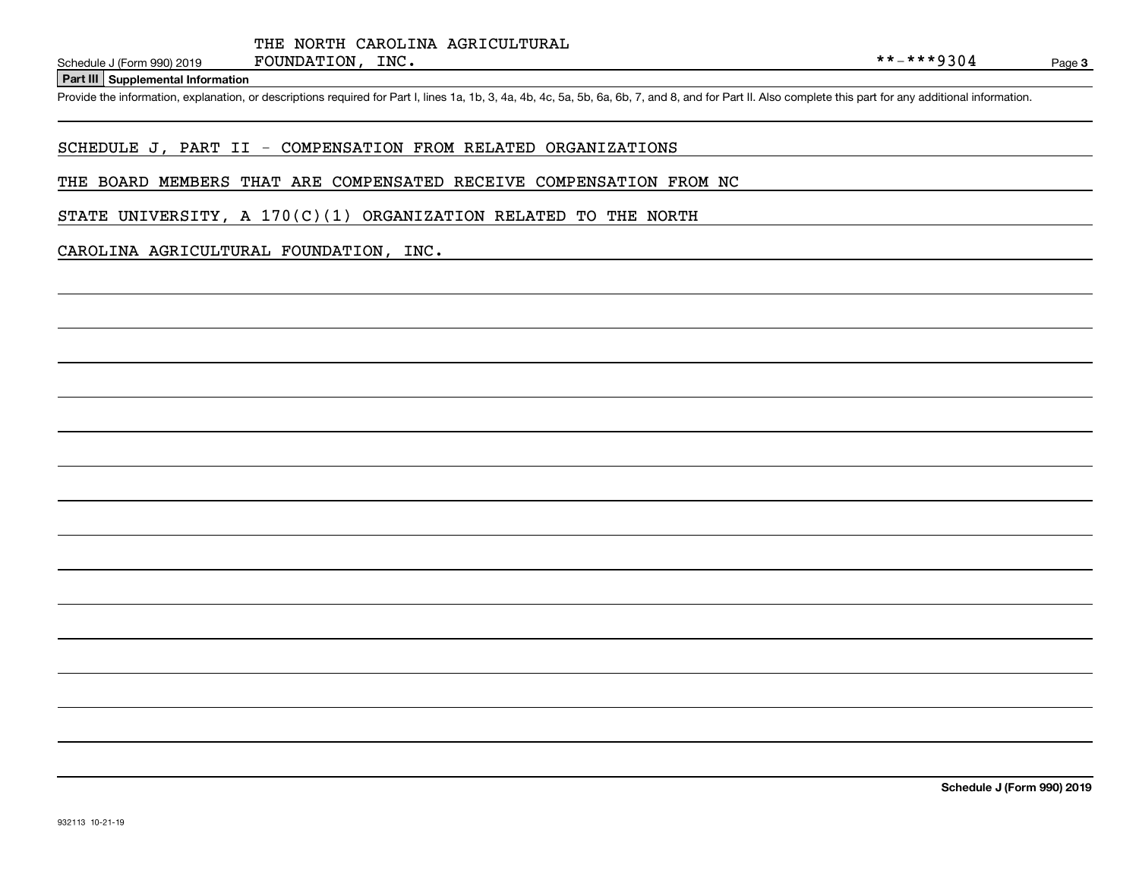#### **Part III Supplemental Information**

Schedule J (Form 990) 2019 FOUNDATION, INC.<br>Part III Supplemental Information<br>Provide the information, explanation, or descriptions required for Part I, lines 1a, 1b, 3, 4a, 4b, 4c, 5a, 5b, 6a, 6b, 7, and 8, and for Part I

### SCHEDULE J, PART II - COMPENSATION FROM RELATED ORGANIZATIONS

#### THE BOARD MEMBERS THAT ARE COMPENSATED RECEIVE COMPENSATION FROM NC

STATE UNIVERSITY, A  $170(C)(1)$  ORGANIZATION RELATED TO THE NORTH

#### CAROLINA AGRICULTURAL FOUNDATION, INC.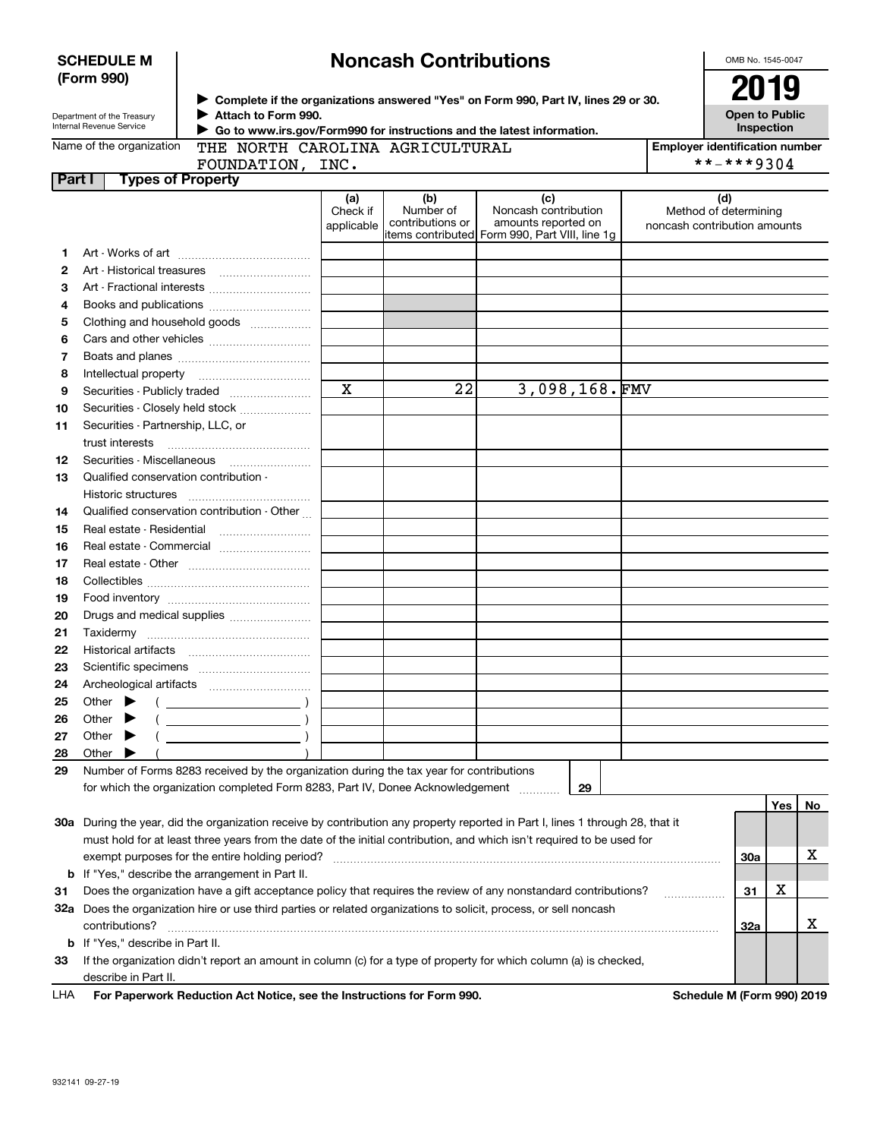| <b>SCHEDULE M</b> |  |
|-------------------|--|
| (Form 990)        |  |

# **Noncash Contributions**

OMB No. 1545-0047

| Department of the Treasury |
|----------------------------|
| Internal Revenue Service   |

**Complete if the organizations answered "Yes" on Form 990, Part IV, lines 29 or 30.** <sup>J</sup>**2019 Attach to Form 990.** J

**Open to Public Inspection**

| Name of the organization |  |
|--------------------------|--|
|--------------------------|--|

 **Go to www.irs.gov/Form990 for instructions and the latest information.** J THE NORTH CAROLINA AGRICULTURAL

**Employer identification number** \*\*-\*\*\*9304

| FOUNDATION, INC.                |  |
|---------------------------------|--|
| <b>Part I</b> Types of Property |  |
|                                 |  |

|    |                                                                                                                                | (a)<br>Check if<br>applicable | (b)<br>Number of<br>contributions or | (c)<br>Noncash contribution<br>amounts reported on<br>items contributed Form 990, Part VIII, line 1q | (d)<br>Method of determining<br>noncash contribution amounts |
|----|--------------------------------------------------------------------------------------------------------------------------------|-------------------------------|--------------------------------------|------------------------------------------------------------------------------------------------------|--------------------------------------------------------------|
| 1. |                                                                                                                                |                               |                                      |                                                                                                      |                                                              |
| 2  |                                                                                                                                |                               |                                      |                                                                                                      |                                                              |
| 3  | Art - Fractional interests                                                                                                     |                               |                                      |                                                                                                      |                                                              |
| 4  |                                                                                                                                |                               |                                      |                                                                                                      |                                                              |
| 5  | Clothing and household goods                                                                                                   |                               |                                      |                                                                                                      |                                                              |
| 6  |                                                                                                                                |                               |                                      |                                                                                                      |                                                              |
| 7  |                                                                                                                                |                               |                                      |                                                                                                      |                                                              |
| 8  | Intellectual property                                                                                                          |                               |                                      |                                                                                                      |                                                              |
| 9  |                                                                                                                                | $\mathbf x$                   | $\overline{22}$                      | 3,098,168.FMV                                                                                        |                                                              |
| 10 | Securities - Closely held stock                                                                                                |                               |                                      |                                                                                                      |                                                              |
| 11 | Securities - Partnership, LLC, or                                                                                              |                               |                                      |                                                                                                      |                                                              |
|    | trust interests                                                                                                                |                               |                                      |                                                                                                      |                                                              |
| 12 | Securities - Miscellaneous                                                                                                     |                               |                                      |                                                                                                      |                                                              |
| 13 | Qualified conservation contribution -                                                                                          |                               |                                      |                                                                                                      |                                                              |
|    | Historic structures                                                                                                            |                               |                                      |                                                                                                      |                                                              |
| 14 | Qualified conservation contribution - Other                                                                                    |                               |                                      |                                                                                                      |                                                              |
| 15 |                                                                                                                                |                               |                                      |                                                                                                      |                                                              |
| 16 | Real estate - Commercial                                                                                                       |                               |                                      |                                                                                                      |                                                              |
| 17 |                                                                                                                                |                               |                                      |                                                                                                      |                                                              |
| 18 |                                                                                                                                |                               |                                      |                                                                                                      |                                                              |
| 19 |                                                                                                                                |                               |                                      |                                                                                                      |                                                              |
| 20 | Drugs and medical supplies                                                                                                     |                               |                                      |                                                                                                      |                                                              |
| 21 |                                                                                                                                |                               |                                      |                                                                                                      |                                                              |
| 22 |                                                                                                                                |                               |                                      |                                                                                                      |                                                              |
| 23 |                                                                                                                                |                               |                                      |                                                                                                      |                                                              |
| 24 |                                                                                                                                |                               |                                      |                                                                                                      |                                                              |
| 25 | Other $\blacktriangleright$<br>$($ $)$                                                                                         |                               |                                      |                                                                                                      |                                                              |
| 26 | Other $\blacktriangleright$                                                                                                    |                               |                                      |                                                                                                      |                                                              |
| 27 | Other $\blacktriangleright$                                                                                                    |                               |                                      |                                                                                                      |                                                              |
| 28 | Other                                                                                                                          |                               |                                      |                                                                                                      |                                                              |
| 29 | Number of Forms 8283 received by the organization during the tax year for contributions                                        |                               |                                      |                                                                                                      |                                                              |
|    | for which the organization completed Form 8283, Part IV, Donee Acknowledgement                                                 |                               |                                      | 29                                                                                                   |                                                              |
|    |                                                                                                                                |                               |                                      |                                                                                                      | Yes<br>No                                                    |
|    | 30a During the year, did the organization receive by contribution any property reported in Part I, lines 1 through 28, that it |                               |                                      |                                                                                                      |                                                              |
|    | must hold for at least three years from the date of the initial contribution, and which isn't required to be used for          |                               |                                      |                                                                                                      |                                                              |
|    | exempt purposes for the entire holding period?                                                                                 |                               |                                      |                                                                                                      | x.<br>30a                                                    |

**31**Does the organization have a gift acceptance policy that requires the review of any nonstandard contributions? ~~~~~~**32a** Does the organization hire or use third parties or related organizations to solicit, process, or sell noncash **b** If "Yes," describe the arrangement in Part II.

| <b>b</b> If "Yes." describe in Part II.                                                                              |
|----------------------------------------------------------------------------------------------------------------------|
| 33 If the organization didn't report an amount in column (c) for a type of property for which column (a) is checked, |
| describe in Part II.                                                                                                 |

contributions? ~~~~~~~~~~~~~~~~~~~~~~~~~~~~~~~~~~~~~~~~~~~~~~~~~~~~~~

**For Paperwork Reduction Act Notice, see the Instructions for Form 990. Schedule M (Form 990) 2019** LHA

**31**

X

X

. . . . . . . . . . . . . . . . . . .

**32a**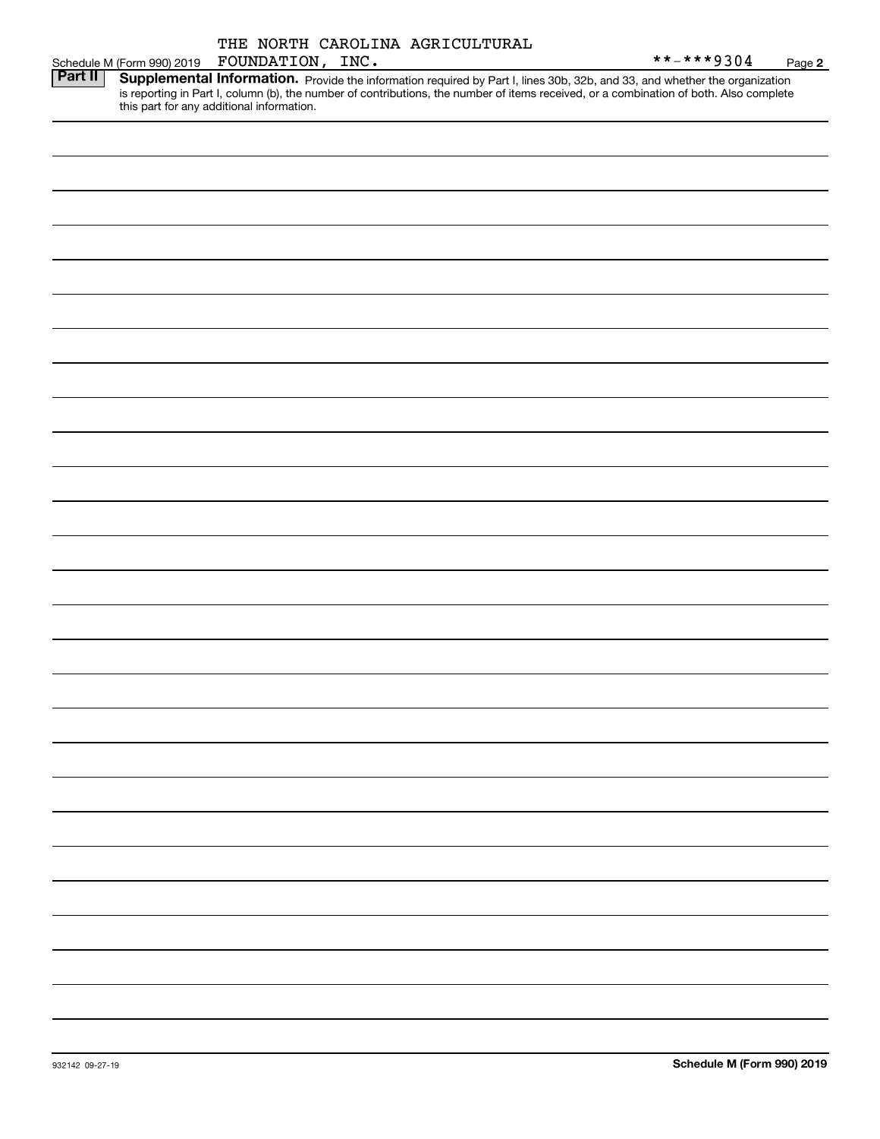**2**

|         |                                           | INC. |                                                                                                                                        | $***$ $***$ 9304 | Page |
|---------|-------------------------------------------|------|----------------------------------------------------------------------------------------------------------------------------------------|------------------|------|
| Part II |                                           |      | Supplemental Information. Provide the information required by Part I, lines 30b, 32b, and 33, and whether the organization             |                  |      |
|         | this part for any additional information. |      | is reporting in Part I, column (b), the number of contributions, the number of items received, or a combination of both. Also complete |                  |      |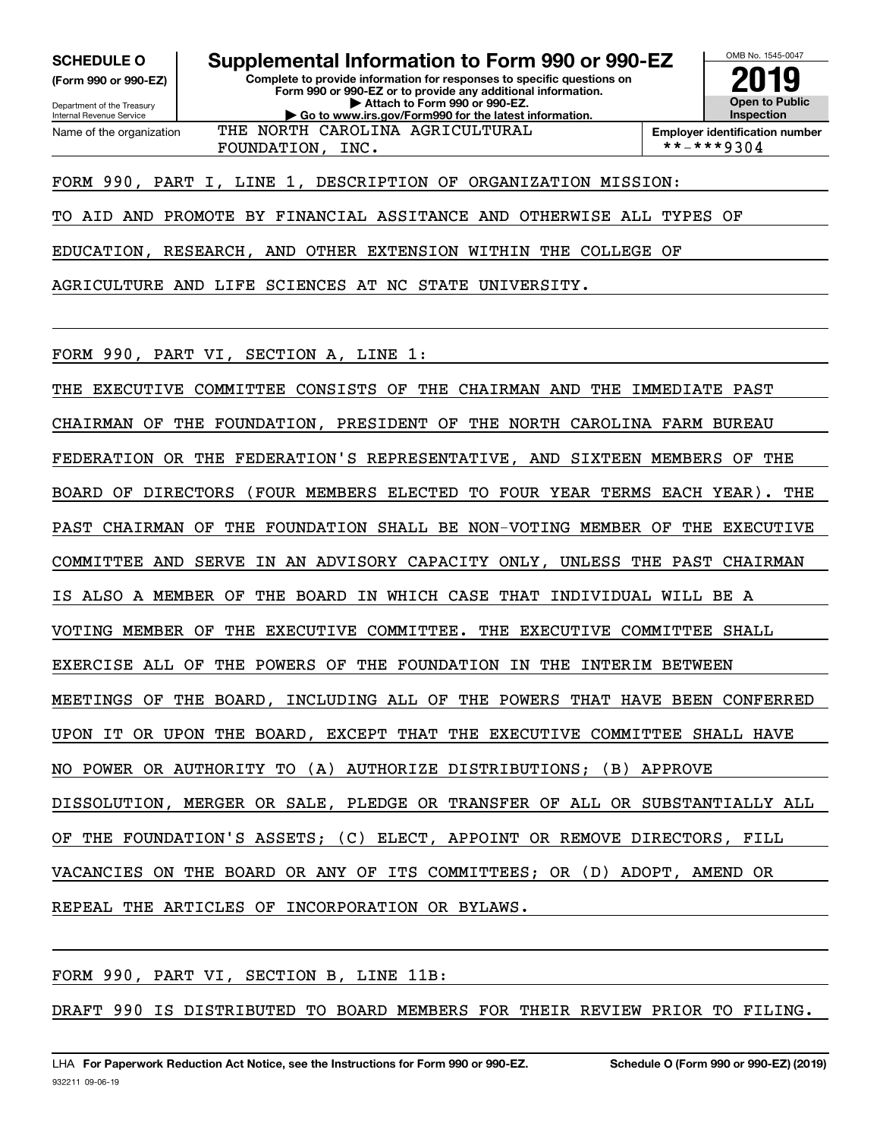**(Form 990 or 990-EZ)**

Department of the Treasury Internal Revenue Service Name of the organization

**Complete to provide information for responses to specific questions on Form 990 or 990-EZ or to provide any additional information. | Attach to Form 990 or 990-EZ. | Go to www.irs.gov/Form990 for the latest information. SCHEDULE O Supplemental Information to Form 990 or 990-EZ**



**Employer identification number** FOUNDATION, INC.  $|$  \*\*-\*\*\*9304

FORM 990, PART I, LINE 1, DESCRIPTION OF ORGANIZATION MISSION:

THE NORTH CAROLINA AGRICULTURAL

TO AID AND PROMOTE BY FINANCIAL ASSITANCE AND OTHERWISE ALL TYPES OF

EDUCATION, RESEARCH, AND OTHER EXTENSION WITHIN THE COLLEGE OF

AGRICULTURE AND LIFE SCIENCES AT NC STATE UNIVERSITY.

FORM 990, PART VI, SECTION A, LINE 1:

THE EXECUTIVE COMMITTEE CONSISTS OF THE CHAIRMAN AND THE IMMEDIATE PAST CHAIRMAN OF THE FOUNDATION, PRESIDENT OF THE NORTH CAROLINA FARM BUREAU FEDERATION OR THE FEDERATION'S REPRESENTATIVE, AND SIXTEEN MEMBERS OF THE BOARD OF DIRECTORS (FOUR MEMBERS ELECTED TO FOUR YEAR TERMS EACH YEAR). THE PAST CHAIRMAN OF THE FOUNDATION SHALL BE NON-VOTING MEMBER OF THE EXECUTIVE COMMITTEE AND SERVE IN AN ADVISORY CAPACITY ONLY, UNLESS THE PAST CHAIRMAN IS ALSO A MEMBER OF THE BOARD IN WHICH CASE THAT INDIVIDUAL WILL BE A VOTING MEMBER OF THE EXECUTIVE COMMITTEE. THE EXECUTIVE COMMITTEE SHALL EXERCISE ALL OF THE POWERS OF THE FOUNDATION IN THE INTERIM BETWEEN MEETINGS OF THE BOARD, INCLUDING ALL OF THE POWERS THAT HAVE BEEN CONFERRED UPON IT OR UPON THE BOARD, EXCEPT THAT THE EXECUTIVE COMMITTEE SHALL HAVE NO POWER OR AUTHORITY TO (A) AUTHORIZE DISTRIBUTIONS; (B) APPROVE DISSOLUTION, MERGER OR SALE, PLEDGE OR TRANSFER OF ALL OR SUBSTANTIALLY ALL OF THE FOUNDATION'S ASSETS; (C) ELECT, APPOINT OR REMOVE DIRECTORS, FILL VACANCIES ON THE BOARD OR ANY OF ITS COMMITTEES; OR (D) ADOPT, AMEND OR REPEAL THE ARTICLES OF INCORPORATION OR BYLAWS.

FORM 990, PART VI, SECTION B, LINE 11B:

DRAFT 990 IS DISTRIBUTED TO BOARD MEMBERS FOR THEIR REVIEW PRIOR TO FILING.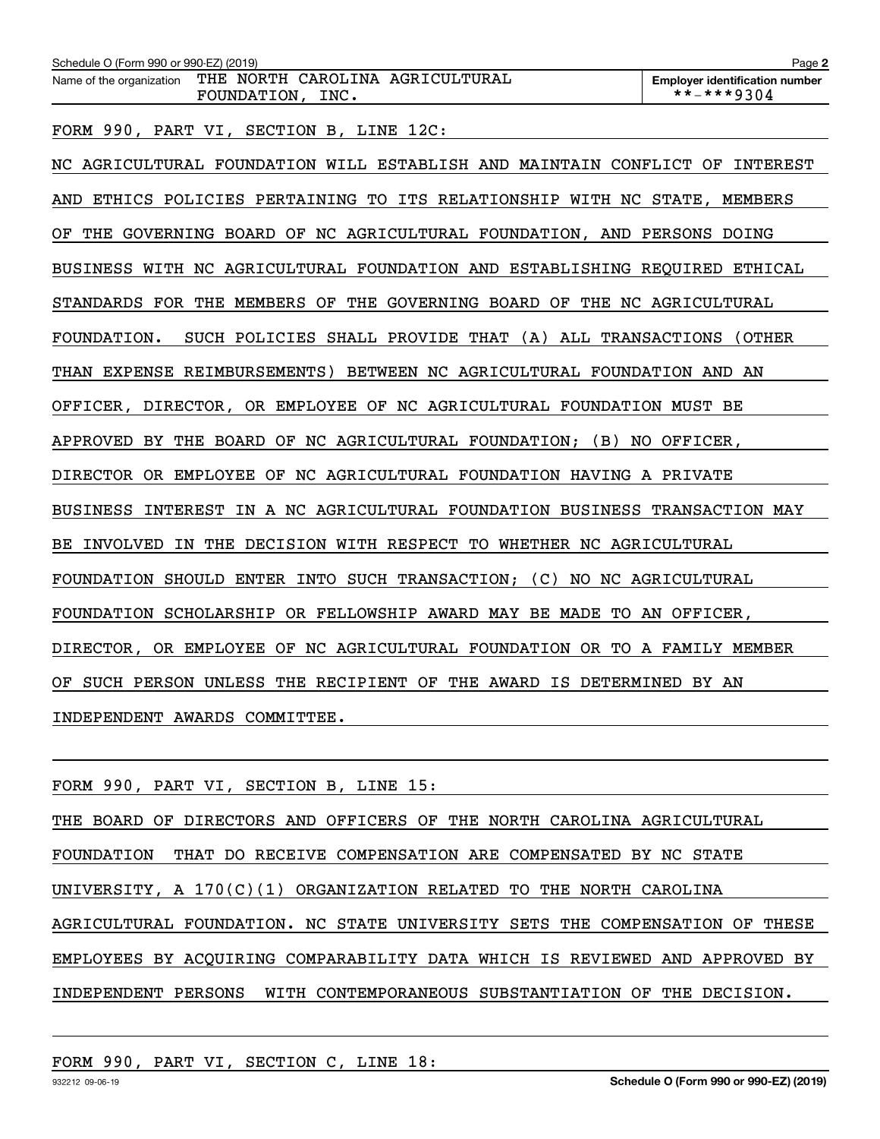| Schedule O (Form 990 or 990-EZ) (2019)                                          | Page 2                                              |
|---------------------------------------------------------------------------------|-----------------------------------------------------|
| THE NORTH CAROLINA AGRICULTURAL<br>Name of the organization<br>FOUNDATION, INC. | <b>Employer identification number</b><br>**-***9304 |
| FORM 990, PART VI, SECTION B, LINE 12C:                                         |                                                     |
| NC AGRICULTURAL FOUNDATION WILL ESTABLISH AND MAINTAIN CONFLICT OF              | INTEREST                                            |
| ETHICS POLICIES PERTAINING TO ITS RELATIONSHIP WITH NC STATE,<br>AND            | MEMBERS                                             |
| GOVERNING BOARD OF NC AGRICULTURAL FOUNDATION, AND PERSONS DOING<br>THE<br>ΟF   |                                                     |
| BUSINESS WITH NC AGRICULTURAL FOUNDATION AND ESTABLISHING REQUIRED ETHICAL      |                                                     |
| STANDARDS FOR THE MEMBERS OF THE GOVERNING BOARD OF THE NC AGRICULTURAL         |                                                     |
| SUCH POLICIES SHALL PROVIDE THAT (A) ALL TRANSACTIONS (OTHER<br>FOUNDATION.     |                                                     |
| EXPENSE REIMBURSEMENTS) BETWEEN NC AGRICULTURAL FOUNDATION<br>THAN              | AND<br>AN                                           |
| OFFICER, DIRECTOR, OR EMPLOYEE OF NC AGRICULTURAL FOUNDATION MUST BE            |                                                     |
| THE BOARD OF NC AGRICULTURAL FOUNDATION; (B) NO OFFICER,<br>APPROVED BY         |                                                     |

DIRECTOR OR EMPLOYEE OF NC AGRICULTURAL FOUNDATION HAVING A PRIVATE

BUSINESS INTEREST IN A NC AGRICULTURAL FOUNDATION BUSINESS TRANSACTION MAY

BE INVOLVED IN THE DECISION WITH RESPECT TO WHETHER NC AGRICULTURAL

FOUNDATION SHOULD ENTER INTO SUCH TRANSACTION; (C) NO NC AGRICULTURAL

FOUNDATION SCHOLARSHIP OR FELLOWSHIP AWARD MAY BE MADE TO AN OFFICER,

DIRECTOR, OR EMPLOYEE OF NC AGRICULTURAL FOUNDATION OR TO A FAMILY MEMBER

OF SUCH PERSON UNLESS THE RECIPIENT OF THE AWARD IS DETERMINED BY AN

INDEPENDENT AWARDS COMMITTEE.

|  |  | FORM 990, PART VI, SECTION B, LINE 15: |  |  |
|--|--|----------------------------------------|--|--|
|  |  |                                        |  |  |

THE BOARD OF DIRECTORS AND OFFICERS OF THE NORTH CAROLINA AGRICULTURAL FOUNDATION THAT DO RECEIVE COMPENSATION ARE COMPENSATED BY NC STATE UNIVERSITY, A 170(C)(1) ORGANIZATION RELATED TO THE NORTH CAROLINA AGRICULTURAL FOUNDATION. NC STATE UNIVERSITY SETS THE COMPENSATION OF THESE EMPLOYEES BY ACQUIRING COMPARABILITY DATA WHICH IS REVIEWED AND APPROVED BY INDEPENDENT PERSONS WITH CONTEMPORANEOUS SUBSTANTIATION OF THE DECISION.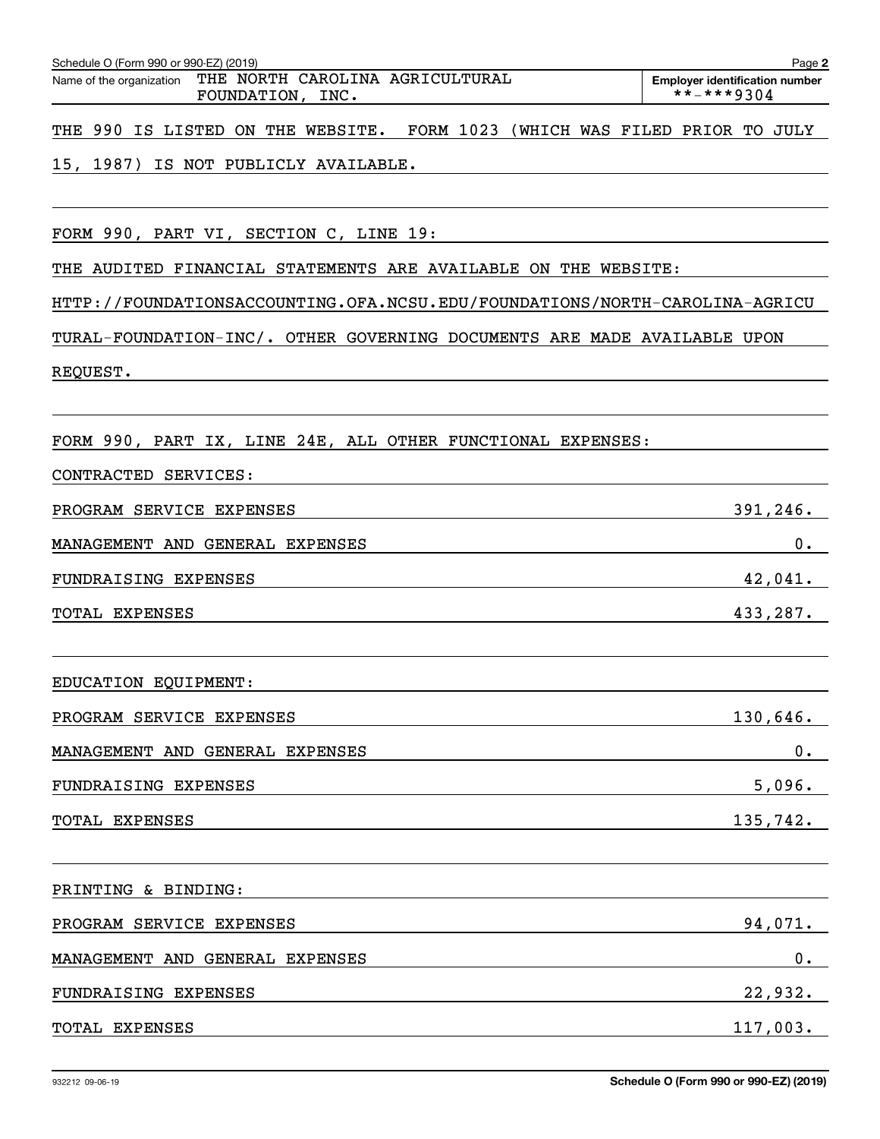| THE NORTH CAROLINA AGRICULTURAL<br>Name of the organization<br>FOUNDATION, INC. | <b>Employer identification number</b><br>**-***9304 |
|---------------------------------------------------------------------------------|-----------------------------------------------------|
| FORM 1023<br>THE 990 IS LISTED ON THE WEBSITE.                                  | (WHICH WAS FILED PRIOR TO JULY                      |
| 15, 1987)<br>IS NOT PUBLICLY AVAILABLE.                                         |                                                     |
|                                                                                 |                                                     |
| FORM 990, PART VI, SECTION C, LINE 19:                                          |                                                     |
| THE AUDITED FINANCIAL STATEMENTS ARE AVAILABLE ON THE WEBSITE:                  |                                                     |
| HTTP://FOUNDATIONSACCOUNTING.OFA.NCSU.EDU/FOUNDATIONS/NORTH-CAROLINA-AGRICU     |                                                     |
| TURAL-FOUNDATION-INC/. OTHER GOVERNING DOCUMENTS ARE MADE AVAILABLE UPON        |                                                     |
| REQUEST.                                                                        |                                                     |
|                                                                                 |                                                     |
| FORM 990, PART IX, LINE 24E, ALL OTHER FUNCTIONAL EXPENSES:                     |                                                     |
| CONTRACTED SERVICES:                                                            |                                                     |
| PROGRAM SERVICE EXPENSES                                                        | 391, 246.                                           |
| MANAGEMENT AND GENERAL EXPENSES                                                 | $0$ .                                               |
| FUNDRAISING EXPENSES                                                            | 42,041.                                             |
| TOTAL EXPENSES                                                                  | 433,287.                                            |
|                                                                                 |                                                     |
| EDUCATION EQUIPMENT:                                                            |                                                     |
| PROGRAM SERVICE EXPENSES                                                        | 130,646.                                            |
| MANAGEMENT AND GENERAL EXPENSES                                                 | 0.                                                  |
| FUNDRAISING EXPENSES                                                            | 5,096.                                              |
| TOTAL EXPENSES                                                                  | 135,742.                                            |
|                                                                                 |                                                     |
| PRINTING & BINDING:                                                             |                                                     |
| PROGRAM SERVICE EXPENSES                                                        | 94,071.                                             |
| MANAGEMENT AND GENERAL EXPENSES                                                 | 0.                                                  |
| FUNDRAISING EXPENSES                                                            | 22,932.                                             |

Schedule O (Form 990 or 990-EZ) (2019) Page Name of the organization THE NORTH CAROLINA AGRICULTURAL

**2**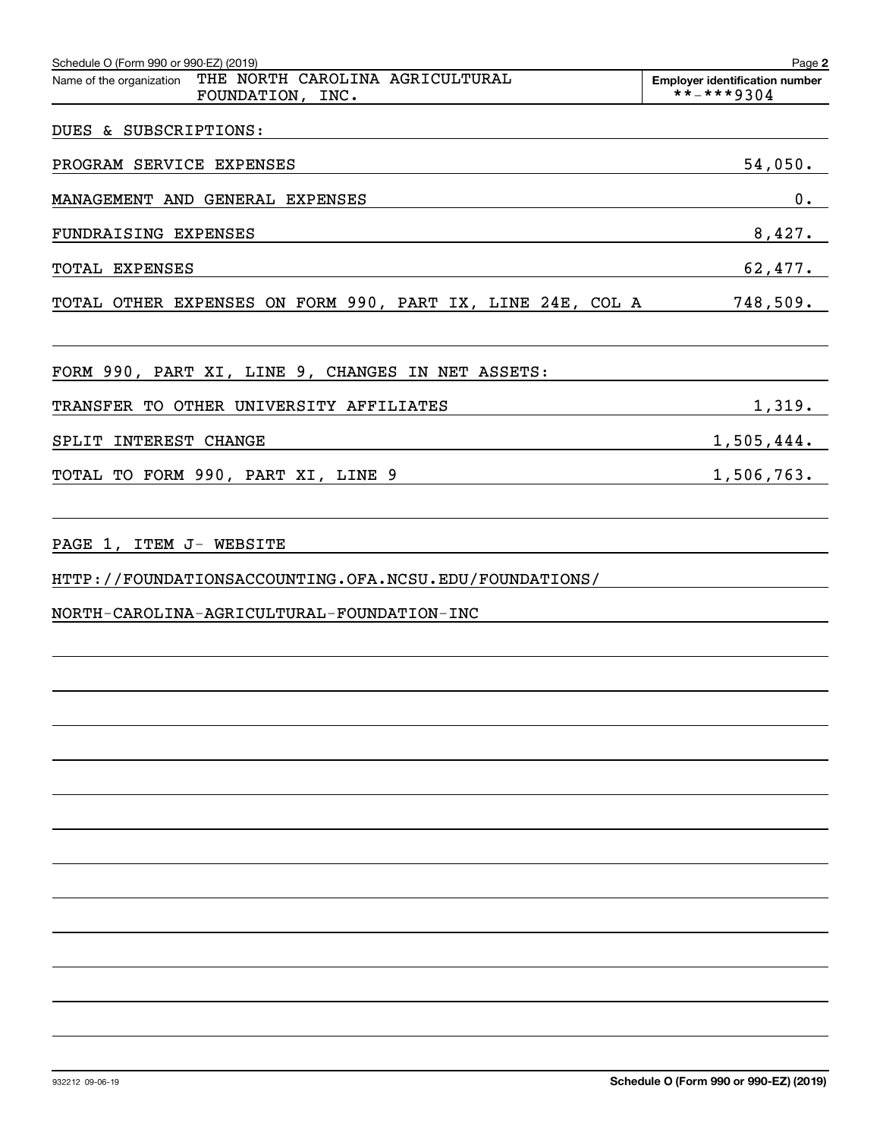| Schedule O (Form 990 or 990-EZ) (2019)                                                   | Page 2                                              |
|------------------------------------------------------------------------------------------|-----------------------------------------------------|
| THE NORTH CAROLINA AGRICULTURAL<br>Name of the organization<br>FOUNDATION, INC.          | <b>Employer identification number</b><br>**-***9304 |
| DUES & SUBSCRIPTIONS:                                                                    |                                                     |
| PROGRAM SERVICE EXPENSES                                                                 | 54,050.                                             |
| MANAGEMENT AND GENERAL EXPENSES                                                          | $0$ .                                               |
| FUNDRAISING EXPENSES                                                                     | 8,427.                                              |
| TOTAL EXPENSES                                                                           | 62,477.                                             |
| TOTAL OTHER EXPENSES ON FORM 990, PART IX, LINE 24E, COL A                               | 748,509.                                            |
| FORM 990, PART XI, LINE 9, CHANGES IN NET ASSETS:                                        |                                                     |
| TRANSFER TO OTHER UNIVERSITY AFFILIATES                                                  | 1,319.                                              |
| SPLIT INTEREST CHANGE                                                                    | 1,505,444.                                          |
| TOTAL TO FORM 990, PART XI, LINE 9<br><u> 1989 - Johann Barn, amerikansk politiker (</u> | 1,506,763.                                          |
| PAGE 1, ITEM J- WEBSITE<br>HTTP://FOUNDATIONSACCOUNTING.OFA.NCSU.EDU/FOUNDATIONS/        |                                                     |
| NORTH-CAROLINA-AGRICULTURAL-FOUNDATION-INC                                               |                                                     |
|                                                                                          |                                                     |
|                                                                                          |                                                     |
|                                                                                          |                                                     |
|                                                                                          |                                                     |
|                                                                                          |                                                     |
|                                                                                          |                                                     |
|                                                                                          |                                                     |
|                                                                                          |                                                     |
|                                                                                          |                                                     |
|                                                                                          |                                                     |
|                                                                                          |                                                     |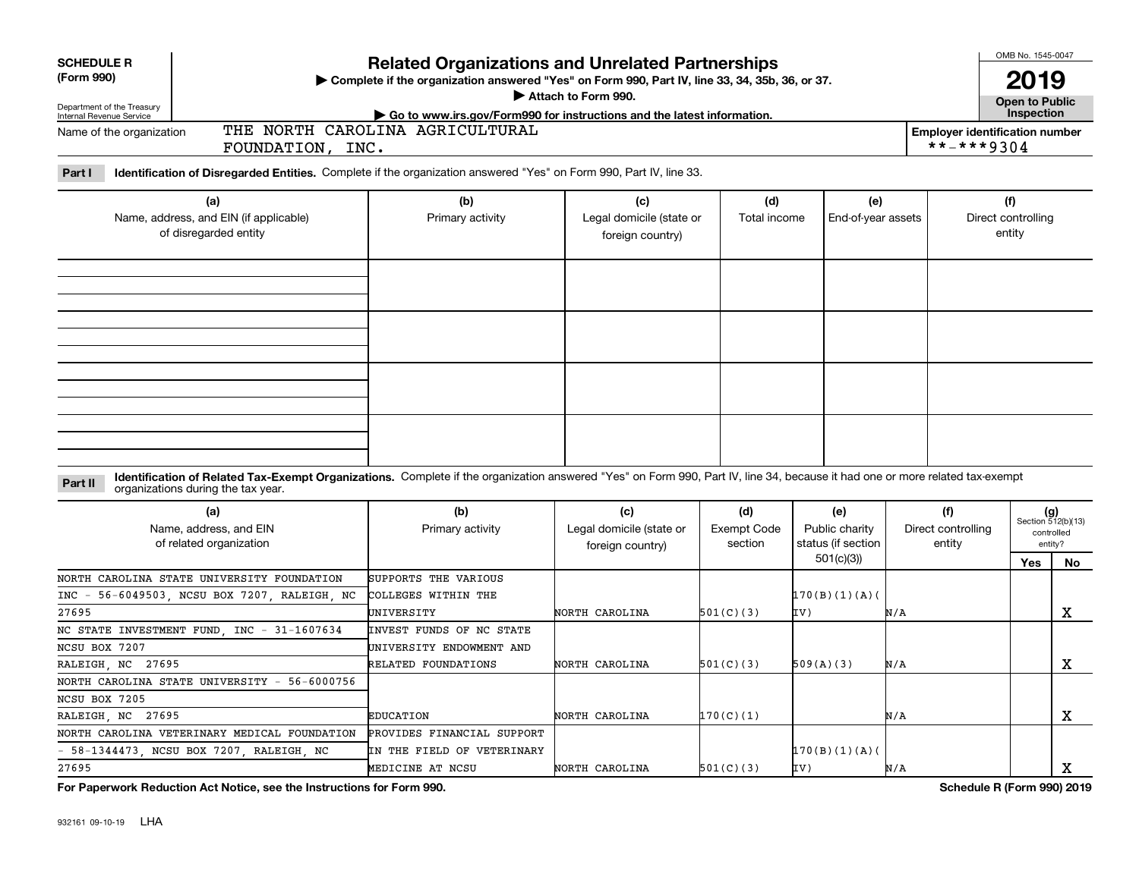|                                                                                                                                  |                                                                                                                                                                                                                    |                          |                                              |                               |                                      | OMB No. 1545-0047 |                                                     |                              |                             |  |
|----------------------------------------------------------------------------------------------------------------------------------|--------------------------------------------------------------------------------------------------------------------------------------------------------------------------------------------------------------------|--------------------------|----------------------------------------------|-------------------------------|--------------------------------------|-------------------|-----------------------------------------------------|------------------------------|-----------------------------|--|
| <b>SCHEDULE R</b><br>(Form 990)                                                                                                  | <b>Related Organizations and Unrelated Partnerships</b><br>> Complete if the organization answered "Yes" on Form 990, Part IV, line 33, 34, 35b, 36, or 37.<br>Attach to Form 990.                                 |                          |                                              |                               |                                      |                   |                                                     | 2019<br>Open to Public       |                             |  |
| Department of the Treasury<br>Internal Revenue Service<br>Go to www.irs.gov/Form990 for instructions and the latest information. |                                                                                                                                                                                                                    |                          |                                              |                               |                                      |                   |                                                     | Inspection                   |                             |  |
| THE NORTH CAROLINA AGRICULTURAL<br>Name of the organization<br>FOUNDATION, INC.                                                  |                                                                                                                                                                                                                    |                          |                                              |                               |                                      |                   | <b>Employer identification number</b><br>**-***9304 |                              |                             |  |
| Part I                                                                                                                           | Identification of Disregarded Entities. Complete if the organization answered "Yes" on Form 990, Part IV, line 33.                                                                                                 |                          |                                              |                               |                                      |                   |                                                     |                              |                             |  |
|                                                                                                                                  | (a)                                                                                                                                                                                                                | (b)                      | (c)                                          | (d)                           | (e)                                  |                   |                                                     | (f)                          |                             |  |
|                                                                                                                                  | Name, address, and EIN (if applicable)<br>of disregarded entity                                                                                                                                                    | Primary activity         | Legal domicile (state or<br>foreign country) | Total income                  | End-of-year assets                   |                   |                                                     | Direct controlling<br>entity |                             |  |
|                                                                                                                                  |                                                                                                                                                                                                                    |                          |                                              |                               |                                      |                   |                                                     |                              |                             |  |
|                                                                                                                                  |                                                                                                                                                                                                                    |                          |                                              |                               |                                      |                   |                                                     |                              |                             |  |
|                                                                                                                                  |                                                                                                                                                                                                                    |                          |                                              |                               |                                      |                   |                                                     |                              |                             |  |
|                                                                                                                                  |                                                                                                                                                                                                                    |                          |                                              |                               |                                      |                   |                                                     |                              |                             |  |
|                                                                                                                                  |                                                                                                                                                                                                                    |                          |                                              |                               |                                      |                   |                                                     |                              |                             |  |
| Part II                                                                                                                          | Identification of Related Tax-Exempt Organizations. Complete if the organization answered "Yes" on Form 990, Part IV, line 34, because it had one or more related tax-exempt<br>organizations during the tax year. |                          |                                              |                               |                                      |                   |                                                     |                              |                             |  |
|                                                                                                                                  | (a)                                                                                                                                                                                                                | (b)                      | (c)                                          | (d)                           | (e)                                  |                   | (f)                                                 |                              | $(g)$<br>Section 512(b)(13) |  |
|                                                                                                                                  | Name, address, and EIN<br>of related organization                                                                                                                                                                  | Primary activity         | Legal domicile (state or<br>foreign country) | <b>Exempt Code</b><br>section | Public charity<br>status (if section |                   | Direct controlling<br>entity                        |                              | controlled<br>entity?       |  |
|                                                                                                                                  |                                                                                                                                                                                                                    |                          |                                              |                               | 501(c)(3)                            |                   |                                                     | Yes                          | No                          |  |
|                                                                                                                                  | NORTH CAROLINA STATE UNIVERSITY FOUNDATION                                                                                                                                                                         | SUPPORTS THE VARIOUS     |                                              |                               |                                      |                   |                                                     |                              |                             |  |
|                                                                                                                                  | INC - 56-6049503, NCSU BOX 7207, RALEIGH, NC                                                                                                                                                                       | COLLEGES WITHIN THE      |                                              |                               | 170(B)(1)(A)                         |                   |                                                     |                              |                             |  |
| 27695                                                                                                                            |                                                                                                                                                                                                                    | UNIVERSITY               | NORTH CAROLINA                               | 501(C)(3)                     | IV)                                  | N/A               |                                                     |                              | x                           |  |
|                                                                                                                                  | NC STATE INVESTMENT FUND, INC - 31-1607634                                                                                                                                                                         | INVEST FUNDS OF NC STATE |                                              |                               |                                      |                   |                                                     |                              |                             |  |
| NCSU BOX 7207                                                                                                                    |                                                                                                                                                                                                                    | UNIVERSITY ENDOWMENT AND |                                              |                               |                                      |                   |                                                     |                              |                             |  |
| RALEIGH, NC 27695                                                                                                                |                                                                                                                                                                                                                    | RELATED FOUNDATIONS      | NORTH CAROLINA                               | 501(C)(3)                     | 509(A)(3)                            | N/A               |                                                     |                              | X                           |  |
|                                                                                                                                  | NORTH CAROLINA STATE UNIVERSITY - 56-6000756                                                                                                                                                                       |                          |                                              |                               |                                      |                   |                                                     |                              |                             |  |

**For Paperwork Reduction Act Notice, see the Instructions for Form 990. Schedule R (Form 990) 2019**

X

X

NCSU BOX 7205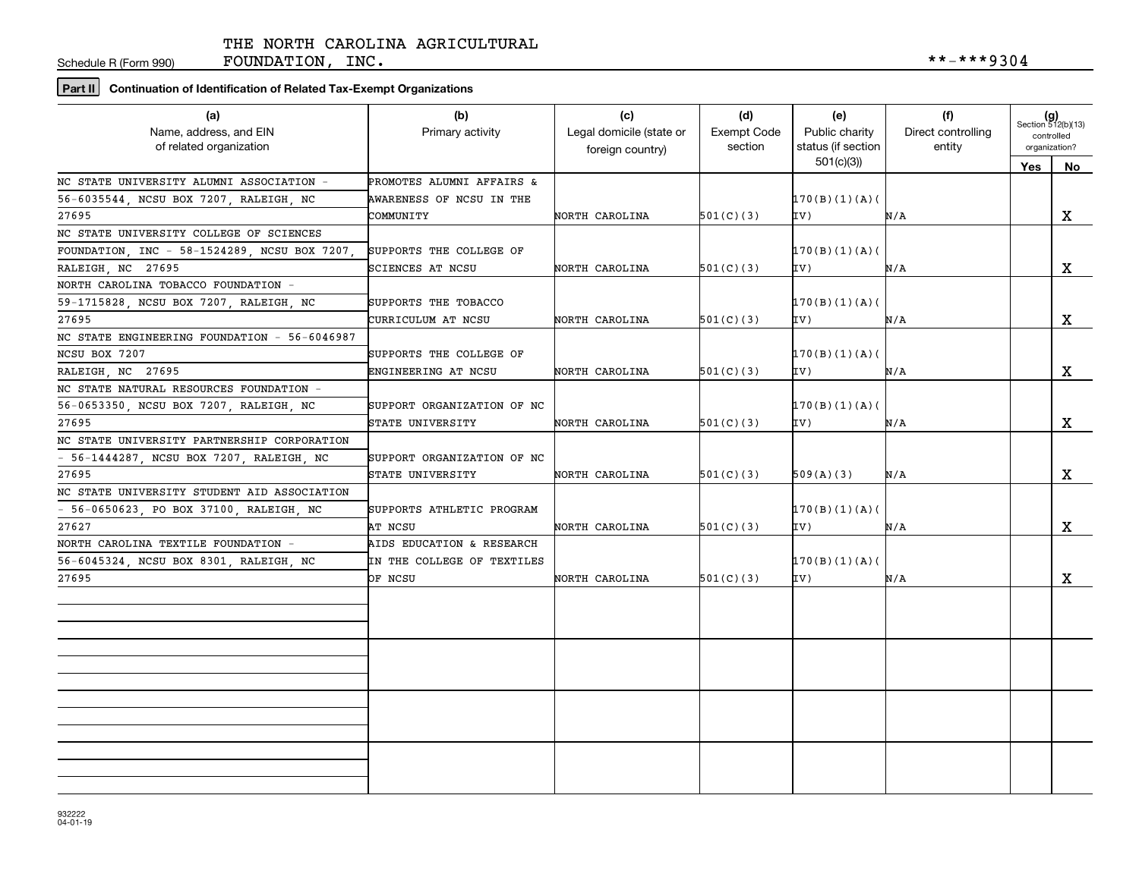Schedule R (Form 990)

FOUNDATION, INC.  $***-**9304$ 

## **Part II Continuation of Identification of Related Tax-Exempt Organizations**

| (a)<br>Name, address, and EIN<br>of related organization | (b)<br>Primary activity    | (c)<br>Legal domicile (state or<br>foreign country) | (d)<br><b>Exempt Code</b><br>section | (e)<br>Public charity<br>status (if section | (f)<br>Direct controlling<br>entity | $(g)$<br>Section 512(b)(13)<br>controlled<br>organization? |             |
|----------------------------------------------------------|----------------------------|-----------------------------------------------------|--------------------------------------|---------------------------------------------|-------------------------------------|------------------------------------------------------------|-------------|
|                                                          |                            |                                                     |                                      | 501(c)(3)                                   |                                     | <b>Yes</b>                                                 | No          |
| NC STATE UNIVERSITY ALUMNI ASSOCIATION =                 | PROMOTES ALUMNI AFFAIRS &  |                                                     |                                      |                                             |                                     |                                                            |             |
| 56-6035544, NCSU BOX 7207, RALEIGH, NC                   | AWARENESS OF NCSU IN THE   |                                                     |                                      | 170(B)(1)(A)                                |                                     |                                                            |             |
| 27695                                                    | COMMUNITY                  | NORTH CAROLINA                                      | 501(C)(3)                            | IV)                                         | N/A                                 |                                                            | X           |
| NC STATE UNIVERSITY COLLEGE OF SCIENCES                  |                            |                                                     |                                      |                                             |                                     |                                                            |             |
| FOUNDATION, INC - 58-1524289, NCSU BOX 7207              | SUPPORTS THE COLLEGE OF    |                                                     |                                      | 170(B)(1)(A)                                |                                     |                                                            |             |
| RALEIGH, NC 27695                                        | SCIENCES AT NCSU           | NORTH CAROLINA                                      | 501(C)(3)                            | IV)                                         | N/A                                 |                                                            | $\mathbf X$ |
| NORTH CAROLINA TOBACCO FOUNDATION -                      |                            |                                                     |                                      |                                             |                                     |                                                            |             |
| 59-1715828, NCSU BOX 7207, RALEIGH, NC                   | SUPPORTS THE TOBACCO       |                                                     |                                      | 170(B)(1)(A)                                |                                     |                                                            |             |
| 27695                                                    | CURRICULUM AT NCSU         | NORTH CAROLINA                                      | 501(C)(3)                            | IV)                                         | N/A                                 |                                                            | x           |
| NC STATE ENGINEERING FOUNDATION - 56-6046987             |                            |                                                     |                                      |                                             |                                     |                                                            |             |
| NCSU BOX 7207                                            | SUPPORTS THE COLLEGE OF    |                                                     |                                      | 170(B)(1)(A)                                |                                     |                                                            |             |
| RALEIGH NC 27695                                         | ENGINEERING AT NCSU        | NORTH CAROLINA                                      | 501(C)(3)                            | IV)                                         | N/A                                 |                                                            | X           |
| NC STATE NATURAL RESOURCES FOUNDATION -                  |                            |                                                     |                                      |                                             |                                     |                                                            |             |
| 56-0653350, NCSU BOX 7207, RALEIGH, NC                   | SUPPORT ORGANIZATION OF NC |                                                     |                                      | 170(B)(1)(A)(                               |                                     |                                                            |             |
| 27695                                                    | STATE UNIVERSITY           | NORTH CAROLINA                                      | 501(C)(3)                            | (VI                                         | N/A                                 |                                                            | X           |
| NC STATE UNIVERSITY PARTNERSHIP CORPORATION              |                            |                                                     |                                      |                                             |                                     |                                                            |             |
| - 56-1444287, NCSU BOX 7207, RALEIGH, NC                 | SUPPORT ORGANIZATION OF NC |                                                     |                                      |                                             |                                     |                                                            |             |
| 27695                                                    | STATE UNIVERSITY           | NORTH CAROLINA                                      | 501(C)(3)                            | 509(A)(3)                                   | N/A                                 |                                                            | X           |
| NC STATE UNIVERSITY STUDENT AID ASSOCIATION              |                            |                                                     |                                      |                                             |                                     |                                                            |             |
| - 56-0650623, PO BOX 37100, RALEIGH, NC                  | SUPPORTS ATHLETIC PROGRAM  |                                                     |                                      | 170(B)(1)(A)                                |                                     |                                                            |             |
| 27627                                                    | AT NCSU                    | NORTH CAROLINA                                      | 501(C)(3)                            | IV)                                         | N/A                                 |                                                            | X           |
| NORTH CAROLINA TEXTILE FOUNDATION -                      | AIDS EDUCATION & RESEARCH  |                                                     |                                      |                                             |                                     |                                                            |             |
| 56-6045324, NCSU BOX 8301, RALEIGH, NC                   | IN THE COLLEGE OF TEXTILES |                                                     |                                      | 170(B)(1)(A)                                |                                     |                                                            |             |
| 27695                                                    | OF NCSU                    | NORTH CAROLINA                                      | 501(C)(3)                            | IV)                                         | N/A                                 |                                                            | x           |
|                                                          |                            |                                                     |                                      |                                             |                                     |                                                            |             |
|                                                          |                            |                                                     |                                      |                                             |                                     |                                                            |             |
|                                                          |                            |                                                     |                                      |                                             |                                     |                                                            |             |
|                                                          |                            |                                                     |                                      |                                             |                                     |                                                            |             |
|                                                          |                            |                                                     |                                      |                                             |                                     |                                                            |             |
|                                                          |                            |                                                     |                                      |                                             |                                     |                                                            |             |
|                                                          |                            |                                                     |                                      |                                             |                                     |                                                            |             |
|                                                          |                            |                                                     |                                      |                                             |                                     |                                                            |             |
|                                                          |                            |                                                     |                                      |                                             |                                     |                                                            |             |
|                                                          |                            |                                                     |                                      |                                             |                                     |                                                            |             |
|                                                          |                            |                                                     |                                      |                                             |                                     |                                                            |             |
|                                                          |                            |                                                     |                                      |                                             |                                     |                                                            |             |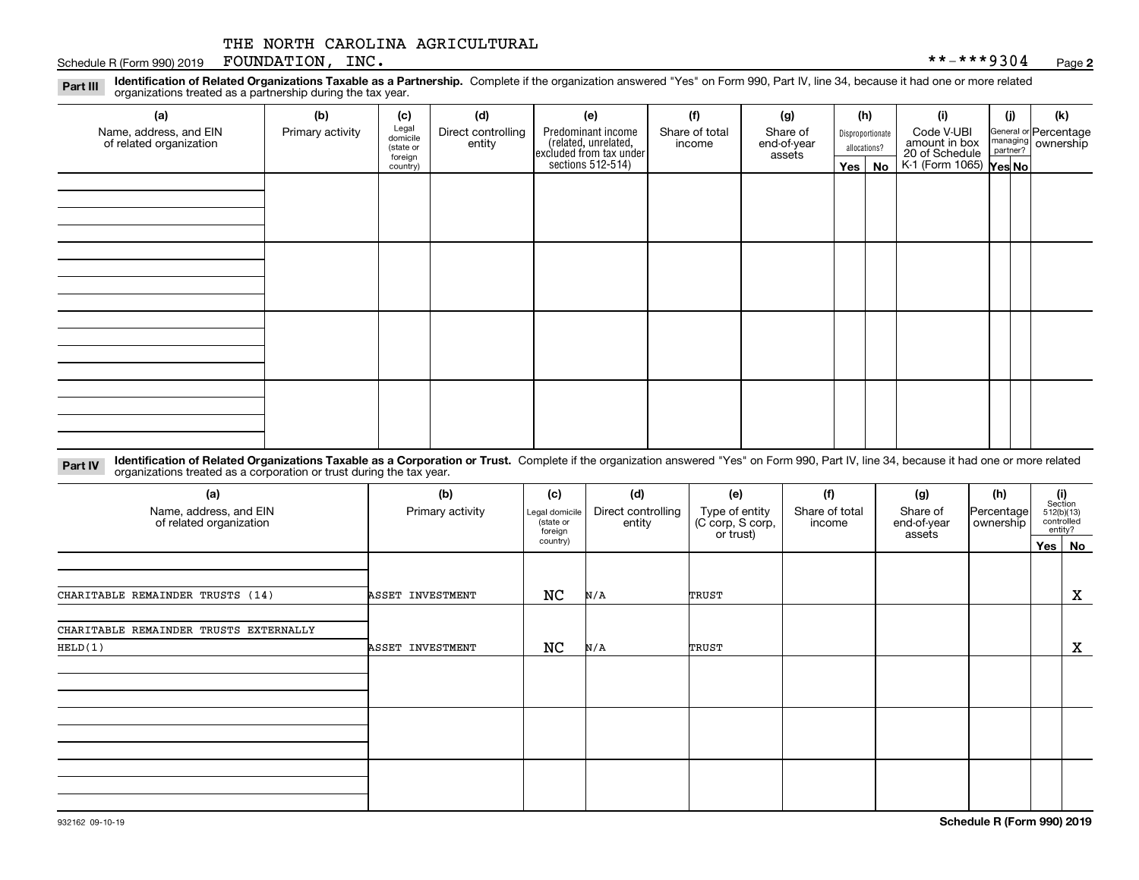#### Schedule R (Form 990) 2019 Page FOUNDATION, INC. \*\*-\*\*\*9304

**2**

**Identification of Related Organizations Taxable as a Partnership.** Complete if the organization answered "Yes" on Form 990, Part IV, line 34, because it had one or more related **Part III** organizations treated as a partnership during the tax year.

| (a)<br>Name, address, and EIN<br>of related organization | (b)<br>Primary activity | (c)<br>Legal<br>domicile         | (d)<br>Direct controlling | (e)                                                                                        | (f)<br>Share of total | (g)<br>Share of       |         | (h)<br>Disproportionate | (i)<br>Code V-UBI                                                | (i) | (k)<br>General or Percentage<br>managing<br>partner?<br>partner? |
|----------------------------------------------------------|-------------------------|----------------------------------|---------------------------|--------------------------------------------------------------------------------------------|-----------------------|-----------------------|---------|-------------------------|------------------------------------------------------------------|-----|------------------------------------------------------------------|
|                                                          |                         | (state or<br>foreign<br>country) | entity                    | Predominant income<br>(related, unrelated,<br>excluded from tax under<br>sections 512-514) | income                | end-of-year<br>assets | Yes $ $ | allocations?<br>No      | amount in box<br>20 of Schedule<br>K-1 (Form 1065) <b>Yes No</b> |     |                                                                  |
|                                                          |                         |                                  |                           |                                                                                            |                       |                       |         |                         |                                                                  |     |                                                                  |
|                                                          |                         |                                  |                           |                                                                                            |                       |                       |         |                         |                                                                  |     |                                                                  |
|                                                          |                         |                                  |                           |                                                                                            |                       |                       |         |                         |                                                                  |     |                                                                  |
|                                                          |                         |                                  |                           |                                                                                            |                       |                       |         |                         |                                                                  |     |                                                                  |
|                                                          |                         |                                  |                           |                                                                                            |                       |                       |         |                         |                                                                  |     |                                                                  |
|                                                          |                         |                                  |                           |                                                                                            |                       |                       |         |                         |                                                                  |     |                                                                  |
|                                                          |                         |                                  |                           |                                                                                            |                       |                       |         |                         |                                                                  |     |                                                                  |
|                                                          |                         |                                  |                           |                                                                                            |                       |                       |         |                         |                                                                  |     |                                                                  |
|                                                          |                         |                                  |                           |                                                                                            |                       |                       |         |                         |                                                                  |     |                                                                  |
|                                                          |                         |                                  |                           |                                                                                            |                       |                       |         |                         |                                                                  |     |                                                                  |

**Identification of Related Organizations Taxable as a Corporation or Trust.** Complete if the organization answered "Yes" on Form 990, Part IV, line 34, because it had one or more related **Part IV** organizations treated as a corporation or trust during the tax year.

| (a)<br>Name, address, and EIN<br>of related organization | (b)<br>Primary activity | (c)<br>Legal domicile<br>(state or<br>foreign | (d)<br>Direct controlling<br>entity | (e)<br>Type of entity<br>(C corp, S corp, | (f)<br>Share of total<br>income | (g)<br>Share of<br>end-of-year | (h)<br>Percentage<br>ownership | (i)<br>Section<br>512(b)(13)<br>controlled<br>entity? |
|----------------------------------------------------------|-------------------------|-----------------------------------------------|-------------------------------------|-------------------------------------------|---------------------------------|--------------------------------|--------------------------------|-------------------------------------------------------|
|                                                          |                         | country)                                      |                                     | or trust)                                 |                                 | assets                         |                                | Yes   No                                              |
|                                                          |                         |                                               |                                     |                                           |                                 |                                |                                |                                                       |
| CHARITABLE REMAINDER TRUSTS (14)                         | ASSET INVESTMENT        | NC                                            | N/A                                 | TRUST                                     |                                 |                                |                                | X                                                     |
| CHARITABLE REMAINDER TRUSTS EXTERNALLY<br>HELD(1)        | ASSET INVESTMENT        | NC                                            | N/A                                 | TRUST                                     |                                 |                                |                                | $\mathbf{x}$                                          |
|                                                          |                         |                                               |                                     |                                           |                                 |                                |                                |                                                       |
|                                                          |                         |                                               |                                     |                                           |                                 |                                |                                |                                                       |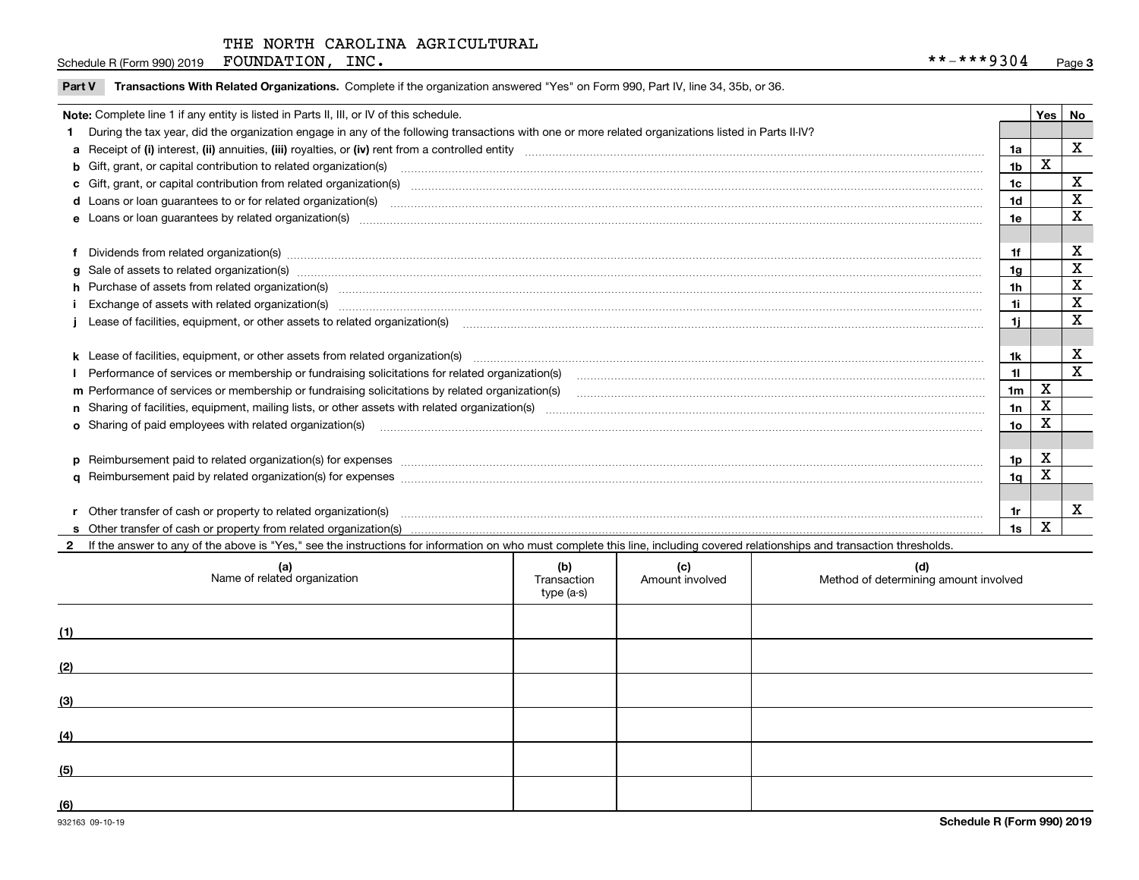Schedule R (Form 990) 2019 Page FOUNDATION, INC. \*\*-\*\*\*9304

|  | Part V Transactions With Related Organizations. Complete if the organization answered "Yes" on Form 990, Part IV, line 34, 35b, or 36 |  |  |
|--|---------------------------------------------------------------------------------------------------------------------------------------|--|--|
|--|---------------------------------------------------------------------------------------------------------------------------------------|--|--|

|   | Note: Complete line 1 if any entity is listed in Parts II, III, or IV of this schedule.                                                                                                                                        |                 |             | Yes   No    |
|---|--------------------------------------------------------------------------------------------------------------------------------------------------------------------------------------------------------------------------------|-----------------|-------------|-------------|
|   | During the tax year, did the organization engage in any of the following transactions with one or more related organizations listed in Parts II-IV?                                                                            |                 |             |             |
|   |                                                                                                                                                                                                                                | 1a              |             | $\mathbf X$ |
|   | b Gift, grant, or capital contribution to related organization(s) manufaction contracts and contribution to related organization(s)                                                                                            | 1 <sub>b</sub>  | X           |             |
|   | c Gift, grant, or capital contribution from related organization(s) mature material contract contribution from related organization(s) matured contents of mature material contribution from related organization(s) material  | 1 <sub>c</sub>  |             | х           |
|   | d Loans or loan guarantees to or for related organization(s) www.communically.com/www.communically.com/www.communically.com/www.communically.com/www.communically.com/www.communically.com/www.communically.com/www.communical | 1 <sub>d</sub>  |             | X           |
|   |                                                                                                                                                                                                                                | 1e              |             | X           |
|   |                                                                                                                                                                                                                                |                 |             |             |
|   |                                                                                                                                                                                                                                | 1f              |             | х           |
| a | Sale of assets to related organization(s) www.assettion.com/www.assettion.com/www.assettion.com/www.assettion.com/www.assettion.com/www.assettion.com/www.assettion.com/www.assettion.com/www.assettion.com/www.assettion.com/ | 1 <sub>g</sub>  |             | $\mathbf X$ |
|   | h Purchase of assets from related organization(s) manufactured content to content the content of the content of the content of the content of the content of the content of the content of the content of the content of the c | 1 <sub>h</sub>  |             | X           |
|   | Exchange of assets with related organization(s) www.walescommunity.com/walescommunity/walescommunity/walescommunity/walescommunity/walescommunity/walescommunity/walescommunity/walescommunity/walescommunity/walescommunity/w | 1i              |             | X           |
|   | Lease of facilities, equipment, or other assets to related organization(s) manufactured content and content and content and content and content and content and content and content and content and content and content and co | 1i.             |             | x           |
|   |                                                                                                                                                                                                                                |                 |             |             |
|   |                                                                                                                                                                                                                                | 1k              |             | X           |
|   |                                                                                                                                                                                                                                | 11              |             | $\mathbf X$ |
|   |                                                                                                                                                                                                                                | 1 <sub>m</sub>  | $\mathbf X$ |             |
|   |                                                                                                                                                                                                                                | 1n              | X           |             |
|   | <b>o</b> Sharing of paid employees with related organization(s)                                                                                                                                                                | 10 <sub>o</sub> | х           |             |
|   |                                                                                                                                                                                                                                |                 |             |             |
|   | p Reimbursement paid to related organization(s) for expenses [11111] [12] reasonal content of the separation (s) for expenses [11111] [12] reasonal content in the separation (s) for expenses [1111] [12] reasonal content in | 1p              | X           |             |
|   |                                                                                                                                                                                                                                | 1q              | X           |             |
|   |                                                                                                                                                                                                                                |                 |             |             |
|   | r Other transfer of cash or property to related organization(s)                                                                                                                                                                | 1r              |             | х           |
|   |                                                                                                                                                                                                                                | 1s              | X           |             |
|   | 2 If the answer to any of the above is "Yes," see the instructions for information on who must complete this line, including covered relationships and transaction thresholds.                                                 |                 |             |             |

| (a)<br>Name of related organization | (b)<br>Transaction<br>type (a-s) | (c)<br>Amount involved | (d)<br>Method of determining amount involved |
|-------------------------------------|----------------------------------|------------------------|----------------------------------------------|
| (1)                                 |                                  |                        |                                              |
| (2)                                 |                                  |                        |                                              |
| (3)                                 |                                  |                        |                                              |
| (4)                                 |                                  |                        |                                              |
| (5)                                 |                                  |                        |                                              |
| (6)                                 |                                  |                        |                                              |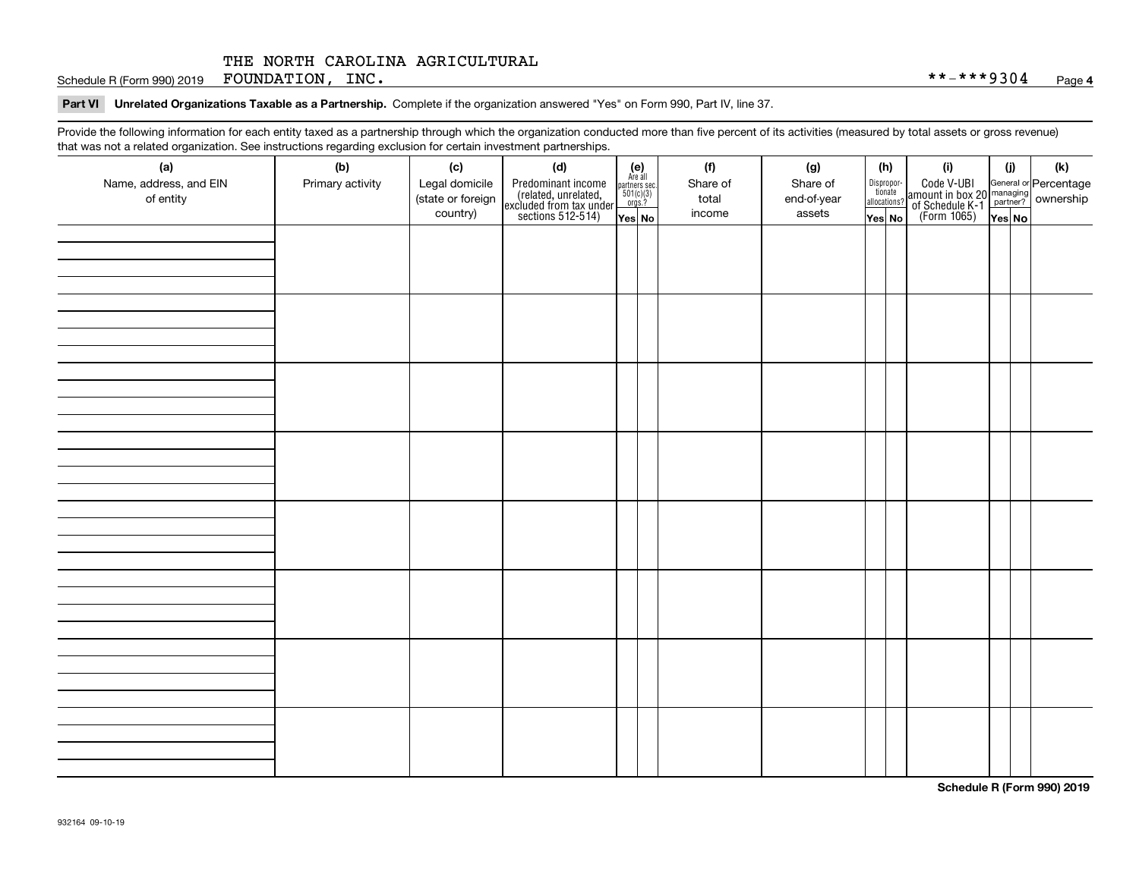Schedule R (Form 990) 2019 Page FOUNDATION, INC. \*\*-\*\*\*9304

#### **Part VI Unrelated Organizations Taxable as a Partnership. Complete if the organization answered "Yes" on Form 990, Part IV, line 37.**

Provide the following information for each entity taxed as a partnership through which the organization conducted more than five percent of its activities (measured by total assets or gross revenue) that was not a related organization. See instructions regarding exclusion for certain investment partnerships.

| (a)<br>Name, address, and EIN<br>of entity | ----- <del>-</del> --------<br>(b)<br>Primary activity | (c)<br>Legal domicile<br>(state or foreign<br>country) | (d)<br>Predominant income<br>(related, unrelated,<br>excluded from tax under<br>sections 512-514) | (e)<br>Are all<br>partners sec.<br>$501(c)(3)$<br>orgs.?<br>Yes No | (f)<br>Share of<br>total<br>income | (g)<br>Share of<br>end-of-year<br>assets | (h)<br>Dispropor-<br>tionate<br>allocations?<br>Yes No | (i)<br>Code V-UBI<br>  amount in box 20 managing<br>  of Schedule K-1 partner? ownership<br>  of Schedule K-1 partner? ownership<br>  Yes No | (i)<br>Yes No | (k) |
|--------------------------------------------|--------------------------------------------------------|--------------------------------------------------------|---------------------------------------------------------------------------------------------------|--------------------------------------------------------------------|------------------------------------|------------------------------------------|--------------------------------------------------------|----------------------------------------------------------------------------------------------------------------------------------------------|---------------|-----|
|                                            |                                                        |                                                        |                                                                                                   |                                                                    |                                    |                                          |                                                        |                                                                                                                                              |               |     |
|                                            |                                                        |                                                        |                                                                                                   |                                                                    |                                    |                                          |                                                        |                                                                                                                                              |               |     |
|                                            |                                                        |                                                        |                                                                                                   |                                                                    |                                    |                                          |                                                        |                                                                                                                                              |               |     |
|                                            |                                                        |                                                        |                                                                                                   |                                                                    |                                    |                                          |                                                        |                                                                                                                                              |               |     |
|                                            |                                                        |                                                        |                                                                                                   |                                                                    |                                    |                                          |                                                        |                                                                                                                                              |               |     |
|                                            |                                                        |                                                        |                                                                                                   |                                                                    |                                    |                                          |                                                        |                                                                                                                                              |               |     |
|                                            |                                                        |                                                        |                                                                                                   |                                                                    |                                    |                                          |                                                        |                                                                                                                                              |               |     |
|                                            |                                                        |                                                        |                                                                                                   |                                                                    |                                    |                                          |                                                        |                                                                                                                                              |               |     |

**Schedule R (Form 990) 2019**